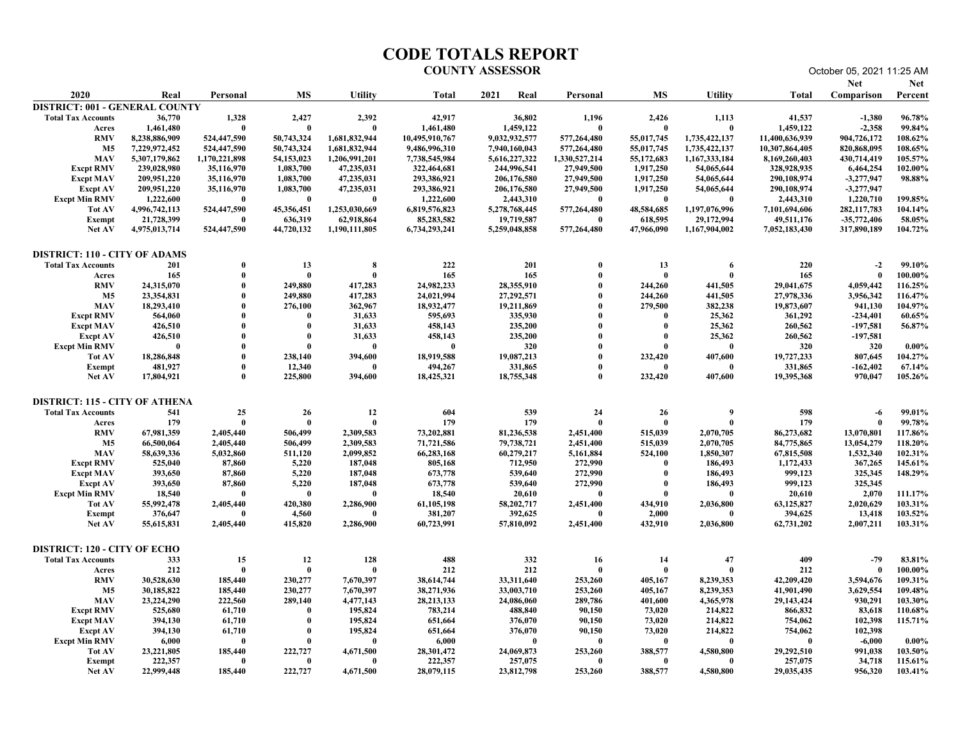### CODE TOTALS REPORT

### COUNTY ASSESSOR October 05, 2021 11:25 AM<br>Net Net

|                                                                                                                                                                                                                                              |                                                                                                                                                                                  |                                                                                                                                     |                                                                                                                                             |                                                                                                                                                                    |                                                                                                                                                                                   | <b>CODE TOTALS REPORT</b><br><b>COUNTY ASSESSOR</b>                                                                                                                              |                                                                                                                                     |                                                                                                                                             |                                                                                                                                                                 |                                                                                                                                                                                    | October 05, 2021 11:25 AM                                                                                                                                                    |                                                                                                                       |
|----------------------------------------------------------------------------------------------------------------------------------------------------------------------------------------------------------------------------------------------|----------------------------------------------------------------------------------------------------------------------------------------------------------------------------------|-------------------------------------------------------------------------------------------------------------------------------------|---------------------------------------------------------------------------------------------------------------------------------------------|--------------------------------------------------------------------------------------------------------------------------------------------------------------------|-----------------------------------------------------------------------------------------------------------------------------------------------------------------------------------|----------------------------------------------------------------------------------------------------------------------------------------------------------------------------------|-------------------------------------------------------------------------------------------------------------------------------------|---------------------------------------------------------------------------------------------------------------------------------------------|-----------------------------------------------------------------------------------------------------------------------------------------------------------------|------------------------------------------------------------------------------------------------------------------------------------------------------------------------------------|------------------------------------------------------------------------------------------------------------------------------------------------------------------------------|-----------------------------------------------------------------------------------------------------------------------|
| 2020                                                                                                                                                                                                                                         | Real                                                                                                                                                                             | Personal                                                                                                                            | MS                                                                                                                                          | <b>Utility</b>                                                                                                                                                     | Total                                                                                                                                                                             | 2021<br>Real                                                                                                                                                                     | Personal                                                                                                                            | MS                                                                                                                                          | <b>Utility</b>                                                                                                                                                  | Total                                                                                                                                                                              | <b>Net</b><br><b>Comparison</b> Percent                                                                                                                                      | <b>Net</b>                                                                                                            |
| <b>DISTRICT: 001 - GENERAL COUNTY</b><br><b>Total Tax Accounts</b><br>Acres<br><b>RMV</b><br>M5<br>MAV<br><b>Excpt RMV</b><br><b>Excpt MAV</b><br><b>Excpt AV</b><br><b>Excpt Min RMV</b><br><b>Tot AV</b><br><b>Exempt</b><br><b>Net AV</b> | 36,770<br>1,461,480<br>8,238,886,909<br>7,229,972,452<br>5,307,179,862<br>239,028,980<br>209,951,220<br>209,951,220<br>1,222,600<br>4,996,742,113<br>21,728,399<br>4,975,013,714 | 1,328<br>- 0<br>524,447,590<br>524,447,590<br>1,170,221,898<br>35,116,970<br>35,116,970<br>35,116,970<br>524,447,590<br>524,447,590 | 2,427<br>- 0<br>50,743,324<br>50,743,324<br>54,153,023<br>1,083,700<br>1,083,700<br>1,083,700<br>- 0<br>45,356,451<br>636,319<br>44,720,132 | 2,392<br>$\mathbf{0}$<br>1,681,832,944<br>1,681,832,944<br>1,206,991,201<br>47,235,031<br>47,235,031<br>47,235,031<br>1,253,030,669<br>62,918,864<br>1,190,111,805 | 42,917<br>1,461,480<br>10,495,910,767<br>9,486,996,310<br>7,738,545,984<br>322,464,681<br>293,386,921<br>293,386,921<br>1,222,600<br>6,819,576,823<br>85,283,582<br>6,734,293,241 | 36,802<br>1,459,122<br>9,032,932,577<br>7,940,160,043<br>5,616,227,322<br>244,996,541<br>206,176,580<br>206,176,580<br>2,443,310<br>5,278,768,445<br>19,719,587<br>5,259,048,858 | 1,196<br>- 0<br>577,264,480<br>577,264,480<br>1,330,527,214<br>27,949,500<br>27,949,500<br>27,949,500<br>577,264,480<br>577,264,480 | 2,426<br>- 0<br>55,017,745<br>55,017,745<br>55,172,683<br>1,917,250<br>1,917,250<br>1,917,250<br>- 0<br>48,584,685<br>618,595<br>47,966,090 | 1,113<br>- 0<br>1,735,422,137<br>1,735,422,137<br>1,167,333,184<br>54,065,644<br>54,065,644<br>54,065,644<br>-6<br>1,197,076,996<br>29,172,994<br>1,167,904,002 | 41,537<br>1,459,122<br>11,400,636,939<br>10,307,864,405<br>8,169,260,403<br>328,928,935<br>290,108,974<br>290,108,974<br>2,443,310<br>7,101,694,606<br>49,511,176<br>7,052,183,430 | $-1,380$<br>$-2,358$<br>904,726,172<br>820,868,095<br>430,714,419<br>6,464,254<br>$-3,277,947$<br>$-3,277,947$<br>1,220,710<br>282, 117, 783<br>$-35,772,406$<br>317,890,189 | 96.78%<br>99.84%<br>108.62%<br>108.65%<br>105.57%<br>102.00%<br>98.88%<br>199.85%<br>104.14%<br>58.05%<br>104.72%     |
| <b>DISTRICT: 110 - CITY OF ADAMS</b><br><b>Total Tax Accounts</b><br>Acres<br><b>RMV</b><br><b>M5</b><br><b>MAV</b><br><b>Excpt RMV</b><br><b>Excpt MAV</b><br>Excpt AV<br><b>Excpt Min RMV</b><br><b>Tot AV</b><br>Exempt<br>Net AV         | 201<br>165<br>24,315,070<br>23,354,831<br>18,293,410<br>564,060<br>426,510<br>426,510<br>- 0<br>18,286,848<br>481,927<br>17,804,921                                              | $\bf{0}$                                                                                                                            | 13<br>$\overline{\mathbf{0}}$<br>249,880<br>249,880<br>276,100<br>- 0<br>- 0<br>238,140<br>12,340<br>225,800                                | -8<br>$\mathbf{0}$<br>417,283<br>417,283<br>362,967<br>31,633<br>31,633<br>31,633<br>- 0<br>394,600<br>- 0<br>394,600                                              | 222<br>165<br>24,982,233<br>24,021,994<br>18,932,477<br>595,693<br>458,143<br>458,143<br>- 0<br>18,919,588<br>494,267<br>18,425,321                                               | 201<br>165<br>28,355,910<br>27,292,571<br>19,211,869<br>335,930<br>235,200<br>235,200<br>320<br>19,087,213<br>331,865<br>18,755,348                                              | $\mathbf{0}$                                                                                                                        | 13<br>$\mathbf{0}$<br>244,260<br>244,260<br>279,500<br>$\Omega$<br>232,420<br>- 0<br>232,420                                                | - 6<br>$\mathbf{0}$<br>441,505<br>441,505<br>382,238<br>25,362<br>25,362<br>25,362<br>- 0<br>407,600<br>- 0<br>407,600                                          | 220<br>165<br>29,041,675<br>27,978,336<br>19,873,607<br>361,292<br>260,562<br>260,562<br>320<br>19,727,233<br>331,865<br>19,395,368                                                | $-2$<br>0<br>4,059,442<br>3,956,342<br>941,130<br>$-234,401$<br>-197,581<br>$-197,581$<br>320<br>807,645<br>$-162,402$<br>970,047                                            | 99.10%<br>100.00%<br>116.25%<br>116.47%<br>104.97%<br>60.65%<br>56.87%<br>$0.00\%$<br>104.27%<br>67.14%<br>105.26%    |
| <b>DISTRICT: 115 - CITY OF ATHENA</b><br><b>Total Tax Accounts</b><br>Acres<br>RMV<br>M <sub>5</sub><br><b>MAV</b><br><b>Excpt RMV</b><br><b>Excpt MAV</b><br><b>Excpt AV</b><br><b>Excpt Min RMV</b><br><b>Tot AV</b><br>Exempt<br>Net AV   | 541<br>179<br>67,981,359<br>66,500,064<br>58,639,336<br>525,040<br>393,650<br>393,650<br>18,540<br>55,992,478<br>376,647<br>55,615,831                                           | 25<br>$\mathbf{0}$<br>2,405,440<br>2,405,440<br>5,032,860<br>87,860<br>87,860<br>87,860<br>2,405,440<br>- 0<br>2,405,440            | 26<br>$\bf{0}$<br>506,499<br>506,499<br>511,120<br>5,220<br>5,220<br>5,220<br>$\overline{\mathbf{0}}$<br>420,380<br>4,560<br>415,820        | 12<br>$\mathbf{0}$<br>2,309,583<br>2,309,583<br>2,099,852<br>187,048<br>187,048<br>187,048<br>- 0<br>2,286,900<br>- 0<br>2,286,900                                 | 604<br>179<br>73,202,881<br>71,721,586<br>66,283,168<br>805,168<br>673,778<br>673,778<br>18,540<br>61, 105, 198<br>381,207<br>60,723,991                                          | 539<br>179<br>81,236,538<br>79,738,721<br>60,279,217<br>712,950<br>539,640<br>539,640<br>20,610<br>58,202,717<br>392,625<br>57,810,092                                           | 24<br>- 0<br>2,451,400<br>2,451,400<br>5,161,884<br>272,990<br>272,990<br>272,990<br>- 0<br>2,451,400<br>- 0<br>2,451,400           | 26<br>- 0<br>515,039<br>515,039<br>524,100<br>$\mathbf{0}$<br>$\mathbf{0}$<br>434,910<br>2,000<br>432,910                                   | - 9<br>$\mathbf{0}$<br>2,070,705<br>2,070,705<br>1,850,307<br>186,493<br>186,493<br>186,493<br>- 0<br>2,036,800<br>- 0<br>2,036,800                             | 598<br>179<br>86,273,682<br>84,775,865<br>67,815,508<br>1,172,433<br>999,123<br>999,123<br>20,610<br>63,125,827<br>394,625<br>62,731,202                                           | $-6$<br>13,070,801<br>13,054,279<br>1,532,340<br>367,265<br>325,345<br>325,345<br>2,070<br>2,020,629<br>13,418<br>2,007,211                                                  | 99.01%<br>99.78%<br>117.86%<br>118.20%<br>102.31%<br>145.61%<br>148.29%<br>111.17%<br>103.31%<br>103.52%<br>103.31%   |
| <b>DISTRICT: 120 - CITY OF ECHO</b><br><b>Total Tax Accounts</b><br>Acres<br><b>RMV</b><br>M <sub>5</sub><br><b>MAV</b><br><b>Excpt RMV</b><br><b>Excpt MAV</b><br><b>Excpt AV</b><br><b>Excpt Min RMV</b><br>Tot AV<br>Exempt<br>Net AV     | 333<br>212<br>30,528,630<br>30,185,822<br>23,224,290<br>525,680<br>394,130<br>394,130<br>6,000<br>23,221,805<br>222,357<br>22,999,448                                            | 15<br>$\theta$<br>185,440<br>185,440<br>222,560<br>61,710<br>61,710<br>61,710<br>$\mathbf{0}$<br>185,440<br>- 0<br>185,440          | 12<br>$\overline{\mathbf{0}}$<br>230,277<br>230,277<br>289,140<br>- 0<br>- 0<br>- 0<br>$\mathbf{0}$<br>222,727<br>- 0<br>222,727            | 128<br>$\mathbf{0}$<br>7,670,397<br>7,670,397<br>4,477,143<br>195,824<br>195,824<br>195,824<br>$\mathbf{0}$<br>4,671,500<br>- 0<br>4,671,500                       | 488<br>212<br>38,614,744<br>38,271,936<br>28, 213, 133<br>783,214<br>651,664<br>651,664<br>6,000<br>28,301,472<br>222,357<br>28,079,115                                           | 332<br>212<br>33,311,640<br>33,003,710<br>24,086,060<br>488,840<br>376,070<br>376,070<br>24,069,873<br>257,075<br>23,812,798                                                     | 16<br>$\overline{\mathbf{0}}$<br>253,260<br>253,260<br>289,786<br>90,150<br>90,150<br>90,150<br>- 0<br>253,260<br>- 0<br>253,260    | 14<br>- 0<br>405,167<br>405,167<br>401,600<br>73,020<br>73,020<br>73,020<br>-0<br>388,577<br>-0<br>388,577                                  | 47<br>$\overline{0}$<br>8,239,353<br>8,239,353<br>4,365,978<br>214,822<br>214,822<br>214,822<br>- 0<br>4,580,800<br>- 0<br>4,580,800                            | 409<br>212<br>42,209,420<br>41,901,490<br>29,143,424<br>866,832<br>754,062<br>754,062<br>29,292,510<br>257,075<br>29,035,435                                                       | $-79$<br>3,594,676<br>3,629,554<br>930,291<br>83,618<br>102,398<br>102,398<br>$-6,000$<br>991,038<br>34,718<br>956,320                                                       | 83.81%<br>100.00%<br>109.31%<br>109.48%<br>103.30%<br>110.68%<br>115.71%<br>$0.00\%$<br>103.50%<br>115.61%<br>103.41% |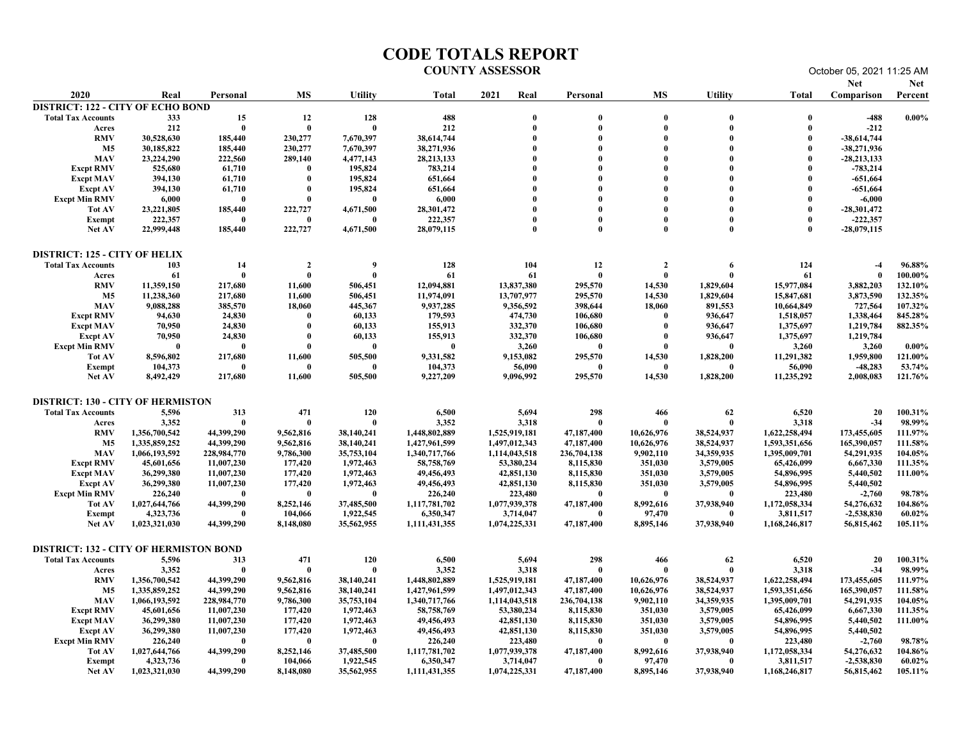|                                                                       |                                |                            |                                    |                            | <b>CODE TOTALS REPORT</b>      | <b>COUNTY ASSESSOR</b>         |                           |                          |                          |                                | October 05, 2021 11:25 AM               |                    |
|-----------------------------------------------------------------------|--------------------------------|----------------------------|------------------------------------|----------------------------|--------------------------------|--------------------------------|---------------------------|--------------------------|--------------------------|--------------------------------|-----------------------------------------|--------------------|
| 2020                                                                  | Real                           | Personal                   | <b>MS</b>                          | <b>Utility</b>             | Total                          | 2021<br>Real                   | Personal                  | MS                       | <b>Utility</b>           | Total                          | <b>Net</b><br><b>Comparison</b> Percent | <b>Net</b>         |
| <b>DISTRICT: 122 - CITY OF ECHO BOND</b><br><b>Total Tax Accounts</b> | 333                            | 15                         | 12                                 | 128                        | 488                            |                                |                           |                          |                          |                                | $-488$                                  | $0.00\%$           |
| Acres<br><b>RMV</b>                                                   | 212<br>30,528,630              | $\theta$<br>185,440        | - 0<br>230,277                     | - 0<br>7,670,397           | 212<br>38,614,744              |                                |                           |                          |                          |                                | $-212$<br>$-38,614,744$                 |                    |
| <b>M5</b>                                                             | 30,185,822                     | 185,440                    | 230,277                            | 7,670,397                  | 38,271,936                     |                                |                           |                          |                          |                                | $-38,271,936$                           |                    |
| <b>MAV</b><br><b>Excpt RMV</b>                                        | 23,224,290<br>525,680          | 222,560<br>61,710          | 289,140<br>$\mathbf{0}$            | 4,477,143<br>195,824       | 28, 213, 133<br>783,214        |                                |                           |                          |                          |                                | $-28,213,133$<br>$-783,214$             |                    |
| <b>Excpt MAV</b><br><b>Excpt AV</b>                                   | 394,130<br>394,130             | 61,710<br>61,710           | - 0<br>- 0                         | 195,824<br>195,824         | 651,664<br>651,664             |                                |                           |                          |                          |                                | $-651,664$<br>$-651,664$                |                    |
| <b>Excpt Min RMV</b><br>Tot AV                                        | 6,000<br>23,221,805            | 185,440                    | - 0<br>222,727                     | - 0<br>4,671,500           | 6,000<br>28,301,472            |                                |                           |                          |                          |                                | $-6.000$<br>$-28,301,472$               |                    |
| Exempt                                                                | 222,357                        |                            | - 0                                | - 0                        | 222,357                        |                                |                           |                          |                          |                                | $-222,357$                              |                    |
| <b>Net AV</b>                                                         | 22,999,448                     | 185,440                    | 222,727                            | 4,671,500                  | 28,079,115                     |                                |                           |                          |                          | $\theta$                       | $-28,079,115$                           |                    |
| <b>DISTRICT: 125 - CITY OF HELIX</b>                                  |                                |                            |                                    |                            |                                |                                |                           |                          |                          |                                |                                         |                    |
| <b>Total Tax Accounts</b><br>Acres                                    | 103<br>61                      | 14<br>$\theta$             | $\overline{2}$<br>$\mathbf{0}$     | -9<br>- 0                  | 128<br>61                      | 104<br>61                      | 12<br>- 0                 | $\overline{2}$<br>- 0    | - 6                      | 124<br>61                      | $-4$<br>0                               | 96.88%<br>100.00%  |
| <b>RMV</b><br><b>M5</b>                                               | 11,359,150<br>11,238,360       | 217,680<br>217,680         | 11,600<br>11,600                   | 506,451<br>506,451         | 12,094,881<br>11,974,091       | 13,837,380<br>13,707,977       | 295,570<br>295,570        | 14,530<br>14,530         | 1,829,604<br>1,829,604   | 15,977,084<br>15,847,681       | 3,882,203<br>3,873,590                  | 132.10%<br>132.35% |
| <b>MAV</b><br><b>Excpt RMV</b>                                        | 9,088,288<br>94,630            | 385,570<br>24,830          | 18,060<br>- 0                      | 445,367<br>60,133          | 9,937,285<br>179,593           | 9,356,592<br>474,730           | 398,644<br>106,680        | 18,060<br>$\mathbf{0}$   | 891,553<br>936,647       | 10,664,849<br>1,518,057        | 727,564<br>1,338,464                    | 107.32%<br>845.28% |
| Excpt MAV                                                             | 70,950                         | 24,830                     |                                    | 60,133                     | 155,913                        | 332,370                        | 106,680                   | -0                       | 936,647                  | 1,375,697                      | 1,219,784                               | 882.35%            |
| Excpt AV<br><b>Excpt Min RMV</b>                                      | 70,950<br>$\mathbf{0}$         | 24,830                     | - 0                                | 60,133<br>$\mathbf{0}$     | 155,913<br>$\mathbf{0}$        | 332,370<br>3,260               | 106,680<br>- 0            | $\mathbf{0}$<br>-0       | 936,647<br>- 0           | 1,375,697<br>3,260             | 1,219,784<br>3,260                      | $0.00\%$           |
| <b>Tot AV</b><br>Exempt                                               | 8,596,802<br>104,373           | 217,680<br>$\mathbf{0}$    | 11,600<br>- 0                      | 505,500<br>- 0             | 9,331,582<br>104,373           | 9,153,082<br>56,090            | 295,570<br>- 0            | 14,530<br>$\mathbf{0}$   | 1,828,200<br>- 0         | 11,291,382<br>56,090           | 1,959,800<br>$-48,283$                  | 121.00%<br>53.74%  |
| <b>Net AV</b>                                                         | 8,492,429                      | 217,680                    | 11,600                             | 505,500                    | 9,227,209                      | 9,096,992                      | 295,570                   | 14,530                   | 1,828,200                | 11,235,292                     | 2,008,083                               | 121.76%            |
| <b>DISTRICT: 130 - CITY OF HERMISTON</b>                              |                                |                            |                                    |                            |                                |                                |                           |                          |                          |                                |                                         |                    |
| <b>Total Tax Accounts</b><br>Acres                                    | 5,596<br>3,352                 | 313<br>- 0                 | 471<br>- 0                         | 120<br>$\mathbf{0}$        | 6,500<br>3,352                 | 5,694<br>3,318                 | 298<br>- 0                | 466<br>-0                | 62<br>- 0                | 6,520<br>3,318                 | 20<br>$-34$                             | 100.31%<br>98.99%  |
| <b>RMV</b><br><b>M5</b>                                               | 1,356,700,542<br>1,335,859,252 | 44,399,290<br>44,399,290   | 9,562,816<br>9,562,816             | 38,140,241<br>38,140,241   | 1,448,802,889<br>1,427,961,599 | 1,525,919,181<br>1,497,012,343 | 47,187,400<br>47,187,400  | 10,626,976<br>10,626,976 | 38,524,937<br>38,524,937 | 1,622,258,494<br>1,593,351,656 | 173,455,605<br>165,390,057              | 111.97%<br>111.58% |
| <b>MAV</b>                                                            | 1,066,193,592                  | 228,984,770                | 9,786,300                          | 35,753,104                 | 1,340,717,766                  | 1,114,043,518                  | 236,704,138               | 9,902,110                | 34,359,935               | 1,395,009,701                  | 54,291,935                              | 104.05%            |
| <b>Excpt RMV</b><br><b>Excpt MAV</b>                                  | 45,601,656<br>36,299,380       | 11,007,230<br>11,007,230   | 177,420<br>177,420                 | 1,972,463<br>1,972,463     | 58,758,769<br>49,456,493       | 53,380,234<br>42,851,130       | 8,115,830<br>8,115,830    | 351,030<br>351,030       | 3,579,005<br>3,579,005   | 65,426,099<br>54,896,995       | 6,667,330<br>5,440,502                  | 111.35%<br>111.00% |
| <b>Excpt AV</b><br><b>Excpt Min RMV</b>                               | 36,299,380<br>226,240          | 11,007,230<br>- 0          | 177,420<br>$\overline{\mathbf{0}}$ | 1,972,463<br>- 0           | 49,456,493<br>226,240          | 42,851,130<br>223,480          | 8,115,830<br>- 0          | 351,030<br>- 0           | 3,579,005<br>- 0         | 54,896,995<br>223,480          | 5,440,502<br>$-2,760$                   | 98.78%             |
| <b>Tot AV</b>                                                         | 1,027,644,766                  | 44,399,290<br>- 0          | 8,252,146                          | 37,485,500                 | 1,117,781,702                  | 1,077,939,378                  | 47,187,400<br>- 0         | 8,992,616                | 37,938,940<br>- 0        | 1,172,058,334                  | 54,276,632                              | 104.86%            |
| Exempt<br>Net AV                                                      | 4,323,736<br>1,023,321,030     | 44,399,290                 | 104,066<br>8,148,080               | 1,922,545<br>35,562,955    | 6,350,347<br>1,111,431,355     | 3,714,047<br>1,074,225,331     | 47,187,400                | 97,470<br>8,895,146      | 37,938,940               | 3,811,517<br>1,168,246,817     | $-2,538,830$<br>56,815,462              | 60.02%<br>105.11%  |
| <b>DISTRICT: 132 - CITY OF HERMISTON BOND</b>                         |                                |                            |                                    |                            |                                |                                |                           |                          |                          |                                |                                         |                    |
| <b>Total Tax Accounts</b>                                             | 5,596<br>3,352                 | 313<br>- 0                 | 471<br>$\overline{0}$              | 120<br>- 0                 | 6,500<br>3,352                 | 5,694<br>3,318                 | 298<br>- 0                | 466<br>-0                | 62<br>$\overline{0}$     | 6,520<br>3,318                 | 20<br>$-34$                             | 100.31%<br>98.99%  |
| Acres<br><b>RMV</b>                                                   | 1,356,700,542                  | 44,399,290                 | 9,562,816                          | 38,140,241                 | 1,448,802,889                  | 1,525,919,181                  | 47,187,400                | 10,626,976               | 38,524,937               | 1,622,258,494                  | 173,455,605                             | 111.97%            |
| <b>M5</b><br>MAV                                                      | 1,335,859,252<br>1,066,193,592 | 44,399,290<br>228,984,770  | 9,562,816<br>9,786,300             | 38,140,241<br>35,753,104   | 1,427,961,599<br>1,340,717,766 | 1,497,012,343<br>1,114,043,518 | 47,187,400<br>236,704,138 | 10,626,976<br>9,902,110  | 38,524,937<br>34,359,935 | 1,593,351,656<br>1,395,009,701 | 165,390,057<br>54,291,935               | 111.58%<br>104.05% |
| <b>Excpt RMV</b>                                                      | 45,601,656                     | 11,007,230                 | 177,420                            | 1,972,463<br>1,972,463     | 58,758,769                     | 53,380,234<br>42,851,130       | 8,115,830                 | 351,030                  | 3,579,005                | 65,426,099<br>54,896,995       | 6,667,330                               | 111.35%<br>111.00% |
| <b>Excpt MAV</b><br><b>Excpt AV</b>                                   | 36,299,380<br>36,299,380       | 11,007,230<br>11,007,230   | 177,420<br>177,420                 | 1,972,463                  | 49,456,493<br>49,456,493       | 42,851,130                     | 8,115,830<br>8,115,830    | 351,030<br>351,030       | 3,579,005<br>3,579,005   | 54,896,995                     | 5,440,502<br>5,440,502                  |                    |
| <b>Excpt Min RMV</b><br>Tot AV                                        | 226,240<br>1,027,644,766       | $\mathbf{0}$<br>44,399,290 | - 0<br>8,252,146                   | $\mathbf{0}$<br>37,485,500 | 226,240<br>1,117,781,702       | 223,480<br>1,077,939,378       | - 0<br>47,187,400         | -0<br>8,992,616          | -0<br>37,938,940         | 223,480<br>1,172,058,334       | $-2,760$<br>54,276,632                  | 98.78%<br>104.86%  |
| Exempt                                                                | 4,323,736                      | -0<br>44,399,290           | 104,066                            | 1,922,545                  | 6,350,347                      | 3,714,047                      | 47,187,400                | 97,470<br>8,895,146      | - 0<br>37,938,940        | 3,811,517                      | $-2,538,830$                            | 60.02%             |
| <b>Net AV</b>                                                         | 1,023,321,030                  |                            | 8,148,080                          | 35,562,955                 | 1,111,431,355                  | 1,074,225,331                  |                           |                          |                          | 1,168,246,817                  | 56,815,462                              | 105.11%            |
|                                                                       |                                |                            |                                    |                            |                                |                                |                           |                          |                          |                                |                                         |                    |
|                                                                       |                                |                            |                                    |                            |                                |                                |                           |                          |                          |                                |                                         |                    |
|                                                                       |                                |                            |                                    |                            |                                |                                |                           |                          |                          |                                |                                         |                    |
|                                                                       |                                |                            |                                    |                            |                                |                                |                           |                          |                          |                                |                                         |                    |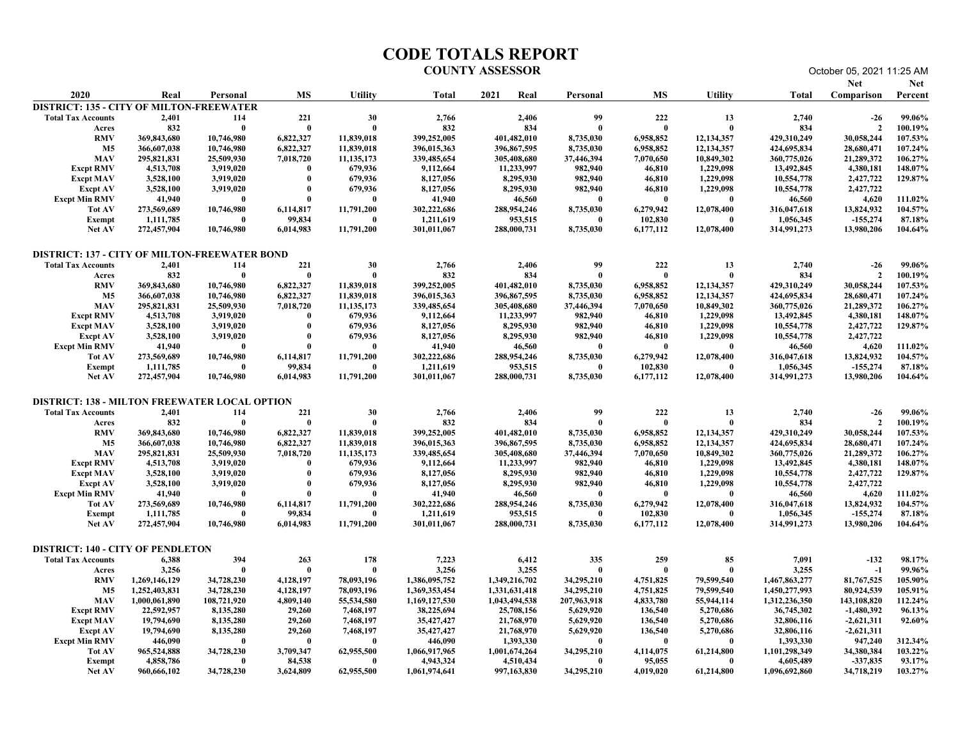| <b>Net</b><br>Net<br>2020<br><b>MS</b><br>2021<br><b>MS</b><br><b>Utility</b><br>Real<br>Personal<br><b>Utility</b><br>Total<br>Total<br>Real<br>Personal<br><b>Comparison</b> Percent<br><b>DISTRICT: 135 - CITY OF MILTON-FREEWATER</b><br>30<br>2,766<br>2,406<br>99<br>222<br>13<br>$-26$<br>99.06%<br><b>Total Tax Accounts</b><br>2,401<br>114<br>221<br>2,740<br>832<br>832<br>834<br>834<br>- 0<br>- 0<br>$\mathbf{0}$<br>100.19%<br>- 0<br>$\theta$<br>$\overline{2}$<br>Acres<br>$\mathbf{0}$<br>6,822,327<br><b>RMV</b><br>369,843,680<br>10,746,980<br>11,839,018<br>399,252,005<br>401,482,010<br>8,735,030<br>6,958,852<br>12,134,357<br>429,310,249<br>30,058,244<br>107.53%<br><b>M5</b><br>366,607,038<br>10,746,980<br>6,822,327<br>11,839,018<br>396,015,363<br>396,867,595<br>8,735,030<br>6,958,852<br>12,134,357<br>424,695,834<br>28,680,471<br>107.24%<br><b>MAV</b><br>106.27%<br>295,821,831<br>25,509,930<br>7,018,720<br>11,135,173<br>37,446,394<br>7,070,650<br>10,849,302<br>360,775,026<br>21,289,372<br>339,485,654<br>305,408,680<br><b>Excpt RMV</b><br>4,513,708<br>679,936<br>11,233,997<br>982,940<br>46,810<br>1,229,098<br>13,492,845<br>4,380,181<br>148.07%<br>3,919,020<br>$\mathbf{0}$<br>9,112,664<br><b>Excpt MAV</b><br>679,936<br>8,127,056<br>8,295,930<br>982,940<br>1,229,098<br>10,554,778<br>2,427,722<br>129.87%<br>3,528,100<br>3,919,020<br>$\mathbf{0}$<br>46,810<br><b>Excpt AV</b><br>3,528,100<br>3,919,020<br>679,936<br>8,127,056<br>8,295,930<br>982,940<br>46,810<br>1,229,098<br>10,554,778<br>2,427,722<br>$\mathbf{0}$<br>111.02%<br><b>Excpt Min RMV</b><br>41,940<br>41,940<br>46,560<br>46,560<br>4,620<br>273,569,689<br>10,746,980<br>6,114,817<br>11,791,200<br>302,222,686<br>288,954,246<br>8,735,030<br>6,279,942<br>12,078,400<br>316,047,618<br>13,824,932<br>104.57%<br>Tot AV<br>99,834<br>1,211,619<br>953,515<br>102,830<br>1,056,345<br>$-155,274$<br>87.18%<br>1,111,785<br>Exempt<br>- 0<br>10,746,980<br>11,791,200<br>8,735,030<br>6,177,112<br>12,078,400<br>272,457,904<br>6,014,983<br>301,011,067<br>288,000,731<br>314,991,273<br>13,980,206<br>104.64%<br><b>Net AV</b><br><b>DISTRICT: 137 - CITY OF MILTON-FREEWATER BOND</b><br>30<br>2,766<br>99<br>222<br>13<br>2,740<br><b>Total Tax Accounts</b><br>2,401<br>114<br>221<br>2,406<br>$-26$<br>99.06%<br>832<br>834<br>832<br>- 0<br>834<br>- 0<br>- 0<br>$\mathbf{0}$<br>$\overline{2}$<br>100.19%<br>Acres<br>-0<br>6,822,327<br><b>RMV</b><br>369,843,680<br>10,746,980<br>11,839,018<br>399,252,005<br>401,482,010<br>8,735,030<br>6,958,852<br>12,134,357<br>429,310,249<br>30,058,244<br>107.53%<br>M5<br>366,607,038<br>10,746,980<br>6,822,327<br>11,839,018<br>396,015,363<br>396,867,595<br>8,735,030<br>6,958,852<br>12,134,357<br>424,695,834<br>28,680,471<br>107.24%<br>7,018,720<br><b>MAV</b><br>295,821,831<br>25,509,930<br>11,135,173<br>37,446,394<br>7,070,650<br>10,849,302<br>360,775,026<br>21,289,372<br>106.27%<br>339,485,654<br>305,408,680<br>679,936<br>11,233,997<br>982,940<br>46,810<br>1,229,098<br>13,492,845<br>4,380,181<br>148.07%<br><b>Excpt RMV</b><br>4,513,708<br>3,919,020<br>$\mathbf{0}$<br>9,112,664<br>Excpt MAV<br>3,528,100<br>3,919,020<br>679,936<br>8,127,056<br>8,295,930<br>982,940<br>46,810<br>1,229,098<br>10,554,778<br>2,427,722<br>129.87%<br>3,528,100<br>3,919,020<br>679,936<br>8,127,056<br>8,295,930<br>982,940<br>46,810<br>1,229,098<br>10,554,778<br>2,427,722<br>Excpt AV<br><b>Excpt Min RMV</b><br>41,940<br>46,560<br>46,560<br>4,620<br>111.02%<br>41,940<br>$\mathbf{0}$<br>- 0<br>- 0<br>Tot AV<br>273,569,689<br>10,746,980<br>6,114,817<br>11,791,200<br>302,222,686<br>288,954,246<br>8,735,030<br>6,279,942<br>12,078,400<br>316,047,618<br>13,824,932<br>104.57%<br>1,211,619<br>953,515<br>102,830<br>1,056,345<br>$-155,274$<br>87.18%<br>1,111,785<br>99,834<br>Exempt<br>-0<br>- 0<br>- 0<br>11,791,200<br>8,735,030<br>6,177,112<br>272,457,904<br>10,746,980<br>6,014,983<br>301,011,067<br>288,000,731<br>12,078,400<br>314,991,273<br>13,980,206<br>104.64%<br><b>Net AV</b><br><b>DISTRICT: 138 - MILTON FREEWATER LOCAL OPTION</b><br>2,401<br>114<br>221<br>30<br>2,766<br>2,406<br>99<br>222<br>13<br>2,740<br>$-26$<br>99.06%<br><b>Total Tax Accounts</b><br>832<br>832<br>834<br>834<br>- 0<br>100.19%<br>- 0<br>$\mathbf{0}$<br>$\overline{2}$<br>Acres<br><b>RMV</b><br>369,843,680<br>10,746,980<br>6,822,327<br>11,839,018<br>399,252,005<br>401,482,010<br>8,735,030<br>6,958,852<br>12,134,357<br>30,058,244<br>107.53%<br>429,310,249<br><b>M5</b><br>6,822,327<br>396,015,363<br>8,735,030<br>6,958,852<br>28,680,471<br>107.24%<br>366,607,038<br>10,746,980<br>11,839,018<br>396,867,595<br>12, 134, 357<br>424,695,834<br><b>MAV</b><br>106.27%<br>25,509,930<br>11,135,173<br>339,485,654<br>305,408,680<br>37,446,394<br>7,070,650<br>10,849,302<br>360,775,026<br>21,289,372<br>295,821,831<br>7,018,720<br><b>Excpt RMV</b><br>4,513,708<br>679,936<br>9,112,664<br>11,233,997<br>982,940<br>46,810<br>1,229,098<br>13,492,845<br>4,380,181<br>148.07%<br>3,919,020<br>- 0<br><b>Excpt MAV</b><br>3,528,100<br>679,936<br>8,127,056<br>8,295,930<br>982,940<br>46,810<br>1,229,098<br>10,554,778<br>2,427,722<br>129.87%<br>3,919,020<br>-0<br><b>Excpt AV</b><br>8,295,930<br>46,810<br>1,229,098<br>10,554,778<br>2,427,722<br>3,528,100<br>3,919,020<br>679,936<br>8,127,056<br>982,940<br>$\mathbf{0}$<br>41,940<br>46,560<br>46,560<br>4,620<br>111.02%<br><b>Excpt Min RMV</b><br>41,940<br>- 0<br>-0<br>- 0<br>-6<br>302,222,686<br>Tot AV<br>273,569,689<br>10,746,980<br>6,114,817<br>11,791,200<br>288,954,246<br>8,735,030<br>6,279,942<br>12,078,400<br>316,047,618<br>13,824,932<br>104.57%<br>1,211,619<br>953,515<br>102,830<br>1,056,345<br>-155,274<br>87.18%<br>Exempt<br>1,111,785<br>99,834<br>- 0<br>-0<br>- 0<br>- 0<br>Net AV<br>272,457,904<br>10,746,980<br>6,014,983<br>11,791,200<br>301,011,067<br>288,000,731<br>8,735,030<br>6,177,112<br>12,078,400<br>314,991,273<br>13,980,206<br>104.64%<br><b>DISTRICT: 140 - CITY OF PENDLETON</b><br><b>Total Tax Accounts</b><br>6,388<br>394<br>178<br>7,223<br>335<br>259<br>85<br>7,091<br>$-132$<br>98.17%<br>263<br>6,412<br>3,256<br>3,255<br>3,255<br>3,256<br>$\mathbf{0}$<br>- 0<br>99.96%<br>- 0<br>- 0<br>- 0<br>Acres<br>$-1$<br><b>RMV</b><br>1,269,146,129<br>34,728,230<br>4,128,197<br>78,093,196<br>1,386,095,752<br>1,349,216,702<br>34,295,210<br>4,751,825<br>79,599,540<br>1,467,863,277<br>81,767,525<br>105.90%<br>M5<br>1,252,403,831<br>1,369,353,454<br>1,331,631,418<br>1,450,277,993<br>80,924,539<br>105.91%<br>34,728,230<br>4,128,197<br>78,093,196<br>34,295,210<br>4,751,825<br>79,599,540<br><b>MAV</b><br>1,000,061,890<br>108,721,920<br>4,809,140<br>55,534,580<br>1,169,127,530<br>1,043,494,538<br>207,963,918<br>4,833,780<br>1,312,236,350<br>143,108,820<br>112.24%<br>55,944,114<br><b>Excpt RMV</b><br>22,592,957<br>8,135,280<br>29,260<br>7,468,197<br>38,225,694<br>25,708,156<br>5,629,920<br>136,540<br>5,270,686<br>36,745,302<br>-1,480,392<br>96.13%<br>21,768,970<br>136,540<br>92.60%<br><b>Excpt MAV</b><br>8,135,280<br>29,260<br>7,468,197<br>35,427,427<br>5,629,920<br>5,270,686<br>32,806,116<br>$-2,621,311$<br>19,794,690<br>29,260<br>7,468,197<br>35,427,427<br>21,768,970<br>5,629,920<br>136,540<br>5,270,686<br>32,806,116<br>$-2,621,311$<br><b>Excpt AV</b><br>19,794,690<br>8,135,280<br><b>Excpt Min RMV</b><br>446,090<br>1,393,330<br>1,393,330<br>947,240<br>312.34%<br>446,090<br>$\mathbf{0}$<br>0<br>- 0<br>- 0<br>103.22%<br>Tot AV<br>965,524,888<br>34,728,230<br>62,955,500<br>1,001,674,264<br>34,295,210<br>4,114,075<br>61,214,800<br>1,101,298,349<br>34,380,384<br>3,709,347<br>1,066,917,965<br>4,510,434<br>95,055<br>$-337,835$<br>93.17%<br>Exempt<br>4,858,786<br>84,538<br>4,943,324<br>4,605,489<br>-0<br>- 0<br>62,955,500<br>34,295,210<br>61,214,800<br>Net AV<br>960,666,102<br>34,728,230<br>3,624,809<br>1,061,974,641<br>997,163,830<br>4,019,020<br>1,096,692,860<br>34,718,219<br>103.27% |  |  |  | <b>CODE TOTALS REPORT</b><br><b>COUNTY ASSESSOR</b> |  |  | October 05, 2021 11:25 AM |  |
|----------------------------------------------------------------------------------------------------------------------------------------------------------------------------------------------------------------------------------------------------------------------------------------------------------------------------------------------------------------------------------------------------------------------------------------------------------------------------------------------------------------------------------------------------------------------------------------------------------------------------------------------------------------------------------------------------------------------------------------------------------------------------------------------------------------------------------------------------------------------------------------------------------------------------------------------------------------------------------------------------------------------------------------------------------------------------------------------------------------------------------------------------------------------------------------------------------------------------------------------------------------------------------------------------------------------------------------------------------------------------------------------------------------------------------------------------------------------------------------------------------------------------------------------------------------------------------------------------------------------------------------------------------------------------------------------------------------------------------------------------------------------------------------------------------------------------------------------------------------------------------------------------------------------------------------------------------------------------------------------------------------------------------------------------------------------------------------------------------------------------------------------------------------------------------------------------------------------------------------------------------------------------------------------------------------------------------------------------------------------------------------------------------------------------------------------------------------------------------------------------------------------------------------------------------------------------------------------------------------------------------------------------------------------------------------------------------------------------------------------------------------------------------------------------------------------------------------------------------------------------------------------------------------------------------------------------------------------------------------------------------------------------------------------------------------------------------------------------------------------------------------------------------------------------------------------------------------------------------------------------------------------------------------------------------------------------------------------------------------------------------------------------------------------------------------------------------------------------------------------------------------------------------------------------------------------------------------------------------------------------------------------------------------------------------------------------------------------------------------------------------------------------------------------------------------------------------------------------------------------------------------------------------------------------------------------------------------------------------------------------------------------------------------------------------------------------------------------------------------------------------------------------------------------------------------------------------------------------------------------------------------------------------------------------------------------------------------------------------------------------------------------------------------------------------------------------------------------------------------------------------------------------------------------------------------------------------------------------------------------------------------------------------------------------------------------------------------------------------------------------------------------------------------------------------------------------------------------------------------------------------------------------------------------------------------------------------------------------------------------------------------------------------------------------------------------------------------------------------------------------------------------------------------------------------------------------------------------------------------------------------------------------------------------------------------------------------------------------------------------------------------------------------------------------------------------------------------------------------------------------------------------------------------------------------------------------------------------------------------------------------------------------------------------------------------------------------------------------------------------------------------------------------------------------------------------------------------------------------------------------------------------------------------------------------------------------------------------------------------------------------------------------------------------------------------------------------------------------------------------------------------------------------------------------------------------------------------------------------------------------------------------------------------------------------------------------------------------------------------------------------------------------------------------------------------------------------------------------------------------------------------------------------------------------------------------------------------------------------------------------------------------------------------------------------------------------------------------------------------------------------------------------------------------------------------------------------------------------------------------------------------------------------------------------------------------------------------------------------------------------------------------------------------------------------------------------------------------------------------------------------------------------------------------------------------------------------------------------------------------------------------------------------------------------------------------------------------------------------------------------------------------------------------------------------------------------------------------------------------------------------------------------------------------------------------------------------------------------------------------------------------------------------------------------------------------------------------------------------------------------------------------------------------------------------------------------------------------------------------------------------------------------------------------------------------------------------------------------------------------------------------------------------------------------------------------------------------------------------------------------------------|--|--|--|-----------------------------------------------------|--|--|---------------------------|--|
|                                                                                                                                                                                                                                                                                                                                                                                                                                                                                                                                                                                                                                                                                                                                                                                                                                                                                                                                                                                                                                                                                                                                                                                                                                                                                                                                                                                                                                                                                                                                                                                                                                                                                                                                                                                                                                                                                                                                                                                                                                                                                                                                                                                                                                                                                                                                                                                                                                                                                                                                                                                                                                                                                                                                                                                                                                                                                                                                                                                                                                                                                                                                                                                                                                                                                                                                                                                                                                                                                                                                                                                                                                                                                                                                                                                                                                                                                                                                                                                                                                                                                                                                                                                                                                                                                                                                                                                                                                                                                                                                                                                                                                                                                                                                                                                                                                                                                                                                                                                                                                                                                                                                                                                                                                                                                                                                                                                                                                                                                                                                                                                                                                                                                                                                                                                                                                                                                                                                                                                                                                                                                                                                                                                                                                                                                                                                                                                                                                                                                                                                                                                                                                                                                                                                                                                                                                                                                                                                                                                                                                                                                                                                                                                                                                                                                                                                                                                                                                                                                                                                                                                                                                                                                                                                                                                                                                                                                                                                                                                                                                                                                                                                        |  |  |  |                                                     |  |  |                           |  |
|                                                                                                                                                                                                                                                                                                                                                                                                                                                                                                                                                                                                                                                                                                                                                                                                                                                                                                                                                                                                                                                                                                                                                                                                                                                                                                                                                                                                                                                                                                                                                                                                                                                                                                                                                                                                                                                                                                                                                                                                                                                                                                                                                                                                                                                                                                                                                                                                                                                                                                                                                                                                                                                                                                                                                                                                                                                                                                                                                                                                                                                                                                                                                                                                                                                                                                                                                                                                                                                                                                                                                                                                                                                                                                                                                                                                                                                                                                                                                                                                                                                                                                                                                                                                                                                                                                                                                                                                                                                                                                                                                                                                                                                                                                                                                                                                                                                                                                                                                                                                                                                                                                                                                                                                                                                                                                                                                                                                                                                                                                                                                                                                                                                                                                                                                                                                                                                                                                                                                                                                                                                                                                                                                                                                                                                                                                                                                                                                                                                                                                                                                                                                                                                                                                                                                                                                                                                                                                                                                                                                                                                                                                                                                                                                                                                                                                                                                                                                                                                                                                                                                                                                                                                                                                                                                                                                                                                                                                                                                                                                                                                                                                                                        |  |  |  |                                                     |  |  |                           |  |
|                                                                                                                                                                                                                                                                                                                                                                                                                                                                                                                                                                                                                                                                                                                                                                                                                                                                                                                                                                                                                                                                                                                                                                                                                                                                                                                                                                                                                                                                                                                                                                                                                                                                                                                                                                                                                                                                                                                                                                                                                                                                                                                                                                                                                                                                                                                                                                                                                                                                                                                                                                                                                                                                                                                                                                                                                                                                                                                                                                                                                                                                                                                                                                                                                                                                                                                                                                                                                                                                                                                                                                                                                                                                                                                                                                                                                                                                                                                                                                                                                                                                                                                                                                                                                                                                                                                                                                                                                                                                                                                                                                                                                                                                                                                                                                                                                                                                                                                                                                                                                                                                                                                                                                                                                                                                                                                                                                                                                                                                                                                                                                                                                                                                                                                                                                                                                                                                                                                                                                                                                                                                                                                                                                                                                                                                                                                                                                                                                                                                                                                                                                                                                                                                                                                                                                                                                                                                                                                                                                                                                                                                                                                                                                                                                                                                                                                                                                                                                                                                                                                                                                                                                                                                                                                                                                                                                                                                                                                                                                                                                                                                                                                                        |  |  |  |                                                     |  |  |                           |  |
|                                                                                                                                                                                                                                                                                                                                                                                                                                                                                                                                                                                                                                                                                                                                                                                                                                                                                                                                                                                                                                                                                                                                                                                                                                                                                                                                                                                                                                                                                                                                                                                                                                                                                                                                                                                                                                                                                                                                                                                                                                                                                                                                                                                                                                                                                                                                                                                                                                                                                                                                                                                                                                                                                                                                                                                                                                                                                                                                                                                                                                                                                                                                                                                                                                                                                                                                                                                                                                                                                                                                                                                                                                                                                                                                                                                                                                                                                                                                                                                                                                                                                                                                                                                                                                                                                                                                                                                                                                                                                                                                                                                                                                                                                                                                                                                                                                                                                                                                                                                                                                                                                                                                                                                                                                                                                                                                                                                                                                                                                                                                                                                                                                                                                                                                                                                                                                                                                                                                                                                                                                                                                                                                                                                                                                                                                                                                                                                                                                                                                                                                                                                                                                                                                                                                                                                                                                                                                                                                                                                                                                                                                                                                                                                                                                                                                                                                                                                                                                                                                                                                                                                                                                                                                                                                                                                                                                                                                                                                                                                                                                                                                                                                        |  |  |  |                                                     |  |  |                           |  |
|                                                                                                                                                                                                                                                                                                                                                                                                                                                                                                                                                                                                                                                                                                                                                                                                                                                                                                                                                                                                                                                                                                                                                                                                                                                                                                                                                                                                                                                                                                                                                                                                                                                                                                                                                                                                                                                                                                                                                                                                                                                                                                                                                                                                                                                                                                                                                                                                                                                                                                                                                                                                                                                                                                                                                                                                                                                                                                                                                                                                                                                                                                                                                                                                                                                                                                                                                                                                                                                                                                                                                                                                                                                                                                                                                                                                                                                                                                                                                                                                                                                                                                                                                                                                                                                                                                                                                                                                                                                                                                                                                                                                                                                                                                                                                                                                                                                                                                                                                                                                                                                                                                                                                                                                                                                                                                                                                                                                                                                                                                                                                                                                                                                                                                                                                                                                                                                                                                                                                                                                                                                                                                                                                                                                                                                                                                                                                                                                                                                                                                                                                                                                                                                                                                                                                                                                                                                                                                                                                                                                                                                                                                                                                                                                                                                                                                                                                                                                                                                                                                                                                                                                                                                                                                                                                                                                                                                                                                                                                                                                                                                                                                                                        |  |  |  |                                                     |  |  |                           |  |
|                                                                                                                                                                                                                                                                                                                                                                                                                                                                                                                                                                                                                                                                                                                                                                                                                                                                                                                                                                                                                                                                                                                                                                                                                                                                                                                                                                                                                                                                                                                                                                                                                                                                                                                                                                                                                                                                                                                                                                                                                                                                                                                                                                                                                                                                                                                                                                                                                                                                                                                                                                                                                                                                                                                                                                                                                                                                                                                                                                                                                                                                                                                                                                                                                                                                                                                                                                                                                                                                                                                                                                                                                                                                                                                                                                                                                                                                                                                                                                                                                                                                                                                                                                                                                                                                                                                                                                                                                                                                                                                                                                                                                                                                                                                                                                                                                                                                                                                                                                                                                                                                                                                                                                                                                                                                                                                                                                                                                                                                                                                                                                                                                                                                                                                                                                                                                                                                                                                                                                                                                                                                                                                                                                                                                                                                                                                                                                                                                                                                                                                                                                                                                                                                                                                                                                                                                                                                                                                                                                                                                                                                                                                                                                                                                                                                                                                                                                                                                                                                                                                                                                                                                                                                                                                                                                                                                                                                                                                                                                                                                                                                                                                                        |  |  |  |                                                     |  |  |                           |  |
|                                                                                                                                                                                                                                                                                                                                                                                                                                                                                                                                                                                                                                                                                                                                                                                                                                                                                                                                                                                                                                                                                                                                                                                                                                                                                                                                                                                                                                                                                                                                                                                                                                                                                                                                                                                                                                                                                                                                                                                                                                                                                                                                                                                                                                                                                                                                                                                                                                                                                                                                                                                                                                                                                                                                                                                                                                                                                                                                                                                                                                                                                                                                                                                                                                                                                                                                                                                                                                                                                                                                                                                                                                                                                                                                                                                                                                                                                                                                                                                                                                                                                                                                                                                                                                                                                                                                                                                                                                                                                                                                                                                                                                                                                                                                                                                                                                                                                                                                                                                                                                                                                                                                                                                                                                                                                                                                                                                                                                                                                                                                                                                                                                                                                                                                                                                                                                                                                                                                                                                                                                                                                                                                                                                                                                                                                                                                                                                                                                                                                                                                                                                                                                                                                                                                                                                                                                                                                                                                                                                                                                                                                                                                                                                                                                                                                                                                                                                                                                                                                                                                                                                                                                                                                                                                                                                                                                                                                                                                                                                                                                                                                                                                        |  |  |  |                                                     |  |  |                           |  |
|                                                                                                                                                                                                                                                                                                                                                                                                                                                                                                                                                                                                                                                                                                                                                                                                                                                                                                                                                                                                                                                                                                                                                                                                                                                                                                                                                                                                                                                                                                                                                                                                                                                                                                                                                                                                                                                                                                                                                                                                                                                                                                                                                                                                                                                                                                                                                                                                                                                                                                                                                                                                                                                                                                                                                                                                                                                                                                                                                                                                                                                                                                                                                                                                                                                                                                                                                                                                                                                                                                                                                                                                                                                                                                                                                                                                                                                                                                                                                                                                                                                                                                                                                                                                                                                                                                                                                                                                                                                                                                                                                                                                                                                                                                                                                                                                                                                                                                                                                                                                                                                                                                                                                                                                                                                                                                                                                                                                                                                                                                                                                                                                                                                                                                                                                                                                                                                                                                                                                                                                                                                                                                                                                                                                                                                                                                                                                                                                                                                                                                                                                                                                                                                                                                                                                                                                                                                                                                                                                                                                                                                                                                                                                                                                                                                                                                                                                                                                                                                                                                                                                                                                                                                                                                                                                                                                                                                                                                                                                                                                                                                                                                                                        |  |  |  |                                                     |  |  |                           |  |
|                                                                                                                                                                                                                                                                                                                                                                                                                                                                                                                                                                                                                                                                                                                                                                                                                                                                                                                                                                                                                                                                                                                                                                                                                                                                                                                                                                                                                                                                                                                                                                                                                                                                                                                                                                                                                                                                                                                                                                                                                                                                                                                                                                                                                                                                                                                                                                                                                                                                                                                                                                                                                                                                                                                                                                                                                                                                                                                                                                                                                                                                                                                                                                                                                                                                                                                                                                                                                                                                                                                                                                                                                                                                                                                                                                                                                                                                                                                                                                                                                                                                                                                                                                                                                                                                                                                                                                                                                                                                                                                                                                                                                                                                                                                                                                                                                                                                                                                                                                                                                                                                                                                                                                                                                                                                                                                                                                                                                                                                                                                                                                                                                                                                                                                                                                                                                                                                                                                                                                                                                                                                                                                                                                                                                                                                                                                                                                                                                                                                                                                                                                                                                                                                                                                                                                                                                                                                                                                                                                                                                                                                                                                                                                                                                                                                                                                                                                                                                                                                                                                                                                                                                                                                                                                                                                                                                                                                                                                                                                                                                                                                                                                                        |  |  |  |                                                     |  |  |                           |  |
|                                                                                                                                                                                                                                                                                                                                                                                                                                                                                                                                                                                                                                                                                                                                                                                                                                                                                                                                                                                                                                                                                                                                                                                                                                                                                                                                                                                                                                                                                                                                                                                                                                                                                                                                                                                                                                                                                                                                                                                                                                                                                                                                                                                                                                                                                                                                                                                                                                                                                                                                                                                                                                                                                                                                                                                                                                                                                                                                                                                                                                                                                                                                                                                                                                                                                                                                                                                                                                                                                                                                                                                                                                                                                                                                                                                                                                                                                                                                                                                                                                                                                                                                                                                                                                                                                                                                                                                                                                                                                                                                                                                                                                                                                                                                                                                                                                                                                                                                                                                                                                                                                                                                                                                                                                                                                                                                                                                                                                                                                                                                                                                                                                                                                                                                                                                                                                                                                                                                                                                                                                                                                                                                                                                                                                                                                                                                                                                                                                                                                                                                                                                                                                                                                                                                                                                                                                                                                                                                                                                                                                                                                                                                                                                                                                                                                                                                                                                                                                                                                                                                                                                                                                                                                                                                                                                                                                                                                                                                                                                                                                                                                                                                        |  |  |  |                                                     |  |  |                           |  |
|                                                                                                                                                                                                                                                                                                                                                                                                                                                                                                                                                                                                                                                                                                                                                                                                                                                                                                                                                                                                                                                                                                                                                                                                                                                                                                                                                                                                                                                                                                                                                                                                                                                                                                                                                                                                                                                                                                                                                                                                                                                                                                                                                                                                                                                                                                                                                                                                                                                                                                                                                                                                                                                                                                                                                                                                                                                                                                                                                                                                                                                                                                                                                                                                                                                                                                                                                                                                                                                                                                                                                                                                                                                                                                                                                                                                                                                                                                                                                                                                                                                                                                                                                                                                                                                                                                                                                                                                                                                                                                                                                                                                                                                                                                                                                                                                                                                                                                                                                                                                                                                                                                                                                                                                                                                                                                                                                                                                                                                                                                                                                                                                                                                                                                                                                                                                                                                                                                                                                                                                                                                                                                                                                                                                                                                                                                                                                                                                                                                                                                                                                                                                                                                                                                                                                                                                                                                                                                                                                                                                                                                                                                                                                                                                                                                                                                                                                                                                                                                                                                                                                                                                                                                                                                                                                                                                                                                                                                                                                                                                                                                                                                                                        |  |  |  |                                                     |  |  |                           |  |
|                                                                                                                                                                                                                                                                                                                                                                                                                                                                                                                                                                                                                                                                                                                                                                                                                                                                                                                                                                                                                                                                                                                                                                                                                                                                                                                                                                                                                                                                                                                                                                                                                                                                                                                                                                                                                                                                                                                                                                                                                                                                                                                                                                                                                                                                                                                                                                                                                                                                                                                                                                                                                                                                                                                                                                                                                                                                                                                                                                                                                                                                                                                                                                                                                                                                                                                                                                                                                                                                                                                                                                                                                                                                                                                                                                                                                                                                                                                                                                                                                                                                                                                                                                                                                                                                                                                                                                                                                                                                                                                                                                                                                                                                                                                                                                                                                                                                                                                                                                                                                                                                                                                                                                                                                                                                                                                                                                                                                                                                                                                                                                                                                                                                                                                                                                                                                                                                                                                                                                                                                                                                                                                                                                                                                                                                                                                                                                                                                                                                                                                                                                                                                                                                                                                                                                                                                                                                                                                                                                                                                                                                                                                                                                                                                                                                                                                                                                                                                                                                                                                                                                                                                                                                                                                                                                                                                                                                                                                                                                                                                                                                                                                                        |  |  |  |                                                     |  |  |                           |  |
|                                                                                                                                                                                                                                                                                                                                                                                                                                                                                                                                                                                                                                                                                                                                                                                                                                                                                                                                                                                                                                                                                                                                                                                                                                                                                                                                                                                                                                                                                                                                                                                                                                                                                                                                                                                                                                                                                                                                                                                                                                                                                                                                                                                                                                                                                                                                                                                                                                                                                                                                                                                                                                                                                                                                                                                                                                                                                                                                                                                                                                                                                                                                                                                                                                                                                                                                                                                                                                                                                                                                                                                                                                                                                                                                                                                                                                                                                                                                                                                                                                                                                                                                                                                                                                                                                                                                                                                                                                                                                                                                                                                                                                                                                                                                                                                                                                                                                                                                                                                                                                                                                                                                                                                                                                                                                                                                                                                                                                                                                                                                                                                                                                                                                                                                                                                                                                                                                                                                                                                                                                                                                                                                                                                                                                                                                                                                                                                                                                                                                                                                                                                                                                                                                                                                                                                                                                                                                                                                                                                                                                                                                                                                                                                                                                                                                                                                                                                                                                                                                                                                                                                                                                                                                                                                                                                                                                                                                                                                                                                                                                                                                                                                        |  |  |  |                                                     |  |  |                           |  |
|                                                                                                                                                                                                                                                                                                                                                                                                                                                                                                                                                                                                                                                                                                                                                                                                                                                                                                                                                                                                                                                                                                                                                                                                                                                                                                                                                                                                                                                                                                                                                                                                                                                                                                                                                                                                                                                                                                                                                                                                                                                                                                                                                                                                                                                                                                                                                                                                                                                                                                                                                                                                                                                                                                                                                                                                                                                                                                                                                                                                                                                                                                                                                                                                                                                                                                                                                                                                                                                                                                                                                                                                                                                                                                                                                                                                                                                                                                                                                                                                                                                                                                                                                                                                                                                                                                                                                                                                                                                                                                                                                                                                                                                                                                                                                                                                                                                                                                                                                                                                                                                                                                                                                                                                                                                                                                                                                                                                                                                                                                                                                                                                                                                                                                                                                                                                                                                                                                                                                                                                                                                                                                                                                                                                                                                                                                                                                                                                                                                                                                                                                                                                                                                                                                                                                                                                                                                                                                                                                                                                                                                                                                                                                                                                                                                                                                                                                                                                                                                                                                                                                                                                                                                                                                                                                                                                                                                                                                                                                                                                                                                                                                                                        |  |  |  |                                                     |  |  |                           |  |
|                                                                                                                                                                                                                                                                                                                                                                                                                                                                                                                                                                                                                                                                                                                                                                                                                                                                                                                                                                                                                                                                                                                                                                                                                                                                                                                                                                                                                                                                                                                                                                                                                                                                                                                                                                                                                                                                                                                                                                                                                                                                                                                                                                                                                                                                                                                                                                                                                                                                                                                                                                                                                                                                                                                                                                                                                                                                                                                                                                                                                                                                                                                                                                                                                                                                                                                                                                                                                                                                                                                                                                                                                                                                                                                                                                                                                                                                                                                                                                                                                                                                                                                                                                                                                                                                                                                                                                                                                                                                                                                                                                                                                                                                                                                                                                                                                                                                                                                                                                                                                                                                                                                                                                                                                                                                                                                                                                                                                                                                                                                                                                                                                                                                                                                                                                                                                                                                                                                                                                                                                                                                                                                                                                                                                                                                                                                                                                                                                                                                                                                                                                                                                                                                                                                                                                                                                                                                                                                                                                                                                                                                                                                                                                                                                                                                                                                                                                                                                                                                                                                                                                                                                                                                                                                                                                                                                                                                                                                                                                                                                                                                                                                                        |  |  |  |                                                     |  |  |                           |  |
|                                                                                                                                                                                                                                                                                                                                                                                                                                                                                                                                                                                                                                                                                                                                                                                                                                                                                                                                                                                                                                                                                                                                                                                                                                                                                                                                                                                                                                                                                                                                                                                                                                                                                                                                                                                                                                                                                                                                                                                                                                                                                                                                                                                                                                                                                                                                                                                                                                                                                                                                                                                                                                                                                                                                                                                                                                                                                                                                                                                                                                                                                                                                                                                                                                                                                                                                                                                                                                                                                                                                                                                                                                                                                                                                                                                                                                                                                                                                                                                                                                                                                                                                                                                                                                                                                                                                                                                                                                                                                                                                                                                                                                                                                                                                                                                                                                                                                                                                                                                                                                                                                                                                                                                                                                                                                                                                                                                                                                                                                                                                                                                                                                                                                                                                                                                                                                                                                                                                                                                                                                                                                                                                                                                                                                                                                                                                                                                                                                                                                                                                                                                                                                                                                                                                                                                                                                                                                                                                                                                                                                                                                                                                                                                                                                                                                                                                                                                                                                                                                                                                                                                                                                                                                                                                                                                                                                                                                                                                                                                                                                                                                                                                        |  |  |  |                                                     |  |  |                           |  |
|                                                                                                                                                                                                                                                                                                                                                                                                                                                                                                                                                                                                                                                                                                                                                                                                                                                                                                                                                                                                                                                                                                                                                                                                                                                                                                                                                                                                                                                                                                                                                                                                                                                                                                                                                                                                                                                                                                                                                                                                                                                                                                                                                                                                                                                                                                                                                                                                                                                                                                                                                                                                                                                                                                                                                                                                                                                                                                                                                                                                                                                                                                                                                                                                                                                                                                                                                                                                                                                                                                                                                                                                                                                                                                                                                                                                                                                                                                                                                                                                                                                                                                                                                                                                                                                                                                                                                                                                                                                                                                                                                                                                                                                                                                                                                                                                                                                                                                                                                                                                                                                                                                                                                                                                                                                                                                                                                                                                                                                                                                                                                                                                                                                                                                                                                                                                                                                                                                                                                                                                                                                                                                                                                                                                                                                                                                                                                                                                                                                                                                                                                                                                                                                                                                                                                                                                                                                                                                                                                                                                                                                                                                                                                                                                                                                                                                                                                                                                                                                                                                                                                                                                                                                                                                                                                                                                                                                                                                                                                                                                                                                                                                                                        |  |  |  |                                                     |  |  |                           |  |
|                                                                                                                                                                                                                                                                                                                                                                                                                                                                                                                                                                                                                                                                                                                                                                                                                                                                                                                                                                                                                                                                                                                                                                                                                                                                                                                                                                                                                                                                                                                                                                                                                                                                                                                                                                                                                                                                                                                                                                                                                                                                                                                                                                                                                                                                                                                                                                                                                                                                                                                                                                                                                                                                                                                                                                                                                                                                                                                                                                                                                                                                                                                                                                                                                                                                                                                                                                                                                                                                                                                                                                                                                                                                                                                                                                                                                                                                                                                                                                                                                                                                                                                                                                                                                                                                                                                                                                                                                                                                                                                                                                                                                                                                                                                                                                                                                                                                                                                                                                                                                                                                                                                                                                                                                                                                                                                                                                                                                                                                                                                                                                                                                                                                                                                                                                                                                                                                                                                                                                                                                                                                                                                                                                                                                                                                                                                                                                                                                                                                                                                                                                                                                                                                                                                                                                                                                                                                                                                                                                                                                                                                                                                                                                                                                                                                                                                                                                                                                                                                                                                                                                                                                                                                                                                                                                                                                                                                                                                                                                                                                                                                                                                                        |  |  |  |                                                     |  |  |                           |  |
|                                                                                                                                                                                                                                                                                                                                                                                                                                                                                                                                                                                                                                                                                                                                                                                                                                                                                                                                                                                                                                                                                                                                                                                                                                                                                                                                                                                                                                                                                                                                                                                                                                                                                                                                                                                                                                                                                                                                                                                                                                                                                                                                                                                                                                                                                                                                                                                                                                                                                                                                                                                                                                                                                                                                                                                                                                                                                                                                                                                                                                                                                                                                                                                                                                                                                                                                                                                                                                                                                                                                                                                                                                                                                                                                                                                                                                                                                                                                                                                                                                                                                                                                                                                                                                                                                                                                                                                                                                                                                                                                                                                                                                                                                                                                                                                                                                                                                                                                                                                                                                                                                                                                                                                                                                                                                                                                                                                                                                                                                                                                                                                                                                                                                                                                                                                                                                                                                                                                                                                                                                                                                                                                                                                                                                                                                                                                                                                                                                                                                                                                                                                                                                                                                                                                                                                                                                                                                                                                                                                                                                                                                                                                                                                                                                                                                                                                                                                                                                                                                                                                                                                                                                                                                                                                                                                                                                                                                                                                                                                                                                                                                                                                        |  |  |  |                                                     |  |  |                           |  |
|                                                                                                                                                                                                                                                                                                                                                                                                                                                                                                                                                                                                                                                                                                                                                                                                                                                                                                                                                                                                                                                                                                                                                                                                                                                                                                                                                                                                                                                                                                                                                                                                                                                                                                                                                                                                                                                                                                                                                                                                                                                                                                                                                                                                                                                                                                                                                                                                                                                                                                                                                                                                                                                                                                                                                                                                                                                                                                                                                                                                                                                                                                                                                                                                                                                                                                                                                                                                                                                                                                                                                                                                                                                                                                                                                                                                                                                                                                                                                                                                                                                                                                                                                                                                                                                                                                                                                                                                                                                                                                                                                                                                                                                                                                                                                                                                                                                                                                                                                                                                                                                                                                                                                                                                                                                                                                                                                                                                                                                                                                                                                                                                                                                                                                                                                                                                                                                                                                                                                                                                                                                                                                                                                                                                                                                                                                                                                                                                                                                                                                                                                                                                                                                                                                                                                                                                                                                                                                                                                                                                                                                                                                                                                                                                                                                                                                                                                                                                                                                                                                                                                                                                                                                                                                                                                                                                                                                                                                                                                                                                                                                                                                                                        |  |  |  |                                                     |  |  |                           |  |
|                                                                                                                                                                                                                                                                                                                                                                                                                                                                                                                                                                                                                                                                                                                                                                                                                                                                                                                                                                                                                                                                                                                                                                                                                                                                                                                                                                                                                                                                                                                                                                                                                                                                                                                                                                                                                                                                                                                                                                                                                                                                                                                                                                                                                                                                                                                                                                                                                                                                                                                                                                                                                                                                                                                                                                                                                                                                                                                                                                                                                                                                                                                                                                                                                                                                                                                                                                                                                                                                                                                                                                                                                                                                                                                                                                                                                                                                                                                                                                                                                                                                                                                                                                                                                                                                                                                                                                                                                                                                                                                                                                                                                                                                                                                                                                                                                                                                                                                                                                                                                                                                                                                                                                                                                                                                                                                                                                                                                                                                                                                                                                                                                                                                                                                                                                                                                                                                                                                                                                                                                                                                                                                                                                                                                                                                                                                                                                                                                                                                                                                                                                                                                                                                                                                                                                                                                                                                                                                                                                                                                                                                                                                                                                                                                                                                                                                                                                                                                                                                                                                                                                                                                                                                                                                                                                                                                                                                                                                                                                                                                                                                                                                                        |  |  |  |                                                     |  |  |                           |  |
|                                                                                                                                                                                                                                                                                                                                                                                                                                                                                                                                                                                                                                                                                                                                                                                                                                                                                                                                                                                                                                                                                                                                                                                                                                                                                                                                                                                                                                                                                                                                                                                                                                                                                                                                                                                                                                                                                                                                                                                                                                                                                                                                                                                                                                                                                                                                                                                                                                                                                                                                                                                                                                                                                                                                                                                                                                                                                                                                                                                                                                                                                                                                                                                                                                                                                                                                                                                                                                                                                                                                                                                                                                                                                                                                                                                                                                                                                                                                                                                                                                                                                                                                                                                                                                                                                                                                                                                                                                                                                                                                                                                                                                                                                                                                                                                                                                                                                                                                                                                                                                                                                                                                                                                                                                                                                                                                                                                                                                                                                                                                                                                                                                                                                                                                                                                                                                                                                                                                                                                                                                                                                                                                                                                                                                                                                                                                                                                                                                                                                                                                                                                                                                                                                                                                                                                                                                                                                                                                                                                                                                                                                                                                                                                                                                                                                                                                                                                                                                                                                                                                                                                                                                                                                                                                                                                                                                                                                                                                                                                                                                                                                                                                        |  |  |  |                                                     |  |  |                           |  |
|                                                                                                                                                                                                                                                                                                                                                                                                                                                                                                                                                                                                                                                                                                                                                                                                                                                                                                                                                                                                                                                                                                                                                                                                                                                                                                                                                                                                                                                                                                                                                                                                                                                                                                                                                                                                                                                                                                                                                                                                                                                                                                                                                                                                                                                                                                                                                                                                                                                                                                                                                                                                                                                                                                                                                                                                                                                                                                                                                                                                                                                                                                                                                                                                                                                                                                                                                                                                                                                                                                                                                                                                                                                                                                                                                                                                                                                                                                                                                                                                                                                                                                                                                                                                                                                                                                                                                                                                                                                                                                                                                                                                                                                                                                                                                                                                                                                                                                                                                                                                                                                                                                                                                                                                                                                                                                                                                                                                                                                                                                                                                                                                                                                                                                                                                                                                                                                                                                                                                                                                                                                                                                                                                                                                                                                                                                                                                                                                                                                                                                                                                                                                                                                                                                                                                                                                                                                                                                                                                                                                                                                                                                                                                                                                                                                                                                                                                                                                                                                                                                                                                                                                                                                                                                                                                                                                                                                                                                                                                                                                                                                                                                                                        |  |  |  |                                                     |  |  |                           |  |
|                                                                                                                                                                                                                                                                                                                                                                                                                                                                                                                                                                                                                                                                                                                                                                                                                                                                                                                                                                                                                                                                                                                                                                                                                                                                                                                                                                                                                                                                                                                                                                                                                                                                                                                                                                                                                                                                                                                                                                                                                                                                                                                                                                                                                                                                                                                                                                                                                                                                                                                                                                                                                                                                                                                                                                                                                                                                                                                                                                                                                                                                                                                                                                                                                                                                                                                                                                                                                                                                                                                                                                                                                                                                                                                                                                                                                                                                                                                                                                                                                                                                                                                                                                                                                                                                                                                                                                                                                                                                                                                                                                                                                                                                                                                                                                                                                                                                                                                                                                                                                                                                                                                                                                                                                                                                                                                                                                                                                                                                                                                                                                                                                                                                                                                                                                                                                                                                                                                                                                                                                                                                                                                                                                                                                                                                                                                                                                                                                                                                                                                                                                                                                                                                                                                                                                                                                                                                                                                                                                                                                                                                                                                                                                                                                                                                                                                                                                                                                                                                                                                                                                                                                                                                                                                                                                                                                                                                                                                                                                                                                                                                                                                                        |  |  |  |                                                     |  |  |                           |  |
|                                                                                                                                                                                                                                                                                                                                                                                                                                                                                                                                                                                                                                                                                                                                                                                                                                                                                                                                                                                                                                                                                                                                                                                                                                                                                                                                                                                                                                                                                                                                                                                                                                                                                                                                                                                                                                                                                                                                                                                                                                                                                                                                                                                                                                                                                                                                                                                                                                                                                                                                                                                                                                                                                                                                                                                                                                                                                                                                                                                                                                                                                                                                                                                                                                                                                                                                                                                                                                                                                                                                                                                                                                                                                                                                                                                                                                                                                                                                                                                                                                                                                                                                                                                                                                                                                                                                                                                                                                                                                                                                                                                                                                                                                                                                                                                                                                                                                                                                                                                                                                                                                                                                                                                                                                                                                                                                                                                                                                                                                                                                                                                                                                                                                                                                                                                                                                                                                                                                                                                                                                                                                                                                                                                                                                                                                                                                                                                                                                                                                                                                                                                                                                                                                                                                                                                                                                                                                                                                                                                                                                                                                                                                                                                                                                                                                                                                                                                                                                                                                                                                                                                                                                                                                                                                                                                                                                                                                                                                                                                                                                                                                                                                        |  |  |  |                                                     |  |  |                           |  |
|                                                                                                                                                                                                                                                                                                                                                                                                                                                                                                                                                                                                                                                                                                                                                                                                                                                                                                                                                                                                                                                                                                                                                                                                                                                                                                                                                                                                                                                                                                                                                                                                                                                                                                                                                                                                                                                                                                                                                                                                                                                                                                                                                                                                                                                                                                                                                                                                                                                                                                                                                                                                                                                                                                                                                                                                                                                                                                                                                                                                                                                                                                                                                                                                                                                                                                                                                                                                                                                                                                                                                                                                                                                                                                                                                                                                                                                                                                                                                                                                                                                                                                                                                                                                                                                                                                                                                                                                                                                                                                                                                                                                                                                                                                                                                                                                                                                                                                                                                                                                                                                                                                                                                                                                                                                                                                                                                                                                                                                                                                                                                                                                                                                                                                                                                                                                                                                                                                                                                                                                                                                                                                                                                                                                                                                                                                                                                                                                                                                                                                                                                                                                                                                                                                                                                                                                                                                                                                                                                                                                                                                                                                                                                                                                                                                                                                                                                                                                                                                                                                                                                                                                                                                                                                                                                                                                                                                                                                                                                                                                                                                                                                                                        |  |  |  |                                                     |  |  |                           |  |
|                                                                                                                                                                                                                                                                                                                                                                                                                                                                                                                                                                                                                                                                                                                                                                                                                                                                                                                                                                                                                                                                                                                                                                                                                                                                                                                                                                                                                                                                                                                                                                                                                                                                                                                                                                                                                                                                                                                                                                                                                                                                                                                                                                                                                                                                                                                                                                                                                                                                                                                                                                                                                                                                                                                                                                                                                                                                                                                                                                                                                                                                                                                                                                                                                                                                                                                                                                                                                                                                                                                                                                                                                                                                                                                                                                                                                                                                                                                                                                                                                                                                                                                                                                                                                                                                                                                                                                                                                                                                                                                                                                                                                                                                                                                                                                                                                                                                                                                                                                                                                                                                                                                                                                                                                                                                                                                                                                                                                                                                                                                                                                                                                                                                                                                                                                                                                                                                                                                                                                                                                                                                                                                                                                                                                                                                                                                                                                                                                                                                                                                                                                                                                                                                                                                                                                                                                                                                                                                                                                                                                                                                                                                                                                                                                                                                                                                                                                                                                                                                                                                                                                                                                                                                                                                                                                                                                                                                                                                                                                                                                                                                                                                                        |  |  |  |                                                     |  |  |                           |  |
|                                                                                                                                                                                                                                                                                                                                                                                                                                                                                                                                                                                                                                                                                                                                                                                                                                                                                                                                                                                                                                                                                                                                                                                                                                                                                                                                                                                                                                                                                                                                                                                                                                                                                                                                                                                                                                                                                                                                                                                                                                                                                                                                                                                                                                                                                                                                                                                                                                                                                                                                                                                                                                                                                                                                                                                                                                                                                                                                                                                                                                                                                                                                                                                                                                                                                                                                                                                                                                                                                                                                                                                                                                                                                                                                                                                                                                                                                                                                                                                                                                                                                                                                                                                                                                                                                                                                                                                                                                                                                                                                                                                                                                                                                                                                                                                                                                                                                                                                                                                                                                                                                                                                                                                                                                                                                                                                                                                                                                                                                                                                                                                                                                                                                                                                                                                                                                                                                                                                                                                                                                                                                                                                                                                                                                                                                                                                                                                                                                                                                                                                                                                                                                                                                                                                                                                                                                                                                                                                                                                                                                                                                                                                                                                                                                                                                                                                                                                                                                                                                                                                                                                                                                                                                                                                                                                                                                                                                                                                                                                                                                                                                                                                        |  |  |  |                                                     |  |  |                           |  |
|                                                                                                                                                                                                                                                                                                                                                                                                                                                                                                                                                                                                                                                                                                                                                                                                                                                                                                                                                                                                                                                                                                                                                                                                                                                                                                                                                                                                                                                                                                                                                                                                                                                                                                                                                                                                                                                                                                                                                                                                                                                                                                                                                                                                                                                                                                                                                                                                                                                                                                                                                                                                                                                                                                                                                                                                                                                                                                                                                                                                                                                                                                                                                                                                                                                                                                                                                                                                                                                                                                                                                                                                                                                                                                                                                                                                                                                                                                                                                                                                                                                                                                                                                                                                                                                                                                                                                                                                                                                                                                                                                                                                                                                                                                                                                                                                                                                                                                                                                                                                                                                                                                                                                                                                                                                                                                                                                                                                                                                                                                                                                                                                                                                                                                                                                                                                                                                                                                                                                                                                                                                                                                                                                                                                                                                                                                                                                                                                                                                                                                                                                                                                                                                                                                                                                                                                                                                                                                                                                                                                                                                                                                                                                                                                                                                                                                                                                                                                                                                                                                                                                                                                                                                                                                                                                                                                                                                                                                                                                                                                                                                                                                                                        |  |  |  |                                                     |  |  |                           |  |
|                                                                                                                                                                                                                                                                                                                                                                                                                                                                                                                                                                                                                                                                                                                                                                                                                                                                                                                                                                                                                                                                                                                                                                                                                                                                                                                                                                                                                                                                                                                                                                                                                                                                                                                                                                                                                                                                                                                                                                                                                                                                                                                                                                                                                                                                                                                                                                                                                                                                                                                                                                                                                                                                                                                                                                                                                                                                                                                                                                                                                                                                                                                                                                                                                                                                                                                                                                                                                                                                                                                                                                                                                                                                                                                                                                                                                                                                                                                                                                                                                                                                                                                                                                                                                                                                                                                                                                                                                                                                                                                                                                                                                                                                                                                                                                                                                                                                                                                                                                                                                                                                                                                                                                                                                                                                                                                                                                                                                                                                                                                                                                                                                                                                                                                                                                                                                                                                                                                                                                                                                                                                                                                                                                                                                                                                                                                                                                                                                                                                                                                                                                                                                                                                                                                                                                                                                                                                                                                                                                                                                                                                                                                                                                                                                                                                                                                                                                                                                                                                                                                                                                                                                                                                                                                                                                                                                                                                                                                                                                                                                                                                                                                                        |  |  |  |                                                     |  |  |                           |  |
|                                                                                                                                                                                                                                                                                                                                                                                                                                                                                                                                                                                                                                                                                                                                                                                                                                                                                                                                                                                                                                                                                                                                                                                                                                                                                                                                                                                                                                                                                                                                                                                                                                                                                                                                                                                                                                                                                                                                                                                                                                                                                                                                                                                                                                                                                                                                                                                                                                                                                                                                                                                                                                                                                                                                                                                                                                                                                                                                                                                                                                                                                                                                                                                                                                                                                                                                                                                                                                                                                                                                                                                                                                                                                                                                                                                                                                                                                                                                                                                                                                                                                                                                                                                                                                                                                                                                                                                                                                                                                                                                                                                                                                                                                                                                                                                                                                                                                                                                                                                                                                                                                                                                                                                                                                                                                                                                                                                                                                                                                                                                                                                                                                                                                                                                                                                                                                                                                                                                                                                                                                                                                                                                                                                                                                                                                                                                                                                                                                                                                                                                                                                                                                                                                                                                                                                                                                                                                                                                                                                                                                                                                                                                                                                                                                                                                                                                                                                                                                                                                                                                                                                                                                                                                                                                                                                                                                                                                                                                                                                                                                                                                                                                        |  |  |  |                                                     |  |  |                           |  |
|                                                                                                                                                                                                                                                                                                                                                                                                                                                                                                                                                                                                                                                                                                                                                                                                                                                                                                                                                                                                                                                                                                                                                                                                                                                                                                                                                                                                                                                                                                                                                                                                                                                                                                                                                                                                                                                                                                                                                                                                                                                                                                                                                                                                                                                                                                                                                                                                                                                                                                                                                                                                                                                                                                                                                                                                                                                                                                                                                                                                                                                                                                                                                                                                                                                                                                                                                                                                                                                                                                                                                                                                                                                                                                                                                                                                                                                                                                                                                                                                                                                                                                                                                                                                                                                                                                                                                                                                                                                                                                                                                                                                                                                                                                                                                                                                                                                                                                                                                                                                                                                                                                                                                                                                                                                                                                                                                                                                                                                                                                                                                                                                                                                                                                                                                                                                                                                                                                                                                                                                                                                                                                                                                                                                                                                                                                                                                                                                                                                                                                                                                                                                                                                                                                                                                                                                                                                                                                                                                                                                                                                                                                                                                                                                                                                                                                                                                                                                                                                                                                                                                                                                                                                                                                                                                                                                                                                                                                                                                                                                                                                                                                                                        |  |  |  |                                                     |  |  |                           |  |
|                                                                                                                                                                                                                                                                                                                                                                                                                                                                                                                                                                                                                                                                                                                                                                                                                                                                                                                                                                                                                                                                                                                                                                                                                                                                                                                                                                                                                                                                                                                                                                                                                                                                                                                                                                                                                                                                                                                                                                                                                                                                                                                                                                                                                                                                                                                                                                                                                                                                                                                                                                                                                                                                                                                                                                                                                                                                                                                                                                                                                                                                                                                                                                                                                                                                                                                                                                                                                                                                                                                                                                                                                                                                                                                                                                                                                                                                                                                                                                                                                                                                                                                                                                                                                                                                                                                                                                                                                                                                                                                                                                                                                                                                                                                                                                                                                                                                                                                                                                                                                                                                                                                                                                                                                                                                                                                                                                                                                                                                                                                                                                                                                                                                                                                                                                                                                                                                                                                                                                                                                                                                                                                                                                                                                                                                                                                                                                                                                                                                                                                                                                                                                                                                                                                                                                                                                                                                                                                                                                                                                                                                                                                                                                                                                                                                                                                                                                                                                                                                                                                                                                                                                                                                                                                                                                                                                                                                                                                                                                                                                                                                                                                                        |  |  |  |                                                     |  |  |                           |  |
|                                                                                                                                                                                                                                                                                                                                                                                                                                                                                                                                                                                                                                                                                                                                                                                                                                                                                                                                                                                                                                                                                                                                                                                                                                                                                                                                                                                                                                                                                                                                                                                                                                                                                                                                                                                                                                                                                                                                                                                                                                                                                                                                                                                                                                                                                                                                                                                                                                                                                                                                                                                                                                                                                                                                                                                                                                                                                                                                                                                                                                                                                                                                                                                                                                                                                                                                                                                                                                                                                                                                                                                                                                                                                                                                                                                                                                                                                                                                                                                                                                                                                                                                                                                                                                                                                                                                                                                                                                                                                                                                                                                                                                                                                                                                                                                                                                                                                                                                                                                                                                                                                                                                                                                                                                                                                                                                                                                                                                                                                                                                                                                                                                                                                                                                                                                                                                                                                                                                                                                                                                                                                                                                                                                                                                                                                                                                                                                                                                                                                                                                                                                                                                                                                                                                                                                                                                                                                                                                                                                                                                                                                                                                                                                                                                                                                                                                                                                                                                                                                                                                                                                                                                                                                                                                                                                                                                                                                                                                                                                                                                                                                                                                        |  |  |  |                                                     |  |  |                           |  |
|                                                                                                                                                                                                                                                                                                                                                                                                                                                                                                                                                                                                                                                                                                                                                                                                                                                                                                                                                                                                                                                                                                                                                                                                                                                                                                                                                                                                                                                                                                                                                                                                                                                                                                                                                                                                                                                                                                                                                                                                                                                                                                                                                                                                                                                                                                                                                                                                                                                                                                                                                                                                                                                                                                                                                                                                                                                                                                                                                                                                                                                                                                                                                                                                                                                                                                                                                                                                                                                                                                                                                                                                                                                                                                                                                                                                                                                                                                                                                                                                                                                                                                                                                                                                                                                                                                                                                                                                                                                                                                                                                                                                                                                                                                                                                                                                                                                                                                                                                                                                                                                                                                                                                                                                                                                                                                                                                                                                                                                                                                                                                                                                                                                                                                                                                                                                                                                                                                                                                                                                                                                                                                                                                                                                                                                                                                                                                                                                                                                                                                                                                                                                                                                                                                                                                                                                                                                                                                                                                                                                                                                                                                                                                                                                                                                                                                                                                                                                                                                                                                                                                                                                                                                                                                                                                                                                                                                                                                                                                                                                                                                                                                                                        |  |  |  |                                                     |  |  |                           |  |
|                                                                                                                                                                                                                                                                                                                                                                                                                                                                                                                                                                                                                                                                                                                                                                                                                                                                                                                                                                                                                                                                                                                                                                                                                                                                                                                                                                                                                                                                                                                                                                                                                                                                                                                                                                                                                                                                                                                                                                                                                                                                                                                                                                                                                                                                                                                                                                                                                                                                                                                                                                                                                                                                                                                                                                                                                                                                                                                                                                                                                                                                                                                                                                                                                                                                                                                                                                                                                                                                                                                                                                                                                                                                                                                                                                                                                                                                                                                                                                                                                                                                                                                                                                                                                                                                                                                                                                                                                                                                                                                                                                                                                                                                                                                                                                                                                                                                                                                                                                                                                                                                                                                                                                                                                                                                                                                                                                                                                                                                                                                                                                                                                                                                                                                                                                                                                                                                                                                                                                                                                                                                                                                                                                                                                                                                                                                                                                                                                                                                                                                                                                                                                                                                                                                                                                                                                                                                                                                                                                                                                                                                                                                                                                                                                                                                                                                                                                                                                                                                                                                                                                                                                                                                                                                                                                                                                                                                                                                                                                                                                                                                                                                                        |  |  |  |                                                     |  |  |                           |  |
|                                                                                                                                                                                                                                                                                                                                                                                                                                                                                                                                                                                                                                                                                                                                                                                                                                                                                                                                                                                                                                                                                                                                                                                                                                                                                                                                                                                                                                                                                                                                                                                                                                                                                                                                                                                                                                                                                                                                                                                                                                                                                                                                                                                                                                                                                                                                                                                                                                                                                                                                                                                                                                                                                                                                                                                                                                                                                                                                                                                                                                                                                                                                                                                                                                                                                                                                                                                                                                                                                                                                                                                                                                                                                                                                                                                                                                                                                                                                                                                                                                                                                                                                                                                                                                                                                                                                                                                                                                                                                                                                                                                                                                                                                                                                                                                                                                                                                                                                                                                                                                                                                                                                                                                                                                                                                                                                                                                                                                                                                                                                                                                                                                                                                                                                                                                                                                                                                                                                                                                                                                                                                                                                                                                                                                                                                                                                                                                                                                                                                                                                                                                                                                                                                                                                                                                                                                                                                                                                                                                                                                                                                                                                                                                                                                                                                                                                                                                                                                                                                                                                                                                                                                                                                                                                                                                                                                                                                                                                                                                                                                                                                                                                        |  |  |  |                                                     |  |  |                           |  |
|                                                                                                                                                                                                                                                                                                                                                                                                                                                                                                                                                                                                                                                                                                                                                                                                                                                                                                                                                                                                                                                                                                                                                                                                                                                                                                                                                                                                                                                                                                                                                                                                                                                                                                                                                                                                                                                                                                                                                                                                                                                                                                                                                                                                                                                                                                                                                                                                                                                                                                                                                                                                                                                                                                                                                                                                                                                                                                                                                                                                                                                                                                                                                                                                                                                                                                                                                                                                                                                                                                                                                                                                                                                                                                                                                                                                                                                                                                                                                                                                                                                                                                                                                                                                                                                                                                                                                                                                                                                                                                                                                                                                                                                                                                                                                                                                                                                                                                                                                                                                                                                                                                                                                                                                                                                                                                                                                                                                                                                                                                                                                                                                                                                                                                                                                                                                                                                                                                                                                                                                                                                                                                                                                                                                                                                                                                                                                                                                                                                                                                                                                                                                                                                                                                                                                                                                                                                                                                                                                                                                                                                                                                                                                                                                                                                                                                                                                                                                                                                                                                                                                                                                                                                                                                                                                                                                                                                                                                                                                                                                                                                                                                                                        |  |  |  |                                                     |  |  |                           |  |
|                                                                                                                                                                                                                                                                                                                                                                                                                                                                                                                                                                                                                                                                                                                                                                                                                                                                                                                                                                                                                                                                                                                                                                                                                                                                                                                                                                                                                                                                                                                                                                                                                                                                                                                                                                                                                                                                                                                                                                                                                                                                                                                                                                                                                                                                                                                                                                                                                                                                                                                                                                                                                                                                                                                                                                                                                                                                                                                                                                                                                                                                                                                                                                                                                                                                                                                                                                                                                                                                                                                                                                                                                                                                                                                                                                                                                                                                                                                                                                                                                                                                                                                                                                                                                                                                                                                                                                                                                                                                                                                                                                                                                                                                                                                                                                                                                                                                                                                                                                                                                                                                                                                                                                                                                                                                                                                                                                                                                                                                                                                                                                                                                                                                                                                                                                                                                                                                                                                                                                                                                                                                                                                                                                                                                                                                                                                                                                                                                                                                                                                                                                                                                                                                                                                                                                                                                                                                                                                                                                                                                                                                                                                                                                                                                                                                                                                                                                                                                                                                                                                                                                                                                                                                                                                                                                                                                                                                                                                                                                                                                                                                                                                                        |  |  |  |                                                     |  |  |                           |  |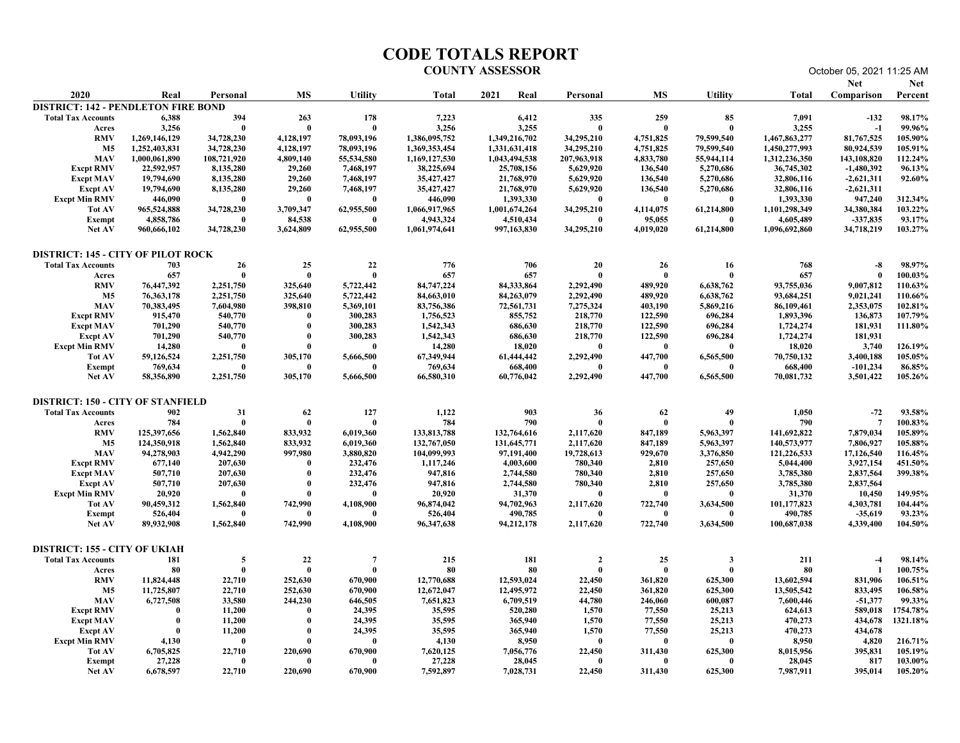| 2020<br><b>MS</b><br>2021<br>MS<br><b>Utility</b><br>Real<br>Personal<br><b>Utility</b><br>Total<br>Total<br>Real<br>Personal<br><b>Comparison</b> Percent<br><b>DISTRICT: 142 - PENDLETON FIRE BOND</b><br>6,388<br>263<br>7,223<br>335<br>259<br>85<br>$-132$<br>98.17%<br><b>Total Tax Accounts</b><br>394<br>178<br>6,412<br>7,091<br>3,256<br>3,256<br>3,255<br>3,255<br>- 0<br>- 0<br>$\mathbf{0}$<br>99.96%<br>- 0<br>- 0<br>$-1$<br>Acres<br>$\mathbf{0}$<br>34,728,230<br>34,295,210<br>81,767,525<br><b>RMV</b><br>1,269,146,129<br>4,128,197<br>78,093,196<br>1,386,095,752<br>1,349,216,702<br>4,751,825<br>79,599,540<br>1,467,863,277<br>105.90%<br><b>M5</b><br>1,252,403,831<br>34,728,230<br>4,128,197<br>78,093,196<br>1,369,353,454<br>1,331,631,418<br>34,295,210<br>4,751,825<br>79,599,540<br>1,450,277,993<br>80,924,539<br>105.91%<br><b>MAV</b><br>55,534,580<br>108,721,920<br>4,809,140<br>1,169,127,530<br>1,043,494,538<br>207,963,918<br>4,833,780<br>55,944,114<br>1,312,236,350<br>143,108,820<br>112.24%<br>1,000,061,890<br><b>Excpt RMV</b><br>22,592,957<br>8,135,280<br>29,260<br>7,468,197<br>38,225,694<br>25,708,156<br>5,629,920<br>136,540<br>5,270,686<br>36,745,302<br>$-1,480,392$<br>96.13%<br>92.60%<br><b>Excpt MAV</b><br>8,135,280<br>29,260<br>7,468,197<br>35,427,427<br>21,768,970<br>5,629,920<br>136,540<br>5,270,686<br>32,806,116<br>$-2,621,311$<br>19,794,690<br><b>Excpt AV</b><br>8,135,280<br>29,260<br>7,468,197<br>35,427,427<br>21,768,970<br>5,629,920<br>136,540<br>5,270,686<br>32,806,116<br>$-2,621,311$<br>19,794,690<br>1,393,330<br>947,240<br>312.34%<br><b>Excpt Min RMV</b><br>446,090<br>446,090<br>1,393,330<br>-0<br>-0<br>34,295,210<br>103.22%<br>965,524,888<br>34,728,230<br>3,709,347<br>62,955,500<br>1,066,917,965<br>1,001,674,264<br>4,114,075<br>61,214,800<br>1,101,298,349<br>34,380,384<br>Tot AV<br>4,858,786<br>84,538<br>4,943,324<br>4,510,434<br>95,055<br>4,605,489<br>$-337,835$<br>93.17%<br>Exempt<br>- 0<br>960,666,102<br>34,728,230<br>62,955,500<br>997,163,830<br>34,295,210<br>4,019,020<br>61,214,800<br>103.27%<br>3,624,809<br>1,061,974,641<br>1,096,692,860<br>34,718,219<br><b>Net AV</b><br><b>DISTRICT: 145 - CITY OF PILOT ROCK</b><br>703<br>26<br>25<br>22<br>776<br>706<br>20<br>768<br>98.97%<br><b>Total Tax Accounts</b><br>26<br>16<br>-8<br>657<br>657<br>$\mathbf{0}$<br>657<br>657<br>- 0<br>$\theta$<br>100.03%<br>$\mathbf{0}$<br>$\mathbf{0}$<br>- 0<br>Acres<br>325,640<br>84,333,864<br><b>RMV</b><br>76,447,392<br>2,251,750<br>5,722,442<br>84,747,224<br>2,292,490<br>489,920<br>6,638,762<br>93,755,036<br>9,007,812<br>110.63%<br><b>M5</b><br>76, 363, 178<br>2,251,750<br>325,640<br>5,722,442<br>84,663,010<br>84,263,079<br>2,292,490<br>489,920<br>6,638,762<br>93,684,251<br>110.66%<br>9,021,241<br><b>MAV</b><br>398,810<br>70,383,495<br>7,604,980<br>5,369,101<br>83,756,386<br>72,561,731<br>7,275,324<br>403,190<br>5,869,216<br>2,353,075<br>102.81%<br>86,109,461<br>540,770<br>300,283<br>1,756,523<br>855,752<br>218,770<br>122,590<br>696,284<br>1,893,396<br>107.79%<br><b>Excpt RMV</b><br>915,470<br>$\theta$<br>136,873<br><b>Excpt MAV</b><br>701,290<br>540,770<br>300,283<br>1,542,343<br>686,630<br>218,770<br>122,590<br>696,284<br>1,724,274<br>181,931<br>111.80%<br>701,290<br>300,283<br>1,542,343<br>686,630<br>218,770<br>122,590<br>696,284<br><b>Excpt AV</b><br>540,770<br>1,724,274<br>181,931<br>14,280<br>18,020<br>18,020<br>126.19%<br><b>Excpt Min RMV</b><br>14,280<br>3,740<br>- 0<br>- 0<br>-0<br>305,170<br>5,666,500<br>2,292,490<br>447,700<br>6,565,500<br>105.05%<br>Tot AV<br>59,126,524<br>2,251,750<br>67,349,944<br>61,444,442<br>70,750,132<br>3,400,188<br>86.85%<br>769,634<br>769,634<br>668,400<br>668,400<br>$-101,234$<br>Exempt<br>$\mathbf{0}$<br>$\mathbf{0}$<br>- 0<br>447,700<br>58,356,890<br>2,251,750<br>305,170<br>5,666,500<br>66,580,310<br>2,292,490<br>6,565,500<br>3,501,422<br>105.26%<br>Net AV<br>60,776,042<br>70,081,732<br><b>DISTRICT: 150 - CITY OF STANFIELD</b><br>31<br>62<br>127<br>1,122<br>903<br>36<br>1,050<br>$-72$<br>93.58%<br><b>Total Tax Accounts</b><br>902<br>62<br>49<br>$\mathbf{0}$<br>784<br>790<br>100.83%<br>784<br>- 0<br>- 0<br>790<br>Acres<br>$\mathbf{0}$<br>$\mathbf{0}$<br>$\theta$<br>- 7<br>125,397,656<br>833,932<br>5,963,397<br><b>RMV</b><br>1,562,840<br>6,019,360<br>133,813,788<br>132,764,616<br>2,117,620<br>847,189<br>141,692,822<br>7,879,034<br>105.89%<br><b>M5</b><br>105.88%<br>124,350,918<br>1,562,840<br>833,932<br>6,019,360<br>132,767,050<br>131,645,771<br>847,189<br>5,963,397<br>140,573,977<br>7,806,927<br>2,117,620<br><b>MAV</b><br>3,880,820<br>3,376,850<br>17,126,540<br>116.45%<br>94,278,903<br>4,942,290<br>997,980<br>104,099,993<br>97,191,400<br>19,728,613<br>929,670<br>121,226,533<br>451.50%<br><b>Excpt RMV</b><br>677,140<br>207,630<br>$\mathbf{0}$<br>232,476<br>1,117,246<br>4,003,600<br>780,340<br>2,810<br>257,650<br>5,044,400<br>3,927,154<br>507,710<br>232,476<br>3,785,380<br>2,837,564<br>399.38%<br><b>Excpt MAV</b><br>207,630<br>$\mathbf{0}$<br>947,816<br>2,744,580<br>780,340<br>2,810<br>257,650<br><b>Excpt AV</b><br>507,710<br>207,630<br>232,476<br>947,816<br>2,744,580<br>780,340<br>2,810<br>257,650<br>3,785,380<br>2,837,564<br>$\mathbf{0}$<br>149.95%<br><b>Excpt Min RMV</b><br>20,920<br>$\theta$<br>20,920<br>31,370<br>31,370<br>10,450<br>$\mathbf{0}$<br>$\mathbf{0}$<br>- 0<br>1,562,840<br>742,990<br>4,108,900<br>3,634,500<br>4,303,781<br>Tot AV<br>90,459,312<br>96,874,042<br>94,702,963<br>2,117,620<br>722,740<br>101,177,823<br>104.44%<br>526,404<br>526,404<br>$-35,619$<br>93.23%<br>490,785<br>490,785<br><b>Exempt</b><br>$\mathbf{0}$<br>$\bf{0}$<br>- 0<br>$\mathbf{0}$<br>- 0<br>- 0<br>89,932,908<br>1,562,840<br>742,990<br>4,108,900<br>94,212,178<br>2,117,620<br>722,740<br>3,634,500<br>100,687,038<br>4,339,400<br>104.50%<br><b>Net AV</b><br>96,347,638<br><b>DISTRICT: 155 - CITY OF UKIAH</b><br><b>Total Tax Accounts</b><br>181<br>$\sqrt{5}$<br>22<br>215<br>181<br>25<br>211<br>98.14%<br>$\overline{7}$<br>$\overline{2}$<br>$\overline{\mathbf{3}}$<br>$-4$<br>$\overline{\mathbf{0}}$<br>80<br>80<br>80<br>80<br>$\theta$<br>$\mathbf{0}$<br>$\mathbf{0}$<br>100.75%<br>$\mathbf{0}$<br>- 0<br>Acres<br>252,630<br>670,900<br>22,450<br>625,300<br><b>RMV</b><br>11,824,448<br>22,710<br>12,770,688<br>12,593,024<br>361,820<br>13,602,594<br>831,906<br>106.51%<br><b>M5</b><br>252,630<br>625,300<br>833,495<br>106.58%<br>11,725,807<br>22,710<br>670,900<br>12,672,047<br>22,450<br>361,820<br>13,505,542<br>12,495,972<br><b>MAV</b><br>33,580<br>99.33%<br>6,727,508<br>244,230<br>646,505<br>7,651,823<br>6,709,519<br>44,780<br>246,060<br>600,087<br>7,600,446<br>$-51,377$<br><b>Excpt RMV</b><br>11,200<br>24,395<br>35,595<br>520,280<br>1,570<br>77,550<br>25,213<br>589,018 1754.78%<br>- 0<br>624,613<br>- 0<br>24,395<br>35,595<br>365,940<br>1,570<br>77,550<br>25,213<br>470,273<br>1321.18%<br><b>Excpt MAV</b><br>$\bf{0}$<br>11,200<br>$\theta$<br>434,678<br><b>Excpt AV</b><br>11,200<br>24,395<br>35,595<br>365,940<br>1,570<br>77,550<br>25,213<br>470,273<br>434,678<br>- 0<br>$\theta$<br><b>Excpt Min RMV</b><br>4,130<br>4,820<br>216.71%<br>$\mathbf{0}$<br>4,130<br>8,950<br>- 0<br>8,950<br>$\mathbf{0}$<br>$\mathbf{0}$<br>- 0<br>$\mathbf{0}$<br>625,300<br>105.19%<br>Tot AV<br>6,705,825<br>22,710<br>220,690<br>670,900<br>7,620,125<br>7,056,776<br>22,450<br>311,430<br>8,015,956<br>395,831<br>817<br>103.00%<br>27,228<br>27,228<br>28,045<br>28,045<br>Exempt<br>$\mathbf{0}$<br>- 0<br>$\mathbf{0}$<br>- 0<br>-0<br>- 0<br>6,678,597<br>22,710<br>220,690<br>670,900<br>22,450<br>311,430<br>625,300<br>105.20%<br>Net AV<br>7,592,897<br>7,028,731<br>7,987,911<br>395,014 |  |  |  | <b>CODE TOTALS REPORT</b><br><b>COUNTY ASSESSOR</b> |  |  | October 05, 2021 11:25 AM |     |
|-----------------------------------------------------------------------------------------------------------------------------------------------------------------------------------------------------------------------------------------------------------------------------------------------------------------------------------------------------------------------------------------------------------------------------------------------------------------------------------------------------------------------------------------------------------------------------------------------------------------------------------------------------------------------------------------------------------------------------------------------------------------------------------------------------------------------------------------------------------------------------------------------------------------------------------------------------------------------------------------------------------------------------------------------------------------------------------------------------------------------------------------------------------------------------------------------------------------------------------------------------------------------------------------------------------------------------------------------------------------------------------------------------------------------------------------------------------------------------------------------------------------------------------------------------------------------------------------------------------------------------------------------------------------------------------------------------------------------------------------------------------------------------------------------------------------------------------------------------------------------------------------------------------------------------------------------------------------------------------------------------------------------------------------------------------------------------------------------------------------------------------------------------------------------------------------------------------------------------------------------------------------------------------------------------------------------------------------------------------------------------------------------------------------------------------------------------------------------------------------------------------------------------------------------------------------------------------------------------------------------------------------------------------------------------------------------------------------------------------------------------------------------------------------------------------------------------------------------------------------------------------------------------------------------------------------------------------------------------------------------------------------------------------------------------------------------------------------------------------------------------------------------------------------------------------------------------------------------------------------------------------------------------------------------------------------------------------------------------------------------------------------------------------------------------------------------------------------------------------------------------------------------------------------------------------------------------------------------------------------------------------------------------------------------------------------------------------------------------------------------------------------------------------------------------------------------------------------------------------------------------------------------------------------------------------------------------------------------------------------------------------------------------------------------------------------------------------------------------------------------------------------------------------------------------------------------------------------------------------------------------------------------------------------------------------------------------------------------------------------------------------------------------------------------------------------------------------------------------------------------------------------------------------------------------------------------------------------------------------------------------------------------------------------------------------------------------------------------------------------------------------------------------------------------------------------------------------------------------------------------------------------------------------------------------------------------------------------------------------------------------------------------------------------------------------------------------------------------------------------------------------------------------------------------------------------------------------------------------------------------------------------------------------------------------------------------------------------------------------------------------------------------------------------------------------------------------------------------------------------------------------------------------------------------------------------------------------------------------------------------------------------------------------------------------------------------------------------------------------------------------------------------------------------------------------------------------------------------------------------------------------------------------------------------------------------------------------------------------------------------------------------------------------------------------------------------------------------------------------------------------------------------------------------------------------------------------------------------------------------------------------------------------------------------------------------------------------------------------------------------------------------------------------------------------------------------------------------------------------------------------------------------------------------------------------------------------------------------------------------------------------------------------------------------------------------------------------------------------------------------------------------------------------------------------------------------------------------------------------------------------------------------------------------------------------------------------------------------------------------------------------------------------------------------------------------------------------------------------------------------------------------------------------------------------------------------------------------------------------------------------------------------------------------------------------------------------------------------------------------------------------------------------------------------------------------------------------------------------------------------------------------------------------------------------------------------------------------------------------------------------------------------------------------------------------------------------------------------------------------------------------------------------------------------------------------------------------------------------------------------------------------------------|--|--|--|-----------------------------------------------------|--|--|---------------------------|-----|
|                                                                                                                                                                                                                                                                                                                                                                                                                                                                                                                                                                                                                                                                                                                                                                                                                                                                                                                                                                                                                                                                                                                                                                                                                                                                                                                                                                                                                                                                                                                                                                                                                                                                                                                                                                                                                                                                                                                                                                                                                                                                                                                                                                                                                                                                                                                                                                                                                                                                                                                                                                                                                                                                                                                                                                                                                                                                                                                                                                                                                                                                                                                                                                                                                                                                                                                                                                                                                                                                                                                                                                                                                                                                                                                                                                                                                                                                                                                                                                                                                                                                                                                                                                                                                                                                                                                                                                                                                                                                                                                                                                                                                                                                                                                                                                                                                                                                                                                                                                                                                                                                                                                                                                                                                                                                                                                                                                                                                                                                                                                                                                                                                                                                                                                                                                                                                                                                                                                                                                                                                                                                                                                                                                                                                                                                                                                                                                                                                                                                                                                                                                                                                                                                                                                                                                                                                                                                                                                                                                                                                                                                                                                                                                                                                                                                                                                                                                                                                                                                                                                                                                                                                                                                                                                                                                                                                                                                                                     |  |  |  |                                                     |  |  | <b>Net</b>                | Net |
|                                                                                                                                                                                                                                                                                                                                                                                                                                                                                                                                                                                                                                                                                                                                                                                                                                                                                                                                                                                                                                                                                                                                                                                                                                                                                                                                                                                                                                                                                                                                                                                                                                                                                                                                                                                                                                                                                                                                                                                                                                                                                                                                                                                                                                                                                                                                                                                                                                                                                                                                                                                                                                                                                                                                                                                                                                                                                                                                                                                                                                                                                                                                                                                                                                                                                                                                                                                                                                                                                                                                                                                                                                                                                                                                                                                                                                                                                                                                                                                                                                                                                                                                                                                                                                                                                                                                                                                                                                                                                                                                                                                                                                                                                                                                                                                                                                                                                                                                                                                                                                                                                                                                                                                                                                                                                                                                                                                                                                                                                                                                                                                                                                                                                                                                                                                                                                                                                                                                                                                                                                                                                                                                                                                                                                                                                                                                                                                                                                                                                                                                                                                                                                                                                                                                                                                                                                                                                                                                                                                                                                                                                                                                                                                                                                                                                                                                                                                                                                                                                                                                                                                                                                                                                                                                                                                                                                                                                                     |  |  |  |                                                     |  |  |                           |     |
|                                                                                                                                                                                                                                                                                                                                                                                                                                                                                                                                                                                                                                                                                                                                                                                                                                                                                                                                                                                                                                                                                                                                                                                                                                                                                                                                                                                                                                                                                                                                                                                                                                                                                                                                                                                                                                                                                                                                                                                                                                                                                                                                                                                                                                                                                                                                                                                                                                                                                                                                                                                                                                                                                                                                                                                                                                                                                                                                                                                                                                                                                                                                                                                                                                                                                                                                                                                                                                                                                                                                                                                                                                                                                                                                                                                                                                                                                                                                                                                                                                                                                                                                                                                                                                                                                                                                                                                                                                                                                                                                                                                                                                                                                                                                                                                                                                                                                                                                                                                                                                                                                                                                                                                                                                                                                                                                                                                                                                                                                                                                                                                                                                                                                                                                                                                                                                                                                                                                                                                                                                                                                                                                                                                                                                                                                                                                                                                                                                                                                                                                                                                                                                                                                                                                                                                                                                                                                                                                                                                                                                                                                                                                                                                                                                                                                                                                                                                                                                                                                                                                                                                                                                                                                                                                                                                                                                                                                                     |  |  |  |                                                     |  |  |                           |     |
|                                                                                                                                                                                                                                                                                                                                                                                                                                                                                                                                                                                                                                                                                                                                                                                                                                                                                                                                                                                                                                                                                                                                                                                                                                                                                                                                                                                                                                                                                                                                                                                                                                                                                                                                                                                                                                                                                                                                                                                                                                                                                                                                                                                                                                                                                                                                                                                                                                                                                                                                                                                                                                                                                                                                                                                                                                                                                                                                                                                                                                                                                                                                                                                                                                                                                                                                                                                                                                                                                                                                                                                                                                                                                                                                                                                                                                                                                                                                                                                                                                                                                                                                                                                                                                                                                                                                                                                                                                                                                                                                                                                                                                                                                                                                                                                                                                                                                                                                                                                                                                                                                                                                                                                                                                                                                                                                                                                                                                                                                                                                                                                                                                                                                                                                                                                                                                                                                                                                                                                                                                                                                                                                                                                                                                                                                                                                                                                                                                                                                                                                                                                                                                                                                                                                                                                                                                                                                                                                                                                                                                                                                                                                                                                                                                                                                                                                                                                                                                                                                                                                                                                                                                                                                                                                                                                                                                                                                                     |  |  |  |                                                     |  |  |                           |     |
|                                                                                                                                                                                                                                                                                                                                                                                                                                                                                                                                                                                                                                                                                                                                                                                                                                                                                                                                                                                                                                                                                                                                                                                                                                                                                                                                                                                                                                                                                                                                                                                                                                                                                                                                                                                                                                                                                                                                                                                                                                                                                                                                                                                                                                                                                                                                                                                                                                                                                                                                                                                                                                                                                                                                                                                                                                                                                                                                                                                                                                                                                                                                                                                                                                                                                                                                                                                                                                                                                                                                                                                                                                                                                                                                                                                                                                                                                                                                                                                                                                                                                                                                                                                                                                                                                                                                                                                                                                                                                                                                                                                                                                                                                                                                                                                                                                                                                                                                                                                                                                                                                                                                                                                                                                                                                                                                                                                                                                                                                                                                                                                                                                                                                                                                                                                                                                                                                                                                                                                                                                                                                                                                                                                                                                                                                                                                                                                                                                                                                                                                                                                                                                                                                                                                                                                                                                                                                                                                                                                                                                                                                                                                                                                                                                                                                                                                                                                                                                                                                                                                                                                                                                                                                                                                                                                                                                                                                                     |  |  |  |                                                     |  |  |                           |     |
|                                                                                                                                                                                                                                                                                                                                                                                                                                                                                                                                                                                                                                                                                                                                                                                                                                                                                                                                                                                                                                                                                                                                                                                                                                                                                                                                                                                                                                                                                                                                                                                                                                                                                                                                                                                                                                                                                                                                                                                                                                                                                                                                                                                                                                                                                                                                                                                                                                                                                                                                                                                                                                                                                                                                                                                                                                                                                                                                                                                                                                                                                                                                                                                                                                                                                                                                                                                                                                                                                                                                                                                                                                                                                                                                                                                                                                                                                                                                                                                                                                                                                                                                                                                                                                                                                                                                                                                                                                                                                                                                                                                                                                                                                                                                                                                                                                                                                                                                                                                                                                                                                                                                                                                                                                                                                                                                                                                                                                                                                                                                                                                                                                                                                                                                                                                                                                                                                                                                                                                                                                                                                                                                                                                                                                                                                                                                                                                                                                                                                                                                                                                                                                                                                                                                                                                                                                                                                                                                                                                                                                                                                                                                                                                                                                                                                                                                                                                                                                                                                                                                                                                                                                                                                                                                                                                                                                                                                                     |  |  |  |                                                     |  |  |                           |     |
|                                                                                                                                                                                                                                                                                                                                                                                                                                                                                                                                                                                                                                                                                                                                                                                                                                                                                                                                                                                                                                                                                                                                                                                                                                                                                                                                                                                                                                                                                                                                                                                                                                                                                                                                                                                                                                                                                                                                                                                                                                                                                                                                                                                                                                                                                                                                                                                                                                                                                                                                                                                                                                                                                                                                                                                                                                                                                                                                                                                                                                                                                                                                                                                                                                                                                                                                                                                                                                                                                                                                                                                                                                                                                                                                                                                                                                                                                                                                                                                                                                                                                                                                                                                                                                                                                                                                                                                                                                                                                                                                                                                                                                                                                                                                                                                                                                                                                                                                                                                                                                                                                                                                                                                                                                                                                                                                                                                                                                                                                                                                                                                                                                                                                                                                                                                                                                                                                                                                                                                                                                                                                                                                                                                                                                                                                                                                                                                                                                                                                                                                                                                                                                                                                                                                                                                                                                                                                                                                                                                                                                                                                                                                                                                                                                                                                                                                                                                                                                                                                                                                                                                                                                                                                                                                                                                                                                                                                                     |  |  |  |                                                     |  |  |                           |     |
|                                                                                                                                                                                                                                                                                                                                                                                                                                                                                                                                                                                                                                                                                                                                                                                                                                                                                                                                                                                                                                                                                                                                                                                                                                                                                                                                                                                                                                                                                                                                                                                                                                                                                                                                                                                                                                                                                                                                                                                                                                                                                                                                                                                                                                                                                                                                                                                                                                                                                                                                                                                                                                                                                                                                                                                                                                                                                                                                                                                                                                                                                                                                                                                                                                                                                                                                                                                                                                                                                                                                                                                                                                                                                                                                                                                                                                                                                                                                                                                                                                                                                                                                                                                                                                                                                                                                                                                                                                                                                                                                                                                                                                                                                                                                                                                                                                                                                                                                                                                                                                                                                                                                                                                                                                                                                                                                                                                                                                                                                                                                                                                                                                                                                                                                                                                                                                                                                                                                                                                                                                                                                                                                                                                                                                                                                                                                                                                                                                                                                                                                                                                                                                                                                                                                                                                                                                                                                                                                                                                                                                                                                                                                                                                                                                                                                                                                                                                                                                                                                                                                                                                                                                                                                                                                                                                                                                                                                                     |  |  |  |                                                     |  |  |                           |     |
|                                                                                                                                                                                                                                                                                                                                                                                                                                                                                                                                                                                                                                                                                                                                                                                                                                                                                                                                                                                                                                                                                                                                                                                                                                                                                                                                                                                                                                                                                                                                                                                                                                                                                                                                                                                                                                                                                                                                                                                                                                                                                                                                                                                                                                                                                                                                                                                                                                                                                                                                                                                                                                                                                                                                                                                                                                                                                                                                                                                                                                                                                                                                                                                                                                                                                                                                                                                                                                                                                                                                                                                                                                                                                                                                                                                                                                                                                                                                                                                                                                                                                                                                                                                                                                                                                                                                                                                                                                                                                                                                                                                                                                                                                                                                                                                                                                                                                                                                                                                                                                                                                                                                                                                                                                                                                                                                                                                                                                                                                                                                                                                                                                                                                                                                                                                                                                                                                                                                                                                                                                                                                                                                                                                                                                                                                                                                                                                                                                                                                                                                                                                                                                                                                                                                                                                                                                                                                                                                                                                                                                                                                                                                                                                                                                                                                                                                                                                                                                                                                                                                                                                                                                                                                                                                                                                                                                                                                                     |  |  |  |                                                     |  |  |                           |     |
|                                                                                                                                                                                                                                                                                                                                                                                                                                                                                                                                                                                                                                                                                                                                                                                                                                                                                                                                                                                                                                                                                                                                                                                                                                                                                                                                                                                                                                                                                                                                                                                                                                                                                                                                                                                                                                                                                                                                                                                                                                                                                                                                                                                                                                                                                                                                                                                                                                                                                                                                                                                                                                                                                                                                                                                                                                                                                                                                                                                                                                                                                                                                                                                                                                                                                                                                                                                                                                                                                                                                                                                                                                                                                                                                                                                                                                                                                                                                                                                                                                                                                                                                                                                                                                                                                                                                                                                                                                                                                                                                                                                                                                                                                                                                                                                                                                                                                                                                                                                                                                                                                                                                                                                                                                                                                                                                                                                                                                                                                                                                                                                                                                                                                                                                                                                                                                                                                                                                                                                                                                                                                                                                                                                                                                                                                                                                                                                                                                                                                                                                                                                                                                                                                                                                                                                                                                                                                                                                                                                                                                                                                                                                                                                                                                                                                                                                                                                                                                                                                                                                                                                                                                                                                                                                                                                                                                                                                                     |  |  |  |                                                     |  |  |                           |     |
|                                                                                                                                                                                                                                                                                                                                                                                                                                                                                                                                                                                                                                                                                                                                                                                                                                                                                                                                                                                                                                                                                                                                                                                                                                                                                                                                                                                                                                                                                                                                                                                                                                                                                                                                                                                                                                                                                                                                                                                                                                                                                                                                                                                                                                                                                                                                                                                                                                                                                                                                                                                                                                                                                                                                                                                                                                                                                                                                                                                                                                                                                                                                                                                                                                                                                                                                                                                                                                                                                                                                                                                                                                                                                                                                                                                                                                                                                                                                                                                                                                                                                                                                                                                                                                                                                                                                                                                                                                                                                                                                                                                                                                                                                                                                                                                                                                                                                                                                                                                                                                                                                                                                                                                                                                                                                                                                                                                                                                                                                                                                                                                                                                                                                                                                                                                                                                                                                                                                                                                                                                                                                                                                                                                                                                                                                                                                                                                                                                                                                                                                                                                                                                                                                                                                                                                                                                                                                                                                                                                                                                                                                                                                                                                                                                                                                                                                                                                                                                                                                                                                                                                                                                                                                                                                                                                                                                                                                                     |  |  |  |                                                     |  |  |                           |     |
|                                                                                                                                                                                                                                                                                                                                                                                                                                                                                                                                                                                                                                                                                                                                                                                                                                                                                                                                                                                                                                                                                                                                                                                                                                                                                                                                                                                                                                                                                                                                                                                                                                                                                                                                                                                                                                                                                                                                                                                                                                                                                                                                                                                                                                                                                                                                                                                                                                                                                                                                                                                                                                                                                                                                                                                                                                                                                                                                                                                                                                                                                                                                                                                                                                                                                                                                                                                                                                                                                                                                                                                                                                                                                                                                                                                                                                                                                                                                                                                                                                                                                                                                                                                                                                                                                                                                                                                                                                                                                                                                                                                                                                                                                                                                                                                                                                                                                                                                                                                                                                                                                                                                                                                                                                                                                                                                                                                                                                                                                                                                                                                                                                                                                                                                                                                                                                                                                                                                                                                                                                                                                                                                                                                                                                                                                                                                                                                                                                                                                                                                                                                                                                                                                                                                                                                                                                                                                                                                                                                                                                                                                                                                                                                                                                                                                                                                                                                                                                                                                                                                                                                                                                                                                                                                                                                                                                                                                                     |  |  |  |                                                     |  |  |                           |     |
|                                                                                                                                                                                                                                                                                                                                                                                                                                                                                                                                                                                                                                                                                                                                                                                                                                                                                                                                                                                                                                                                                                                                                                                                                                                                                                                                                                                                                                                                                                                                                                                                                                                                                                                                                                                                                                                                                                                                                                                                                                                                                                                                                                                                                                                                                                                                                                                                                                                                                                                                                                                                                                                                                                                                                                                                                                                                                                                                                                                                                                                                                                                                                                                                                                                                                                                                                                                                                                                                                                                                                                                                                                                                                                                                                                                                                                                                                                                                                                                                                                                                                                                                                                                                                                                                                                                                                                                                                                                                                                                                                                                                                                                                                                                                                                                                                                                                                                                                                                                                                                                                                                                                                                                                                                                                                                                                                                                                                                                                                                                                                                                                                                                                                                                                                                                                                                                                                                                                                                                                                                                                                                                                                                                                                                                                                                                                                                                                                                                                                                                                                                                                                                                                                                                                                                                                                                                                                                                                                                                                                                                                                                                                                                                                                                                                                                                                                                                                                                                                                                                                                                                                                                                                                                                                                                                                                                                                                                     |  |  |  |                                                     |  |  |                           |     |
|                                                                                                                                                                                                                                                                                                                                                                                                                                                                                                                                                                                                                                                                                                                                                                                                                                                                                                                                                                                                                                                                                                                                                                                                                                                                                                                                                                                                                                                                                                                                                                                                                                                                                                                                                                                                                                                                                                                                                                                                                                                                                                                                                                                                                                                                                                                                                                                                                                                                                                                                                                                                                                                                                                                                                                                                                                                                                                                                                                                                                                                                                                                                                                                                                                                                                                                                                                                                                                                                                                                                                                                                                                                                                                                                                                                                                                                                                                                                                                                                                                                                                                                                                                                                                                                                                                                                                                                                                                                                                                                                                                                                                                                                                                                                                                                                                                                                                                                                                                                                                                                                                                                                                                                                                                                                                                                                                                                                                                                                                                                                                                                                                                                                                                                                                                                                                                                                                                                                                                                                                                                                                                                                                                                                                                                                                                                                                                                                                                                                                                                                                                                                                                                                                                                                                                                                                                                                                                                                                                                                                                                                                                                                                                                                                                                                                                                                                                                                                                                                                                                                                                                                                                                                                                                                                                                                                                                                                                     |  |  |  |                                                     |  |  |                           |     |
|                                                                                                                                                                                                                                                                                                                                                                                                                                                                                                                                                                                                                                                                                                                                                                                                                                                                                                                                                                                                                                                                                                                                                                                                                                                                                                                                                                                                                                                                                                                                                                                                                                                                                                                                                                                                                                                                                                                                                                                                                                                                                                                                                                                                                                                                                                                                                                                                                                                                                                                                                                                                                                                                                                                                                                                                                                                                                                                                                                                                                                                                                                                                                                                                                                                                                                                                                                                                                                                                                                                                                                                                                                                                                                                                                                                                                                                                                                                                                                                                                                                                                                                                                                                                                                                                                                                                                                                                                                                                                                                                                                                                                                                                                                                                                                                                                                                                                                                                                                                                                                                                                                                                                                                                                                                                                                                                                                                                                                                                                                                                                                                                                                                                                                                                                                                                                                                                                                                                                                                                                                                                                                                                                                                                                                                                                                                                                                                                                                                                                                                                                                                                                                                                                                                                                                                                                                                                                                                                                                                                                                                                                                                                                                                                                                                                                                                                                                                                                                                                                                                                                                                                                                                                                                                                                                                                                                                                                                     |  |  |  |                                                     |  |  |                           |     |
|                                                                                                                                                                                                                                                                                                                                                                                                                                                                                                                                                                                                                                                                                                                                                                                                                                                                                                                                                                                                                                                                                                                                                                                                                                                                                                                                                                                                                                                                                                                                                                                                                                                                                                                                                                                                                                                                                                                                                                                                                                                                                                                                                                                                                                                                                                                                                                                                                                                                                                                                                                                                                                                                                                                                                                                                                                                                                                                                                                                                                                                                                                                                                                                                                                                                                                                                                                                                                                                                                                                                                                                                                                                                                                                                                                                                                                                                                                                                                                                                                                                                                                                                                                                                                                                                                                                                                                                                                                                                                                                                                                                                                                                                                                                                                                                                                                                                                                                                                                                                                                                                                                                                                                                                                                                                                                                                                                                                                                                                                                                                                                                                                                                                                                                                                                                                                                                                                                                                                                                                                                                                                                                                                                                                                                                                                                                                                                                                                                                                                                                                                                                                                                                                                                                                                                                                                                                                                                                                                                                                                                                                                                                                                                                                                                                                                                                                                                                                                                                                                                                                                                                                                                                                                                                                                                                                                                                                                                     |  |  |  |                                                     |  |  |                           |     |
|                                                                                                                                                                                                                                                                                                                                                                                                                                                                                                                                                                                                                                                                                                                                                                                                                                                                                                                                                                                                                                                                                                                                                                                                                                                                                                                                                                                                                                                                                                                                                                                                                                                                                                                                                                                                                                                                                                                                                                                                                                                                                                                                                                                                                                                                                                                                                                                                                                                                                                                                                                                                                                                                                                                                                                                                                                                                                                                                                                                                                                                                                                                                                                                                                                                                                                                                                                                                                                                                                                                                                                                                                                                                                                                                                                                                                                                                                                                                                                                                                                                                                                                                                                                                                                                                                                                                                                                                                                                                                                                                                                                                                                                                                                                                                                                                                                                                                                                                                                                                                                                                                                                                                                                                                                                                                                                                                                                                                                                                                                                                                                                                                                                                                                                                                                                                                                                                                                                                                                                                                                                                                                                                                                                                                                                                                                                                                                                                                                                                                                                                                                                                                                                                                                                                                                                                                                                                                                                                                                                                                                                                                                                                                                                                                                                                                                                                                                                                                                                                                                                                                                                                                                                                                                                                                                                                                                                                                                     |  |  |  |                                                     |  |  |                           |     |
|                                                                                                                                                                                                                                                                                                                                                                                                                                                                                                                                                                                                                                                                                                                                                                                                                                                                                                                                                                                                                                                                                                                                                                                                                                                                                                                                                                                                                                                                                                                                                                                                                                                                                                                                                                                                                                                                                                                                                                                                                                                                                                                                                                                                                                                                                                                                                                                                                                                                                                                                                                                                                                                                                                                                                                                                                                                                                                                                                                                                                                                                                                                                                                                                                                                                                                                                                                                                                                                                                                                                                                                                                                                                                                                                                                                                                                                                                                                                                                                                                                                                                                                                                                                                                                                                                                                                                                                                                                                                                                                                                                                                                                                                                                                                                                                                                                                                                                                                                                                                                                                                                                                                                                                                                                                                                                                                                                                                                                                                                                                                                                                                                                                                                                                                                                                                                                                                                                                                                                                                                                                                                                                                                                                                                                                                                                                                                                                                                                                                                                                                                                                                                                                                                                                                                                                                                                                                                                                                                                                                                                                                                                                                                                                                                                                                                                                                                                                                                                                                                                                                                                                                                                                                                                                                                                                                                                                                                                     |  |  |  |                                                     |  |  |                           |     |
|                                                                                                                                                                                                                                                                                                                                                                                                                                                                                                                                                                                                                                                                                                                                                                                                                                                                                                                                                                                                                                                                                                                                                                                                                                                                                                                                                                                                                                                                                                                                                                                                                                                                                                                                                                                                                                                                                                                                                                                                                                                                                                                                                                                                                                                                                                                                                                                                                                                                                                                                                                                                                                                                                                                                                                                                                                                                                                                                                                                                                                                                                                                                                                                                                                                                                                                                                                                                                                                                                                                                                                                                                                                                                                                                                                                                                                                                                                                                                                                                                                                                                                                                                                                                                                                                                                                                                                                                                                                                                                                                                                                                                                                                                                                                                                                                                                                                                                                                                                                                                                                                                                                                                                                                                                                                                                                                                                                                                                                                                                                                                                                                                                                                                                                                                                                                                                                                                                                                                                                                                                                                                                                                                                                                                                                                                                                                                                                                                                                                                                                                                                                                                                                                                                                                                                                                                                                                                                                                                                                                                                                                                                                                                                                                                                                                                                                                                                                                                                                                                                                                                                                                                                                                                                                                                                                                                                                                                                     |  |  |  |                                                     |  |  |                           |     |
|                                                                                                                                                                                                                                                                                                                                                                                                                                                                                                                                                                                                                                                                                                                                                                                                                                                                                                                                                                                                                                                                                                                                                                                                                                                                                                                                                                                                                                                                                                                                                                                                                                                                                                                                                                                                                                                                                                                                                                                                                                                                                                                                                                                                                                                                                                                                                                                                                                                                                                                                                                                                                                                                                                                                                                                                                                                                                                                                                                                                                                                                                                                                                                                                                                                                                                                                                                                                                                                                                                                                                                                                                                                                                                                                                                                                                                                                                                                                                                                                                                                                                                                                                                                                                                                                                                                                                                                                                                                                                                                                                                                                                                                                                                                                                                                                                                                                                                                                                                                                                                                                                                                                                                                                                                                                                                                                                                                                                                                                                                                                                                                                                                                                                                                                                                                                                                                                                                                                                                                                                                                                                                                                                                                                                                                                                                                                                                                                                                                                                                                                                                                                                                                                                                                                                                                                                                                                                                                                                                                                                                                                                                                                                                                                                                                                                                                                                                                                                                                                                                                                                                                                                                                                                                                                                                                                                                                                                                     |  |  |  |                                                     |  |  |                           |     |
|                                                                                                                                                                                                                                                                                                                                                                                                                                                                                                                                                                                                                                                                                                                                                                                                                                                                                                                                                                                                                                                                                                                                                                                                                                                                                                                                                                                                                                                                                                                                                                                                                                                                                                                                                                                                                                                                                                                                                                                                                                                                                                                                                                                                                                                                                                                                                                                                                                                                                                                                                                                                                                                                                                                                                                                                                                                                                                                                                                                                                                                                                                                                                                                                                                                                                                                                                                                                                                                                                                                                                                                                                                                                                                                                                                                                                                                                                                                                                                                                                                                                                                                                                                                                                                                                                                                                                                                                                                                                                                                                                                                                                                                                                                                                                                                                                                                                                                                                                                                                                                                                                                                                                                                                                                                                                                                                                                                                                                                                                                                                                                                                                                                                                                                                                                                                                                                                                                                                                                                                                                                                                                                                                                                                                                                                                                                                                                                                                                                                                                                                                                                                                                                                                                                                                                                                                                                                                                                                                                                                                                                                                                                                                                                                                                                                                                                                                                                                                                                                                                                                                                                                                                                                                                                                                                                                                                                                                                     |  |  |  |                                                     |  |  |                           |     |
|                                                                                                                                                                                                                                                                                                                                                                                                                                                                                                                                                                                                                                                                                                                                                                                                                                                                                                                                                                                                                                                                                                                                                                                                                                                                                                                                                                                                                                                                                                                                                                                                                                                                                                                                                                                                                                                                                                                                                                                                                                                                                                                                                                                                                                                                                                                                                                                                                                                                                                                                                                                                                                                                                                                                                                                                                                                                                                                                                                                                                                                                                                                                                                                                                                                                                                                                                                                                                                                                                                                                                                                                                                                                                                                                                                                                                                                                                                                                                                                                                                                                                                                                                                                                                                                                                                                                                                                                                                                                                                                                                                                                                                                                                                                                                                                                                                                                                                                                                                                                                                                                                                                                                                                                                                                                                                                                                                                                                                                                                                                                                                                                                                                                                                                                                                                                                                                                                                                                                                                                                                                                                                                                                                                                                                                                                                                                                                                                                                                                                                                                                                                                                                                                                                                                                                                                                                                                                                                                                                                                                                                                                                                                                                                                                                                                                                                                                                                                                                                                                                                                                                                                                                                                                                                                                                                                                                                                                                     |  |  |  |                                                     |  |  |                           |     |
|                                                                                                                                                                                                                                                                                                                                                                                                                                                                                                                                                                                                                                                                                                                                                                                                                                                                                                                                                                                                                                                                                                                                                                                                                                                                                                                                                                                                                                                                                                                                                                                                                                                                                                                                                                                                                                                                                                                                                                                                                                                                                                                                                                                                                                                                                                                                                                                                                                                                                                                                                                                                                                                                                                                                                                                                                                                                                                                                                                                                                                                                                                                                                                                                                                                                                                                                                                                                                                                                                                                                                                                                                                                                                                                                                                                                                                                                                                                                                                                                                                                                                                                                                                                                                                                                                                                                                                                                                                                                                                                                                                                                                                                                                                                                                                                                                                                                                                                                                                                                                                                                                                                                                                                                                                                                                                                                                                                                                                                                                                                                                                                                                                                                                                                                                                                                                                                                                                                                                                                                                                                                                                                                                                                                                                                                                                                                                                                                                                                                                                                                                                                                                                                                                                                                                                                                                                                                                                                                                                                                                                                                                                                                                                                                                                                                                                                                                                                                                                                                                                                                                                                                                                                                                                                                                                                                                                                                                                     |  |  |  |                                                     |  |  |                           |     |
|                                                                                                                                                                                                                                                                                                                                                                                                                                                                                                                                                                                                                                                                                                                                                                                                                                                                                                                                                                                                                                                                                                                                                                                                                                                                                                                                                                                                                                                                                                                                                                                                                                                                                                                                                                                                                                                                                                                                                                                                                                                                                                                                                                                                                                                                                                                                                                                                                                                                                                                                                                                                                                                                                                                                                                                                                                                                                                                                                                                                                                                                                                                                                                                                                                                                                                                                                                                                                                                                                                                                                                                                                                                                                                                                                                                                                                                                                                                                                                                                                                                                                                                                                                                                                                                                                                                                                                                                                                                                                                                                                                                                                                                                                                                                                                                                                                                                                                                                                                                                                                                                                                                                                                                                                                                                                                                                                                                                                                                                                                                                                                                                                                                                                                                                                                                                                                                                                                                                                                                                                                                                                                                                                                                                                                                                                                                                                                                                                                                                                                                                                                                                                                                                                                                                                                                                                                                                                                                                                                                                                                                                                                                                                                                                                                                                                                                                                                                                                                                                                                                                                                                                                                                                                                                                                                                                                                                                                                     |  |  |  |                                                     |  |  |                           |     |
|                                                                                                                                                                                                                                                                                                                                                                                                                                                                                                                                                                                                                                                                                                                                                                                                                                                                                                                                                                                                                                                                                                                                                                                                                                                                                                                                                                                                                                                                                                                                                                                                                                                                                                                                                                                                                                                                                                                                                                                                                                                                                                                                                                                                                                                                                                                                                                                                                                                                                                                                                                                                                                                                                                                                                                                                                                                                                                                                                                                                                                                                                                                                                                                                                                                                                                                                                                                                                                                                                                                                                                                                                                                                                                                                                                                                                                                                                                                                                                                                                                                                                                                                                                                                                                                                                                                                                                                                                                                                                                                                                                                                                                                                                                                                                                                                                                                                                                                                                                                                                                                                                                                                                                                                                                                                                                                                                                                                                                                                                                                                                                                                                                                                                                                                                                                                                                                                                                                                                                                                                                                                                                                                                                                                                                                                                                                                                                                                                                                                                                                                                                                                                                                                                                                                                                                                                                                                                                                                                                                                                                                                                                                                                                                                                                                                                                                                                                                                                                                                                                                                                                                                                                                                                                                                                                                                                                                                                                     |  |  |  |                                                     |  |  |                           |     |
|                                                                                                                                                                                                                                                                                                                                                                                                                                                                                                                                                                                                                                                                                                                                                                                                                                                                                                                                                                                                                                                                                                                                                                                                                                                                                                                                                                                                                                                                                                                                                                                                                                                                                                                                                                                                                                                                                                                                                                                                                                                                                                                                                                                                                                                                                                                                                                                                                                                                                                                                                                                                                                                                                                                                                                                                                                                                                                                                                                                                                                                                                                                                                                                                                                                                                                                                                                                                                                                                                                                                                                                                                                                                                                                                                                                                                                                                                                                                                                                                                                                                                                                                                                                                                                                                                                                                                                                                                                                                                                                                                                                                                                                                                                                                                                                                                                                                                                                                                                                                                                                                                                                                                                                                                                                                                                                                                                                                                                                                                                                                                                                                                                                                                                                                                                                                                                                                                                                                                                                                                                                                                                                                                                                                                                                                                                                                                                                                                                                                                                                                                                                                                                                                                                                                                                                                                                                                                                                                                                                                                                                                                                                                                                                                                                                                                                                                                                                                                                                                                                                                                                                                                                                                                                                                                                                                                                                                                                     |  |  |  |                                                     |  |  |                           |     |
|                                                                                                                                                                                                                                                                                                                                                                                                                                                                                                                                                                                                                                                                                                                                                                                                                                                                                                                                                                                                                                                                                                                                                                                                                                                                                                                                                                                                                                                                                                                                                                                                                                                                                                                                                                                                                                                                                                                                                                                                                                                                                                                                                                                                                                                                                                                                                                                                                                                                                                                                                                                                                                                                                                                                                                                                                                                                                                                                                                                                                                                                                                                                                                                                                                                                                                                                                                                                                                                                                                                                                                                                                                                                                                                                                                                                                                                                                                                                                                                                                                                                                                                                                                                                                                                                                                                                                                                                                                                                                                                                                                                                                                                                                                                                                                                                                                                                                                                                                                                                                                                                                                                                                                                                                                                                                                                                                                                                                                                                                                                                                                                                                                                                                                                                                                                                                                                                                                                                                                                                                                                                                                                                                                                                                                                                                                                                                                                                                                                                                                                                                                                                                                                                                                                                                                                                                                                                                                                                                                                                                                                                                                                                                                                                                                                                                                                                                                                                                                                                                                                                                                                                                                                                                                                                                                                                                                                                                                     |  |  |  |                                                     |  |  |                           |     |
|                                                                                                                                                                                                                                                                                                                                                                                                                                                                                                                                                                                                                                                                                                                                                                                                                                                                                                                                                                                                                                                                                                                                                                                                                                                                                                                                                                                                                                                                                                                                                                                                                                                                                                                                                                                                                                                                                                                                                                                                                                                                                                                                                                                                                                                                                                                                                                                                                                                                                                                                                                                                                                                                                                                                                                                                                                                                                                                                                                                                                                                                                                                                                                                                                                                                                                                                                                                                                                                                                                                                                                                                                                                                                                                                                                                                                                                                                                                                                                                                                                                                                                                                                                                                                                                                                                                                                                                                                                                                                                                                                                                                                                                                                                                                                                                                                                                                                                                                                                                                                                                                                                                                                                                                                                                                                                                                                                                                                                                                                                                                                                                                                                                                                                                                                                                                                                                                                                                                                                                                                                                                                                                                                                                                                                                                                                                                                                                                                                                                                                                                                                                                                                                                                                                                                                                                                                                                                                                                                                                                                                                                                                                                                                                                                                                                                                                                                                                                                                                                                                                                                                                                                                                                                                                                                                                                                                                                                                     |  |  |  |                                                     |  |  |                           |     |
|                                                                                                                                                                                                                                                                                                                                                                                                                                                                                                                                                                                                                                                                                                                                                                                                                                                                                                                                                                                                                                                                                                                                                                                                                                                                                                                                                                                                                                                                                                                                                                                                                                                                                                                                                                                                                                                                                                                                                                                                                                                                                                                                                                                                                                                                                                                                                                                                                                                                                                                                                                                                                                                                                                                                                                                                                                                                                                                                                                                                                                                                                                                                                                                                                                                                                                                                                                                                                                                                                                                                                                                                                                                                                                                                                                                                                                                                                                                                                                                                                                                                                                                                                                                                                                                                                                                                                                                                                                                                                                                                                                                                                                                                                                                                                                                                                                                                                                                                                                                                                                                                                                                                                                                                                                                                                                                                                                                                                                                                                                                                                                                                                                                                                                                                                                                                                                                                                                                                                                                                                                                                                                                                                                                                                                                                                                                                                                                                                                                                                                                                                                                                                                                                                                                                                                                                                                                                                                                                                                                                                                                                                                                                                                                                                                                                                                                                                                                                                                                                                                                                                                                                                                                                                                                                                                                                                                                                                                     |  |  |  |                                                     |  |  |                           |     |
|                                                                                                                                                                                                                                                                                                                                                                                                                                                                                                                                                                                                                                                                                                                                                                                                                                                                                                                                                                                                                                                                                                                                                                                                                                                                                                                                                                                                                                                                                                                                                                                                                                                                                                                                                                                                                                                                                                                                                                                                                                                                                                                                                                                                                                                                                                                                                                                                                                                                                                                                                                                                                                                                                                                                                                                                                                                                                                                                                                                                                                                                                                                                                                                                                                                                                                                                                                                                                                                                                                                                                                                                                                                                                                                                                                                                                                                                                                                                                                                                                                                                                                                                                                                                                                                                                                                                                                                                                                                                                                                                                                                                                                                                                                                                                                                                                                                                                                                                                                                                                                                                                                                                                                                                                                                                                                                                                                                                                                                                                                                                                                                                                                                                                                                                                                                                                                                                                                                                                                                                                                                                                                                                                                                                                                                                                                                                                                                                                                                                                                                                                                                                                                                                                                                                                                                                                                                                                                                                                                                                                                                                                                                                                                                                                                                                                                                                                                                                                                                                                                                                                                                                                                                                                                                                                                                                                                                                                                     |  |  |  |                                                     |  |  |                           |     |
|                                                                                                                                                                                                                                                                                                                                                                                                                                                                                                                                                                                                                                                                                                                                                                                                                                                                                                                                                                                                                                                                                                                                                                                                                                                                                                                                                                                                                                                                                                                                                                                                                                                                                                                                                                                                                                                                                                                                                                                                                                                                                                                                                                                                                                                                                                                                                                                                                                                                                                                                                                                                                                                                                                                                                                                                                                                                                                                                                                                                                                                                                                                                                                                                                                                                                                                                                                                                                                                                                                                                                                                                                                                                                                                                                                                                                                                                                                                                                                                                                                                                                                                                                                                                                                                                                                                                                                                                                                                                                                                                                                                                                                                                                                                                                                                                                                                                                                                                                                                                                                                                                                                                                                                                                                                                                                                                                                                                                                                                                                                                                                                                                                                                                                                                                                                                                                                                                                                                                                                                                                                                                                                                                                                                                                                                                                                                                                                                                                                                                                                                                                                                                                                                                                                                                                                                                                                                                                                                                                                                                                                                                                                                                                                                                                                                                                                                                                                                                                                                                                                                                                                                                                                                                                                                                                                                                                                                                                     |  |  |  |                                                     |  |  |                           |     |
|                                                                                                                                                                                                                                                                                                                                                                                                                                                                                                                                                                                                                                                                                                                                                                                                                                                                                                                                                                                                                                                                                                                                                                                                                                                                                                                                                                                                                                                                                                                                                                                                                                                                                                                                                                                                                                                                                                                                                                                                                                                                                                                                                                                                                                                                                                                                                                                                                                                                                                                                                                                                                                                                                                                                                                                                                                                                                                                                                                                                                                                                                                                                                                                                                                                                                                                                                                                                                                                                                                                                                                                                                                                                                                                                                                                                                                                                                                                                                                                                                                                                                                                                                                                                                                                                                                                                                                                                                                                                                                                                                                                                                                                                                                                                                                                                                                                                                                                                                                                                                                                                                                                                                                                                                                                                                                                                                                                                                                                                                                                                                                                                                                                                                                                                                                                                                                                                                                                                                                                                                                                                                                                                                                                                                                                                                                                                                                                                                                                                                                                                                                                                                                                                                                                                                                                                                                                                                                                                                                                                                                                                                                                                                                                                                                                                                                                                                                                                                                                                                                                                                                                                                                                                                                                                                                                                                                                                                                     |  |  |  |                                                     |  |  |                           |     |
|                                                                                                                                                                                                                                                                                                                                                                                                                                                                                                                                                                                                                                                                                                                                                                                                                                                                                                                                                                                                                                                                                                                                                                                                                                                                                                                                                                                                                                                                                                                                                                                                                                                                                                                                                                                                                                                                                                                                                                                                                                                                                                                                                                                                                                                                                                                                                                                                                                                                                                                                                                                                                                                                                                                                                                                                                                                                                                                                                                                                                                                                                                                                                                                                                                                                                                                                                                                                                                                                                                                                                                                                                                                                                                                                                                                                                                                                                                                                                                                                                                                                                                                                                                                                                                                                                                                                                                                                                                                                                                                                                                                                                                                                                                                                                                                                                                                                                                                                                                                                                                                                                                                                                                                                                                                                                                                                                                                                                                                                                                                                                                                                                                                                                                                                                                                                                                                                                                                                                                                                                                                                                                                                                                                                                                                                                                                                                                                                                                                                                                                                                                                                                                                                                                                                                                                                                                                                                                                                                                                                                                                                                                                                                                                                                                                                                                                                                                                                                                                                                                                                                                                                                                                                                                                                                                                                                                                                                                     |  |  |  |                                                     |  |  |                           |     |
|                                                                                                                                                                                                                                                                                                                                                                                                                                                                                                                                                                                                                                                                                                                                                                                                                                                                                                                                                                                                                                                                                                                                                                                                                                                                                                                                                                                                                                                                                                                                                                                                                                                                                                                                                                                                                                                                                                                                                                                                                                                                                                                                                                                                                                                                                                                                                                                                                                                                                                                                                                                                                                                                                                                                                                                                                                                                                                                                                                                                                                                                                                                                                                                                                                                                                                                                                                                                                                                                                                                                                                                                                                                                                                                                                                                                                                                                                                                                                                                                                                                                                                                                                                                                                                                                                                                                                                                                                                                                                                                                                                                                                                                                                                                                                                                                                                                                                                                                                                                                                                                                                                                                                                                                                                                                                                                                                                                                                                                                                                                                                                                                                                                                                                                                                                                                                                                                                                                                                                                                                                                                                                                                                                                                                                                                                                                                                                                                                                                                                                                                                                                                                                                                                                                                                                                                                                                                                                                                                                                                                                                                                                                                                                                                                                                                                                                                                                                                                                                                                                                                                                                                                                                                                                                                                                                                                                                                                                     |  |  |  |                                                     |  |  |                           |     |
|                                                                                                                                                                                                                                                                                                                                                                                                                                                                                                                                                                                                                                                                                                                                                                                                                                                                                                                                                                                                                                                                                                                                                                                                                                                                                                                                                                                                                                                                                                                                                                                                                                                                                                                                                                                                                                                                                                                                                                                                                                                                                                                                                                                                                                                                                                                                                                                                                                                                                                                                                                                                                                                                                                                                                                                                                                                                                                                                                                                                                                                                                                                                                                                                                                                                                                                                                                                                                                                                                                                                                                                                                                                                                                                                                                                                                                                                                                                                                                                                                                                                                                                                                                                                                                                                                                                                                                                                                                                                                                                                                                                                                                                                                                                                                                                                                                                                                                                                                                                                                                                                                                                                                                                                                                                                                                                                                                                                                                                                                                                                                                                                                                                                                                                                                                                                                                                                                                                                                                                                                                                                                                                                                                                                                                                                                                                                                                                                                                                                                                                                                                                                                                                                                                                                                                                                                                                                                                                                                                                                                                                                                                                                                                                                                                                                                                                                                                                                                                                                                                                                                                                                                                                                                                                                                                                                                                                                                                     |  |  |  |                                                     |  |  |                           |     |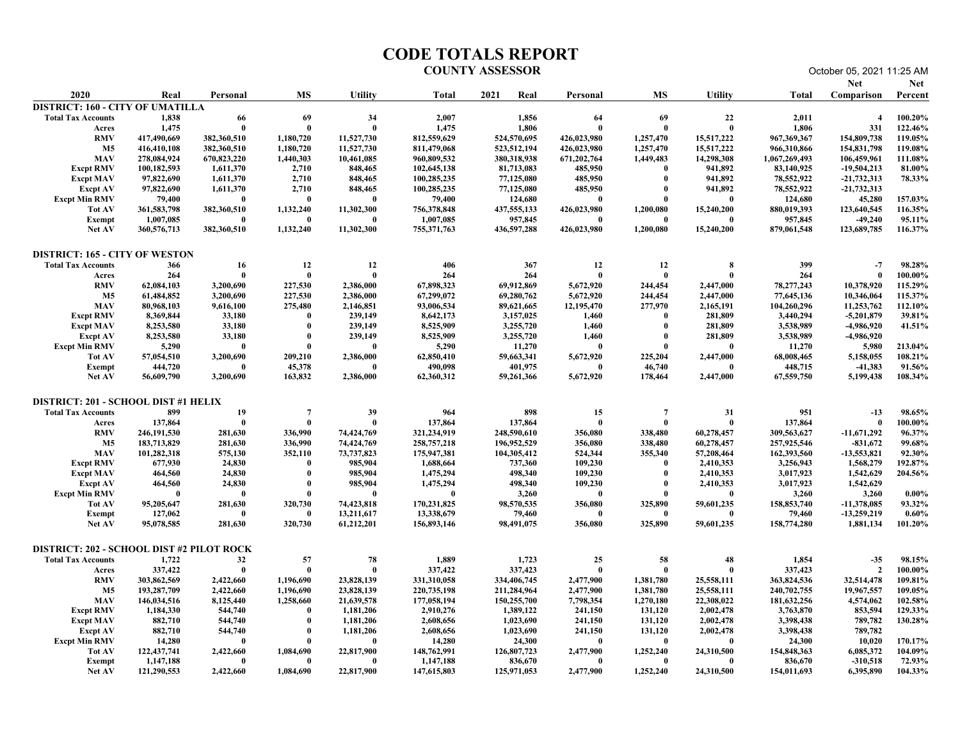| 2020<br><b>MS</b><br>MS<br><b>Utility</b><br>Real<br>Personal<br><b>Utility</b><br>2021<br>Real<br>Total<br>Total<br>Personal<br><b>Comparison</b> Percent<br><b>DISTRICT: 160 - CITY OF UMATILLA</b><br>66<br>2,007<br>1,856<br>69<br>22<br>100.20%<br><b>Total Tax Accounts</b><br>1,838<br>69<br>34<br>64<br>2,011<br>$\overline{4}$<br>1.806<br>1.806<br>- 0<br>1,475<br>331<br>122.46%<br>1,475<br>$\mathbf{0}$<br>- 0<br>$\mathbf{0}$<br>$\mathbf{0}$<br>- 0<br>Acres<br>1,180,720<br>11,527,730<br>426,023,980<br>15,517,222<br><b>RMV</b><br>417,490,669<br>382,360,510<br>812,559,629<br>524,570,695<br>1,257,470<br>967, 369, 367<br>154,809,738<br>119.05%<br><b>M5</b><br>416,410,108<br>382,360,510<br>1,180,720<br>11,527,730<br>811,479,068<br>523,512,194<br>426,023,980<br>1,257,470<br>15,517,222<br>966,310,866<br>154,831,798<br>119.08%<br><b>MAV</b><br>278,084,924<br>670,823,220<br>1,440,303<br>10,461,085<br>960,809,532<br>380,318,938<br>671,202,764<br>1,449,483<br>14,298,308<br>1,067,269,493<br>106,459,961<br>111.08%<br><b>Excpt RMV</b><br>100,182,593<br>1,611,370<br>848,465<br>102,645,138<br>81,713,083<br>485,950<br>941,892<br>83,140,925<br>$-19,504,213$<br>81.00%<br>2,710<br>100,285,235<br>77,125,080<br>78,552,922<br>78.33%<br><b>Excpt MAV</b><br>97,822,690<br>1,611,370<br>2,710<br>848,465<br>485,950<br>$\theta$<br>941,892<br>$-21,732,313$<br>$-21,732,313$<br><b>Excpt AV</b><br>97,822,690<br>1,611,370<br>2,710<br>848,465<br>100,285,235<br>77,125,080<br>485,950<br>$\mathbf{0}$<br>941,892<br>78,552,922<br>124,680<br>124,680<br>157.03%<br><b>Excpt Min RMV</b><br>79,400<br>79,400<br>45,280<br>-0<br>-0<br>11,302,300<br>426,023,980<br>1,200,080<br>15,240,200<br>116.35%<br><b>Tot AV</b><br>361,583,798<br>382,360,510<br>1,132,240<br>756,378,848<br>437, 555, 133<br>880,019,393<br>123,640,545<br>1,007,085<br>1,007,085<br>957,845<br>957,845<br>$-49,240$<br>95.11%<br>- 0<br>Exempt<br>-0<br>-0<br>382,360,510<br>1,132,240<br>11,302,300<br>436,597,288<br>426,023,980<br>1,200,080<br>15,240,200<br>116.37%<br>360,576,713<br>755, 371, 763<br>879,061,548<br>123,689,785<br><b>Net AV</b><br><b>DISTRICT: 165 - CITY OF WESTON</b><br>406<br>367<br>12<br>399<br>98.28%<br><b>Total Tax Accounts</b><br>366<br>16<br>12<br>12<br>12<br>8<br>$-7$<br>$\bf{0}$<br>264<br>264<br>264<br>264<br>- 0<br>- 0<br>100.00%<br>$\mathbf{0}$<br>$\mathbf{0}$<br>Acres<br>0<br>227,530<br>5,672,920<br><b>RMV</b><br>62,084,103<br>3,200,690<br>2,386,000<br>67,898,323<br>69,912,869<br>244,454<br>2,447,000<br>78, 277, 243<br>10,378,920<br>115.29%<br><b>M5</b><br>61,484,852<br>3,200,690<br>227,530<br>2,386,000<br>67,299,072<br>69,280,762<br>5,672,920<br>244,454<br>2,447,000<br>77,645,136<br>115.37%<br>10,346,064<br>277,970<br><b>MAV</b><br>80,968,103<br>9,616,100<br>275,480<br>2,146,851<br>93,006,534<br>89,621,665<br>12,195,470<br>2,165,191<br>104,260,296<br>11,253,762<br>112.10%<br><b>Excpt RMV</b><br>8,369,844<br>33,180<br>239,149<br>8,642,173<br>3,157,025<br>281,809<br>3,440,294<br>$-5,201,879$<br>39.81%<br>- 0<br>1,460<br>-0<br><b>Excpt MAV</b><br>8,253,580<br>33,180<br>239,149<br>8,525,909<br>3,255,720<br>1,460<br>-0<br>281,809<br>3,538,989<br>-4,986,920<br>41.51%<br>8,253,580<br>33,180<br>8,525,909<br>3,255,720<br>281,809<br><b>Excpt AV</b><br>239,149<br>1,460<br>3,538,989<br>-4,986,920<br>$\mathbf{0}$<br>5,980<br><b>Excpt Min RMV</b><br>5,290<br>5,290<br>11,270<br>11,270<br>213.04%<br>- 0<br>$\mathbf{0}$<br>- 0<br>$\mathbf{0}$<br>2,386,000<br>5,158,055<br>108.21%<br>Tot AV<br>57,054,510<br>3,200,690<br>209,210<br>62,850,410<br>59,663,341<br>5,672,920<br>225,204<br>2,447,000<br>68,008,465<br>46,740<br>444,720<br>45,378<br>490,098<br>401,975<br>448,715<br>$-41,383$<br>91.56%<br>Exempt<br>- 0<br>- 0<br>-0<br>56,609,790<br>3,200,690<br>163,832<br>2,386,000<br>5,672,920<br>2,447,000<br>67,559,750<br>5,199,438<br>108.34%<br>Net AV<br>62,360,312<br>59,261,366<br>178,464<br><b>DISTRICT: 201 - SCHOOL DIST #1 HELIX</b><br>39<br>964<br>$-13$<br>98.65%<br><b>Total Tax Accounts</b><br>899<br>19<br>$\overline{7}$<br>898<br>15<br>31<br>951<br>- 7<br>137,864<br>$\bf{0}$<br>137,864<br>137,864<br>$\bf{0}$<br>137,864<br>100.00%<br>$\mathbf{0}$<br>$\mathbf{0}$<br>- 0<br>$\mathbf{0}$<br>Acres<br>336,990<br>60,278,457<br><b>RMV</b><br>246,191,530<br>281,630<br>74,424,769<br>321,234,919<br>248,590,610<br>356,080<br>338,480<br>309,563,627<br>$-11,671,292$<br>96.37%<br><b>M5</b><br>183,713,829<br>336,990<br>74,424,769<br>258, 757, 218<br>356,080<br>338,480<br>60,278,457<br>$-831,672$<br>99.68%<br>281,630<br>196,952,529<br>257,925,546<br><b>MAV</b><br>73,737,823<br>$-13,553,821$<br>92.30%<br>575,130<br>352,110<br>175,947,381<br>104,305,412<br>524,344<br>355,340<br>57,208,464<br>162,393,560<br>101,282,318<br><b>Excpt RMV</b><br>677,930<br>24,830<br>985,904<br>1,688,664<br>737,360<br>109,230<br>2,410,353<br>3,256,943<br>1,568,279<br>192.87%<br>- 0<br>464,560<br>498,340<br>109,230<br><b>Excpt MAV</b><br>24,830<br>- 0<br>985,904<br>1,475,294<br>2,410,353<br>3,017,923<br>1,542,629<br>204.56%<br>$\mathbf{0}$<br>Excpt AV<br>464,560<br>24,830<br>- 0<br>985,904<br>1,475,294<br>498,340<br>109,230<br>2,410,353<br>3,017,923<br>1,542,629<br>$\mathbf 0$<br>$0.00\%$<br><b>Excpt Min RMV</b><br>- 0<br>3,260<br>$\bf{0}$<br>3,260<br>3,260<br>- 0<br>$\mathbf 0$<br>- 0<br>- 0<br>281,630<br>320,730<br>74,423,818<br>356,080<br>325,890<br>158,853,740<br>$-11,378,085$<br>93.32%<br>Tot AV<br>95,205,647<br>170,231,825<br>98,570,535<br>59,601,235<br>127,062<br>13,211,617<br>$0.60\%$<br>- 0<br>13,338,679<br>79,460<br>$\bf{0}$<br>79,460<br>$-13,259,219$<br>Exempt<br>- 0<br>$\mathbf{0}$<br>$\mathbf{0}$<br>281,630<br>320,730<br>61,212,201<br>98,491,075<br>356,080<br>325,890<br>59,601,235<br>158,774,280<br>1,881,134<br>101.20%<br>Net AV<br>95,078,585<br>156,893,146<br><b>DISTRICT: 202 - SCHOOL DIST #2 PILOT ROCK</b><br><b>Total Tax Accounts</b><br>1,722<br>32<br>57<br>78<br>1,889<br>1,723<br>25<br>58<br>48<br>1,854<br>$-35$<br>98.15%<br>$\overline{\mathbf{0}}$<br>$\mathbf{0}$<br>337,422<br>$\theta$<br>337,422<br>337,423<br>337,423<br>100.00%<br>$\mathbf{0}$<br>- 0<br>- 0<br>$\overline{2}$<br>Acres<br>303,862,569<br>1,196,690<br><b>RMV</b><br>2,422,660<br>23,828,139<br>331,310,058<br>334,406,745<br>2,477,900<br>1,381,780<br>25,558,111<br>363,824,536<br>32,514,478<br>109.81%<br><b>M5</b><br>193,287,709<br>2,422,660<br>1,196,690<br>23,828,139<br>220,735,198<br>2,477,900<br>1,381,780<br>25,558,111<br>240,702,755<br>19,967,557<br>109.05%<br>211,284,964<br>102.58%<br><b>MAV</b><br>146,034,516<br>8,125,440<br>1,258,660<br>21,639,578<br>177,058,194<br>150,255,700<br>7,798,354<br>1,270,180<br>22,308,022<br>181,632,256<br>4,574,062<br>544,740<br>1,181,206<br>853,594<br>129.33%<br><b>Excpt RMV</b><br>1,184,330<br>2,910,276<br>1,389,122<br>241,150<br>131,120<br>2,002,478<br>3,763,870<br>- 0<br>2,608,656<br>1,023,690<br>130.28%<br><b>Excpt MAV</b><br>882,710<br>544,740<br>- 0<br>1,181,206<br>241,150<br>131,120<br>2,002,478<br>3,398,438<br>789,782<br><b>Excpt AV</b><br>882,710<br>544,740<br>1,181,206<br>2,608,656<br>1,023,690<br>241,150<br>131,120<br>2,002,478<br>3,398,438<br>789,782<br>14,280<br>170.17%<br><b>Excpt Min RMV</b><br>14,280<br>24,300<br>$\bf{0}$<br>24,300<br>10,020<br>$\mathbf{0}$<br>$\mathbf{0}$<br>-0<br>104.09%<br>Tot AV<br>122,437,741<br>2,422,660<br>1,084,690<br>22,817,900<br>148,762,991<br>126,807,723<br>2,477,900<br>1,252,240<br>24,310,500<br>154,848,363<br>6,085,372<br>836,670<br>836,670<br>$-310,518$<br>72.93%<br>Exempt<br>1,147,188<br>1,147,188<br>- 0<br>-0<br>-0<br>- 0<br>22,817,900<br>2,477,900<br>1,252,240<br>24,310,500<br>104.33%<br>Net AV<br>121,290,553<br>2,422,660<br>1,084,690<br>147,615,803<br>125,971,053<br>154,011,693<br>6,395,890 |  |  |  | <b>CODE TOTALS REPORT</b><br><b>COUNTY ASSESSOR</b> |  |  | October 05, 2021 11:25 AM |            |
|-----------------------------------------------------------------------------------------------------------------------------------------------------------------------------------------------------------------------------------------------------------------------------------------------------------------------------------------------------------------------------------------------------------------------------------------------------------------------------------------------------------------------------------------------------------------------------------------------------------------------------------------------------------------------------------------------------------------------------------------------------------------------------------------------------------------------------------------------------------------------------------------------------------------------------------------------------------------------------------------------------------------------------------------------------------------------------------------------------------------------------------------------------------------------------------------------------------------------------------------------------------------------------------------------------------------------------------------------------------------------------------------------------------------------------------------------------------------------------------------------------------------------------------------------------------------------------------------------------------------------------------------------------------------------------------------------------------------------------------------------------------------------------------------------------------------------------------------------------------------------------------------------------------------------------------------------------------------------------------------------------------------------------------------------------------------------------------------------------------------------------------------------------------------------------------------------------------------------------------------------------------------------------------------------------------------------------------------------------------------------------------------------------------------------------------------------------------------------------------------------------------------------------------------------------------------------------------------------------------------------------------------------------------------------------------------------------------------------------------------------------------------------------------------------------------------------------------------------------------------------------------------------------------------------------------------------------------------------------------------------------------------------------------------------------------------------------------------------------------------------------------------------------------------------------------------------------------------------------------------------------------------------------------------------------------------------------------------------------------------------------------------------------------------------------------------------------------------------------------------------------------------------------------------------------------------------------------------------------------------------------------------------------------------------------------------------------------------------------------------------------------------------------------------------------------------------------------------------------------------------------------------------------------------------------------------------------------------------------------------------------------------------------------------------------------------------------------------------------------------------------------------------------------------------------------------------------------------------------------------------------------------------------------------------------------------------------------------------------------------------------------------------------------------------------------------------------------------------------------------------------------------------------------------------------------------------------------------------------------------------------------------------------------------------------------------------------------------------------------------------------------------------------------------------------------------------------------------------------------------------------------------------------------------------------------------------------------------------------------------------------------------------------------------------------------------------------------------------------------------------------------------------------------------------------------------------------------------------------------------------------------------------------------------------------------------------------------------------------------------------------------------------------------------------------------------------------------------------------------------------------------------------------------------------------------------------------------------------------------------------------------------------------------------------------------------------------------------------------------------------------------------------------------------------------------------------------------------------------------------------------------------------------------------------------------------------------------------------------------------------------------------------------------------------------------------------------------------------------------------------------------------------------------------------------------------------------------------------------------------------------------------------------------------------------------------------------------------------------------------------------------------------------------------------------------------------------------------------------------------------------------------------------------------------------------------------------------------------------------------------------------------------------------------------------------------------------------------------------------------------------------------------------------------------------------------------------------------------------------------------------------------------------------------------------------------------------------------------------------------------------------------------------------------------------------------------------------------------------------------------------------------------------------------------------------------------------------------------------------------------------------------------------------------------------------------------------------------------------------------------------------------------------------------------------------------------------------------------------------------------------------------------------------------------------------------------------------------------------------------------------------------------------------------------------------------------------------------------------------------------------------------------------------------------------------------------------------------------------------------------------------------------------------------------------------------------------------------------------------------|--|--|--|-----------------------------------------------------|--|--|---------------------------|------------|
|                                                                                                                                                                                                                                                                                                                                                                                                                                                                                                                                                                                                                                                                                                                                                                                                                                                                                                                                                                                                                                                                                                                                                                                                                                                                                                                                                                                                                                                                                                                                                                                                                                                                                                                                                                                                                                                                                                                                                                                                                                                                                                                                                                                                                                                                                                                                                                                                                                                                                                                                                                                                                                                                                                                                                                                                                                                                                                                                                                                                                                                                                                                                                                                                                                                                                                                                                                                                                                                                                                                                                                                                                                                                                                                                                                                                                                                                                                                                                                                                                                                                                                                                                                                                                                                                                                                                                                                                                                                                                                                                                                                                                                                                                                                                                                                                                                                                                                                                                                                                                                                                                                                                                                                                                                                                                                                                                                                                                                                                                                                                                                                                                                                                                                                                                                                                                                                                                                                                                                                                                                                                                                                                                                                                                                                                                                                                                                                                                                                                                                                                                                                                                                                                                                                                                                                                                                                                                                                                                                                                                                                                                                                                                                                                                                                                                                                                                                                                                                                                                                                                                                                                                                                                                                                                                                                                                                                                                                                                                                                         |  |  |  |                                                     |  |  | <b>Net</b>                | <b>Net</b> |
|                                                                                                                                                                                                                                                                                                                                                                                                                                                                                                                                                                                                                                                                                                                                                                                                                                                                                                                                                                                                                                                                                                                                                                                                                                                                                                                                                                                                                                                                                                                                                                                                                                                                                                                                                                                                                                                                                                                                                                                                                                                                                                                                                                                                                                                                                                                                                                                                                                                                                                                                                                                                                                                                                                                                                                                                                                                                                                                                                                                                                                                                                                                                                                                                                                                                                                                                                                                                                                                                                                                                                                                                                                                                                                                                                                                                                                                                                                                                                                                                                                                                                                                                                                                                                                                                                                                                                                                                                                                                                                                                                                                                                                                                                                                                                                                                                                                                                                                                                                                                                                                                                                                                                                                                                                                                                                                                                                                                                                                                                                                                                                                                                                                                                                                                                                                                                                                                                                                                                                                                                                                                                                                                                                                                                                                                                                                                                                                                                                                                                                                                                                                                                                                                                                                                                                                                                                                                                                                                                                                                                                                                                                                                                                                                                                                                                                                                                                                                                                                                                                                                                                                                                                                                                                                                                                                                                                                                                                                                                                                         |  |  |  |                                                     |  |  |                           |            |
|                                                                                                                                                                                                                                                                                                                                                                                                                                                                                                                                                                                                                                                                                                                                                                                                                                                                                                                                                                                                                                                                                                                                                                                                                                                                                                                                                                                                                                                                                                                                                                                                                                                                                                                                                                                                                                                                                                                                                                                                                                                                                                                                                                                                                                                                                                                                                                                                                                                                                                                                                                                                                                                                                                                                                                                                                                                                                                                                                                                                                                                                                                                                                                                                                                                                                                                                                                                                                                                                                                                                                                                                                                                                                                                                                                                                                                                                                                                                                                                                                                                                                                                                                                                                                                                                                                                                                                                                                                                                                                                                                                                                                                                                                                                                                                                                                                                                                                                                                                                                                                                                                                                                                                                                                                                                                                                                                                                                                                                                                                                                                                                                                                                                                                                                                                                                                                                                                                                                                                                                                                                                                                                                                                                                                                                                                                                                                                                                                                                                                                                                                                                                                                                                                                                                                                                                                                                                                                                                                                                                                                                                                                                                                                                                                                                                                                                                                                                                                                                                                                                                                                                                                                                                                                                                                                                                                                                                                                                                                                                         |  |  |  |                                                     |  |  |                           |            |
|                                                                                                                                                                                                                                                                                                                                                                                                                                                                                                                                                                                                                                                                                                                                                                                                                                                                                                                                                                                                                                                                                                                                                                                                                                                                                                                                                                                                                                                                                                                                                                                                                                                                                                                                                                                                                                                                                                                                                                                                                                                                                                                                                                                                                                                                                                                                                                                                                                                                                                                                                                                                                                                                                                                                                                                                                                                                                                                                                                                                                                                                                                                                                                                                                                                                                                                                                                                                                                                                                                                                                                                                                                                                                                                                                                                                                                                                                                                                                                                                                                                                                                                                                                                                                                                                                                                                                                                                                                                                                                                                                                                                                                                                                                                                                                                                                                                                                                                                                                                                                                                                                                                                                                                                                                                                                                                                                                                                                                                                                                                                                                                                                                                                                                                                                                                                                                                                                                                                                                                                                                                                                                                                                                                                                                                                                                                                                                                                                                                                                                                                                                                                                                                                                                                                                                                                                                                                                                                                                                                                                                                                                                                                                                                                                                                                                                                                                                                                                                                                                                                                                                                                                                                                                                                                                                                                                                                                                                                                                                                         |  |  |  |                                                     |  |  |                           |            |
|                                                                                                                                                                                                                                                                                                                                                                                                                                                                                                                                                                                                                                                                                                                                                                                                                                                                                                                                                                                                                                                                                                                                                                                                                                                                                                                                                                                                                                                                                                                                                                                                                                                                                                                                                                                                                                                                                                                                                                                                                                                                                                                                                                                                                                                                                                                                                                                                                                                                                                                                                                                                                                                                                                                                                                                                                                                                                                                                                                                                                                                                                                                                                                                                                                                                                                                                                                                                                                                                                                                                                                                                                                                                                                                                                                                                                                                                                                                                                                                                                                                                                                                                                                                                                                                                                                                                                                                                                                                                                                                                                                                                                                                                                                                                                                                                                                                                                                                                                                                                                                                                                                                                                                                                                                                                                                                                                                                                                                                                                                                                                                                                                                                                                                                                                                                                                                                                                                                                                                                                                                                                                                                                                                                                                                                                                                                                                                                                                                                                                                                                                                                                                                                                                                                                                                                                                                                                                                                                                                                                                                                                                                                                                                                                                                                                                                                                                                                                                                                                                                                                                                                                                                                                                                                                                                                                                                                                                                                                                                                         |  |  |  |                                                     |  |  |                           |            |
|                                                                                                                                                                                                                                                                                                                                                                                                                                                                                                                                                                                                                                                                                                                                                                                                                                                                                                                                                                                                                                                                                                                                                                                                                                                                                                                                                                                                                                                                                                                                                                                                                                                                                                                                                                                                                                                                                                                                                                                                                                                                                                                                                                                                                                                                                                                                                                                                                                                                                                                                                                                                                                                                                                                                                                                                                                                                                                                                                                                                                                                                                                                                                                                                                                                                                                                                                                                                                                                                                                                                                                                                                                                                                                                                                                                                                                                                                                                                                                                                                                                                                                                                                                                                                                                                                                                                                                                                                                                                                                                                                                                                                                                                                                                                                                                                                                                                                                                                                                                                                                                                                                                                                                                                                                                                                                                                                                                                                                                                                                                                                                                                                                                                                                                                                                                                                                                                                                                                                                                                                                                                                                                                                                                                                                                                                                                                                                                                                                                                                                                                                                                                                                                                                                                                                                                                                                                                                                                                                                                                                                                                                                                                                                                                                                                                                                                                                                                                                                                                                                                                                                                                                                                                                                                                                                                                                                                                                                                                                                                         |  |  |  |                                                     |  |  |                           |            |
|                                                                                                                                                                                                                                                                                                                                                                                                                                                                                                                                                                                                                                                                                                                                                                                                                                                                                                                                                                                                                                                                                                                                                                                                                                                                                                                                                                                                                                                                                                                                                                                                                                                                                                                                                                                                                                                                                                                                                                                                                                                                                                                                                                                                                                                                                                                                                                                                                                                                                                                                                                                                                                                                                                                                                                                                                                                                                                                                                                                                                                                                                                                                                                                                                                                                                                                                                                                                                                                                                                                                                                                                                                                                                                                                                                                                                                                                                                                                                                                                                                                                                                                                                                                                                                                                                                                                                                                                                                                                                                                                                                                                                                                                                                                                                                                                                                                                                                                                                                                                                                                                                                                                                                                                                                                                                                                                                                                                                                                                                                                                                                                                                                                                                                                                                                                                                                                                                                                                                                                                                                                                                                                                                                                                                                                                                                                                                                                                                                                                                                                                                                                                                                                                                                                                                                                                                                                                                                                                                                                                                                                                                                                                                                                                                                                                                                                                                                                                                                                                                                                                                                                                                                                                                                                                                                                                                                                                                                                                                                                         |  |  |  |                                                     |  |  |                           |            |
|                                                                                                                                                                                                                                                                                                                                                                                                                                                                                                                                                                                                                                                                                                                                                                                                                                                                                                                                                                                                                                                                                                                                                                                                                                                                                                                                                                                                                                                                                                                                                                                                                                                                                                                                                                                                                                                                                                                                                                                                                                                                                                                                                                                                                                                                                                                                                                                                                                                                                                                                                                                                                                                                                                                                                                                                                                                                                                                                                                                                                                                                                                                                                                                                                                                                                                                                                                                                                                                                                                                                                                                                                                                                                                                                                                                                                                                                                                                                                                                                                                                                                                                                                                                                                                                                                                                                                                                                                                                                                                                                                                                                                                                                                                                                                                                                                                                                                                                                                                                                                                                                                                                                                                                                                                                                                                                                                                                                                                                                                                                                                                                                                                                                                                                                                                                                                                                                                                                                                                                                                                                                                                                                                                                                                                                                                                                                                                                                                                                                                                                                                                                                                                                                                                                                                                                                                                                                                                                                                                                                                                                                                                                                                                                                                                                                                                                                                                                                                                                                                                                                                                                                                                                                                                                                                                                                                                                                                                                                                                                         |  |  |  |                                                     |  |  |                           |            |
|                                                                                                                                                                                                                                                                                                                                                                                                                                                                                                                                                                                                                                                                                                                                                                                                                                                                                                                                                                                                                                                                                                                                                                                                                                                                                                                                                                                                                                                                                                                                                                                                                                                                                                                                                                                                                                                                                                                                                                                                                                                                                                                                                                                                                                                                                                                                                                                                                                                                                                                                                                                                                                                                                                                                                                                                                                                                                                                                                                                                                                                                                                                                                                                                                                                                                                                                                                                                                                                                                                                                                                                                                                                                                                                                                                                                                                                                                                                                                                                                                                                                                                                                                                                                                                                                                                                                                                                                                                                                                                                                                                                                                                                                                                                                                                                                                                                                                                                                                                                                                                                                                                                                                                                                                                                                                                                                                                                                                                                                                                                                                                                                                                                                                                                                                                                                                                                                                                                                                                                                                                                                                                                                                                                                                                                                                                                                                                                                                                                                                                                                                                                                                                                                                                                                                                                                                                                                                                                                                                                                                                                                                                                                                                                                                                                                                                                                                                                                                                                                                                                                                                                                                                                                                                                                                                                                                                                                                                                                                                                         |  |  |  |                                                     |  |  |                           |            |
|                                                                                                                                                                                                                                                                                                                                                                                                                                                                                                                                                                                                                                                                                                                                                                                                                                                                                                                                                                                                                                                                                                                                                                                                                                                                                                                                                                                                                                                                                                                                                                                                                                                                                                                                                                                                                                                                                                                                                                                                                                                                                                                                                                                                                                                                                                                                                                                                                                                                                                                                                                                                                                                                                                                                                                                                                                                                                                                                                                                                                                                                                                                                                                                                                                                                                                                                                                                                                                                                                                                                                                                                                                                                                                                                                                                                                                                                                                                                                                                                                                                                                                                                                                                                                                                                                                                                                                                                                                                                                                                                                                                                                                                                                                                                                                                                                                                                                                                                                                                                                                                                                                                                                                                                                                                                                                                                                                                                                                                                                                                                                                                                                                                                                                                                                                                                                                                                                                                                                                                                                                                                                                                                                                                                                                                                                                                                                                                                                                                                                                                                                                                                                                                                                                                                                                                                                                                                                                                                                                                                                                                                                                                                                                                                                                                                                                                                                                                                                                                                                                                                                                                                                                                                                                                                                                                                                                                                                                                                                                                         |  |  |  |                                                     |  |  |                           |            |
|                                                                                                                                                                                                                                                                                                                                                                                                                                                                                                                                                                                                                                                                                                                                                                                                                                                                                                                                                                                                                                                                                                                                                                                                                                                                                                                                                                                                                                                                                                                                                                                                                                                                                                                                                                                                                                                                                                                                                                                                                                                                                                                                                                                                                                                                                                                                                                                                                                                                                                                                                                                                                                                                                                                                                                                                                                                                                                                                                                                                                                                                                                                                                                                                                                                                                                                                                                                                                                                                                                                                                                                                                                                                                                                                                                                                                                                                                                                                                                                                                                                                                                                                                                                                                                                                                                                                                                                                                                                                                                                                                                                                                                                                                                                                                                                                                                                                                                                                                                                                                                                                                                                                                                                                                                                                                                                                                                                                                                                                                                                                                                                                                                                                                                                                                                                                                                                                                                                                                                                                                                                                                                                                                                                                                                                                                                                                                                                                                                                                                                                                                                                                                                                                                                                                                                                                                                                                                                                                                                                                                                                                                                                                                                                                                                                                                                                                                                                                                                                                                                                                                                                                                                                                                                                                                                                                                                                                                                                                                                                         |  |  |  |                                                     |  |  |                           |            |
|                                                                                                                                                                                                                                                                                                                                                                                                                                                                                                                                                                                                                                                                                                                                                                                                                                                                                                                                                                                                                                                                                                                                                                                                                                                                                                                                                                                                                                                                                                                                                                                                                                                                                                                                                                                                                                                                                                                                                                                                                                                                                                                                                                                                                                                                                                                                                                                                                                                                                                                                                                                                                                                                                                                                                                                                                                                                                                                                                                                                                                                                                                                                                                                                                                                                                                                                                                                                                                                                                                                                                                                                                                                                                                                                                                                                                                                                                                                                                                                                                                                                                                                                                                                                                                                                                                                                                                                                                                                                                                                                                                                                                                                                                                                                                                                                                                                                                                                                                                                                                                                                                                                                                                                                                                                                                                                                                                                                                                                                                                                                                                                                                                                                                                                                                                                                                                                                                                                                                                                                                                                                                                                                                                                                                                                                                                                                                                                                                                                                                                                                                                                                                                                                                                                                                                                                                                                                                                                                                                                                                                                                                                                                                                                                                                                                                                                                                                                                                                                                                                                                                                                                                                                                                                                                                                                                                                                                                                                                                                                         |  |  |  |                                                     |  |  |                           |            |
|                                                                                                                                                                                                                                                                                                                                                                                                                                                                                                                                                                                                                                                                                                                                                                                                                                                                                                                                                                                                                                                                                                                                                                                                                                                                                                                                                                                                                                                                                                                                                                                                                                                                                                                                                                                                                                                                                                                                                                                                                                                                                                                                                                                                                                                                                                                                                                                                                                                                                                                                                                                                                                                                                                                                                                                                                                                                                                                                                                                                                                                                                                                                                                                                                                                                                                                                                                                                                                                                                                                                                                                                                                                                                                                                                                                                                                                                                                                                                                                                                                                                                                                                                                                                                                                                                                                                                                                                                                                                                                                                                                                                                                                                                                                                                                                                                                                                                                                                                                                                                                                                                                                                                                                                                                                                                                                                                                                                                                                                                                                                                                                                                                                                                                                                                                                                                                                                                                                                                                                                                                                                                                                                                                                                                                                                                                                                                                                                                                                                                                                                                                                                                                                                                                                                                                                                                                                                                                                                                                                                                                                                                                                                                                                                                                                                                                                                                                                                                                                                                                                                                                                                                                                                                                                                                                                                                                                                                                                                                                                         |  |  |  |                                                     |  |  |                           |            |
|                                                                                                                                                                                                                                                                                                                                                                                                                                                                                                                                                                                                                                                                                                                                                                                                                                                                                                                                                                                                                                                                                                                                                                                                                                                                                                                                                                                                                                                                                                                                                                                                                                                                                                                                                                                                                                                                                                                                                                                                                                                                                                                                                                                                                                                                                                                                                                                                                                                                                                                                                                                                                                                                                                                                                                                                                                                                                                                                                                                                                                                                                                                                                                                                                                                                                                                                                                                                                                                                                                                                                                                                                                                                                                                                                                                                                                                                                                                                                                                                                                                                                                                                                                                                                                                                                                                                                                                                                                                                                                                                                                                                                                                                                                                                                                                                                                                                                                                                                                                                                                                                                                                                                                                                                                                                                                                                                                                                                                                                                                                                                                                                                                                                                                                                                                                                                                                                                                                                                                                                                                                                                                                                                                                                                                                                                                                                                                                                                                                                                                                                                                                                                                                                                                                                                                                                                                                                                                                                                                                                                                                                                                                                                                                                                                                                                                                                                                                                                                                                                                                                                                                                                                                                                                                                                                                                                                                                                                                                                                                         |  |  |  |                                                     |  |  |                           |            |
|                                                                                                                                                                                                                                                                                                                                                                                                                                                                                                                                                                                                                                                                                                                                                                                                                                                                                                                                                                                                                                                                                                                                                                                                                                                                                                                                                                                                                                                                                                                                                                                                                                                                                                                                                                                                                                                                                                                                                                                                                                                                                                                                                                                                                                                                                                                                                                                                                                                                                                                                                                                                                                                                                                                                                                                                                                                                                                                                                                                                                                                                                                                                                                                                                                                                                                                                                                                                                                                                                                                                                                                                                                                                                                                                                                                                                                                                                                                                                                                                                                                                                                                                                                                                                                                                                                                                                                                                                                                                                                                                                                                                                                                                                                                                                                                                                                                                                                                                                                                                                                                                                                                                                                                                                                                                                                                                                                                                                                                                                                                                                                                                                                                                                                                                                                                                                                                                                                                                                                                                                                                                                                                                                                                                                                                                                                                                                                                                                                                                                                                                                                                                                                                                                                                                                                                                                                                                                                                                                                                                                                                                                                                                                                                                                                                                                                                                                                                                                                                                                                                                                                                                                                                                                                                                                                                                                                                                                                                                                                                         |  |  |  |                                                     |  |  |                           |            |
|                                                                                                                                                                                                                                                                                                                                                                                                                                                                                                                                                                                                                                                                                                                                                                                                                                                                                                                                                                                                                                                                                                                                                                                                                                                                                                                                                                                                                                                                                                                                                                                                                                                                                                                                                                                                                                                                                                                                                                                                                                                                                                                                                                                                                                                                                                                                                                                                                                                                                                                                                                                                                                                                                                                                                                                                                                                                                                                                                                                                                                                                                                                                                                                                                                                                                                                                                                                                                                                                                                                                                                                                                                                                                                                                                                                                                                                                                                                                                                                                                                                                                                                                                                                                                                                                                                                                                                                                                                                                                                                                                                                                                                                                                                                                                                                                                                                                                                                                                                                                                                                                                                                                                                                                                                                                                                                                                                                                                                                                                                                                                                                                                                                                                                                                                                                                                                                                                                                                                                                                                                                                                                                                                                                                                                                                                                                                                                                                                                                                                                                                                                                                                                                                                                                                                                                                                                                                                                                                                                                                                                                                                                                                                                                                                                                                                                                                                                                                                                                                                                                                                                                                                                                                                                                                                                                                                                                                                                                                                                                         |  |  |  |                                                     |  |  |                           |            |
|                                                                                                                                                                                                                                                                                                                                                                                                                                                                                                                                                                                                                                                                                                                                                                                                                                                                                                                                                                                                                                                                                                                                                                                                                                                                                                                                                                                                                                                                                                                                                                                                                                                                                                                                                                                                                                                                                                                                                                                                                                                                                                                                                                                                                                                                                                                                                                                                                                                                                                                                                                                                                                                                                                                                                                                                                                                                                                                                                                                                                                                                                                                                                                                                                                                                                                                                                                                                                                                                                                                                                                                                                                                                                                                                                                                                                                                                                                                                                                                                                                                                                                                                                                                                                                                                                                                                                                                                                                                                                                                                                                                                                                                                                                                                                                                                                                                                                                                                                                                                                                                                                                                                                                                                                                                                                                                                                                                                                                                                                                                                                                                                                                                                                                                                                                                                                                                                                                                                                                                                                                                                                                                                                                                                                                                                                                                                                                                                                                                                                                                                                                                                                                                                                                                                                                                                                                                                                                                                                                                                                                                                                                                                                                                                                                                                                                                                                                                                                                                                                                                                                                                                                                                                                                                                                                                                                                                                                                                                                                                         |  |  |  |                                                     |  |  |                           |            |
|                                                                                                                                                                                                                                                                                                                                                                                                                                                                                                                                                                                                                                                                                                                                                                                                                                                                                                                                                                                                                                                                                                                                                                                                                                                                                                                                                                                                                                                                                                                                                                                                                                                                                                                                                                                                                                                                                                                                                                                                                                                                                                                                                                                                                                                                                                                                                                                                                                                                                                                                                                                                                                                                                                                                                                                                                                                                                                                                                                                                                                                                                                                                                                                                                                                                                                                                                                                                                                                                                                                                                                                                                                                                                                                                                                                                                                                                                                                                                                                                                                                                                                                                                                                                                                                                                                                                                                                                                                                                                                                                                                                                                                                                                                                                                                                                                                                                                                                                                                                                                                                                                                                                                                                                                                                                                                                                                                                                                                                                                                                                                                                                                                                                                                                                                                                                                                                                                                                                                                                                                                                                                                                                                                                                                                                                                                                                                                                                                                                                                                                                                                                                                                                                                                                                                                                                                                                                                                                                                                                                                                                                                                                                                                                                                                                                                                                                                                                                                                                                                                                                                                                                                                                                                                                                                                                                                                                                                                                                                                                         |  |  |  |                                                     |  |  |                           |            |
|                                                                                                                                                                                                                                                                                                                                                                                                                                                                                                                                                                                                                                                                                                                                                                                                                                                                                                                                                                                                                                                                                                                                                                                                                                                                                                                                                                                                                                                                                                                                                                                                                                                                                                                                                                                                                                                                                                                                                                                                                                                                                                                                                                                                                                                                                                                                                                                                                                                                                                                                                                                                                                                                                                                                                                                                                                                                                                                                                                                                                                                                                                                                                                                                                                                                                                                                                                                                                                                                                                                                                                                                                                                                                                                                                                                                                                                                                                                                                                                                                                                                                                                                                                                                                                                                                                                                                                                                                                                                                                                                                                                                                                                                                                                                                                                                                                                                                                                                                                                                                                                                                                                                                                                                                                                                                                                                                                                                                                                                                                                                                                                                                                                                                                                                                                                                                                                                                                                                                                                                                                                                                                                                                                                                                                                                                                                                                                                                                                                                                                                                                                                                                                                                                                                                                                                                                                                                                                                                                                                                                                                                                                                                                                                                                                                                                                                                                                                                                                                                                                                                                                                                                                                                                                                                                                                                                                                                                                                                                                                         |  |  |  |                                                     |  |  |                           |            |
|                                                                                                                                                                                                                                                                                                                                                                                                                                                                                                                                                                                                                                                                                                                                                                                                                                                                                                                                                                                                                                                                                                                                                                                                                                                                                                                                                                                                                                                                                                                                                                                                                                                                                                                                                                                                                                                                                                                                                                                                                                                                                                                                                                                                                                                                                                                                                                                                                                                                                                                                                                                                                                                                                                                                                                                                                                                                                                                                                                                                                                                                                                                                                                                                                                                                                                                                                                                                                                                                                                                                                                                                                                                                                                                                                                                                                                                                                                                                                                                                                                                                                                                                                                                                                                                                                                                                                                                                                                                                                                                                                                                                                                                                                                                                                                                                                                                                                                                                                                                                                                                                                                                                                                                                                                                                                                                                                                                                                                                                                                                                                                                                                                                                                                                                                                                                                                                                                                                                                                                                                                                                                                                                                                                                                                                                                                                                                                                                                                                                                                                                                                                                                                                                                                                                                                                                                                                                                                                                                                                                                                                                                                                                                                                                                                                                                                                                                                                                                                                                                                                                                                                                                                                                                                                                                                                                                                                                                                                                                                                         |  |  |  |                                                     |  |  |                           |            |
|                                                                                                                                                                                                                                                                                                                                                                                                                                                                                                                                                                                                                                                                                                                                                                                                                                                                                                                                                                                                                                                                                                                                                                                                                                                                                                                                                                                                                                                                                                                                                                                                                                                                                                                                                                                                                                                                                                                                                                                                                                                                                                                                                                                                                                                                                                                                                                                                                                                                                                                                                                                                                                                                                                                                                                                                                                                                                                                                                                                                                                                                                                                                                                                                                                                                                                                                                                                                                                                                                                                                                                                                                                                                                                                                                                                                                                                                                                                                                                                                                                                                                                                                                                                                                                                                                                                                                                                                                                                                                                                                                                                                                                                                                                                                                                                                                                                                                                                                                                                                                                                                                                                                                                                                                                                                                                                                                                                                                                                                                                                                                                                                                                                                                                                                                                                                                                                                                                                                                                                                                                                                                                                                                                                                                                                                                                                                                                                                                                                                                                                                                                                                                                                                                                                                                                                                                                                                                                                                                                                                                                                                                                                                                                                                                                                                                                                                                                                                                                                                                                                                                                                                                                                                                                                                                                                                                                                                                                                                                                                         |  |  |  |                                                     |  |  |                           |            |
|                                                                                                                                                                                                                                                                                                                                                                                                                                                                                                                                                                                                                                                                                                                                                                                                                                                                                                                                                                                                                                                                                                                                                                                                                                                                                                                                                                                                                                                                                                                                                                                                                                                                                                                                                                                                                                                                                                                                                                                                                                                                                                                                                                                                                                                                                                                                                                                                                                                                                                                                                                                                                                                                                                                                                                                                                                                                                                                                                                                                                                                                                                                                                                                                                                                                                                                                                                                                                                                                                                                                                                                                                                                                                                                                                                                                                                                                                                                                                                                                                                                                                                                                                                                                                                                                                                                                                                                                                                                                                                                                                                                                                                                                                                                                                                                                                                                                                                                                                                                                                                                                                                                                                                                                                                                                                                                                                                                                                                                                                                                                                                                                                                                                                                                                                                                                                                                                                                                                                                                                                                                                                                                                                                                                                                                                                                                                                                                                                                                                                                                                                                                                                                                                                                                                                                                                                                                                                                                                                                                                                                                                                                                                                                                                                                                                                                                                                                                                                                                                                                                                                                                                                                                                                                                                                                                                                                                                                                                                                                                         |  |  |  |                                                     |  |  |                           |            |
|                                                                                                                                                                                                                                                                                                                                                                                                                                                                                                                                                                                                                                                                                                                                                                                                                                                                                                                                                                                                                                                                                                                                                                                                                                                                                                                                                                                                                                                                                                                                                                                                                                                                                                                                                                                                                                                                                                                                                                                                                                                                                                                                                                                                                                                                                                                                                                                                                                                                                                                                                                                                                                                                                                                                                                                                                                                                                                                                                                                                                                                                                                                                                                                                                                                                                                                                                                                                                                                                                                                                                                                                                                                                                                                                                                                                                                                                                                                                                                                                                                                                                                                                                                                                                                                                                                                                                                                                                                                                                                                                                                                                                                                                                                                                                                                                                                                                                                                                                                                                                                                                                                                                                                                                                                                                                                                                                                                                                                                                                                                                                                                                                                                                                                                                                                                                                                                                                                                                                                                                                                                                                                                                                                                                                                                                                                                                                                                                                                                                                                                                                                                                                                                                                                                                                                                                                                                                                                                                                                                                                                                                                                                                                                                                                                                                                                                                                                                                                                                                                                                                                                                                                                                                                                                                                                                                                                                                                                                                                                                         |  |  |  |                                                     |  |  |                           |            |
|                                                                                                                                                                                                                                                                                                                                                                                                                                                                                                                                                                                                                                                                                                                                                                                                                                                                                                                                                                                                                                                                                                                                                                                                                                                                                                                                                                                                                                                                                                                                                                                                                                                                                                                                                                                                                                                                                                                                                                                                                                                                                                                                                                                                                                                                                                                                                                                                                                                                                                                                                                                                                                                                                                                                                                                                                                                                                                                                                                                                                                                                                                                                                                                                                                                                                                                                                                                                                                                                                                                                                                                                                                                                                                                                                                                                                                                                                                                                                                                                                                                                                                                                                                                                                                                                                                                                                                                                                                                                                                                                                                                                                                                                                                                                                                                                                                                                                                                                                                                                                                                                                                                                                                                                                                                                                                                                                                                                                                                                                                                                                                                                                                                                                                                                                                                                                                                                                                                                                                                                                                                                                                                                                                                                                                                                                                                                                                                                                                                                                                                                                                                                                                                                                                                                                                                                                                                                                                                                                                                                                                                                                                                                                                                                                                                                                                                                                                                                                                                                                                                                                                                                                                                                                                                                                                                                                                                                                                                                                                                         |  |  |  |                                                     |  |  |                           |            |
|                                                                                                                                                                                                                                                                                                                                                                                                                                                                                                                                                                                                                                                                                                                                                                                                                                                                                                                                                                                                                                                                                                                                                                                                                                                                                                                                                                                                                                                                                                                                                                                                                                                                                                                                                                                                                                                                                                                                                                                                                                                                                                                                                                                                                                                                                                                                                                                                                                                                                                                                                                                                                                                                                                                                                                                                                                                                                                                                                                                                                                                                                                                                                                                                                                                                                                                                                                                                                                                                                                                                                                                                                                                                                                                                                                                                                                                                                                                                                                                                                                                                                                                                                                                                                                                                                                                                                                                                                                                                                                                                                                                                                                                                                                                                                                                                                                                                                                                                                                                                                                                                                                                                                                                                                                                                                                                                                                                                                                                                                                                                                                                                                                                                                                                                                                                                                                                                                                                                                                                                                                                                                                                                                                                                                                                                                                                                                                                                                                                                                                                                                                                                                                                                                                                                                                                                                                                                                                                                                                                                                                                                                                                                                                                                                                                                                                                                                                                                                                                                                                                                                                                                                                                                                                                                                                                                                                                                                                                                                                                         |  |  |  |                                                     |  |  |                           |            |
|                                                                                                                                                                                                                                                                                                                                                                                                                                                                                                                                                                                                                                                                                                                                                                                                                                                                                                                                                                                                                                                                                                                                                                                                                                                                                                                                                                                                                                                                                                                                                                                                                                                                                                                                                                                                                                                                                                                                                                                                                                                                                                                                                                                                                                                                                                                                                                                                                                                                                                                                                                                                                                                                                                                                                                                                                                                                                                                                                                                                                                                                                                                                                                                                                                                                                                                                                                                                                                                                                                                                                                                                                                                                                                                                                                                                                                                                                                                                                                                                                                                                                                                                                                                                                                                                                                                                                                                                                                                                                                                                                                                                                                                                                                                                                                                                                                                                                                                                                                                                                                                                                                                                                                                                                                                                                                                                                                                                                                                                                                                                                                                                                                                                                                                                                                                                                                                                                                                                                                                                                                                                                                                                                                                                                                                                                                                                                                                                                                                                                                                                                                                                                                                                                                                                                                                                                                                                                                                                                                                                                                                                                                                                                                                                                                                                                                                                                                                                                                                                                                                                                                                                                                                                                                                                                                                                                                                                                                                                                                                         |  |  |  |                                                     |  |  |                           |            |
|                                                                                                                                                                                                                                                                                                                                                                                                                                                                                                                                                                                                                                                                                                                                                                                                                                                                                                                                                                                                                                                                                                                                                                                                                                                                                                                                                                                                                                                                                                                                                                                                                                                                                                                                                                                                                                                                                                                                                                                                                                                                                                                                                                                                                                                                                                                                                                                                                                                                                                                                                                                                                                                                                                                                                                                                                                                                                                                                                                                                                                                                                                                                                                                                                                                                                                                                                                                                                                                                                                                                                                                                                                                                                                                                                                                                                                                                                                                                                                                                                                                                                                                                                                                                                                                                                                                                                                                                                                                                                                                                                                                                                                                                                                                                                                                                                                                                                                                                                                                                                                                                                                                                                                                                                                                                                                                                                                                                                                                                                                                                                                                                                                                                                                                                                                                                                                                                                                                                                                                                                                                                                                                                                                                                                                                                                                                                                                                                                                                                                                                                                                                                                                                                                                                                                                                                                                                                                                                                                                                                                                                                                                                                                                                                                                                                                                                                                                                                                                                                                                                                                                                                                                                                                                                                                                                                                                                                                                                                                                                         |  |  |  |                                                     |  |  |                           |            |
|                                                                                                                                                                                                                                                                                                                                                                                                                                                                                                                                                                                                                                                                                                                                                                                                                                                                                                                                                                                                                                                                                                                                                                                                                                                                                                                                                                                                                                                                                                                                                                                                                                                                                                                                                                                                                                                                                                                                                                                                                                                                                                                                                                                                                                                                                                                                                                                                                                                                                                                                                                                                                                                                                                                                                                                                                                                                                                                                                                                                                                                                                                                                                                                                                                                                                                                                                                                                                                                                                                                                                                                                                                                                                                                                                                                                                                                                                                                                                                                                                                                                                                                                                                                                                                                                                                                                                                                                                                                                                                                                                                                                                                                                                                                                                                                                                                                                                                                                                                                                                                                                                                                                                                                                                                                                                                                                                                                                                                                                                                                                                                                                                                                                                                                                                                                                                                                                                                                                                                                                                                                                                                                                                                                                                                                                                                                                                                                                                                                                                                                                                                                                                                                                                                                                                                                                                                                                                                                                                                                                                                                                                                                                                                                                                                                                                                                                                                                                                                                                                                                                                                                                                                                                                                                                                                                                                                                                                                                                                                                         |  |  |  |                                                     |  |  |                           |            |
|                                                                                                                                                                                                                                                                                                                                                                                                                                                                                                                                                                                                                                                                                                                                                                                                                                                                                                                                                                                                                                                                                                                                                                                                                                                                                                                                                                                                                                                                                                                                                                                                                                                                                                                                                                                                                                                                                                                                                                                                                                                                                                                                                                                                                                                                                                                                                                                                                                                                                                                                                                                                                                                                                                                                                                                                                                                                                                                                                                                                                                                                                                                                                                                                                                                                                                                                                                                                                                                                                                                                                                                                                                                                                                                                                                                                                                                                                                                                                                                                                                                                                                                                                                                                                                                                                                                                                                                                                                                                                                                                                                                                                                                                                                                                                                                                                                                                                                                                                                                                                                                                                                                                                                                                                                                                                                                                                                                                                                                                                                                                                                                                                                                                                                                                                                                                                                                                                                                                                                                                                                                                                                                                                                                                                                                                                                                                                                                                                                                                                                                                                                                                                                                                                                                                                                                                                                                                                                                                                                                                                                                                                                                                                                                                                                                                                                                                                                                                                                                                                                                                                                                                                                                                                                                                                                                                                                                                                                                                                                                         |  |  |  |                                                     |  |  |                           |            |
|                                                                                                                                                                                                                                                                                                                                                                                                                                                                                                                                                                                                                                                                                                                                                                                                                                                                                                                                                                                                                                                                                                                                                                                                                                                                                                                                                                                                                                                                                                                                                                                                                                                                                                                                                                                                                                                                                                                                                                                                                                                                                                                                                                                                                                                                                                                                                                                                                                                                                                                                                                                                                                                                                                                                                                                                                                                                                                                                                                                                                                                                                                                                                                                                                                                                                                                                                                                                                                                                                                                                                                                                                                                                                                                                                                                                                                                                                                                                                                                                                                                                                                                                                                                                                                                                                                                                                                                                                                                                                                                                                                                                                                                                                                                                                                                                                                                                                                                                                                                                                                                                                                                                                                                                                                                                                                                                                                                                                                                                                                                                                                                                                                                                                                                                                                                                                                                                                                                                                                                                                                                                                                                                                                                                                                                                                                                                                                                                                                                                                                                                                                                                                                                                                                                                                                                                                                                                                                                                                                                                                                                                                                                                                                                                                                                                                                                                                                                                                                                                                                                                                                                                                                                                                                                                                                                                                                                                                                                                                                                         |  |  |  |                                                     |  |  |                           |            |
|                                                                                                                                                                                                                                                                                                                                                                                                                                                                                                                                                                                                                                                                                                                                                                                                                                                                                                                                                                                                                                                                                                                                                                                                                                                                                                                                                                                                                                                                                                                                                                                                                                                                                                                                                                                                                                                                                                                                                                                                                                                                                                                                                                                                                                                                                                                                                                                                                                                                                                                                                                                                                                                                                                                                                                                                                                                                                                                                                                                                                                                                                                                                                                                                                                                                                                                                                                                                                                                                                                                                                                                                                                                                                                                                                                                                                                                                                                                                                                                                                                                                                                                                                                                                                                                                                                                                                                                                                                                                                                                                                                                                                                                                                                                                                                                                                                                                                                                                                                                                                                                                                                                                                                                                                                                                                                                                                                                                                                                                                                                                                                                                                                                                                                                                                                                                                                                                                                                                                                                                                                                                                                                                                                                                                                                                                                                                                                                                                                                                                                                                                                                                                                                                                                                                                                                                                                                                                                                                                                                                                                                                                                                                                                                                                                                                                                                                                                                                                                                                                                                                                                                                                                                                                                                                                                                                                                                                                                                                                                                         |  |  |  |                                                     |  |  |                           |            |
|                                                                                                                                                                                                                                                                                                                                                                                                                                                                                                                                                                                                                                                                                                                                                                                                                                                                                                                                                                                                                                                                                                                                                                                                                                                                                                                                                                                                                                                                                                                                                                                                                                                                                                                                                                                                                                                                                                                                                                                                                                                                                                                                                                                                                                                                                                                                                                                                                                                                                                                                                                                                                                                                                                                                                                                                                                                                                                                                                                                                                                                                                                                                                                                                                                                                                                                                                                                                                                                                                                                                                                                                                                                                                                                                                                                                                                                                                                                                                                                                                                                                                                                                                                                                                                                                                                                                                                                                                                                                                                                                                                                                                                                                                                                                                                                                                                                                                                                                                                                                                                                                                                                                                                                                                                                                                                                                                                                                                                                                                                                                                                                                                                                                                                                                                                                                                                                                                                                                                                                                                                                                                                                                                                                                                                                                                                                                                                                                                                                                                                                                                                                                                                                                                                                                                                                                                                                                                                                                                                                                                                                                                                                                                                                                                                                                                                                                                                                                                                                                                                                                                                                                                                                                                                                                                                                                                                                                                                                                                                                         |  |  |  |                                                     |  |  |                           |            |
|                                                                                                                                                                                                                                                                                                                                                                                                                                                                                                                                                                                                                                                                                                                                                                                                                                                                                                                                                                                                                                                                                                                                                                                                                                                                                                                                                                                                                                                                                                                                                                                                                                                                                                                                                                                                                                                                                                                                                                                                                                                                                                                                                                                                                                                                                                                                                                                                                                                                                                                                                                                                                                                                                                                                                                                                                                                                                                                                                                                                                                                                                                                                                                                                                                                                                                                                                                                                                                                                                                                                                                                                                                                                                                                                                                                                                                                                                                                                                                                                                                                                                                                                                                                                                                                                                                                                                                                                                                                                                                                                                                                                                                                                                                                                                                                                                                                                                                                                                                                                                                                                                                                                                                                                                                                                                                                                                                                                                                                                                                                                                                                                                                                                                                                                                                                                                                                                                                                                                                                                                                                                                                                                                                                                                                                                                                                                                                                                                                                                                                                                                                                                                                                                                                                                                                                                                                                                                                                                                                                                                                                                                                                                                                                                                                                                                                                                                                                                                                                                                                                                                                                                                                                                                                                                                                                                                                                                                                                                                                                         |  |  |  |                                                     |  |  |                           |            |
|                                                                                                                                                                                                                                                                                                                                                                                                                                                                                                                                                                                                                                                                                                                                                                                                                                                                                                                                                                                                                                                                                                                                                                                                                                                                                                                                                                                                                                                                                                                                                                                                                                                                                                                                                                                                                                                                                                                                                                                                                                                                                                                                                                                                                                                                                                                                                                                                                                                                                                                                                                                                                                                                                                                                                                                                                                                                                                                                                                                                                                                                                                                                                                                                                                                                                                                                                                                                                                                                                                                                                                                                                                                                                                                                                                                                                                                                                                                                                                                                                                                                                                                                                                                                                                                                                                                                                                                                                                                                                                                                                                                                                                                                                                                                                                                                                                                                                                                                                                                                                                                                                                                                                                                                                                                                                                                                                                                                                                                                                                                                                                                                                                                                                                                                                                                                                                                                                                                                                                                                                                                                                                                                                                                                                                                                                                                                                                                                                                                                                                                                                                                                                                                                                                                                                                                                                                                                                                                                                                                                                                                                                                                                                                                                                                                                                                                                                                                                                                                                                                                                                                                                                                                                                                                                                                                                                                                                                                                                                                                         |  |  |  |                                                     |  |  |                           |            |
|                                                                                                                                                                                                                                                                                                                                                                                                                                                                                                                                                                                                                                                                                                                                                                                                                                                                                                                                                                                                                                                                                                                                                                                                                                                                                                                                                                                                                                                                                                                                                                                                                                                                                                                                                                                                                                                                                                                                                                                                                                                                                                                                                                                                                                                                                                                                                                                                                                                                                                                                                                                                                                                                                                                                                                                                                                                                                                                                                                                                                                                                                                                                                                                                                                                                                                                                                                                                                                                                                                                                                                                                                                                                                                                                                                                                                                                                                                                                                                                                                                                                                                                                                                                                                                                                                                                                                                                                                                                                                                                                                                                                                                                                                                                                                                                                                                                                                                                                                                                                                                                                                                                                                                                                                                                                                                                                                                                                                                                                                                                                                                                                                                                                                                                                                                                                                                                                                                                                                                                                                                                                                                                                                                                                                                                                                                                                                                                                                                                                                                                                                                                                                                                                                                                                                                                                                                                                                                                                                                                                                                                                                                                                                                                                                                                                                                                                                                                                                                                                                                                                                                                                                                                                                                                                                                                                                                                                                                                                                                                         |  |  |  |                                                     |  |  |                           |            |
|                                                                                                                                                                                                                                                                                                                                                                                                                                                                                                                                                                                                                                                                                                                                                                                                                                                                                                                                                                                                                                                                                                                                                                                                                                                                                                                                                                                                                                                                                                                                                                                                                                                                                                                                                                                                                                                                                                                                                                                                                                                                                                                                                                                                                                                                                                                                                                                                                                                                                                                                                                                                                                                                                                                                                                                                                                                                                                                                                                                                                                                                                                                                                                                                                                                                                                                                                                                                                                                                                                                                                                                                                                                                                                                                                                                                                                                                                                                                                                                                                                                                                                                                                                                                                                                                                                                                                                                                                                                                                                                                                                                                                                                                                                                                                                                                                                                                                                                                                                                                                                                                                                                                                                                                                                                                                                                                                                                                                                                                                                                                                                                                                                                                                                                                                                                                                                                                                                                                                                                                                                                                                                                                                                                                                                                                                                                                                                                                                                                                                                                                                                                                                                                                                                                                                                                                                                                                                                                                                                                                                                                                                                                                                                                                                                                                                                                                                                                                                                                                                                                                                                                                                                                                                                                                                                                                                                                                                                                                                                                         |  |  |  |                                                     |  |  |                           |            |
|                                                                                                                                                                                                                                                                                                                                                                                                                                                                                                                                                                                                                                                                                                                                                                                                                                                                                                                                                                                                                                                                                                                                                                                                                                                                                                                                                                                                                                                                                                                                                                                                                                                                                                                                                                                                                                                                                                                                                                                                                                                                                                                                                                                                                                                                                                                                                                                                                                                                                                                                                                                                                                                                                                                                                                                                                                                                                                                                                                                                                                                                                                                                                                                                                                                                                                                                                                                                                                                                                                                                                                                                                                                                                                                                                                                                                                                                                                                                                                                                                                                                                                                                                                                                                                                                                                                                                                                                                                                                                                                                                                                                                                                                                                                                                                                                                                                                                                                                                                                                                                                                                                                                                                                                                                                                                                                                                                                                                                                                                                                                                                                                                                                                                                                                                                                                                                                                                                                                                                                                                                                                                                                                                                                                                                                                                                                                                                                                                                                                                                                                                                                                                                                                                                                                                                                                                                                                                                                                                                                                                                                                                                                                                                                                                                                                                                                                                                                                                                                                                                                                                                                                                                                                                                                                                                                                                                                                                                                                                                                         |  |  |  |                                                     |  |  |                           |            |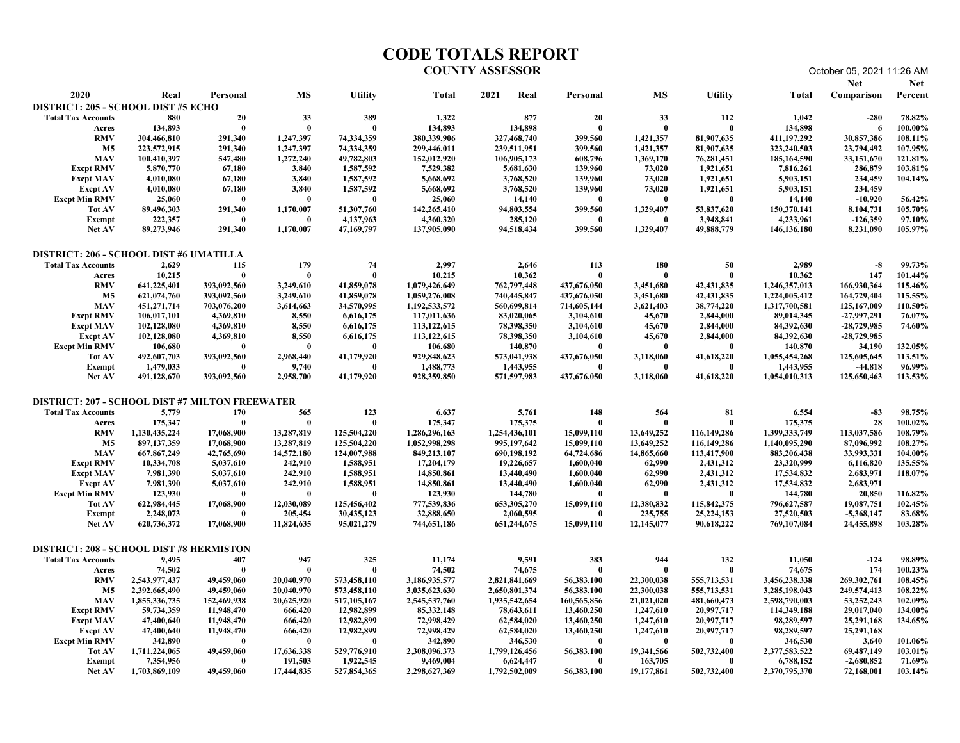|                                                                              |                                |                          |                          |                            |                                | <b>CODE TOTALS REPORT</b><br><b>COUNTY ASSESSOR</b> |                          |                           |                            |                                | October 05, 2021 11:26 AM               |                    |
|------------------------------------------------------------------------------|--------------------------------|--------------------------|--------------------------|----------------------------|--------------------------------|-----------------------------------------------------|--------------------------|---------------------------|----------------------------|--------------------------------|-----------------------------------------|--------------------|
| 2020                                                                         | Real                           | Personal                 | <b>MS</b>                | <b>Utility</b>             | Total                          | 2021<br>Real                                        | Personal                 | <b>MS</b>                 | <b>Utility</b>             | Total                          | <b>Net</b><br><b>Comparison</b> Percent | <b>Net</b>         |
| DISTRICT: 205 - SCHOOL DIST #5 ECHO<br><b>Total Tax Accounts</b>             | 880                            | <b>20</b>                | 33                       | 389                        | 1,322                          | 877                                                 | 20                       | 33                        | 112                        | 1,042                          | $-280$                                  | 78.82%             |
| Acres<br><b>RMV</b>                                                          | 134,893<br>304,466,810         | - 0<br>291,340           | - 0<br>1,247,397         | - 0<br>74,334,359          | 134,893<br>380,339,906         | 134,898<br>327,468,740                              | - 0<br>399,560           | $\mathbf{0}$<br>1,421,357 | - 0<br>81,907,635          | 134,898<br>411, 197, 292       | 6<br>30,857,386                         | 100.00%<br>108.11% |
| <b>M5</b>                                                                    | 223,572,915                    | 291,340                  | 1,247,397                | 74,334,359                 | 299,446,011                    | 239,511,951                                         | 399,560                  | 1,421,357                 | 81,907,635                 | 323,240,503                    | 23,794,492                              | 107.95%            |
| <b>MAV</b><br><b>Excpt RMV</b>                                               | 100,410,397<br>5,870,770       | 547,480<br>67,180        | 1,272,240<br>3,840       | 49,782,803<br>1,587,592    | 152,012,920<br>7,529,382       | 106,905,173<br>5,681,630                            | 608,796<br>139,960       | 1,369,170<br>73,020       | 76,281,451<br>1,921,651    | 185,164,590<br>7,816,261       | 33,151,670<br>286,879                   | 121.81%<br>103.81% |
| <b>Excpt MAV</b>                                                             | 4,010,080                      | 67,180                   | 3,840                    | 1,587,592                  | 5,668,692                      | 3,768,520                                           | 139,960                  | 73,020                    | 1,921,651                  | 5,903,151                      | 234,459                                 | 104.14%            |
| <b>Excpt AV</b><br><b>Excpt Min RMV</b>                                      | 4,010,080<br>25,060            | 67,180                   | 3,840<br>- 0             | 1,587,592<br>- 0           | 5,668,692<br>25,060            | 3,768,520<br>14,140                                 | 139,960                  | 73,020                    | 1,921,651<br>- 6           | 5,903,151<br>14,140            | 234,459<br>$-10,920$                    | 56.42%             |
| Tot AV<br>Exempt                                                             | 89,496,303<br>222,357          | 291,340                  | 1,170,007                | 51,307,760<br>4,137,963    | 142,265,410<br>4,360,320       | 94,803,554<br>285,120                               | 399,560<br>- 0           | 1,329,407                 | 53,837,620<br>3,948,841    | 150,370,141<br>4,233,961       | 8,104,731<br>$-126,359$                 | 105.70%<br>97.10%  |
| <b>Net AV</b>                                                                | 89,273,946                     | 291.340                  | 1,170,007                | 47,169,797                 | 137,905,090                    | 94,518,434                                          | 399,560                  | 1,329,407                 | 49,888,779                 | 146, 136, 180                  | 8,231,090                               | 105.97%            |
| DISTRICT: 206 - SCHOOL DIST #6 UMATILLA                                      |                                |                          |                          |                            |                                |                                                     |                          |                           |                            |                                |                                         |                    |
| <b>Total Tax Accounts</b>                                                    | 2,629                          | 115                      | 179                      | 74                         | 2,997                          | 2,646                                               | 113                      | 180                       | 50                         | 2,989                          | -8                                      | 99.73%             |
| Acres<br><b>RMV</b>                                                          | 10,215<br>641,225,401          | - 0<br>393,092,560       | - 0<br>3,249,610         | $\mathbf{0}$<br>41,859,078 | 10,215<br>1,079,426,649        | 10,362<br>762,797,448                               | - 0<br>437,676,050       | 3,451,680                 | 42, 431, 835               | 10,362<br>1,246,357,013        | 147<br>166,930,364                      | 101.44%<br>115.46% |
| M5                                                                           | 621,074,760                    | 393,092,560              | 3,249,610                | 41,859,078                 | 1,059,276,008                  | 740,445,847                                         | 437,676,050              | 3,451,680                 | 42,431,835                 | 1,224,005,412                  | 164,729,404                             | 115.55%            |
| <b>MAV</b><br><b>Excpt RMV</b>                                               | 451,271,714<br>106,017,101     | 703,076,200<br>4,369,810 | 3,614,663<br>8,550       | 34,570,995<br>6,616,175    | 1,192,533,572<br>117,011,636   | 560,699,814<br>83,020,065                           | 714,605,144<br>3,104,610 | 3,621,403<br>45,670       | 38,774,220<br>2,844,000    | 1,317,700,581<br>89,014,345    | 125, 167, 009<br>-27,997,291            | 110.50%<br>76.07%  |
| Excpt MAV<br><b>Excpt AV</b>                                                 | 102,128,080<br>102,128,080     | 4,369,810<br>4,369,810   | 8,550<br>8,550           | 6,616,175<br>6,616,175     | 113, 122, 615<br>113,122,615   | 78,398,350<br>78,398,350                            | 3,104,610<br>3,104,610   | 45,670<br>45,670          | 2,844,000<br>2,844,000     | 84,392,630<br>84,392,630       | -28,729,985<br>$-28,729,985$            | 74.60%             |
| <b>Excpt Min RMV</b>                                                         | 106,680                        |                          | - 0                      | - 0                        | 106,680                        | 140,870                                             |                          | - 0                       | - 0                        | 140,870                        | 34,190                                  | 132.05%            |
| <b>Tot AV</b><br>Exempt                                                      | 492,607,703<br>1,479,033       | 393,092,560              | 2,968,440<br>9,740       | 41,179,920<br>- 0          | 929,848,623<br>1,488,773       | 573,041,938<br>1,443,955                            | 437,676,050              | 3,118,060                 | 41,618,220<br>- 0          | 1,055,454,268<br>1,443,955     | 125,605,645<br>$-44,818$                | 113.51%<br>96.99%  |
| <b>Net AV</b>                                                                | 491,128,670                    | 393,092,560              | 2,958,700                | 41,179,920                 | 928,359,850                    | 571,597,983                                         | 437,676,050              | 3,118,060                 | 41,618,220                 | 1,054,010,313                  | 125,650,463                             | 113.53%            |
| <b>DISTRICT: 207 - SCHOOL DIST #7 MILTON FREEWATER</b>                       |                                |                          |                          |                            |                                |                                                     |                          |                           |                            |                                |                                         |                    |
| <b>Total Tax Accounts</b><br>Acres                                           | 5,779<br>175,347               | 170                      | 565<br>- 0               | 123<br>$\mathbf{0}$        | 6,637<br>175,347               | 5,761<br>175,375                                    | 148<br>- 0               | 564<br>-0                 | 81<br>$\mathbf{0}$         | 6,554<br>175,375               | $-83$<br>28                             | 98.75%<br>100.02%  |
| <b>RMV</b>                                                                   | 1,130,435,224                  | 17,068,900               | 13,287,819               | 125,504,220                | 1,286,296,163                  | 1,254,436,101                                       | 15,099,110               | 13,649,252                | 116,149,286                | 1,399,333,749                  | 113,037,586                             | 108.79%            |
| <b>M5</b><br><b>MAV</b>                                                      | 897,137,359<br>667,867,249     | 17,068,900<br>42,765,690 | 13,287,819<br>14,572,180 | 125,504,220<br>124,007,988 | 1,052,998,298<br>849,213,107   | 995,197,642<br>690,198,192                          | 15,099,110<br>64,724,686 | 13,649,252<br>14,865,660  | 116,149,286<br>113,417,900 | 1,140,095,290<br>883,206,438   | 87,096,992<br>33,993,331                | 108.27%<br>104.00% |
| <b>Excpt RMV</b><br><b>Excpt MAV</b>                                         | 10,334,708<br>7,981,390        | 5,037,610<br>5,037,610   | 242,910<br>242,910       | 1,588,951<br>1,588,951     | 17,204,179<br>14,850,861       | 19,226,657<br>13,440,490                            | 1,600,040<br>1,600,040   | 62,990<br>62,990          | 2,431,312<br>2,431,312     | 23,320,999<br>17,534,832       | 6,116,820<br>2,683,971                  | 135.55%<br>118.07% |
| Excpt AV                                                                     | 7,981,390                      | 5,037,610                | 242,910                  | 1,588,951                  | 14,850,861                     | 13,440,490                                          | 1,600,040                | 62,990                    | 2,431,312                  | 17,534,832                     | 2,683,971                               |                    |
| <b>Excpt Min RMV</b><br><b>Tot AV</b>                                        | 123,930<br>622,984,445         | - 0<br>17,068,900        | - 0<br>12,030,089        | - 0<br>125,456,402         | 123,930<br>777,539,836         | 144,780<br>653,305,270                              | 15,099,110               | - 0<br>12,380,832         | -0<br>115,842,375          | 144,780<br>796,627,587         | 20,850<br>19,087,751                    | 116.82%<br>102.45% |
| Exempt                                                                       | 2,248,073                      | - 0                      | 205,454                  | 30,435,123                 | 32,888,650                     | 2,060,595                                           | - 0                      | 235,755                   | 25, 224, 153               | 27,520,503                     | $-5,368,147$                            | 83.68%             |
| <b>Net AV</b>                                                                | 620,736,372                    | 17,068,900               | 11,824,635               | 95,021,279                 | 744,651,186                    | 651,244,675                                         | 15,099,110               | 12,145,077                | 90,618,222                 | 769,107,084                    | 24,455,898                              | 103.28%            |
| <b>DISTRICT: 208 - SCHOOL DIST #8 HERMISTON</b><br><b>Total Tax Accounts</b> | 9,495                          | 407                      | 947                      | 325                        | 11,174                         | 9,591                                               | 383                      | 944                       | 132                        | 11,050                         | $-124$                                  | 98.89%             |
| Acres                                                                        | 74,502                         |                          | - 0                      | - 0                        | 74,502                         | 74,675                                              | - 0                      | -0                        | - 0                        | 74,675                         | 174                                     | 100.23%            |
| <b>RMV</b><br><b>M5</b>                                                      | 2,543,977,437<br>2,392,665,490 | 49,459,060<br>49,459,060 | 20,040,970<br>20,040,970 | 573,458,110<br>573,458,110 | 3,186,935,577<br>3,035,623,630 | 2,821,841,669<br>2,650,801,374                      | 56,383,100<br>56,383,100 | 22,300,038<br>22,300,038  | 555,713,531<br>555,713,531 | 3,456,238,338<br>3,285,198,043 | 269,302,761<br>249,574,413              | 108.45%<br>108.22% |
| MAV                                                                          | 1,855,336,735                  | 152,469,938              | 20,625,920               | 517, 105, 167              | 2,545,537,760                  | 1,935,542,654                                       | 160,565,856              | 21,021,020                | 481,660,473                | 2,598,790,003                  | 53, 252, 243                            | 102.09%            |
| <b>Excpt RMV</b><br><b>Excpt MAV</b>                                         | 59,734,359<br>47,400,640       | 11,948,470<br>11,948,470 | 666,420<br>666,420       | 12,982,899<br>12,982,899   | 85, 332, 148<br>72,998,429     | 78,643,611<br>62,584,020                            | 13,460,250<br>13,460,250 | 1,247,610<br>1,247,610    | 20,997,717<br>20,997,717   | 114,349,188<br>98,289,597      | 29,017,040<br>25,291,168                | 134.00%<br>134.65% |
| <b>Excpt AV</b><br><b>Excpt Min RMV</b>                                      | 47,400,640<br>342,890          | 11,948,470               | 666,420<br>- 0           | 12,982,899<br>- 0          | 72,998,429<br>342,890          | 62,584,020<br>346,530                               | 13,460,250<br>- 0        | 1,247,610<br>- 0          | 20,997,717<br>-0           | 98,289,597<br>346,530          | 25,291,168<br>3,640                     | 101.06%            |
| Tot AV                                                                       | 1,711,224,065                  | 49,459,060               | 17,636,338               | 529,776,910                | 2,308,096,373                  | 1,799,126,456                                       | 56,383,100               | 19,341,566                | 502,732,400                | 2,377,583,522                  | 69,487,149                              | 103.01%            |
| Exempt<br><b>Net AV</b>                                                      | 7,354,956<br>1,703,869,109     | - 0<br>49,459,060        | 191,503<br>17,444,835    | 1,922,545<br>527,854,365   | 9,469,004<br>2,298,627,369     | 6,624,447<br>1,792,502,009                          | 56,383,100               | 163,705<br>19,177,861     | - 0<br>502,732,400         | 6,788,152<br>2,370,795,370     | $-2,680,852$<br>72,168,001              | 71.69%<br>103.14%  |
|                                                                              |                                |                          |                          |                            |                                |                                                     |                          |                           |                            |                                |                                         |                    |
|                                                                              |                                |                          |                          |                            |                                |                                                     |                          |                           |                            |                                |                                         |                    |
|                                                                              |                                |                          |                          |                            |                                |                                                     |                          |                           |                            |                                |                                         |                    |
|                                                                              |                                |                          |                          |                            |                                |                                                     |                          |                           |                            |                                |                                         |                    |
|                                                                              |                                |                          |                          |                            |                                |                                                     |                          |                           |                            |                                |                                         |                    |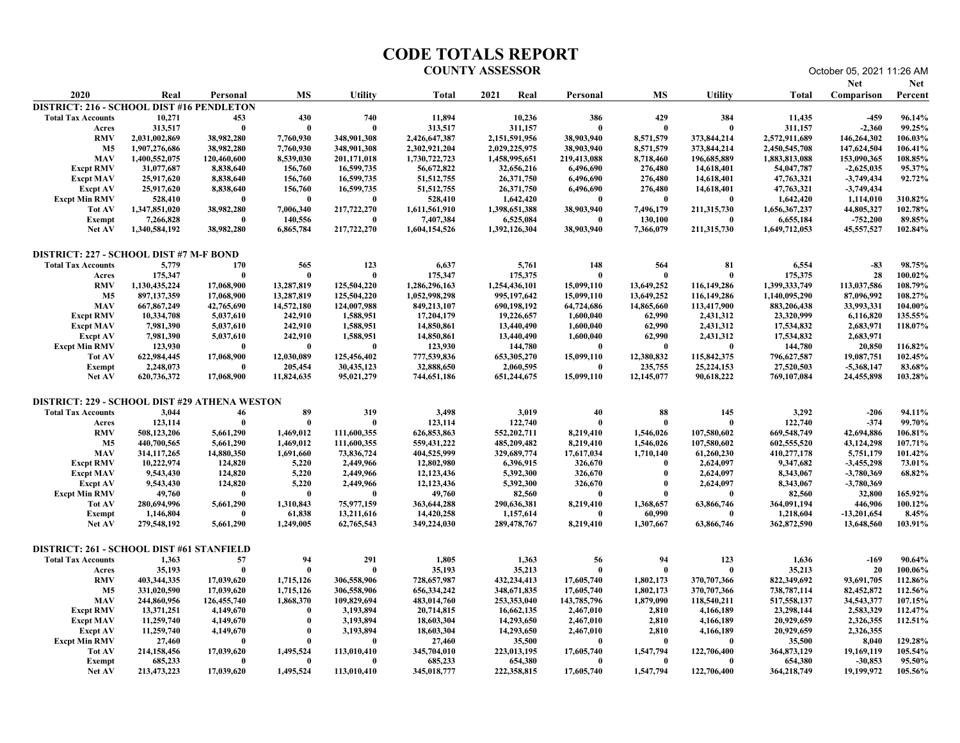|                                                                               |                                |                          |                           |                             |                                | <b>CODE TOTALS REPORT</b><br><b>COUNTY ASSESSOR</b> |                                       |                           |                            |                                | October 05, 2021 11:26 AM               |                    |
|-------------------------------------------------------------------------------|--------------------------------|--------------------------|---------------------------|-----------------------------|--------------------------------|-----------------------------------------------------|---------------------------------------|---------------------------|----------------------------|--------------------------------|-----------------------------------------|--------------------|
| 2020                                                                          | Real                           | Personal                 | <b>MS</b>                 | <b>Utility</b>              | Total                          | 2021<br>Real                                        | Personal                              | <b>MS</b>                 | <b>Utility</b>             | Total                          | <b>Net</b><br><b>Comparison</b> Percent | Net                |
| <b>DISTRICT: 216 - SCHOOL DIST #16 PENDLETON</b><br><b>Total Tax Accounts</b> | 10,271                         | 453                      | 430                       | 740                         | 11,894                         | 10,236                                              | 386                                   | 429                       | 384                        | 11,435                         | $-459$                                  | 96.14%             |
| Acres<br><b>RMV</b>                                                           | 313,517                        | - 0<br>38,982,280        | - 0<br>7,760,930          | $\mathbf{0}$<br>348,901,308 | 313,517                        | 311,157                                             | - 0                                   | $\mathbf{0}$              | - 0                        | 311,157                        | $-2,360$<br>146,264,302                 | 99.25%<br>106.03%  |
| M5                                                                            | 2,031,002,869<br>1,907,276,686 | 38,982,280               | 7,760,930                 | 348,901,308                 | 2,426,647,387<br>2,302,921,204 | 2,151,591,956<br>2,029,225,975                      | 38,903,940<br>38,903,940              | 8,571,579<br>8,571,579    | 373,844,214<br>373,844,214 | 2,572,911,689<br>2,450,545,708 | 147,624,504                             | 106.41%            |
| <b>MAV</b><br><b>Excpt RMV</b>                                                | 1,400,552,075<br>31,077,687    | 120,460,600<br>8,838,640 | 8,539,030<br>156,760      | 201,171,018<br>16,599,735   | 1,730,722,723<br>56,672,822    | 1,458,995,651<br>32,656,216                         | 219,413,088<br>6,496,690              | 8,718,460<br>276,480      | 196,685,889<br>14,618,401  | 1,883,813,088<br>54,047,787    | 153,090,365<br>$-2,625,035$             | 108.85%<br>95.37%  |
| <b>Excpt MAV</b><br><b>Excpt AV</b>                                           | 25,917,620<br>25,917,620       | 8,838,640<br>8,838,640   | 156,760<br>156,760        | 16,599,735<br>16,599,735    | 51, 512, 755<br>51, 512, 755   | 26,371,750<br>26,371,750                            | 6,496,690<br>6,496,690                | 276,480<br>276,480        | 14,618,401<br>14,618,401   | 47,763,321<br>47,763,321       | $-3,749,434$<br>$-3,749,434$            | 92.72%             |
| <b>Excpt Min RMV</b>                                                          | 528,410                        | - 0                      |                           |                             | 528,410                        | 1,642,420                                           |                                       |                           |                            | 1,642,420                      | 1,114,010                               | 310.82%            |
| <b>Tot AV</b><br><b>Exempt</b>                                                | 1,347,851,020<br>7,266,828     | 38,982,280               | 7,006,340<br>140,556      | 217,722,270                 | 1,611,561,910<br>7,407,384     | 1,398,651,388<br>6,525,084                          | 38,903,940                            | 7,496,179<br>130,100      | 211,315,730                | 1,656,367,237<br>6,655,184     | 44,805,327<br>$-752,200$                | 102.78%<br>89.85%  |
| <b>Net AV</b>                                                                 | 1,340,584,192                  | 38,982,280               | 6,865,784                 | 217,722,270                 | 1,604,154,526                  | 1,392,126,304                                       | 38,903,940                            | 7,366,079                 | 211,315,730                | 1,649,712,053                  | 45,557,527                              | 102.84%            |
| DISTRICT: 227 - SCHOOL DIST #7 M-F BOND                                       |                                |                          |                           |                             |                                |                                                     |                                       |                           |                            |                                |                                         |                    |
| <b>Total Tax Accounts</b><br>Acres                                            | 5,779<br>175,347               | 170<br>- 0               | 565<br>- 0                | 123<br>$\mathbf{0}$         | 6,637<br>175,347               | 5,761<br>175,375                                    | 148<br>$\mathbf{0}$                   | 564<br>$\mathbf{0}$       | 81                         | 6,554<br>175,375               | $-83$<br>28                             | 98.75%<br>100.02%  |
| <b>RMV</b><br><b>M5</b>                                                       | 1.130.435.224<br>897,137,359   | 17,068,900<br>17,068,900 | 13,287,819<br>13,287,819  | 125,504,220<br>125,504,220  | 1,286,296,163<br>1,052,998,298 | 1,254,436,101<br>995,197,642                        | 15,099,110<br>15,099,110              | 13,649,252<br>13,649,252  | 116,149,286<br>116,149,286 | 1,399,333,749<br>1,140,095,290 | 113,037,586<br>87,096,992               | 108.79%<br>108.27% |
| <b>MAV</b>                                                                    | 667,867,249                    | 42,765,690               | 14,572,180                | 124,007,988                 | 849,213,107                    | 690,198,192                                         | 64,724,686                            | 14,865,660                | 113,417,900                | 883,206,438                    | 33,993,331                              | 104.00%            |
| <b>Excpt RMV</b><br>Excpt MAV                                                 | 10,334,708<br>7,981,390        | 5,037,610<br>5,037,610   | 242,910<br>242,910        | 1,588,951<br>1,588,951      | 17,204,179<br>14,850,861       | 19,226,657<br>13,440,490                            | 1,600,040<br>1,600,040                | 62,990<br>62,990          | 2,431,312<br>2,431,312     | 23,320,999<br>17,534,832       | 6,116,820<br>2,683,971                  | 135.55%<br>118.07% |
| <b>Excpt AV</b><br><b>Excpt Min RMV</b>                                       | 7,981,390<br>123,930           | 5,037,610<br>- 0         | 242,910<br>- 0            | 1,588,951<br>- 0            | 14,850,861<br>123,930          | 13,440,490<br>144,780                               | 1,600,040                             | 62,990<br>$\mathbf{0}$    | 2,431,312<br>- 0           | 17,534,832<br>144,780          | 2,683,971<br>20,850                     | 116.82%            |
| <b>Tot AV</b>                                                                 | 622,984,445                    | 17,068,900<br>- 0        | 12,030,089                | 125,456,402                 | 777,539,836<br>32,888,650      | 653,305,270<br>2,060,595                            | 15,099,110                            | 12,380,832<br>235,755     | 115,842,375                | 796,627,587<br>27,520,503      | 19,087,751<br>$-5,368,147$              | 102.45%<br>83.68%  |
| Exempt<br><b>Net AV</b>                                                       | 2,248,073<br>620,736,372       | 17,068,900               | 205,454<br>11,824,635     | 30,435,123<br>95,021,279    | 744,651,186                    | 651,244,675                                         | 15,099,110                            | 12,145,077                | 25, 224, 153<br>90,618,222 | 769,107,084                    | 24,455,898                              | 103.28%            |
| DISTRICT: 229 - SCHOOL DIST #29 ATHENA WESTON                                 |                                |                          |                           |                             |                                |                                                     |                                       |                           |                            |                                |                                         |                    |
| <b>Total Tax Accounts</b>                                                     | 3,044                          | 46                       | 89                        | 319                         | 3,498                          | 3,019                                               | 40                                    | 88                        | 145                        | 3,292                          | $-206$                                  | 94.11%             |
| Acres<br><b>RMV</b>                                                           | 123,114<br>508,123,206         | - 0<br>5,661,290         | - 0<br>1,469,012          | $\mathbf{0}$<br>111,600,355 | 123,114<br>626,853,863         | 122,740<br>552,202,711                              | $\mathbf{0}$<br>8,219,410             | - 0<br>1,546,026          | 107,580,602                | 122,740<br>669,548,749         | $-374$<br>42,694,886                    | 99.70%<br>106.81%  |
| <b>M5</b><br><b>MAV</b>                                                       | 440,700,565<br>314, 117, 265   | 5,661,290<br>14,880,350  | 1,469,012<br>1,691,660    | 111,600,355<br>73,836,724   | 559, 431, 222<br>404,525,999   | 485,209,482<br>329,689,774                          | 8,219,410<br>17,617,034               | 1,546,026<br>1,710,140    | 107,580,602<br>61,260,230  | 602,555,520<br>410,277,178     | 43,124,298<br>5,751,179                 | 107.71%<br>101.42% |
| <b>Excpt RMV</b><br><b>Excpt MAV</b>                                          | 10,222,974<br>9,543,430        | 124,820<br>124,820       | 5,220<br>5,220            | 2,449,966<br>2,449,966      | 12,802,980<br>12,123,436       | 6,396,915<br>5,392,300                              | 326,670<br>326,670                    | $\mathbf{0}$              | 2,624,097<br>2,624,097     | 9,347,682<br>8,343,067         | $-3,455,298$<br>$-3,780,369$            | 73.01%<br>68.82%   |
| <b>Excpt AV</b>                                                               | 9,543,430                      | 124,820                  | 5,220                     | 2,449,966                   | 12,123,436                     | 5,392,300                                           | 326,670                               | $\mathbf{0}$              | 2,624,097                  | 8,343,067                      | $-3,780,369$                            |                    |
| <b>Excpt Min RMV</b><br>Tot AV                                                | 49,760<br>280,694,996          | - 0<br>5,661,290         | $\mathbf{0}$<br>1,310,843 | 75,977,159                  | 49,760<br>363,644,288          | 82,560<br>290,636,381                               | 8,219,410                             | 1,368,657                 | 63,866,746                 | 82,560<br>364,091,194          | 32,800<br>446,906                       | 165.92%<br>100.12% |
| <b>Exempt</b><br><b>Net AV</b>                                                | 1,146,804<br>279,548,192       | - 0<br>5,661,290         | 61,838<br>1,249,005       | 13,211,616<br>62,765,543    | 14,420,258<br>349,224,030      | 1,157,614<br>289,478,767                            | - 0<br>8,219,410                      | 60,990<br>1,307,667       | - 0<br>63,866,746          | 1,218,604<br>362,872,590       | $-13,201,654$<br>13,648,560             | 8.45%<br>103.91%   |
|                                                                               |                                |                          |                           |                             |                                |                                                     |                                       |                           |                            |                                |                                         |                    |
| DISTRICT: 261 - SCHOOL DIST #61 STANFIELD<br><b>Total Tax Accounts</b>        | 1,363                          | 57                       | 94                        | 291                         | 1,805                          | 1,363                                               | 56                                    | 94                        | 123                        | 1,636                          | $-169$                                  | 90.64%             |
| Acres<br><b>RMV</b>                                                           | 35,193<br>403,344,335          | - 0<br>17,039,620        | $\mathbf{0}$<br>1,715,126 | $\mathbf{0}$<br>306,558,906 | 35,193<br>728,657,987          | 35,213<br>432,234,413                               | $\overline{\mathbf{0}}$<br>17,605,740 | $\mathbf{0}$<br>1,802,173 | 370,707,366                | 35,213<br>822,349,692          | 20<br>93,691,705                        | 100.06%<br>112.86% |
| <b>M5</b>                                                                     | 331,020,590                    | 17,039,620               | 1,715,126                 | 306,558,906                 | 656,334,242                    | 348,671,835                                         | 17,605,740                            | 1,802,173                 | 370,707,366                | 738,787,114                    | 82,452,872                              | 112.56%            |
| <b>MAV</b><br><b>Excpt RMV</b>                                                | 244,860,956<br>13,371,251      | 126,455,740<br>4,149,670 | 1,868,370<br>- 0          | 109,829,694<br>3,193,894    | 483,014,760<br>20,714,815      | 253,353,040<br>16,662,135                           | 143,785,796<br>2,467,010              | 1,879,090<br>2,810        | 118,540,211<br>4,166,189   | 517, 558, 137<br>23,298,144    | 34,543,377<br>2,583,329                 | 107.15%<br>112.47% |
| <b>Excpt MAV</b><br><b>Excpt AV</b>                                           | 11,259,740<br>11,259,740       | 4,149,670<br>4,149,670   | -0                        | 3,193,894<br>3,193,894      | 18,603,304<br>18,603,304       | 14,293,650<br>14,293,650                            | 2,467,010<br>2,467,010                | 2,810<br>2,810            | 4,166,189<br>4,166,189     | 20,929,659<br>20,929,659       | 2,326,355<br>2,326,355                  | 112.51%            |
| <b>Excpt Min RMV</b>                                                          | 27,460                         |                          | $\mathbf{0}$              |                             | 27,460                         | 35,500                                              |                                       |                           |                            | 35,500                         | 8,040                                   | 129.28%            |
| Tot AV<br><b>Exempt</b>                                                       | 214,158,456<br>685,233         | 17,039,620               | 1,495,524<br>- 0          | 113,010,410                 | 345,704,010<br>685,233         | 223,013,195<br>654,380                              | 17,605,740                            | 1,547,794                 | 122,706,400                | 364,873,129<br>654,380         | 19,169,119<br>$-30,853$                 | 105.54%<br>95.50%  |
| <b>Net AV</b>                                                                 | 213,473,223                    | 17,039,620               | 1,495,524                 | 113,010,410                 | 345,018,777                    | 222,358,815                                         | 17,605,740                            | 1,547,794                 | 122,706,400                | 364,218,749                    | 19,199,972                              | 105.56%            |
|                                                                               |                                |                          |                           |                             |                                |                                                     |                                       |                           |                            |                                |                                         |                    |
|                                                                               |                                |                          |                           |                             |                                |                                                     |                                       |                           |                            |                                |                                         |                    |
|                                                                               |                                |                          |                           |                             |                                |                                                     |                                       |                           |                            |                                |                                         |                    |
|                                                                               |                                |                          |                           |                             |                                |                                                     |                                       |                           |                            |                                |                                         |                    |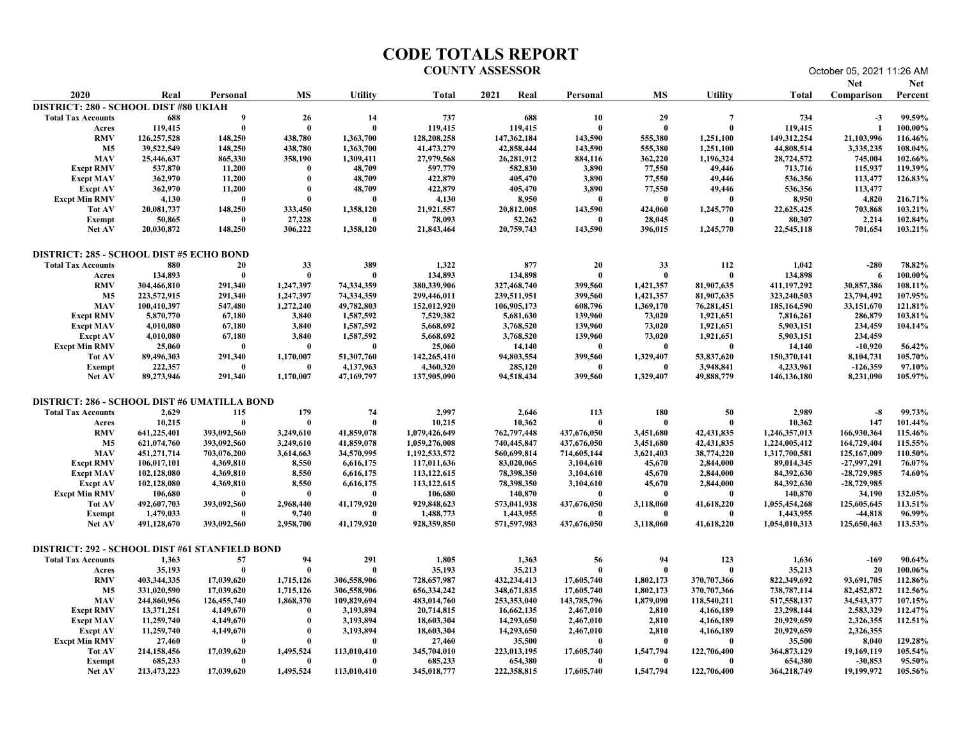| 2020<br><b>MS</b><br><b>Utility</b><br>MS<br><b>Utility</b><br>Real<br>Personal<br>2021<br>Real<br>Personal<br>Total<br>Total<br><b>Comparison</b> Percent<br>DISTRICT: 280 - SCHOOL DIST #80 UKIAH<br>688<br>737<br>688<br>29<br>99.59%<br><b>Total Tax Accounts</b><br>26<br>14<br>10<br>$\overline{7}$<br>734<br>$-3$<br>- 9<br>119,415<br>$\bf{0}$<br>119,415<br>119,415<br>$\theta$<br>$\mathbf{0}$<br>119,415<br>100.00%<br>$\mathbf{0}$<br>$\theta$<br>Acres<br>438,780<br>1,363,700<br>143,590<br><b>RMV</b><br>126,257,528<br>148,250<br>128,208,258<br>147,362,184<br>555,380<br>1,251,100<br>149, 312, 254<br>21,103,996<br>116.46%<br><b>M5</b><br>39,522,549<br>148,250<br>438,780<br>1,363,700<br>41, 473, 279<br>42,858,444<br>143,590<br>555,380<br>1,251,100<br>44,808,514<br>3,335,235<br>108.04%<br><b>MAV</b><br>865,330<br>25,446,637<br>358,190<br>1,309,411<br>27,979,568<br>26,281,912<br>884,116<br>362,220<br>1,196,324<br>28,724,572<br>745,004<br>102.66%<br><b>Excpt RMV</b><br>537,870<br>11,200<br>597,779<br>582,830<br>3,890<br>77,550<br>49,446<br>713,716<br>115,937<br>119.39%<br>- 0<br>48,709<br>77,550<br>126.83%<br><b>Excpt MAV</b><br>362,970<br>11,200<br>- 0<br>48,709<br>422,879<br>405,470<br>3,890<br>536,356<br>113,477<br>49,446<br><b>Excpt AV</b><br>362,970<br>11,200<br>$\overline{\mathbf{0}}$<br>48,709<br>422,879<br>405,470<br>3,890<br>77,550<br>536,356<br>113,477<br>49,446<br>8,950<br>216.71%<br><b>Excpt Min RMV</b><br>4,130<br>- 0<br>4,130<br>8,950<br>4,820<br>-0<br>- 0<br>-0<br>148,250<br>333,450<br>1,358,120<br>143,590<br>1,245,770<br>103.21%<br>Tot AV<br>20,081,737<br>21,921,557<br>20,812,005<br>424,060<br>22,625,425<br>703,868<br>50,865<br>27,228<br>78,093<br>52,262<br>28,045<br>80,307<br>2,214<br>102.84%<br>$\mathbf{0}$<br>- 0<br>- 0<br>Exempt<br>20,030,872<br>148,250<br>306,222<br>1,358,120<br>143,590<br>396,015<br>1,245,770<br>103.21%<br>Net AV<br>21,843,464<br>20,759,743<br>22,545,118<br>701,654<br>DISTRICT: 285 - SCHOOL DIST #5 ECHO BOND<br>33<br>389<br>1,322<br>877<br>20<br>33<br>112<br>$-280$<br>78.82%<br>880<br>20<br>1,042<br><b>Total Tax Accounts</b><br>$\overline{\mathbf{0}}$<br>$\theta$<br>134,893<br>134,893<br>134,898<br>134,898<br>100.00%<br>- 0<br>$\mathbf{0}$<br>$\mathbf{0}$<br>- 0<br>Acres<br>- 6<br>1,247,397<br><b>RMV</b><br>304,466,810<br>291,340<br>74,334,359<br>380,339,906<br>327,468,740<br>399,560<br>1,421,357<br>81,907,635<br>411,197,292<br>30,857,386<br>108.11%<br><b>M5</b><br>223,572,915<br>291,340<br>1,247,397<br>74,334,359<br>239,511,951<br>399,560<br>1,421,357<br>81,907,635<br>323,240,503<br>23,794,492<br>107.95%<br>299,446,011<br>1,272,240<br>49,782,803<br>608,796<br>1,369,170<br><b>MAV</b><br>100,410,397<br>547,480<br>152,012,920<br>106,905,173<br>76,281,451<br>185,164,590<br>33,151,670<br>121.81%<br><b>Excpt RMV</b><br>5,870,770<br>67,180<br>3,840<br>1,587,592<br>7,529,382<br>5,681,630<br>139,960<br>73,020<br>1,921,651<br>286,879<br>103.81%<br>7,816,261<br><b>Excpt MAV</b><br>4,010,080<br>67,180<br>3,840<br>1,587,592<br>5,668,692<br>3,768,520<br>139,960<br>73,020<br>1,921,651<br>5,903,151<br>234,459<br>104.14%<br>1,587,592<br><b>Excpt AV</b><br>4,010,080<br>67,180<br>3,840<br>5,668,692<br>3,768,520<br>139,960<br>73,020<br>1,921,651<br>5,903,151<br>234,459<br>56.42%<br><b>Excpt Min RMV</b><br>25,060<br>25,060<br>14,140<br>$-10,920$<br>- 0<br>$\mathbf{0}$<br>- 0<br>$\mathbf{0}$<br>- 0<br>14,140<br>Tot AV<br>89,496,303<br>291,340<br>1,170,007<br>51,307,760<br>142,265,410<br>94,803,554<br>399,560<br>1,329,407<br>53,837,620<br>150,370,141<br>8,104,731<br>105.70%<br>222,357<br>4,137,963<br>4,360,320<br>4,233,961<br>$-126,359$<br>97.10%<br>285,120<br>- 0<br>3,948,841<br>Exempt<br>- 0<br>291,340<br>1,170,007<br>399,560<br>1,329,407<br>105.97%<br>Net AV<br>89,273,946<br>47,169,797<br>137,905,090<br>94,518,434<br>49,888,779<br>146,136,180<br>8,231,090<br>DISTRICT: 286 - SCHOOL DIST #6 UMATILLA BOND<br>$-8$<br>99.73%<br>2,629<br>115<br>179<br>74<br>2,997<br>2,646<br>113<br>180<br>50<br>2,989<br><b>Total Tax Accounts</b><br>10,362<br>10,215<br>10,362<br>147<br>10,215<br>- 0<br>101.44%<br>- 0<br>$\mathbf{0}$<br>$\Omega$<br>$\mathbf{0}$<br>Acres<br><b>RMV</b><br>641,225,401<br>393,092,560<br>3,249,610<br>41,859,078<br>1,079,426,649<br>762,797,448<br>437,676,050<br>42, 431, 835<br>1,246,357,013<br>166,930,364<br>115.46%<br>3,451,680<br><b>M5</b><br>621,074,760<br>393,092,560<br>41,859,078<br>1,059,276,008<br>437,676,050<br>164,729,404<br>115.55%<br>3,249,610<br>740,445,847<br>3,451,680<br>42, 431, 835<br>1,224,005,412<br>MAV<br>110.50%<br>703,076,200<br>34,570,995<br>1,192,533,572<br>560,699,814<br>714,605,144<br>38,774,220<br>1,317,700,581<br>125,167,009<br>451,271,714<br>3,614,663<br>3,621,403<br><b>Excpt RMV</b><br>106,017,101<br>4,369,810<br>8,550<br>6,616,175<br>117,011,636<br>83,020,065<br>3,104,610<br>45,670<br>2,844,000<br>89,014,345<br>-27,997,291<br>76.07%<br><b>Excpt MAV</b><br>102,128,080<br>8,550<br>6,616,175<br>113, 122, 615<br>78,398,350<br>3,104,610<br>45,670<br>84,392,630<br>-28,729,985<br>74.60%<br>4,369,810<br>2,844,000<br>8,550<br>6,616,175<br>113, 122, 615<br>78,398,350<br>3,104,610<br>45,670<br>2,844,000<br>84,392,630<br>-28,729,985<br><b>Excpt AV</b><br>102,128,080<br>4,369,810<br>106,680<br>140,870<br>140,870<br>34,190<br>132.05%<br><b>Excpt Min RMV</b><br>106,680<br>- 0<br>$\mathbf{0}$<br>- 0<br>- 0<br>113.51%<br>Tot AV<br>492,607,703<br>393,092,560<br>2,968,440<br>41,179,920<br>929,848,623<br>573,041,938<br>437,676,050<br>3,118,060<br>41,618,220<br>1,055,454,268<br>125,605,645<br>96.99%<br>1,479,033<br>9,740<br>1,488,773<br>1,443,955<br>1,443,955<br>$-44,818$<br><b>Exempt</b><br>$\mathbf{0}$<br>- 0<br>$\mathbf{0}$<br>41,179,920<br>928,359,850<br>437,676,050<br>41,618,220<br>113.53%<br>Net AV<br>491,128,670<br>393,092,560<br>2,958,700<br>571,597,983<br>3,118,060<br>1,054,010,313<br>125,650,463<br>DISTRICT: 292 - SCHOOL DIST #61 STANFIELD BOND<br>1,363<br>57<br>94<br>291<br>1,805<br>1,363<br>56<br>94<br>123<br>1,636<br>-169<br>90.64%<br><b>Total Tax Accounts</b><br>$\mathbf{0}$<br>$\overline{0}$<br>35,213<br>35,213<br>35,193<br>$\mathbf{0}$<br>35,193<br>$\mathbf{0}$<br>- 0<br>20<br>100.06%<br>Acres<br><b>RMV</b><br>403,344,335<br>17,039,620<br>1,715,126<br>306,558,906<br>728,657,987<br>432,234,413<br>17,605,740<br>1,802,173<br>370,707,366<br>822,349,692<br>93,691,705<br>112.86%<br><b>M5</b><br>331,020,590<br>306,558,906<br>656,334,242<br>348,671,835<br>1,802,173<br>370,707,366<br>82,452,872<br>112.56%<br>17,039,620<br>1,715,126<br>17,605,740<br>738,787,114<br><b>MAV</b><br>244,860,956<br>126,455,740<br>1,868,370<br>109,829,694<br>483,014,760<br>253,353,040<br>143,785,796<br>1,879,090<br>118,540,211<br>517, 558, 137<br>34,543,377<br>107.15%<br>2,583,329<br>112.47%<br><b>Excpt RMV</b><br>13,371,251<br>4,149,670<br>3,193,894<br>20,714,815<br>16,662,135<br>2,467,010<br>2,810<br>4,166,189<br>23,298,144<br>- 0<br>112.51%<br><b>Excpt MAV</b><br>11,259,740<br>- 0<br>3,193,894<br>18,603,304<br>14,293,650<br>2,467,010<br>2,810<br>4,166,189<br>20,929,659<br>2,326,355<br>4,149,670<br>3,193,894<br>18,603,304<br>14,293,650<br>2,467,010<br>2,810<br>4,166,189<br>20,929,659<br>2,326,355<br><b>Excpt AV</b><br>11,259,740<br>4,149,670<br>35,500<br>129.28%<br><b>Excpt Min RMV</b><br>27,460<br>35,500<br>8,040<br>27,460<br>- 0<br>-0<br>-0<br>105.54%<br>Tot AV<br>214,158,456<br>1,495,524<br>113,010,410<br>345,704,010<br>223,013,195<br>17,605,740<br>1,547,794<br>122,706,400<br>364,873,129<br>19,169,119<br>17,039,620<br>654,380<br>654,380<br>$-30,853$<br>95.50%<br>Exempt<br>685,233<br>685,233<br>- 0<br>- 0<br>-0<br>- 0<br>222,358,815<br>17,605,740<br>1,547,794<br>122,706,400<br>Net AV<br>213,473,223<br>17,039,620<br>1,495,524<br>113,010,410<br>345,018,777<br>364,218,749<br>19,199,972<br>105.56% |  |  |  | <b>CODE TOTALS REPORT</b><br><b>COUNTY ASSESSOR</b> |  |  | October 05, 2021 11:26 AM |            |
|---------------------------------------------------------------------------------------------------------------------------------------------------------------------------------------------------------------------------------------------------------------------------------------------------------------------------------------------------------------------------------------------------------------------------------------------------------------------------------------------------------------------------------------------------------------------------------------------------------------------------------------------------------------------------------------------------------------------------------------------------------------------------------------------------------------------------------------------------------------------------------------------------------------------------------------------------------------------------------------------------------------------------------------------------------------------------------------------------------------------------------------------------------------------------------------------------------------------------------------------------------------------------------------------------------------------------------------------------------------------------------------------------------------------------------------------------------------------------------------------------------------------------------------------------------------------------------------------------------------------------------------------------------------------------------------------------------------------------------------------------------------------------------------------------------------------------------------------------------------------------------------------------------------------------------------------------------------------------------------------------------------------------------------------------------------------------------------------------------------------------------------------------------------------------------------------------------------------------------------------------------------------------------------------------------------------------------------------------------------------------------------------------------------------------------------------------------------------------------------------------------------------------------------------------------------------------------------------------------------------------------------------------------------------------------------------------------------------------------------------------------------------------------------------------------------------------------------------------------------------------------------------------------------------------------------------------------------------------------------------------------------------------------------------------------------------------------------------------------------------------------------------------------------------------------------------------------------------------------------------------------------------------------------------------------------------------------------------------------------------------------------------------------------------------------------------------------------------------------------------------------------------------------------------------------------------------------------------------------------------------------------------------------------------------------------------------------------------------------------------------------------------------------------------------------------------------------------------------------------------------------------------------------------------------------------------------------------------------------------------------------------------------------------------------------------------------------------------------------------------------------------------------------------------------------------------------------------------------------------------------------------------------------------------------------------------------------------------------------------------------------------------------------------------------------------------------------------------------------------------------------------------------------------------------------------------------------------------------------------------------------------------------------------------------------------------------------------------------------------------------------------------------------------------------------------------------------------------------------------------------------------------------------------------------------------------------------------------------------------------------------------------------------------------------------------------------------------------------------------------------------------------------------------------------------------------------------------------------------------------------------------------------------------------------------------------------------------------------------------------------------------------------------------------------------------------------------------------------------------------------------------------------------------------------------------------------------------------------------------------------------------------------------------------------------------------------------------------------------------------------------------------------------------------------------------------------------------------------------------------------------------------------------------------------------------------------------------------------------------------------------------------------------------------------------------------------------------------------------------------------------------------------------------------------------------------------------------------------------------------------------------------------------------------------------------------------------------------------------------------------------------------------------------------------------------------------------------------------------------------------------------------------------------------------------------------------------------------------------------------------------------------------------------------------------------------------------------------------------------------------------------------------------------------------------------------------------------------------------------------------------------------------------------------------------------------------------------------------------------------------------------------------------------------------------------------------------------------------------------------------------------------------------------------------------------------------------------------------------------------------------------------------------------------------------------------------------------------------------------------------------------------------------------------------------------------------------------------------------------------------------------------------------------------------------------------------------------------------------------------------------------------------------------------------------------------------------------------------------------------------------------------------------------------------------------------------------------------------------------------------------------------------------------------------------------------------------------------------------------------------------------------------------------------------------------------|--|--|--|-----------------------------------------------------|--|--|---------------------------|------------|
|                                                                                                                                                                                                                                                                                                                                                                                                                                                                                                                                                                                                                                                                                                                                                                                                                                                                                                                                                                                                                                                                                                                                                                                                                                                                                                                                                                                                                                                                                                                                                                                                                                                                                                                                                                                                                                                                                                                                                                                                                                                                                                                                                                                                                                                                                                                                                                                                                                                                                                                                                                                                                                                                                                                                                                                                                                                                                                                                                                                                                                                                                                                                                                                                                                                                                                                                                                                                                                                                                                                                                                                                                                                                                                                                                                                                                                                                                                                                                                                                                                                                                                                                                                                                                                                                                                                                                                                                                                                                                                                                                                                                                                                                                                                                                                                                                                                                                                                                                                                                                                                                                                                                                                                                                                                                                                                                                                                                                                                                                                                                                                                                                                                                                                                                                                                                                                                                                                                                                                                                                                                                                                                                                                                                                                                                                                                                                                                                                                                                                                                                                                                                                                                                                                                                                                                                                                                                                                                                                                                                                                                                                                                                                                                                                                                                                                                                                                                                                                                                                                                                                                                                                                                                                                                                                                                                                                                                                                                                                                                                                                                                     |  |  |  |                                                     |  |  | <b>Net</b>                | <b>Net</b> |
|                                                                                                                                                                                                                                                                                                                                                                                                                                                                                                                                                                                                                                                                                                                                                                                                                                                                                                                                                                                                                                                                                                                                                                                                                                                                                                                                                                                                                                                                                                                                                                                                                                                                                                                                                                                                                                                                                                                                                                                                                                                                                                                                                                                                                                                                                                                                                                                                                                                                                                                                                                                                                                                                                                                                                                                                                                                                                                                                                                                                                                                                                                                                                                                                                                                                                                                                                                                                                                                                                                                                                                                                                                                                                                                                                                                                                                                                                                                                                                                                                                                                                                                                                                                                                                                                                                                                                                                                                                                                                                                                                                                                                                                                                                                                                                                                                                                                                                                                                                                                                                                                                                                                                                                                                                                                                                                                                                                                                                                                                                                                                                                                                                                                                                                                                                                                                                                                                                                                                                                                                                                                                                                                                                                                                                                                                                                                                                                                                                                                                                                                                                                                                                                                                                                                                                                                                                                                                                                                                                                                                                                                                                                                                                                                                                                                                                                                                                                                                                                                                                                                                                                                                                                                                                                                                                                                                                                                                                                                                                                                                                                                     |  |  |  |                                                     |  |  |                           |            |
|                                                                                                                                                                                                                                                                                                                                                                                                                                                                                                                                                                                                                                                                                                                                                                                                                                                                                                                                                                                                                                                                                                                                                                                                                                                                                                                                                                                                                                                                                                                                                                                                                                                                                                                                                                                                                                                                                                                                                                                                                                                                                                                                                                                                                                                                                                                                                                                                                                                                                                                                                                                                                                                                                                                                                                                                                                                                                                                                                                                                                                                                                                                                                                                                                                                                                                                                                                                                                                                                                                                                                                                                                                                                                                                                                                                                                                                                                                                                                                                                                                                                                                                                                                                                                                                                                                                                                                                                                                                                                                                                                                                                                                                                                                                                                                                                                                                                                                                                                                                                                                                                                                                                                                                                                                                                                                                                                                                                                                                                                                                                                                                                                                                                                                                                                                                                                                                                                                                                                                                                                                                                                                                                                                                                                                                                                                                                                                                                                                                                                                                                                                                                                                                                                                                                                                                                                                                                                                                                                                                                                                                                                                                                                                                                                                                                                                                                                                                                                                                                                                                                                                                                                                                                                                                                                                                                                                                                                                                                                                                                                                                                     |  |  |  |                                                     |  |  |                           |            |
|                                                                                                                                                                                                                                                                                                                                                                                                                                                                                                                                                                                                                                                                                                                                                                                                                                                                                                                                                                                                                                                                                                                                                                                                                                                                                                                                                                                                                                                                                                                                                                                                                                                                                                                                                                                                                                                                                                                                                                                                                                                                                                                                                                                                                                                                                                                                                                                                                                                                                                                                                                                                                                                                                                                                                                                                                                                                                                                                                                                                                                                                                                                                                                                                                                                                                                                                                                                                                                                                                                                                                                                                                                                                                                                                                                                                                                                                                                                                                                                                                                                                                                                                                                                                                                                                                                                                                                                                                                                                                                                                                                                                                                                                                                                                                                                                                                                                                                                                                                                                                                                                                                                                                                                                                                                                                                                                                                                                                                                                                                                                                                                                                                                                                                                                                                                                                                                                                                                                                                                                                                                                                                                                                                                                                                                                                                                                                                                                                                                                                                                                                                                                                                                                                                                                                                                                                                                                                                                                                                                                                                                                                                                                                                                                                                                                                                                                                                                                                                                                                                                                                                                                                                                                                                                                                                                                                                                                                                                                                                                                                                                                     |  |  |  |                                                     |  |  |                           |            |
|                                                                                                                                                                                                                                                                                                                                                                                                                                                                                                                                                                                                                                                                                                                                                                                                                                                                                                                                                                                                                                                                                                                                                                                                                                                                                                                                                                                                                                                                                                                                                                                                                                                                                                                                                                                                                                                                                                                                                                                                                                                                                                                                                                                                                                                                                                                                                                                                                                                                                                                                                                                                                                                                                                                                                                                                                                                                                                                                                                                                                                                                                                                                                                                                                                                                                                                                                                                                                                                                                                                                                                                                                                                                                                                                                                                                                                                                                                                                                                                                                                                                                                                                                                                                                                                                                                                                                                                                                                                                                                                                                                                                                                                                                                                                                                                                                                                                                                                                                                                                                                                                                                                                                                                                                                                                                                                                                                                                                                                                                                                                                                                                                                                                                                                                                                                                                                                                                                                                                                                                                                                                                                                                                                                                                                                                                                                                                                                                                                                                                                                                                                                                                                                                                                                                                                                                                                                                                                                                                                                                                                                                                                                                                                                                                                                                                                                                                                                                                                                                                                                                                                                                                                                                                                                                                                                                                                                                                                                                                                                                                                                                     |  |  |  |                                                     |  |  |                           |            |
|                                                                                                                                                                                                                                                                                                                                                                                                                                                                                                                                                                                                                                                                                                                                                                                                                                                                                                                                                                                                                                                                                                                                                                                                                                                                                                                                                                                                                                                                                                                                                                                                                                                                                                                                                                                                                                                                                                                                                                                                                                                                                                                                                                                                                                                                                                                                                                                                                                                                                                                                                                                                                                                                                                                                                                                                                                                                                                                                                                                                                                                                                                                                                                                                                                                                                                                                                                                                                                                                                                                                                                                                                                                                                                                                                                                                                                                                                                                                                                                                                                                                                                                                                                                                                                                                                                                                                                                                                                                                                                                                                                                                                                                                                                                                                                                                                                                                                                                                                                                                                                                                                                                                                                                                                                                                                                                                                                                                                                                                                                                                                                                                                                                                                                                                                                                                                                                                                                                                                                                                                                                                                                                                                                                                                                                                                                                                                                                                                                                                                                                                                                                                                                                                                                                                                                                                                                                                                                                                                                                                                                                                                                                                                                                                                                                                                                                                                                                                                                                                                                                                                                                                                                                                                                                                                                                                                                                                                                                                                                                                                                                                     |  |  |  |                                                     |  |  |                           |            |
|                                                                                                                                                                                                                                                                                                                                                                                                                                                                                                                                                                                                                                                                                                                                                                                                                                                                                                                                                                                                                                                                                                                                                                                                                                                                                                                                                                                                                                                                                                                                                                                                                                                                                                                                                                                                                                                                                                                                                                                                                                                                                                                                                                                                                                                                                                                                                                                                                                                                                                                                                                                                                                                                                                                                                                                                                                                                                                                                                                                                                                                                                                                                                                                                                                                                                                                                                                                                                                                                                                                                                                                                                                                                                                                                                                                                                                                                                                                                                                                                                                                                                                                                                                                                                                                                                                                                                                                                                                                                                                                                                                                                                                                                                                                                                                                                                                                                                                                                                                                                                                                                                                                                                                                                                                                                                                                                                                                                                                                                                                                                                                                                                                                                                                                                                                                                                                                                                                                                                                                                                                                                                                                                                                                                                                                                                                                                                                                                                                                                                                                                                                                                                                                                                                                                                                                                                                                                                                                                                                                                                                                                                                                                                                                                                                                                                                                                                                                                                                                                                                                                                                                                                                                                                                                                                                                                                                                                                                                                                                                                                                                                     |  |  |  |                                                     |  |  |                           |            |
|                                                                                                                                                                                                                                                                                                                                                                                                                                                                                                                                                                                                                                                                                                                                                                                                                                                                                                                                                                                                                                                                                                                                                                                                                                                                                                                                                                                                                                                                                                                                                                                                                                                                                                                                                                                                                                                                                                                                                                                                                                                                                                                                                                                                                                                                                                                                                                                                                                                                                                                                                                                                                                                                                                                                                                                                                                                                                                                                                                                                                                                                                                                                                                                                                                                                                                                                                                                                                                                                                                                                                                                                                                                                                                                                                                                                                                                                                                                                                                                                                                                                                                                                                                                                                                                                                                                                                                                                                                                                                                                                                                                                                                                                                                                                                                                                                                                                                                                                                                                                                                                                                                                                                                                                                                                                                                                                                                                                                                                                                                                                                                                                                                                                                                                                                                                                                                                                                                                                                                                                                                                                                                                                                                                                                                                                                                                                                                                                                                                                                                                                                                                                                                                                                                                                                                                                                                                                                                                                                                                                                                                                                                                                                                                                                                                                                                                                                                                                                                                                                                                                                                                                                                                                                                                                                                                                                                                                                                                                                                                                                                                                     |  |  |  |                                                     |  |  |                           |            |
|                                                                                                                                                                                                                                                                                                                                                                                                                                                                                                                                                                                                                                                                                                                                                                                                                                                                                                                                                                                                                                                                                                                                                                                                                                                                                                                                                                                                                                                                                                                                                                                                                                                                                                                                                                                                                                                                                                                                                                                                                                                                                                                                                                                                                                                                                                                                                                                                                                                                                                                                                                                                                                                                                                                                                                                                                                                                                                                                                                                                                                                                                                                                                                                                                                                                                                                                                                                                                                                                                                                                                                                                                                                                                                                                                                                                                                                                                                                                                                                                                                                                                                                                                                                                                                                                                                                                                                                                                                                                                                                                                                                                                                                                                                                                                                                                                                                                                                                                                                                                                                                                                                                                                                                                                                                                                                                                                                                                                                                                                                                                                                                                                                                                                                                                                                                                                                                                                                                                                                                                                                                                                                                                                                                                                                                                                                                                                                                                                                                                                                                                                                                                                                                                                                                                                                                                                                                                                                                                                                                                                                                                                                                                                                                                                                                                                                                                                                                                                                                                                                                                                                                                                                                                                                                                                                                                                                                                                                                                                                                                                                                                     |  |  |  |                                                     |  |  |                           |            |
|                                                                                                                                                                                                                                                                                                                                                                                                                                                                                                                                                                                                                                                                                                                                                                                                                                                                                                                                                                                                                                                                                                                                                                                                                                                                                                                                                                                                                                                                                                                                                                                                                                                                                                                                                                                                                                                                                                                                                                                                                                                                                                                                                                                                                                                                                                                                                                                                                                                                                                                                                                                                                                                                                                                                                                                                                                                                                                                                                                                                                                                                                                                                                                                                                                                                                                                                                                                                                                                                                                                                                                                                                                                                                                                                                                                                                                                                                                                                                                                                                                                                                                                                                                                                                                                                                                                                                                                                                                                                                                                                                                                                                                                                                                                                                                                                                                                                                                                                                                                                                                                                                                                                                                                                                                                                                                                                                                                                                                                                                                                                                                                                                                                                                                                                                                                                                                                                                                                                                                                                                                                                                                                                                                                                                                                                                                                                                                                                                                                                                                                                                                                                                                                                                                                                                                                                                                                                                                                                                                                                                                                                                                                                                                                                                                                                                                                                                                                                                                                                                                                                                                                                                                                                                                                                                                                                                                                                                                                                                                                                                                                                     |  |  |  |                                                     |  |  |                           |            |
|                                                                                                                                                                                                                                                                                                                                                                                                                                                                                                                                                                                                                                                                                                                                                                                                                                                                                                                                                                                                                                                                                                                                                                                                                                                                                                                                                                                                                                                                                                                                                                                                                                                                                                                                                                                                                                                                                                                                                                                                                                                                                                                                                                                                                                                                                                                                                                                                                                                                                                                                                                                                                                                                                                                                                                                                                                                                                                                                                                                                                                                                                                                                                                                                                                                                                                                                                                                                                                                                                                                                                                                                                                                                                                                                                                                                                                                                                                                                                                                                                                                                                                                                                                                                                                                                                                                                                                                                                                                                                                                                                                                                                                                                                                                                                                                                                                                                                                                                                                                                                                                                                                                                                                                                                                                                                                                                                                                                                                                                                                                                                                                                                                                                                                                                                                                                                                                                                                                                                                                                                                                                                                                                                                                                                                                                                                                                                                                                                                                                                                                                                                                                                                                                                                                                                                                                                                                                                                                                                                                                                                                                                                                                                                                                                                                                                                                                                                                                                                                                                                                                                                                                                                                                                                                                                                                                                                                                                                                                                                                                                                                                     |  |  |  |                                                     |  |  |                           |            |
|                                                                                                                                                                                                                                                                                                                                                                                                                                                                                                                                                                                                                                                                                                                                                                                                                                                                                                                                                                                                                                                                                                                                                                                                                                                                                                                                                                                                                                                                                                                                                                                                                                                                                                                                                                                                                                                                                                                                                                                                                                                                                                                                                                                                                                                                                                                                                                                                                                                                                                                                                                                                                                                                                                                                                                                                                                                                                                                                                                                                                                                                                                                                                                                                                                                                                                                                                                                                                                                                                                                                                                                                                                                                                                                                                                                                                                                                                                                                                                                                                                                                                                                                                                                                                                                                                                                                                                                                                                                                                                                                                                                                                                                                                                                                                                                                                                                                                                                                                                                                                                                                                                                                                                                                                                                                                                                                                                                                                                                                                                                                                                                                                                                                                                                                                                                                                                                                                                                                                                                                                                                                                                                                                                                                                                                                                                                                                                                                                                                                                                                                                                                                                                                                                                                                                                                                                                                                                                                                                                                                                                                                                                                                                                                                                                                                                                                                                                                                                                                                                                                                                                                                                                                                                                                                                                                                                                                                                                                                                                                                                                                                     |  |  |  |                                                     |  |  |                           |            |
|                                                                                                                                                                                                                                                                                                                                                                                                                                                                                                                                                                                                                                                                                                                                                                                                                                                                                                                                                                                                                                                                                                                                                                                                                                                                                                                                                                                                                                                                                                                                                                                                                                                                                                                                                                                                                                                                                                                                                                                                                                                                                                                                                                                                                                                                                                                                                                                                                                                                                                                                                                                                                                                                                                                                                                                                                                                                                                                                                                                                                                                                                                                                                                                                                                                                                                                                                                                                                                                                                                                                                                                                                                                                                                                                                                                                                                                                                                                                                                                                                                                                                                                                                                                                                                                                                                                                                                                                                                                                                                                                                                                                                                                                                                                                                                                                                                                                                                                                                                                                                                                                                                                                                                                                                                                                                                                                                                                                                                                                                                                                                                                                                                                                                                                                                                                                                                                                                                                                                                                                                                                                                                                                                                                                                                                                                                                                                                                                                                                                                                                                                                                                                                                                                                                                                                                                                                                                                                                                                                                                                                                                                                                                                                                                                                                                                                                                                                                                                                                                                                                                                                                                                                                                                                                                                                                                                                                                                                                                                                                                                                                                     |  |  |  |                                                     |  |  |                           |            |
|                                                                                                                                                                                                                                                                                                                                                                                                                                                                                                                                                                                                                                                                                                                                                                                                                                                                                                                                                                                                                                                                                                                                                                                                                                                                                                                                                                                                                                                                                                                                                                                                                                                                                                                                                                                                                                                                                                                                                                                                                                                                                                                                                                                                                                                                                                                                                                                                                                                                                                                                                                                                                                                                                                                                                                                                                                                                                                                                                                                                                                                                                                                                                                                                                                                                                                                                                                                                                                                                                                                                                                                                                                                                                                                                                                                                                                                                                                                                                                                                                                                                                                                                                                                                                                                                                                                                                                                                                                                                                                                                                                                                                                                                                                                                                                                                                                                                                                                                                                                                                                                                                                                                                                                                                                                                                                                                                                                                                                                                                                                                                                                                                                                                                                                                                                                                                                                                                                                                                                                                                                                                                                                                                                                                                                                                                                                                                                                                                                                                                                                                                                                                                                                                                                                                                                                                                                                                                                                                                                                                                                                                                                                                                                                                                                                                                                                                                                                                                                                                                                                                                                                                                                                                                                                                                                                                                                                                                                                                                                                                                                                                     |  |  |  |                                                     |  |  |                           |            |
|                                                                                                                                                                                                                                                                                                                                                                                                                                                                                                                                                                                                                                                                                                                                                                                                                                                                                                                                                                                                                                                                                                                                                                                                                                                                                                                                                                                                                                                                                                                                                                                                                                                                                                                                                                                                                                                                                                                                                                                                                                                                                                                                                                                                                                                                                                                                                                                                                                                                                                                                                                                                                                                                                                                                                                                                                                                                                                                                                                                                                                                                                                                                                                                                                                                                                                                                                                                                                                                                                                                                                                                                                                                                                                                                                                                                                                                                                                                                                                                                                                                                                                                                                                                                                                                                                                                                                                                                                                                                                                                                                                                                                                                                                                                                                                                                                                                                                                                                                                                                                                                                                                                                                                                                                                                                                                                                                                                                                                                                                                                                                                                                                                                                                                                                                                                                                                                                                                                                                                                                                                                                                                                                                                                                                                                                                                                                                                                                                                                                                                                                                                                                                                                                                                                                                                                                                                                                                                                                                                                                                                                                                                                                                                                                                                                                                                                                                                                                                                                                                                                                                                                                                                                                                                                                                                                                                                                                                                                                                                                                                                                                     |  |  |  |                                                     |  |  |                           |            |
|                                                                                                                                                                                                                                                                                                                                                                                                                                                                                                                                                                                                                                                                                                                                                                                                                                                                                                                                                                                                                                                                                                                                                                                                                                                                                                                                                                                                                                                                                                                                                                                                                                                                                                                                                                                                                                                                                                                                                                                                                                                                                                                                                                                                                                                                                                                                                                                                                                                                                                                                                                                                                                                                                                                                                                                                                                                                                                                                                                                                                                                                                                                                                                                                                                                                                                                                                                                                                                                                                                                                                                                                                                                                                                                                                                                                                                                                                                                                                                                                                                                                                                                                                                                                                                                                                                                                                                                                                                                                                                                                                                                                                                                                                                                                                                                                                                                                                                                                                                                                                                                                                                                                                                                                                                                                                                                                                                                                                                                                                                                                                                                                                                                                                                                                                                                                                                                                                                                                                                                                                                                                                                                                                                                                                                                                                                                                                                                                                                                                                                                                                                                                                                                                                                                                                                                                                                                                                                                                                                                                                                                                                                                                                                                                                                                                                                                                                                                                                                                                                                                                                                                                                                                                                                                                                                                                                                                                                                                                                                                                                                                                     |  |  |  |                                                     |  |  |                           |            |
|                                                                                                                                                                                                                                                                                                                                                                                                                                                                                                                                                                                                                                                                                                                                                                                                                                                                                                                                                                                                                                                                                                                                                                                                                                                                                                                                                                                                                                                                                                                                                                                                                                                                                                                                                                                                                                                                                                                                                                                                                                                                                                                                                                                                                                                                                                                                                                                                                                                                                                                                                                                                                                                                                                                                                                                                                                                                                                                                                                                                                                                                                                                                                                                                                                                                                                                                                                                                                                                                                                                                                                                                                                                                                                                                                                                                                                                                                                                                                                                                                                                                                                                                                                                                                                                                                                                                                                                                                                                                                                                                                                                                                                                                                                                                                                                                                                                                                                                                                                                                                                                                                                                                                                                                                                                                                                                                                                                                                                                                                                                                                                                                                                                                                                                                                                                                                                                                                                                                                                                                                                                                                                                                                                                                                                                                                                                                                                                                                                                                                                                                                                                                                                                                                                                                                                                                                                                                                                                                                                                                                                                                                                                                                                                                                                                                                                                                                                                                                                                                                                                                                                                                                                                                                                                                                                                                                                                                                                                                                                                                                                                                     |  |  |  |                                                     |  |  |                           |            |
|                                                                                                                                                                                                                                                                                                                                                                                                                                                                                                                                                                                                                                                                                                                                                                                                                                                                                                                                                                                                                                                                                                                                                                                                                                                                                                                                                                                                                                                                                                                                                                                                                                                                                                                                                                                                                                                                                                                                                                                                                                                                                                                                                                                                                                                                                                                                                                                                                                                                                                                                                                                                                                                                                                                                                                                                                                                                                                                                                                                                                                                                                                                                                                                                                                                                                                                                                                                                                                                                                                                                                                                                                                                                                                                                                                                                                                                                                                                                                                                                                                                                                                                                                                                                                                                                                                                                                                                                                                                                                                                                                                                                                                                                                                                                                                                                                                                                                                                                                                                                                                                                                                                                                                                                                                                                                                                                                                                                                                                                                                                                                                                                                                                                                                                                                                                                                                                                                                                                                                                                                                                                                                                                                                                                                                                                                                                                                                                                                                                                                                                                                                                                                                                                                                                                                                                                                                                                                                                                                                                                                                                                                                                                                                                                                                                                                                                                                                                                                                                                                                                                                                                                                                                                                                                                                                                                                                                                                                                                                                                                                                                                     |  |  |  |                                                     |  |  |                           |            |
|                                                                                                                                                                                                                                                                                                                                                                                                                                                                                                                                                                                                                                                                                                                                                                                                                                                                                                                                                                                                                                                                                                                                                                                                                                                                                                                                                                                                                                                                                                                                                                                                                                                                                                                                                                                                                                                                                                                                                                                                                                                                                                                                                                                                                                                                                                                                                                                                                                                                                                                                                                                                                                                                                                                                                                                                                                                                                                                                                                                                                                                                                                                                                                                                                                                                                                                                                                                                                                                                                                                                                                                                                                                                                                                                                                                                                                                                                                                                                                                                                                                                                                                                                                                                                                                                                                                                                                                                                                                                                                                                                                                                                                                                                                                                                                                                                                                                                                                                                                                                                                                                                                                                                                                                                                                                                                                                                                                                                                                                                                                                                                                                                                                                                                                                                                                                                                                                                                                                                                                                                                                                                                                                                                                                                                                                                                                                                                                                                                                                                                                                                                                                                                                                                                                                                                                                                                                                                                                                                                                                                                                                                                                                                                                                                                                                                                                                                                                                                                                                                                                                                                                                                                                                                                                                                                                                                                                                                                                                                                                                                                                                     |  |  |  |                                                     |  |  |                           |            |
|                                                                                                                                                                                                                                                                                                                                                                                                                                                                                                                                                                                                                                                                                                                                                                                                                                                                                                                                                                                                                                                                                                                                                                                                                                                                                                                                                                                                                                                                                                                                                                                                                                                                                                                                                                                                                                                                                                                                                                                                                                                                                                                                                                                                                                                                                                                                                                                                                                                                                                                                                                                                                                                                                                                                                                                                                                                                                                                                                                                                                                                                                                                                                                                                                                                                                                                                                                                                                                                                                                                                                                                                                                                                                                                                                                                                                                                                                                                                                                                                                                                                                                                                                                                                                                                                                                                                                                                                                                                                                                                                                                                                                                                                                                                                                                                                                                                                                                                                                                                                                                                                                                                                                                                                                                                                                                                                                                                                                                                                                                                                                                                                                                                                                                                                                                                                                                                                                                                                                                                                                                                                                                                                                                                                                                                                                                                                                                                                                                                                                                                                                                                                                                                                                                                                                                                                                                                                                                                                                                                                                                                                                                                                                                                                                                                                                                                                                                                                                                                                                                                                                                                                                                                                                                                                                                                                                                                                                                                                                                                                                                                                     |  |  |  |                                                     |  |  |                           |            |
|                                                                                                                                                                                                                                                                                                                                                                                                                                                                                                                                                                                                                                                                                                                                                                                                                                                                                                                                                                                                                                                                                                                                                                                                                                                                                                                                                                                                                                                                                                                                                                                                                                                                                                                                                                                                                                                                                                                                                                                                                                                                                                                                                                                                                                                                                                                                                                                                                                                                                                                                                                                                                                                                                                                                                                                                                                                                                                                                                                                                                                                                                                                                                                                                                                                                                                                                                                                                                                                                                                                                                                                                                                                                                                                                                                                                                                                                                                                                                                                                                                                                                                                                                                                                                                                                                                                                                                                                                                                                                                                                                                                                                                                                                                                                                                                                                                                                                                                                                                                                                                                                                                                                                                                                                                                                                                                                                                                                                                                                                                                                                                                                                                                                                                                                                                                                                                                                                                                                                                                                                                                                                                                                                                                                                                                                                                                                                                                                                                                                                                                                                                                                                                                                                                                                                                                                                                                                                                                                                                                                                                                                                                                                                                                                                                                                                                                                                                                                                                                                                                                                                                                                                                                                                                                                                                                                                                                                                                                                                                                                                                                                     |  |  |  |                                                     |  |  |                           |            |
|                                                                                                                                                                                                                                                                                                                                                                                                                                                                                                                                                                                                                                                                                                                                                                                                                                                                                                                                                                                                                                                                                                                                                                                                                                                                                                                                                                                                                                                                                                                                                                                                                                                                                                                                                                                                                                                                                                                                                                                                                                                                                                                                                                                                                                                                                                                                                                                                                                                                                                                                                                                                                                                                                                                                                                                                                                                                                                                                                                                                                                                                                                                                                                                                                                                                                                                                                                                                                                                                                                                                                                                                                                                                                                                                                                                                                                                                                                                                                                                                                                                                                                                                                                                                                                                                                                                                                                                                                                                                                                                                                                                                                                                                                                                                                                                                                                                                                                                                                                                                                                                                                                                                                                                                                                                                                                                                                                                                                                                                                                                                                                                                                                                                                                                                                                                                                                                                                                                                                                                                                                                                                                                                                                                                                                                                                                                                                                                                                                                                                                                                                                                                                                                                                                                                                                                                                                                                                                                                                                                                                                                                                                                                                                                                                                                                                                                                                                                                                                                                                                                                                                                                                                                                                                                                                                                                                                                                                                                                                                                                                                                                     |  |  |  |                                                     |  |  |                           |            |
|                                                                                                                                                                                                                                                                                                                                                                                                                                                                                                                                                                                                                                                                                                                                                                                                                                                                                                                                                                                                                                                                                                                                                                                                                                                                                                                                                                                                                                                                                                                                                                                                                                                                                                                                                                                                                                                                                                                                                                                                                                                                                                                                                                                                                                                                                                                                                                                                                                                                                                                                                                                                                                                                                                                                                                                                                                                                                                                                                                                                                                                                                                                                                                                                                                                                                                                                                                                                                                                                                                                                                                                                                                                                                                                                                                                                                                                                                                                                                                                                                                                                                                                                                                                                                                                                                                                                                                                                                                                                                                                                                                                                                                                                                                                                                                                                                                                                                                                                                                                                                                                                                                                                                                                                                                                                                                                                                                                                                                                                                                                                                                                                                                                                                                                                                                                                                                                                                                                                                                                                                                                                                                                                                                                                                                                                                                                                                                                                                                                                                                                                                                                                                                                                                                                                                                                                                                                                                                                                                                                                                                                                                                                                                                                                                                                                                                                                                                                                                                                                                                                                                                                                                                                                                                                                                                                                                                                                                                                                                                                                                                                                     |  |  |  |                                                     |  |  |                           |            |
|                                                                                                                                                                                                                                                                                                                                                                                                                                                                                                                                                                                                                                                                                                                                                                                                                                                                                                                                                                                                                                                                                                                                                                                                                                                                                                                                                                                                                                                                                                                                                                                                                                                                                                                                                                                                                                                                                                                                                                                                                                                                                                                                                                                                                                                                                                                                                                                                                                                                                                                                                                                                                                                                                                                                                                                                                                                                                                                                                                                                                                                                                                                                                                                                                                                                                                                                                                                                                                                                                                                                                                                                                                                                                                                                                                                                                                                                                                                                                                                                                                                                                                                                                                                                                                                                                                                                                                                                                                                                                                                                                                                                                                                                                                                                                                                                                                                                                                                                                                                                                                                                                                                                                                                                                                                                                                                                                                                                                                                                                                                                                                                                                                                                                                                                                                                                                                                                                                                                                                                                                                                                                                                                                                                                                                                                                                                                                                                                                                                                                                                                                                                                                                                                                                                                                                                                                                                                                                                                                                                                                                                                                                                                                                                                                                                                                                                                                                                                                                                                                                                                                                                                                                                                                                                                                                                                                                                                                                                                                                                                                                                                     |  |  |  |                                                     |  |  |                           |            |
|                                                                                                                                                                                                                                                                                                                                                                                                                                                                                                                                                                                                                                                                                                                                                                                                                                                                                                                                                                                                                                                                                                                                                                                                                                                                                                                                                                                                                                                                                                                                                                                                                                                                                                                                                                                                                                                                                                                                                                                                                                                                                                                                                                                                                                                                                                                                                                                                                                                                                                                                                                                                                                                                                                                                                                                                                                                                                                                                                                                                                                                                                                                                                                                                                                                                                                                                                                                                                                                                                                                                                                                                                                                                                                                                                                                                                                                                                                                                                                                                                                                                                                                                                                                                                                                                                                                                                                                                                                                                                                                                                                                                                                                                                                                                                                                                                                                                                                                                                                                                                                                                                                                                                                                                                                                                                                                                                                                                                                                                                                                                                                                                                                                                                                                                                                                                                                                                                                                                                                                                                                                                                                                                                                                                                                                                                                                                                                                                                                                                                                                                                                                                                                                                                                                                                                                                                                                                                                                                                                                                                                                                                                                                                                                                                                                                                                                                                                                                                                                                                                                                                                                                                                                                                                                                                                                                                                                                                                                                                                                                                                                                     |  |  |  |                                                     |  |  |                           |            |
|                                                                                                                                                                                                                                                                                                                                                                                                                                                                                                                                                                                                                                                                                                                                                                                                                                                                                                                                                                                                                                                                                                                                                                                                                                                                                                                                                                                                                                                                                                                                                                                                                                                                                                                                                                                                                                                                                                                                                                                                                                                                                                                                                                                                                                                                                                                                                                                                                                                                                                                                                                                                                                                                                                                                                                                                                                                                                                                                                                                                                                                                                                                                                                                                                                                                                                                                                                                                                                                                                                                                                                                                                                                                                                                                                                                                                                                                                                                                                                                                                                                                                                                                                                                                                                                                                                                                                                                                                                                                                                                                                                                                                                                                                                                                                                                                                                                                                                                                                                                                                                                                                                                                                                                                                                                                                                                                                                                                                                                                                                                                                                                                                                                                                                                                                                                                                                                                                                                                                                                                                                                                                                                                                                                                                                                                                                                                                                                                                                                                                                                                                                                                                                                                                                                                                                                                                                                                                                                                                                                                                                                                                                                                                                                                                                                                                                                                                                                                                                                                                                                                                                                                                                                                                                                                                                                                                                                                                                                                                                                                                                                                     |  |  |  |                                                     |  |  |                           |            |
|                                                                                                                                                                                                                                                                                                                                                                                                                                                                                                                                                                                                                                                                                                                                                                                                                                                                                                                                                                                                                                                                                                                                                                                                                                                                                                                                                                                                                                                                                                                                                                                                                                                                                                                                                                                                                                                                                                                                                                                                                                                                                                                                                                                                                                                                                                                                                                                                                                                                                                                                                                                                                                                                                                                                                                                                                                                                                                                                                                                                                                                                                                                                                                                                                                                                                                                                                                                                                                                                                                                                                                                                                                                                                                                                                                                                                                                                                                                                                                                                                                                                                                                                                                                                                                                                                                                                                                                                                                                                                                                                                                                                                                                                                                                                                                                                                                                                                                                                                                                                                                                                                                                                                                                                                                                                                                                                                                                                                                                                                                                                                                                                                                                                                                                                                                                                                                                                                                                                                                                                                                                                                                                                                                                                                                                                                                                                                                                                                                                                                                                                                                                                                                                                                                                                                                                                                                                                                                                                                                                                                                                                                                                                                                                                                                                                                                                                                                                                                                                                                                                                                                                                                                                                                                                                                                                                                                                                                                                                                                                                                                                                     |  |  |  |                                                     |  |  |                           |            |
|                                                                                                                                                                                                                                                                                                                                                                                                                                                                                                                                                                                                                                                                                                                                                                                                                                                                                                                                                                                                                                                                                                                                                                                                                                                                                                                                                                                                                                                                                                                                                                                                                                                                                                                                                                                                                                                                                                                                                                                                                                                                                                                                                                                                                                                                                                                                                                                                                                                                                                                                                                                                                                                                                                                                                                                                                                                                                                                                                                                                                                                                                                                                                                                                                                                                                                                                                                                                                                                                                                                                                                                                                                                                                                                                                                                                                                                                                                                                                                                                                                                                                                                                                                                                                                                                                                                                                                                                                                                                                                                                                                                                                                                                                                                                                                                                                                                                                                                                                                                                                                                                                                                                                                                                                                                                                                                                                                                                                                                                                                                                                                                                                                                                                                                                                                                                                                                                                                                                                                                                                                                                                                                                                                                                                                                                                                                                                                                                                                                                                                                                                                                                                                                                                                                                                                                                                                                                                                                                                                                                                                                                                                                                                                                                                                                                                                                                                                                                                                                                                                                                                                                                                                                                                                                                                                                                                                                                                                                                                                                                                                                                     |  |  |  |                                                     |  |  |                           |            |
|                                                                                                                                                                                                                                                                                                                                                                                                                                                                                                                                                                                                                                                                                                                                                                                                                                                                                                                                                                                                                                                                                                                                                                                                                                                                                                                                                                                                                                                                                                                                                                                                                                                                                                                                                                                                                                                                                                                                                                                                                                                                                                                                                                                                                                                                                                                                                                                                                                                                                                                                                                                                                                                                                                                                                                                                                                                                                                                                                                                                                                                                                                                                                                                                                                                                                                                                                                                                                                                                                                                                                                                                                                                                                                                                                                                                                                                                                                                                                                                                                                                                                                                                                                                                                                                                                                                                                                                                                                                                                                                                                                                                                                                                                                                                                                                                                                                                                                                                                                                                                                                                                                                                                                                                                                                                                                                                                                                                                                                                                                                                                                                                                                                                                                                                                                                                                                                                                                                                                                                                                                                                                                                                                                                                                                                                                                                                                                                                                                                                                                                                                                                                                                                                                                                                                                                                                                                                                                                                                                                                                                                                                                                                                                                                                                                                                                                                                                                                                                                                                                                                                                                                                                                                                                                                                                                                                                                                                                                                                                                                                                                                     |  |  |  |                                                     |  |  |                           |            |
|                                                                                                                                                                                                                                                                                                                                                                                                                                                                                                                                                                                                                                                                                                                                                                                                                                                                                                                                                                                                                                                                                                                                                                                                                                                                                                                                                                                                                                                                                                                                                                                                                                                                                                                                                                                                                                                                                                                                                                                                                                                                                                                                                                                                                                                                                                                                                                                                                                                                                                                                                                                                                                                                                                                                                                                                                                                                                                                                                                                                                                                                                                                                                                                                                                                                                                                                                                                                                                                                                                                                                                                                                                                                                                                                                                                                                                                                                                                                                                                                                                                                                                                                                                                                                                                                                                                                                                                                                                                                                                                                                                                                                                                                                                                                                                                                                                                                                                                                                                                                                                                                                                                                                                                                                                                                                                                                                                                                                                                                                                                                                                                                                                                                                                                                                                                                                                                                                                                                                                                                                                                                                                                                                                                                                                                                                                                                                                                                                                                                                                                                                                                                                                                                                                                                                                                                                                                                                                                                                                                                                                                                                                                                                                                                                                                                                                                                                                                                                                                                                                                                                                                                                                                                                                                                                                                                                                                                                                                                                                                                                                                                     |  |  |  |                                                     |  |  |                           |            |
|                                                                                                                                                                                                                                                                                                                                                                                                                                                                                                                                                                                                                                                                                                                                                                                                                                                                                                                                                                                                                                                                                                                                                                                                                                                                                                                                                                                                                                                                                                                                                                                                                                                                                                                                                                                                                                                                                                                                                                                                                                                                                                                                                                                                                                                                                                                                                                                                                                                                                                                                                                                                                                                                                                                                                                                                                                                                                                                                                                                                                                                                                                                                                                                                                                                                                                                                                                                                                                                                                                                                                                                                                                                                                                                                                                                                                                                                                                                                                                                                                                                                                                                                                                                                                                                                                                                                                                                                                                                                                                                                                                                                                                                                                                                                                                                                                                                                                                                                                                                                                                                                                                                                                                                                                                                                                                                                                                                                                                                                                                                                                                                                                                                                                                                                                                                                                                                                                                                                                                                                                                                                                                                                                                                                                                                                                                                                                                                                                                                                                                                                                                                                                                                                                                                                                                                                                                                                                                                                                                                                                                                                                                                                                                                                                                                                                                                                                                                                                                                                                                                                                                                                                                                                                                                                                                                                                                                                                                                                                                                                                                                                     |  |  |  |                                                     |  |  |                           |            |
|                                                                                                                                                                                                                                                                                                                                                                                                                                                                                                                                                                                                                                                                                                                                                                                                                                                                                                                                                                                                                                                                                                                                                                                                                                                                                                                                                                                                                                                                                                                                                                                                                                                                                                                                                                                                                                                                                                                                                                                                                                                                                                                                                                                                                                                                                                                                                                                                                                                                                                                                                                                                                                                                                                                                                                                                                                                                                                                                                                                                                                                                                                                                                                                                                                                                                                                                                                                                                                                                                                                                                                                                                                                                                                                                                                                                                                                                                                                                                                                                                                                                                                                                                                                                                                                                                                                                                                                                                                                                                                                                                                                                                                                                                                                                                                                                                                                                                                                                                                                                                                                                                                                                                                                                                                                                                                                                                                                                                                                                                                                                                                                                                                                                                                                                                                                                                                                                                                                                                                                                                                                                                                                                                                                                                                                                                                                                                                                                                                                                                                                                                                                                                                                                                                                                                                                                                                                                                                                                                                                                                                                                                                                                                                                                                                                                                                                                                                                                                                                                                                                                                                                                                                                                                                                                                                                                                                                                                                                                                                                                                                                                     |  |  |  |                                                     |  |  |                           |            |
|                                                                                                                                                                                                                                                                                                                                                                                                                                                                                                                                                                                                                                                                                                                                                                                                                                                                                                                                                                                                                                                                                                                                                                                                                                                                                                                                                                                                                                                                                                                                                                                                                                                                                                                                                                                                                                                                                                                                                                                                                                                                                                                                                                                                                                                                                                                                                                                                                                                                                                                                                                                                                                                                                                                                                                                                                                                                                                                                                                                                                                                                                                                                                                                                                                                                                                                                                                                                                                                                                                                                                                                                                                                                                                                                                                                                                                                                                                                                                                                                                                                                                                                                                                                                                                                                                                                                                                                                                                                                                                                                                                                                                                                                                                                                                                                                                                                                                                                                                                                                                                                                                                                                                                                                                                                                                                                                                                                                                                                                                                                                                                                                                                                                                                                                                                                                                                                                                                                                                                                                                                                                                                                                                                                                                                                                                                                                                                                                                                                                                                                                                                                                                                                                                                                                                                                                                                                                                                                                                                                                                                                                                                                                                                                                                                                                                                                                                                                                                                                                                                                                                                                                                                                                                                                                                                                                                                                                                                                                                                                                                                                                     |  |  |  |                                                     |  |  |                           |            |
|                                                                                                                                                                                                                                                                                                                                                                                                                                                                                                                                                                                                                                                                                                                                                                                                                                                                                                                                                                                                                                                                                                                                                                                                                                                                                                                                                                                                                                                                                                                                                                                                                                                                                                                                                                                                                                                                                                                                                                                                                                                                                                                                                                                                                                                                                                                                                                                                                                                                                                                                                                                                                                                                                                                                                                                                                                                                                                                                                                                                                                                                                                                                                                                                                                                                                                                                                                                                                                                                                                                                                                                                                                                                                                                                                                                                                                                                                                                                                                                                                                                                                                                                                                                                                                                                                                                                                                                                                                                                                                                                                                                                                                                                                                                                                                                                                                                                                                                                                                                                                                                                                                                                                                                                                                                                                                                                                                                                                                                                                                                                                                                                                                                                                                                                                                                                                                                                                                                                                                                                                                                                                                                                                                                                                                                                                                                                                                                                                                                                                                                                                                                                                                                                                                                                                                                                                                                                                                                                                                                                                                                                                                                                                                                                                                                                                                                                                                                                                                                                                                                                                                                                                                                                                                                                                                                                                                                                                                                                                                                                                                                                     |  |  |  |                                                     |  |  |                           |            |
|                                                                                                                                                                                                                                                                                                                                                                                                                                                                                                                                                                                                                                                                                                                                                                                                                                                                                                                                                                                                                                                                                                                                                                                                                                                                                                                                                                                                                                                                                                                                                                                                                                                                                                                                                                                                                                                                                                                                                                                                                                                                                                                                                                                                                                                                                                                                                                                                                                                                                                                                                                                                                                                                                                                                                                                                                                                                                                                                                                                                                                                                                                                                                                                                                                                                                                                                                                                                                                                                                                                                                                                                                                                                                                                                                                                                                                                                                                                                                                                                                                                                                                                                                                                                                                                                                                                                                                                                                                                                                                                                                                                                                                                                                                                                                                                                                                                                                                                                                                                                                                                                                                                                                                                                                                                                                                                                                                                                                                                                                                                                                                                                                                                                                                                                                                                                                                                                                                                                                                                                                                                                                                                                                                                                                                                                                                                                                                                                                                                                                                                                                                                                                                                                                                                                                                                                                                                                                                                                                                                                                                                                                                                                                                                                                                                                                                                                                                                                                                                                                                                                                                                                                                                                                                                                                                                                                                                                                                                                                                                                                                                                     |  |  |  |                                                     |  |  |                           |            |
|                                                                                                                                                                                                                                                                                                                                                                                                                                                                                                                                                                                                                                                                                                                                                                                                                                                                                                                                                                                                                                                                                                                                                                                                                                                                                                                                                                                                                                                                                                                                                                                                                                                                                                                                                                                                                                                                                                                                                                                                                                                                                                                                                                                                                                                                                                                                                                                                                                                                                                                                                                                                                                                                                                                                                                                                                                                                                                                                                                                                                                                                                                                                                                                                                                                                                                                                                                                                                                                                                                                                                                                                                                                                                                                                                                                                                                                                                                                                                                                                                                                                                                                                                                                                                                                                                                                                                                                                                                                                                                                                                                                                                                                                                                                                                                                                                                                                                                                                                                                                                                                                                                                                                                                                                                                                                                                                                                                                                                                                                                                                                                                                                                                                                                                                                                                                                                                                                                                                                                                                                                                                                                                                                                                                                                                                                                                                                                                                                                                                                                                                                                                                                                                                                                                                                                                                                                                                                                                                                                                                                                                                                                                                                                                                                                                                                                                                                                                                                                                                                                                                                                                                                                                                                                                                                                                                                                                                                                                                                                                                                                                                     |  |  |  |                                                     |  |  |                           |            |
|                                                                                                                                                                                                                                                                                                                                                                                                                                                                                                                                                                                                                                                                                                                                                                                                                                                                                                                                                                                                                                                                                                                                                                                                                                                                                                                                                                                                                                                                                                                                                                                                                                                                                                                                                                                                                                                                                                                                                                                                                                                                                                                                                                                                                                                                                                                                                                                                                                                                                                                                                                                                                                                                                                                                                                                                                                                                                                                                                                                                                                                                                                                                                                                                                                                                                                                                                                                                                                                                                                                                                                                                                                                                                                                                                                                                                                                                                                                                                                                                                                                                                                                                                                                                                                                                                                                                                                                                                                                                                                                                                                                                                                                                                                                                                                                                                                                                                                                                                                                                                                                                                                                                                                                                                                                                                                                                                                                                                                                                                                                                                                                                                                                                                                                                                                                                                                                                                                                                                                                                                                                                                                                                                                                                                                                                                                                                                                                                                                                                                                                                                                                                                                                                                                                                                                                                                                                                                                                                                                                                                                                                                                                                                                                                                                                                                                                                                                                                                                                                                                                                                                                                                                                                                                                                                                                                                                                                                                                                                                                                                                                                     |  |  |  |                                                     |  |  |                           |            |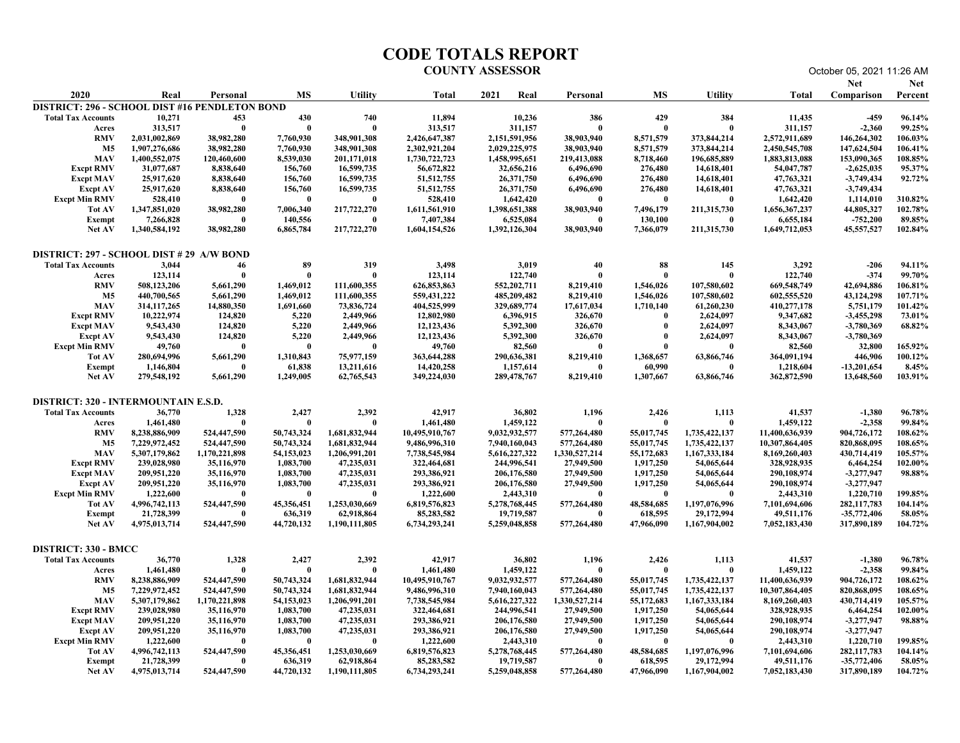|                                                                                                                          |                                                                                                           |                                                                                            |                                                                                       |                                                                                           |                                                                                                            | <b>CODE TOTALS REPORT</b><br><b>COUNTY ASSESSOR</b>                                                       |                                                                                       |                                                                                               |                                                                                           |                                                                                                             | October 05, 2021 11:26 AM                                                                           |                                                                        |
|--------------------------------------------------------------------------------------------------------------------------|-----------------------------------------------------------------------------------------------------------|--------------------------------------------------------------------------------------------|---------------------------------------------------------------------------------------|-------------------------------------------------------------------------------------------|------------------------------------------------------------------------------------------------------------|-----------------------------------------------------------------------------------------------------------|---------------------------------------------------------------------------------------|-----------------------------------------------------------------------------------------------|-------------------------------------------------------------------------------------------|-------------------------------------------------------------------------------------------------------------|-----------------------------------------------------------------------------------------------------|------------------------------------------------------------------------|
| 2020                                                                                                                     | Real                                                                                                      | Personal                                                                                   | <b>MS</b>                                                                             | <b>Utility</b>                                                                            | Total                                                                                                      | 2021<br>Real                                                                                              | Personal                                                                              | <b>MS</b>                                                                                     | <b>Utility</b>                                                                            | Total                                                                                                       | <b>Net</b><br><b>Comparison</b> Percent                                                             | Net                                                                    |
| <b>DISTRICT: 296 - SCHOOL DIST #16 PENDLETON BOND</b><br><b>Total Tax Accounts</b><br>Acres<br><b>RMV</b><br>M5          | 10,271<br>313,517<br>2,031,002,869<br>1,907,276,686                                                       | 453<br>$\mathbf{0}$<br>38,982,280<br>38,982,280                                            | 430<br>- 0<br>7,760,930<br>7,760,930                                                  | 740<br>348,901,308<br>348,901,308                                                         | 11,894<br>313,517<br>2,426,647,387<br>2,302,921,204                                                        | 10,236<br>311,157<br>2,151,591,956<br>2,029,225,975                                                       | 386<br>- 0<br>38,903,940<br>38,903,940                                                | 429<br>-0<br>8,571,579<br>8,571,579                                                           | 384<br>- 0<br>373,844,214<br>373,844,214                                                  | 11,435<br>311,157<br>2,572,911,689<br>2,450,545,708                                                         | $-459$<br>$-2,360$<br>146,264,302<br>147,624,504                                                    | 96.14%<br>99.25%<br>106.03%<br>106.41%                                 |
| <b>MAV</b><br><b>Excpt RMV</b><br><b>Excpt MAV</b><br><b>Excpt AV</b><br><b>Excpt Min RMV</b><br><b>Tot AV</b>           | 1,400,552,075<br>31,077,687<br>25,917,620<br>25,917,620<br>528,410<br>1,347,851,020                       | 120,460,600<br>8,838,640<br>8,838,640<br>8,838,640<br>-0<br>38,982,280                     | 8,539,030<br>156,760<br>156,760<br>156,760<br>7,006,340                               | 201,171,018<br>16,599,735<br>16,599,735<br>16,599,735<br>217,722,270                      | 1,730,722,723<br>56,672,822<br>51, 512, 755<br>51, 512, 755<br>528,410<br>1,611,561,910                    | 1,458,995,651<br>32,656,216<br>26,371,750<br>26,371,750<br>1,642,420<br>1,398,651,388                     | 219,413,088<br>6,496,690<br>6,496,690<br>6,496,690<br>38,903,940                      | 8,718,460<br>276,480<br>276,480<br>276,480<br>7,496,179                                       | 196,685,889<br>14,618,401<br>14,618,401<br>14,618,401<br>211,315,730                      | 1,883,813,088<br>54,047,787<br>47,763,321<br>47,763,321<br>1,642,420<br>1,656,367,237                       | 153,090,365<br>$-2,625,035$<br>$-3,749,434$<br>$-3,749,434$<br>1,114,010<br>44,805,327              | 108.85%<br>95.37%<br>92.72%<br>310.82%<br>102.78%                      |
| <b>Exempt</b><br><b>Net AV</b>                                                                                           | 7,266,828<br>1,340,584,192                                                                                | 38,982,280                                                                                 | 140,556<br>6,865,784                                                                  | 217,722,270                                                                               | 7,407,384<br>1,604,154,526                                                                                 | 6,525,084<br>1,392,126,304                                                                                | 38,903,940                                                                            | 130,100<br>7,366,079                                                                          | 211,315,730                                                                               | 6,655,184<br>1,649,712,053                                                                                  | $-752,200$<br>45,557,527                                                                            | 89.85%<br>102.84%                                                      |
| DISTRICT: 297 - SCHOOL DIST # 29 A/W BOND<br><b>Total Tax Accounts</b><br>Acres<br><b>RMV</b><br><b>M5</b><br><b>MAV</b> | 3,044<br>123,114<br>508,123,206<br>440,700,565<br>314, 117, 265                                           | 46<br>$\mathbf{0}$<br>5,661,290<br>5,661,290<br>14,880,350                                 | 89<br>$\mathbf{0}$<br>1,469,012<br>1,469,012<br>1,691,660                             | 319<br>111,600,355<br>111,600,355<br>73,836,724                                           | 3,498<br>123,114<br>626,853,863<br>559,431,222<br>404,525,999                                              | 3,019<br>122,740<br>552,202,711<br>485,209,482<br>329,689,774                                             | 40<br>- 0<br>8,219,410<br>8,219,410<br>17,617,034                                     | 88<br>$\mathbf{0}$<br>1,546,026<br>1,546,026<br>1,710,140                                     | 145<br>107,580,602<br>107,580,602<br>61,260,230                                           | 3,292<br>122,740<br>669,548,749<br>602,555,520<br>410,277,178                                               | $-206$<br>$-374$<br>42,694,886<br>43,124,298<br>5,751,179                                           | 94.11%<br>99.70%<br>106.81%<br>107.71%<br>101.42%                      |
| <b>Excpt RMV</b><br>Excpt MAV<br>Excpt AV<br><b>Excpt Min RMV</b><br><b>Tot AV</b><br>Exempt                             | 10,222,974<br>9,543,430<br>9,543,430<br>49,760<br>280,694,996<br>1,146,804                                | 124,820<br>124,820<br>124,820<br>5,661,290<br>-0                                           | 5,220<br>5,220<br>5,220<br>- 0<br>1,310,843<br>61,838                                 | 2,449,966<br>2,449,966<br>2,449,966<br>75,977,159<br>13,211,616                           | 12,802,980<br>12,123,436<br>12,123,436<br>49,760<br>363,644,288<br>14,420,258                              | 6,396,915<br>5,392,300<br>5,392,300<br>82,560<br>290,636,381<br>1,157,614                                 | 326,670<br>326,670<br>326,670<br>8,219,410                                            | $\mathbf{0}$<br>1,368,657<br>60,990                                                           | 2,624,097<br>2,624,097<br>2,624,097<br>- 0<br>63,866,746<br>- 0                           | 9,347,682<br>8,343,067<br>8,343,067<br>82,560<br>364,091,194<br>1,218,604                                   | $-3,455,298$<br>-3,780,369<br>$-3,780,369$<br>32,800<br>446,906<br>$-13,201,654$                    | 73.01%<br>68.82%<br>165.92%<br>100.12%<br>8.45%                        |
| <b>Net AV</b><br>DISTRICT: 320 - INTERMOUNTAIN E.S.D.                                                                    | 279,548,192                                                                                               | 5,661,290                                                                                  | 1,249,005                                                                             | 62,765,543                                                                                | 349,224,030                                                                                                | 289,478,767                                                                                               | 8,219,410                                                                             | 1,307,667                                                                                     | 63,866,746                                                                                | 362,872,590                                                                                                 | 13,648,560                                                                                          | 103.91%                                                                |
| <b>Total Tax Accounts</b><br>Acres<br><b>RMV</b><br>M5<br><b>MAV</b><br><b>Excpt RMV</b><br><b>Excpt MAV</b>             | 36,770<br>1,461,480<br>8,238,886,909<br>7,229,972,452<br>5,307,179,862<br>239,028,980<br>209,951,220      | 1,328<br>524,447,590<br>524,447,590<br>1,170,221,898<br>35,116,970<br>35,116,970           | 2,427<br>$\theta$<br>50,743,324<br>50,743,324<br>54,153,023<br>1,083,700<br>1,083,700 | 2,392<br>1,681,832,944<br>1,681,832,944<br>1,206,991,201<br>47,235,031<br>47,235,031      | 42,917<br>1,461,480<br>10,495,910,767<br>9,486,996,310<br>7,738,545,984<br>322,464,681<br>293,386,921      | 36,802<br>1,459,122<br>9,032,932,577<br>7,940,160,043<br>5,616,227,322<br>244,996,541<br>206,176,580      | 1,196<br>577,264,480<br>577,264,480<br>1,330,527,214<br>27,949,500<br>27,949,500      | 2,426<br>55,017,745<br>55,017,745<br>55,172,683<br>1,917,250<br>1,917,250                     | 1,113<br>1,735,422,137<br>1,735,422,137<br>1,167,333,184<br>54,065,644<br>54,065,644      | 41,537<br>1,459,122<br>11,400,636,939<br>10,307,864,405<br>8,169,260,403<br>328,928,935<br>290,108,974      | $-1,380$<br>$-2,358$<br>904,726,172<br>820,868,095<br>430,714,419<br>6,464,254<br>$-3,277,947$      | 96.78%<br>99.84%<br>108.62%<br>108.65%<br>105.57%<br>102.00%<br>98.88% |
| Excpt AV<br><b>Excpt Min RMV</b><br>Tot AV<br>Exempt<br>Net AV                                                           | 209,951,220<br>1,222,600<br>4,996,742,113<br>21,728,399<br>4,975,013,714                                  | 35,116,970<br>- 0<br>524,447,590<br>-0<br>524,447,590                                      | 1,083,700<br>- 0<br>45,356,451<br>636,319<br>44,720,132                               | 47,235,031<br>1,253,030,669<br>62,918,864<br>1,190,111,805                                | 293,386,921<br>1,222,600<br>6,819,576,823<br>85,283,582<br>6,734,293,241                                   | 206,176,580<br>2,443,310<br>5,278,768,445<br>19,719,587<br>5,259,048,858                                  | 27,949,500<br>577,264,480<br>577,264,480                                              | 1,917,250<br>$\mathbf{0}$<br>48,584,685<br>618,595<br>47,966,090                              | 54,065,644<br>1,197,076,996<br>29,172,994<br>1,167,904,002                                | 290,108,974<br>2,443,310<br>7,101,694,606<br>49,511,176<br>7,052,183,430                                    | $-3,277,947$<br>1,220,710<br>282, 117, 783<br>$-35,772,406$<br>317,890,189                          | 199.85%<br>104.14%<br>58.05%<br>104.72%                                |
| <b>DISTRICT: 330 - BMCC</b><br><b>Total Tax Accounts</b><br>Acres                                                        | 36,770<br>1,461,480                                                                                       | 1,328<br>$\mathbf 0$                                                                       | 2,427<br>$\mathbf{0}$                                                                 | 2,392                                                                                     | 42,917<br>1,461,480                                                                                        | 36,802<br>1,459,122                                                                                       | 1,196                                                                                 | 2,426                                                                                         | 1,113                                                                                     | 41,537<br>1,459,122                                                                                         | $-1,380$<br>$-2,358$                                                                                | 96.78%<br>99.84%                                                       |
| <b>RMV</b><br>M5<br><b>MAV</b><br><b>Excpt RMV</b><br><b>Excpt MAV</b><br><b>Excpt AV</b><br><b>Excpt Min RMV</b>        | 8,238,886,909<br>7,229,972,452<br>5,307,179,862<br>239,028,980<br>209,951,220<br>209,951,220<br>1,222,600 | 524,447,590<br>524,447,590<br>1,170,221,898<br>35,116,970<br>35,116,970<br>35,116,970<br>0 | 50,743,324<br>50,743,324<br>54,153,023<br>1,083,700<br>1,083,700<br>1,083,700<br>- 0  | 1,681,832,944<br>1,681,832,944<br>1,206,991,201<br>47,235,031<br>47,235,031<br>47,235,031 | 10,495,910,767<br>9,486,996,310<br>7,738,545,984<br>322,464,681<br>293,386,921<br>293,386,921<br>1,222,600 | 9,032,932,577<br>7,940,160,043<br>5,616,227,322<br>244,996,541<br>206,176,580<br>206,176,580<br>2,443,310 | 577,264,480<br>577,264,480<br>1,330,527,214<br>27,949,500<br>27,949,500<br>27,949,500 | 55,017,745<br>55,017,745<br>55,172,683<br>1,917,250<br>1,917,250<br>1,917,250<br>$\mathbf{0}$ | 1,735,422,137<br>1,735,422,137<br>1,167,333,184<br>54,065,644<br>54,065,644<br>54,065,644 | 11,400,636,939<br>10,307,864,405<br>8,169,260,403<br>328,928,935<br>290,108,974<br>290,108,974<br>2,443,310 | 904,726,172<br>820,868,095<br>430,714,419<br>6,464,254<br>$-3,277,947$<br>$-3,277,947$<br>1,220,710 | 108.62%<br>108.65%<br>105.57%<br>102.00%<br>98.88%<br>199.85%          |
| Tot AV<br>Exempt<br><b>Net AV</b>                                                                                        | 4,996,742,113<br>21,728,399<br>4,975,013,714                                                              | 524,447,590<br>- 0<br>524,447,590                                                          | 45,356,451<br>636,319<br>44,720,132                                                   | 1,253,030,669<br>62,918,864<br>1,190,111,805                                              | 6,819,576,823<br>85,283,582<br>6,734,293,241                                                               | 5,278,768,445<br>19,719,587<br>5,259,048,858                                                              | 577,264,480<br>577,264,480                                                            | 48,584,685<br>618,595<br>47,966,090                                                           | 1,197,076,996<br>29,172,994<br>1,167,904,002                                              | 7,101,694,606<br>49,511,176<br>7,052,183,430                                                                | 282, 117, 783<br>$-35,772,406$<br>317,890,189                                                       | 104.14%<br>58.05%<br>104.72%                                           |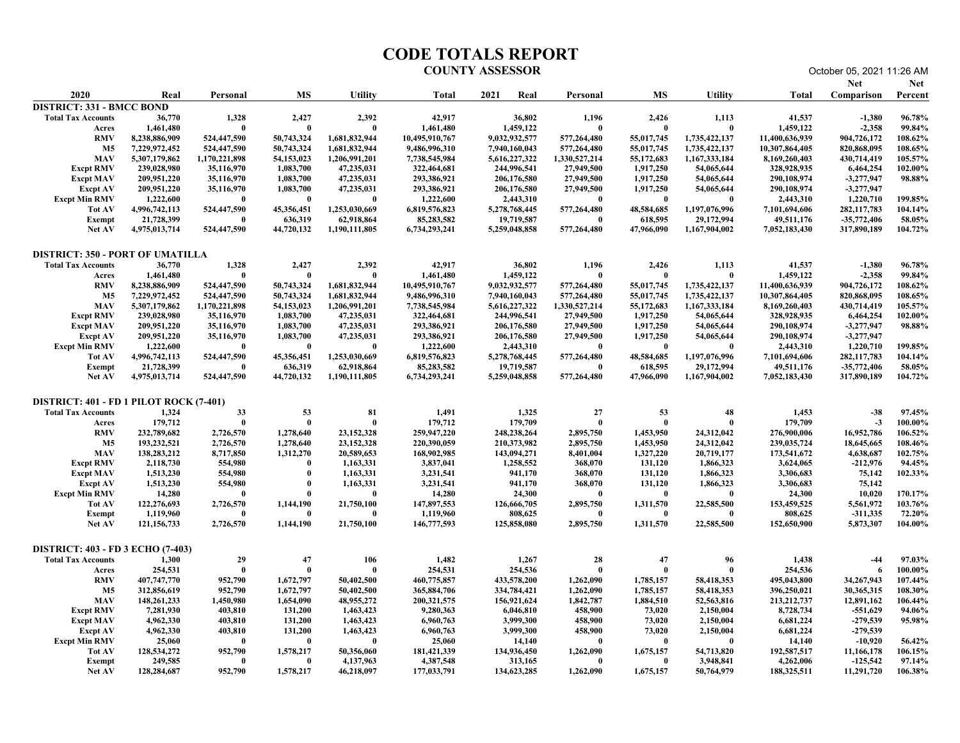|                                                                                                                                                                                                                                                |                                                                                                                                                                                  |                                                                                                                                                 |                                                                                                                                             |                                                                                                                                                    |                                                                                                                                                                                   | <b>CODE TOTALS REPORT</b><br><b>COUNTY ASSESSOR</b>                                                                                                                              |                                                                                                                               |                                                                                                                                                      |                                                                                                                                                           |                                                                                                                                                                                    | October 05, 2021 11:26 AM                                                                                                                                                    |                                                                                                                    |
|------------------------------------------------------------------------------------------------------------------------------------------------------------------------------------------------------------------------------------------------|----------------------------------------------------------------------------------------------------------------------------------------------------------------------------------|-------------------------------------------------------------------------------------------------------------------------------------------------|---------------------------------------------------------------------------------------------------------------------------------------------|----------------------------------------------------------------------------------------------------------------------------------------------------|-----------------------------------------------------------------------------------------------------------------------------------------------------------------------------------|----------------------------------------------------------------------------------------------------------------------------------------------------------------------------------|-------------------------------------------------------------------------------------------------------------------------------|------------------------------------------------------------------------------------------------------------------------------------------------------|-----------------------------------------------------------------------------------------------------------------------------------------------------------|------------------------------------------------------------------------------------------------------------------------------------------------------------------------------------|------------------------------------------------------------------------------------------------------------------------------------------------------------------------------|--------------------------------------------------------------------------------------------------------------------|
| 2020                                                                                                                                                                                                                                           | Real                                                                                                                                                                             | Personal                                                                                                                                        | MS                                                                                                                                          | <b>Utility</b>                                                                                                                                     | Total                                                                                                                                                                             | 2021<br>Real                                                                                                                                                                     | Personal                                                                                                                      | MS                                                                                                                                                   | <b>Utility</b>                                                                                                                                            | Total                                                                                                                                                                              | <b>Net</b><br><b>Comparison</b> Percent                                                                                                                                      | Net                                                                                                                |
| <b>DISTRICT: 331 - BMCC BOND</b><br><b>Total Tax Accounts</b><br>Acres<br><b>RMV</b><br>M5<br><b>MAV</b><br><b>Excpt RMV</b><br><b>Excpt MAV</b><br><b>Excpt AV</b><br><b>Excpt Min RMV</b><br><b>Tot AV</b><br><b>Exempt</b><br><b>Net AV</b> | 36,770<br>1,461,480<br>8,238,886,909<br>7,229,972,452<br>5,307,179,862<br>239,028,980<br>209,951,220<br>209,951,220<br>1,222,600<br>4,996,742,113<br>21,728,399<br>4,975,013,714 | 1,328<br>524,447,590<br>524,447,590<br>1,170,221,898<br>35,116,970<br>35,116,970<br>35,116,970<br>-0<br>524,447,590<br>524,447,590              | 2,427<br>- 0<br>50,743,324<br>50,743,324<br>54,153,023<br>1,083,700<br>1,083,700<br>1,083,700<br>45,356,451<br>636,319<br>44,720,132        | 2,392<br>1,681,832,944<br>1,681,832,944<br>1,206,991,201<br>47,235,031<br>47,235,031<br>47,235,031<br>1,253,030,669<br>62,918,864<br>1,190,111,805 | 42,917<br>1,461,480<br>10,495,910,767<br>9,486,996,310<br>7,738,545,984<br>322,464,681<br>293,386,921<br>293,386,921<br>1,222,600<br>6,819,576,823<br>85,283,582<br>6,734,293,241 | 36,802<br>1,459,122<br>9,032,932,577<br>7,940,160,043<br>5,616,227,322<br>244,996,541<br>206,176,580<br>206,176,580<br>2,443,310<br>5,278,768,445<br>19,719,587<br>5,259,048,858 | 1,196<br>577,264,480<br>577,264,480<br>1,330,527,214<br>27,949,500<br>27,949,500<br>27,949,500<br>577,264,480<br>577,264,480  | 2,426<br>$\mathbf{0}$<br>55,017,745<br>55,017,745<br>55,172,683<br>1,917,250<br>1,917,250<br>1,917,250<br>48,584,685<br>618,595<br>47,966,090        | 1,113<br>- 0<br>1,735,422,137<br>1,735,422,137<br>1,167,333,184<br>54,065,644<br>54,065,644<br>54,065,644<br>1,197,076,996<br>29,172,994<br>1,167,904,002 | 41,537<br>1,459,122<br>11,400,636,939<br>10,307,864,405<br>8,169,260,403<br>328,928,935<br>290,108,974<br>290,108,974<br>2,443,310<br>7,101,694,606<br>49,511,176<br>7,052,183,430 | $-1,380$<br>$-2,358$<br>904,726,172<br>820,868,095<br>430,714,419<br>6,464,254<br>$-3,277,947$<br>$-3,277,947$<br>1,220,710<br>282, 117, 783<br>$-35,772,406$<br>317,890,189 | 96.78%<br>99.84%<br>108.62%<br>108.65%<br>105.57%<br>102.00%<br>98.88%<br>199.85%<br>104.14%<br>58.05%<br>104.72%  |
| <b>DISTRICT: 350 - PORT OF UMATILLA</b><br><b>Total Tax Accounts</b><br>Acres<br><b>RMV</b><br>M5<br><b>MAV</b><br><b>Excpt RMV</b><br>Excpt MAV<br><b>Excpt AV</b><br><b>Excpt Min RMV</b><br>Tot AV<br>Exempt<br>Net AV                      | 36,770<br>1,461,480<br>8,238,886,909<br>7,229,972,452<br>5,307,179,862<br>239,028,980<br>209,951,220<br>209,951,220<br>1,222,600<br>4,996,742,113<br>21,728,399<br>4,975,013,714 | 1,328<br>-0<br>524,447,590<br>524,447,590<br>1,170,221,898<br>35,116,970<br>35,116,970<br>35,116,970<br>-0<br>524,447,590<br>- 0<br>524,447,590 | 2,427<br>- 0<br>50,743,324<br>50,743,324<br>54,153,023<br>1,083,700<br>1,083,700<br>1,083,700<br>- 0<br>45,356,451<br>636,319<br>44,720,132 | 2,392<br>1,681,832,944<br>1,681,832,944<br>1,206,991,201<br>47,235,031<br>47,235,031<br>47,235,031<br>1,253,030,669<br>62,918,864<br>1,190,111,805 | 42,917<br>1,461,480<br>10,495,910,767<br>9,486,996,310<br>7,738,545,984<br>322,464,681<br>293,386,921<br>293,386,921<br>1,222,600<br>6,819,576,823<br>85,283,582<br>6,734,293,241 | 36,802<br>1,459,122<br>9,032,932,577<br>7,940,160,043<br>5,616,227,322<br>244,996,541<br>206,176,580<br>206,176,580<br>2,443,310<br>5,278,768,445<br>19,719,587<br>5,259,048,858 | 1,196<br>577,264,480<br>577,264,480<br>1,330,527,214<br>27,949,500<br>27,949,500<br>27,949,500<br>577,264,480<br>577,264,480  | 2,426<br>$\mathbf{0}$<br>55,017,745<br>55,017,745<br>55,172,683<br>1,917,250<br>1,917,250<br>1,917,250<br>- 0<br>48,584,685<br>618,595<br>47,966,090 | 1,113<br>1,735,422,137<br>1,735,422,137<br>1,167,333,184<br>54,065,644<br>54,065,644<br>54,065,644<br>- 0<br>1,197,076,996<br>29,172,994<br>1,167,904,002 | 41,537<br>1,459,122<br>11,400,636,939<br>10,307,864,405<br>8,169,260,403<br>328,928,935<br>290,108,974<br>290,108,974<br>2,443,310<br>7,101,694,606<br>49,511,176<br>7,052,183,430 | $-1,380$<br>$-2,358$<br>904,726,172<br>820,868,095<br>430,714,419<br>6,464,254<br>-3,277,947<br>$-3,277,947$<br>1,220,710<br>282, 117, 783<br>$-35,772,406$<br>317,890,189   | 96.78%<br>99.84%<br>108.62%<br>108.65%<br>105.57%<br>102.00%<br>98.88%<br>199.85%<br>104.14%<br>58.05%<br>104.72%  |
| DISTRICT: 401 - FD 1 PILOT ROCK (7-401)<br><b>Total Tax Accounts</b><br>Acres<br><b>RMV</b><br><b>M5</b><br><b>MAV</b><br><b>Excpt RMV</b><br><b>Excpt MAV</b><br><b>Excpt AV</b><br><b>Excpt Min RMV</b><br>Tot AV<br><b>Exempt</b><br>Net AV | 1,324<br>179,712<br>232,789,682<br>193,232,521<br>138,283,212<br>2,118,730<br>1,513,230<br>1,513,230<br>14,280<br>122,276,693<br>1,119,960<br>121,156,733                        | 33<br>$\mathbf{0}$<br>2,726,570<br>2,726,570<br>8,717,850<br>554,980<br>554,980<br>554,980<br>2,726,570<br>$\mathbf{0}$<br>2,726,570            | 53<br>$\mathbf{0}$<br>1,278,640<br>1,278,640<br>1,312,270<br>- 0<br>-0<br>-0<br>1,144,190<br>- 0<br>1,144,190                               | 81<br>$\mathbf{0}$<br>23, 152, 328<br>23, 152, 328<br>20,589,653<br>1,163,331<br>1,163,331<br>1,163,331<br>21,750,100<br>- 0<br>21,750,100         | 1,491<br>179,712<br>259,947,220<br>220,390,059<br>168,902,985<br>3,837,041<br>3,231,541<br>3,231,541<br>14,280<br>147,897,553<br>1,119,960<br>146,777,593                         | 1,325<br>179,709<br>248,238,264<br>210,373,982<br>143,094,271<br>1,258,552<br>941,170<br>941,170<br>24,300<br>126,666,705<br>808,625<br>125,858,080                              | 27<br>$\overline{0}$<br>2,895,750<br>2,895,750<br>8,401,004<br>368,070<br>368,070<br>368,070<br>2,895,750<br>- 0<br>2,895,750 | 53<br>- 0<br>1,453,950<br>1,453,950<br>1,327,220<br>131,120<br>131,120<br>131,120<br>$\mathbf{0}$<br>1,311,570<br>- 0<br>1,311,570                   | 48<br>- 0<br>24,312,042<br>24,312,042<br>20,719,177<br>1,866,323<br>1,866,323<br>1,866,323<br>22,585,500<br>- 0<br>22,585,500                             | 1,453<br>179,709<br>276,900,006<br>239,035,724<br>173,541,672<br>3,624,065<br>3,306,683<br>3,306,683<br>24,300<br>153,459,525<br>808,625<br>152,650,900                            | $-38$<br>$-3$<br>16,952,786<br>18,645,665<br>4,638,687<br>$-212,976$<br>75,142<br>75,142<br>10,020<br>5,561,972<br>$-311,335$<br>5,873,307                                   | 97.45%<br>100.00%<br>106.52%<br>108.46%<br>102.75%<br>94.45%<br>102.33%<br>170.17%<br>103.76%<br>72.20%<br>104.00% |
| <b>DISTRICT: 403 - FD 3 ECHO (7-403)</b><br><b>Total Tax Accounts</b><br>Acres<br><b>RMV</b><br><b>M5</b><br>MAV<br><b>Excpt RMV</b><br><b>Excpt MAV</b><br><b>Excpt AV</b><br><b>Excpt Min RMV</b><br>Tot AV<br>Exempt<br>Net AV              | 1,300<br>254,531<br>407,747,770<br>312,856,619<br>148,261,233<br>7,281,930<br>4,962,330<br>4,962,330<br>25,060<br>128,534,272<br>249,585<br>128,284,687                          | 29<br>$\bf{0}$<br>952,790<br>952,790<br>1,450,980<br>403,810<br>403,810<br>403,810<br>$\mathbf{0}$<br>952,790<br>- 0<br>952,790                 | 47<br>$\mathbf{0}$<br>1,672,797<br>1,672,797<br>1,654,090<br>131,200<br>131,200<br>131,200<br>$\mathbf{0}$<br>1,578,217<br>- 0<br>1,578,217 | 106<br>50,402,500<br>50,402,500<br>48,955,272<br>1,463,423<br>1,463,423<br>1,463,423<br>- 0<br>50,356,060<br>4,137,963<br>46,218,097               | 1,482<br>254,531<br>460,775,857<br>365,884,706<br>200, 321, 575<br>9,280,363<br>6,960,763<br>6,960,763<br>25,060<br>181,421,339<br>4,387,548<br>177,033,791                       | 1,267<br>254,536<br>433,578,200<br>334,784,421<br>156,921,624<br>6,046,810<br>3,999,300<br>3,999,300<br>14,140<br>134,936,450<br>313,165<br>134,623,285                          | 28<br>$\overline{0}$<br>1,262,090<br>1,262,090<br>1,842,787<br>458,900<br>458,900<br>458,900<br>- 0<br>1,262,090<br>1,262,090 | 47<br>$\mathbf{0}$<br>1,785,157<br>1,785,157<br>1,884,510<br>73,020<br>73,020<br>73,020<br>- 0<br>1,675,157<br>- 0<br>1,675,157                      | 96<br>- 0<br>58,418,353<br>58,418,353<br>52,563,816<br>2,150,004<br>2,150,004<br>2,150,004<br>54,713,820<br>3,948,841<br>50,764,979                       | 1,438<br>254,536<br>495,043,800<br>396,250,021<br>213, 212, 737<br>8,728,734<br>6,681,224<br>6,681,224<br>14,140<br>192,587,517<br>4,262,006<br>188,325,511                        | $-44$<br>6<br>34, 267, 943<br>30,365,315<br>12,891,162<br>-551,629<br>$-279,539$<br>$-279,539$<br>-10,920<br>11,166,178<br>-125,542<br>11,291,720                            | 97.03%<br>100.00%<br>107.44%<br>108.30%<br>106.44%<br>94.06%<br>95.98%<br>56.42%<br>106.15%<br>97.14%<br>106.38%   |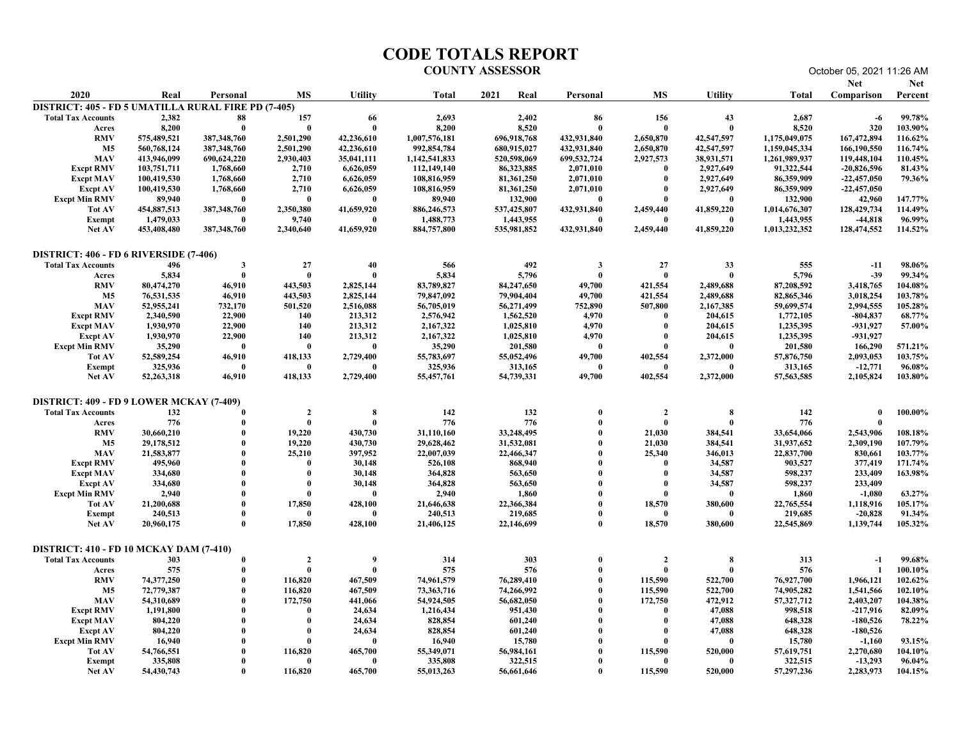|                                                                                                                                                                                                                                                     |                                                                                                                                                      |                                                                                                                            |                                                                                                                                                             |                                                                                                                                                      |                                                                                                                                                            | <b>CODE TOTALS REPORT</b><br><b>COUNTY ASSESSOR</b>                                                                                                |                                                                                                                       |                                                                                                             |                                                                                                                               |                                                                                                                                                              | October 05, 2021 11:26 AM                                                                                                                                |                                                                                                                  |
|-----------------------------------------------------------------------------------------------------------------------------------------------------------------------------------------------------------------------------------------------------|------------------------------------------------------------------------------------------------------------------------------------------------------|----------------------------------------------------------------------------------------------------------------------------|-------------------------------------------------------------------------------------------------------------------------------------------------------------|------------------------------------------------------------------------------------------------------------------------------------------------------|------------------------------------------------------------------------------------------------------------------------------------------------------------|----------------------------------------------------------------------------------------------------------------------------------------------------|-----------------------------------------------------------------------------------------------------------------------|-------------------------------------------------------------------------------------------------------------|-------------------------------------------------------------------------------------------------------------------------------|--------------------------------------------------------------------------------------------------------------------------------------------------------------|----------------------------------------------------------------------------------------------------------------------------------------------------------|------------------------------------------------------------------------------------------------------------------|
| 2020                                                                                                                                                                                                                                                | Real                                                                                                                                                 | Personal                                                                                                                   | MS                                                                                                                                                          | <b>Utility</b>                                                                                                                                       | Total                                                                                                                                                      | 2021<br>Real                                                                                                                                       | Personal                                                                                                              | MS                                                                                                          | <b>Utility</b>                                                                                                                | Total                                                                                                                                                        | <b>Net</b><br><b>Comparison</b> Percent                                                                                                                  | <b>Net</b>                                                                                                       |
| DISTRICT: 405 - FD 5 UMATILLA RURAL FIRE PD (7-405)<br><b>Total Tax Accounts</b>                                                                                                                                                                    | 2,382                                                                                                                                                | 88                                                                                                                         | 157                                                                                                                                                         | -66                                                                                                                                                  | 2,693                                                                                                                                                      | 2,402                                                                                                                                              | 86                                                                                                                    | 156                                                                                                         | 43                                                                                                                            | 2,687                                                                                                                                                        | $-6$                                                                                                                                                     | 99.78%                                                                                                           |
| Acres<br><b>RMV</b><br><b>M5</b><br><b>MAV</b><br><b>Excpt RMV</b><br><b>Excpt MAV</b><br><b>Excpt AV</b><br><b>Excpt Min RMV</b><br>Tot AV<br>Exempt<br><b>Net AV</b>                                                                              | 8,200<br>575,489,521<br>560,768,124<br>413,946,099<br>103,751,711<br>100,419,530<br>100,419,530<br>89,940<br>454,887,513<br>1,479,033<br>453,408,480 | $\theta$<br>387,348,760<br>387,348,760<br>690,624,220<br>1,768,660<br>1,768,660<br>1,768,660<br>387,348,760<br>387,348,760 | - 0<br>2,501,290<br>2,501,290<br>2,930,403<br>2,710<br>2,710<br>2,710<br>- 0<br>2,350,380<br>9,740<br>2,340,640                                             | $\mathbf{0}$<br>42,236,610<br>42,236,610<br>35,041,111<br>6,626,059<br>6,626,059<br>6,626,059<br>-0<br>41,659,920<br>- 0<br>41,659,920               | 8,200<br>1,007,576,181<br>992, 854, 784<br>1,142,541,833<br>112,149,140<br>108,816,959<br>108,816,959<br>89,940<br>886,246,573<br>1,488,773<br>884,757,800 | 8,520<br>696,918,768<br>680,915,027<br>520,598,069<br>86,323,885<br>81,361,250<br>81,361,250<br>132,900<br>537,425,807<br>1,443,955<br>535,981,852 | - 0<br>432,931,840<br>432,931,840<br>699,532,724<br>2,071,010<br>2,071,010<br>2,071,010<br>432,931,840<br>432,931,840 | - 0<br>2,650,870<br>2,650,870<br>2,927,573<br>-0<br>$\mathbf{0}$<br>2,459,440<br>2,459,440                  | - 0<br>42,547,597<br>42,547,597<br>38,931,571<br>2,927,649<br>2,927,649<br>2,927,649<br>-6<br>41,859,220<br>- 0<br>41,859,220 | 8.520<br>1,175,049,075<br>1,159,045,334<br>1,261,989,937<br>91,322,544<br>86,359,909<br>86,359,909<br>132,900<br>1,014,676,307<br>1,443,955<br>1,013,232,352 | 320<br>167,472,894<br>166,190,550<br>119,448,104<br>$-20,826,596$<br>$-22,457,050$<br>$-22,457,050$<br>42,960<br>128,429,734<br>$-44,818$<br>128,474,552 | 103.90%<br>116.62%<br>116.74%<br>110.45%<br>81.43%<br>79.36%<br>147.77%<br>114.49%<br>96.99%<br>114.52%          |
| DISTRICT: 406 - FD 6 RIVERSIDE (7-406)<br><b>Total Tax Accounts</b><br>Acres<br><b>RMV</b><br><b>M5</b><br><b>MAV</b><br><b>Excpt RMV</b><br>Excpt MAV<br>Excpt AV<br><b>Excpt Min RMV</b><br><b>Tot AV</b><br>Exempt<br>Net AV                     | 496<br>5,834<br>80,474,270<br>76,531,535<br>52,955,241<br>2,340,590<br>1,930,970<br>1,930,970<br>35,290<br>52,589,254<br>325,936<br>52,263,318       | 3<br>$\mathbf{0}$<br>46,910<br>46,910<br>732,170<br>22,900<br>22,900<br>22,900<br>46,910<br>- 0<br>46,910                  | 27<br>$\bf{0}$<br>443,503<br>443,503<br>501,520<br>140<br>140<br>140<br>- 0<br>418,133<br>- 0<br>418,133                                                    | 40<br>$\mathbf{0}$<br>2,825,144<br>2,825,144<br>2,516,088<br>213,312<br>213,312<br>213,312<br>$\mathbf{0}$<br>2,729,400<br>$\mathbf{0}$<br>2,729,400 | 566<br>5,834<br>83,789,827<br>79,847,092<br>56,705,019<br>2,576,942<br>2,167,322<br>2,167,322<br>35,290<br>55,783,697<br>325,936<br>55,457,761             | 492<br>5,796<br>84,247,650<br>79,904,404<br>56,271,499<br>1,562,520<br>1,025,810<br>1,025,810<br>201,580<br>55,052,496<br>313,165<br>54,739,331    | $\mathbf{3}$<br>- 0<br>49,700<br>49,700<br>752,890<br>4,970<br>4,970<br>4,970<br>- 0<br>49,700<br>- 0<br>49,700       | 27<br>- 0<br>421,554<br>421,554<br>507,800<br>$\mathbf{0}$<br>-0<br>- 0<br>402,554<br>- 0<br>402,554        | 33<br>- 0<br>2,489,688<br>2,489,688<br>2,167,385<br>204,615<br>204,615<br>204,615<br>- 0<br>2,372,000<br>- 0<br>2,372,000     | 555<br>5,796<br>87,208,592<br>82,865,346<br>59,699,574<br>1,772,105<br>1,235,395<br>1,235,395<br>201,580<br>57,876,750<br>313,165<br>57, 563, 585            | $-11$<br>$-39$<br>3,418,765<br>3,018,254<br>2,994,555<br>$-804,837$<br>-931,927<br>-931,927<br>166,290<br>2,093,053<br>$-12,771$<br>2,105,824            | 98.06%<br>99.34%<br>104.08%<br>103.78%<br>105.28%<br>68.77%<br>57.00%<br>571.21%<br>103.75%<br>96.08%<br>103.80% |
| DISTRICT: 409 - FD 9 LOWER MCKAY (7-409)<br><b>Total Tax Accounts</b><br>Acres<br>RMV<br>M <sub>5</sub><br><b>MAV</b><br><b>Excpt RMV</b><br><b>Excpt MAV</b><br><b>Excpt AV</b><br><b>Excpt Min RMV</b><br><b>Tot AV</b><br>Exempt<br>Net AV       | 132<br>776<br>30,660,210<br>29,178,512<br>21,583,877<br>495,960<br>334,680<br>334,680<br>2,940<br>21,200,688<br>240,513<br>20,960,175                | $\mathbf{0}$                                                                                                               | $\overline{\mathbf{c}}$<br>$\overline{\mathbf{0}}$<br>19,220<br>19,220<br>25,210<br>- 0<br>- 0<br>- 0<br>- 0<br>17,850<br>$\overline{\mathbf{0}}$<br>17,850 | - 8<br>$\mathbf{0}$<br>430,730<br>430,730<br>397,952<br>30,148<br>30,148<br>30,148<br>- 0<br>428,100<br>$\bf{0}$<br>428,100                          | 142<br>776<br>31,110,160<br>29,628,462<br>22,007,039<br>526,108<br>364,828<br>364,828<br>2,940<br>21,646,638<br>240,513<br>21,406,125                      | 132<br>776<br>33,248,495<br>31,532,081<br>22,466,347<br>868,940<br>563,650<br>563,650<br>1,860<br>22,366,384<br>219,685<br>22,146,699              | $\theta$                                                                                                              | $\overline{2}$<br>- 0<br>21,030<br>21,030<br>25,340<br>$\mathbf{0}$<br>-0<br>-0<br>18,570<br>- 0<br>18,570  | - 8<br>- 0<br>384,541<br>384,541<br>346,013<br>34,587<br>34,587<br>34,587<br>- 0<br>380,600<br>- 0<br>380,600                 | 142<br>776<br>33,654,066<br>31,937,652<br>22,837,700<br>903,527<br>598,237<br>598,237<br>1,860<br>22,765,554<br>219,685<br>22,545,869                        | $\mathbf{0}$<br>2,543,906<br>2,309,190<br>830,661<br>377,419<br>233,409<br>233,409<br>$-1,080$<br>1,118,916<br>$-20,828$<br>1,139,744                    | 100.00%<br>108.18%<br>107.79%<br>103.77%<br>171.74%<br>163.98%<br>63.27%<br>105.17%<br>91.34%<br>105.32%         |
| <b>DISTRICT: 410 - FD 10 MCKAY DAM (7-410)</b><br><b>Total Tax Accounts</b><br>Acres<br><b>RMV</b><br>M <sub>5</sub><br><b>MAV</b><br><b>Excpt RMV</b><br><b>Excpt MAV</b><br><b>Excpt AV</b><br><b>Excpt Min RMV</b><br>Tot AV<br>Exempt<br>Net AV | 303<br>575<br>74,377,250<br>72,779,387<br>54,310,689<br>1,191,800<br>804,220<br>804,220<br>16,940<br>54,766,551<br>335,808<br>54,430,743             | $\mathbf{0}$                                                                                                               | $\overline{\mathbf{c}}$<br>$\bf{0}$<br>116,820<br>116,820<br>172,750<br>- 0<br>$\mathbf{0}$<br>- 0<br>- 0<br>116,820<br>- 0<br>116,820                      | 9<br>$\bf{0}$<br>467,509<br>467,509<br>441,066<br>24,634<br>24,634<br>24,634<br>$\bf{0}$<br>465,700<br>- 0<br>465,700                                | 314<br>575<br>74,961,579<br>73,363,716<br>54,924,505<br>1,216,434<br>828,854<br>828,854<br>16,940<br>55,349,071<br>335,808<br>55,013,263                   | 303<br>576<br>76,289,410<br>74,266,992<br>56,682,050<br>951,430<br>601,240<br>601,240<br>15,780<br>56,984,161<br>322,515<br>56,661,646             | $\theta$<br>$\theta$                                                                                                  | $\overline{\mathbf{c}}$<br>$\mathbf{0}$<br>115,590<br>115,590<br>172,750<br>- 0<br>-0<br>115,590<br>115,590 | - 8<br>$\overline{0}$<br>522,700<br>522,700<br>472,912<br>47,088<br>47,088<br>47,088<br>- 0<br>520,000<br>- 0<br>520,000      | 313<br>576<br>76,927,700<br>74,905,282<br>57,327,712<br>998,518<br>648,328<br>648,328<br>15,780<br>57,619,751<br>322,515<br>57,297,236                       | $-1$<br>1,966,121<br>1,541,566<br>2,403,207<br>$-217,916$<br>$-180,526$<br>$-180,526$<br>$-1,160$<br>2,270,680<br>$-13,293$<br>2,283,973                 | 99.68%<br>100.10%<br>102.62%<br>102.10%<br>104.38%<br>82.09%<br>78.22%<br>93.15%<br>104.10%<br>96.04%<br>104.15% |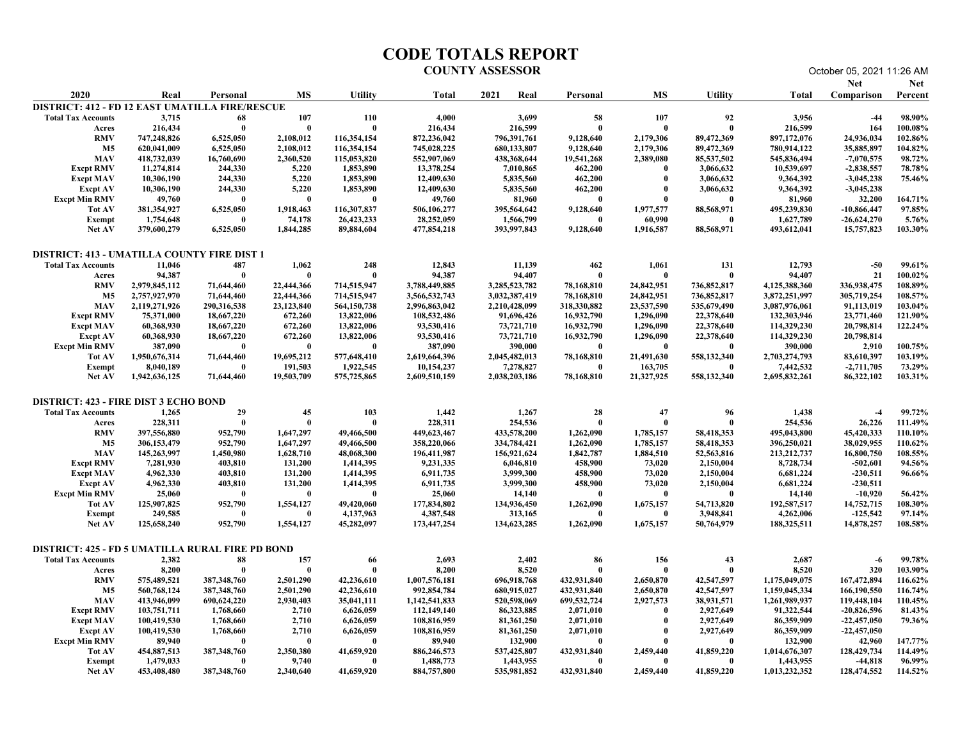|                                                                                     |                                                      |                                             |                                            |                                                           |                                                      | <b>CODE TOTALS REPORT</b><br><b>COUNTY ASSESSOR</b>  |                                             |                                            |                                               |                                                      | October 05, 2021 11:26 AM                       |                                         |
|-------------------------------------------------------------------------------------|------------------------------------------------------|---------------------------------------------|--------------------------------------------|-----------------------------------------------------------|------------------------------------------------------|------------------------------------------------------|---------------------------------------------|--------------------------------------------|-----------------------------------------------|------------------------------------------------------|-------------------------------------------------|-----------------------------------------|
| 2020                                                                                | Real                                                 | Personal                                    | MS                                         | <b>Utility</b>                                            | Total                                                | 2021<br>Real                                         | Personal                                    | MS                                         | <b>Utility</b>                                | Total                                                | <b>Net</b><br><b>Comparison</b> Percent         | <b>Net</b>                              |
| <b>DISTRICT: 412 - FD 12 EAST UMATILLA FIRE/RESCUE</b><br><b>Total Tax Accounts</b> | 3,715                                                | 68                                          | 107                                        | 110                                                       | 4,000                                                | 3,699                                                | 58                                          | 107                                        | 92                                            | 3,956                                                | $-44$                                           | 98.90%                                  |
| Acres<br><b>RMV</b><br><b>M5</b><br><b>MAV</b>                                      | 216,434<br>747,248,826<br>620,041,009<br>418,732,039 | - 0<br>6,525,050<br>6,525,050<br>16,760,690 | - 0<br>2,108,012<br>2,108,012<br>2,360,520 | $\mathbf{0}$<br>116,354,154<br>116,354,154<br>115,053,820 | 216,434<br>872,236,042<br>745,028,225<br>552,907,069 | 216,599<br>796,391,761<br>680,133,807<br>438,368,644 | - 0<br>9,128,640<br>9,128,640<br>19,541,268 | - 0<br>2,179,306<br>2,179,306<br>2,389,080 | - 0<br>89,472,369<br>89,472,369<br>85,537,502 | 216,599<br>897,172,076<br>780,914,122<br>545,836,494 | 164<br>24,936,034<br>35,885,897<br>$-7,070,575$ | 100.08%<br>102.86%<br>104.82%<br>98.72% |
| <b>Excpt RMV</b><br><b>Excpt MAV</b><br><b>Excpt AV</b>                             | 11,274,814<br>10,306,190<br>10,306,190               | 244,330<br>244,330<br>244,330               | 5,220<br>5,220<br>5,220                    | 1,853,890<br>1,853,890<br>1,853,890                       | 13,378,254<br>12,409,630<br>12,409,630               | 7,010,865<br>5,835,560<br>5,835,560                  | 462,200<br>462,200<br>462,200               |                                            | 3,066,632<br>3,066,632<br>3,066,632           | 10,539,697<br>9,364,392<br>9,364,392                 | $-2,838,557$<br>$-3,045,238$<br>$-3,045,238$    | 78.78%<br>75.46%                        |
| <b>Excpt Min RMV</b><br>Tot AV                                                      | 49,760<br>381,354,927                                | 6,525,050                                   | - 0<br>1,918,463                           | $\sqrt{2}$<br>116,307,837                                 | 49,760<br>506,106,277                                | 81,960<br>395,564,642                                | 9,128,640                                   | 1,977,577                                  | 88,568,971                                    | 81,960<br>495,239,830                                | 32,200<br>$-10,866,447$                         | 164.71%<br>97.85%                       |
| <b>Exempt</b><br><b>Net AV</b>                                                      | 1,754,648<br>379,600,279                             | 6,525,050                                   | 74,178<br>1,844,285                        | 26,423,233<br>89,884,604                                  | 28,252,059<br>477,854,218                            | 1,566,799<br>393,997,843                             | 9,128,640                                   | 60,990<br>1,916,587                        | - 0<br>88,568,971                             | 1,627,789<br>493,612,041                             | $-26,624,270$<br>15,757,823                     | 5.76%<br>103.30%                        |
| DISTRICT: 413 - UMATILLA COUNTY FIRE DIST 1<br><b>Total Tax Accounts</b>            | 11,046                                               | 487                                         | 1,062                                      | 248                                                       | 12,843                                               | 11,139                                               | 462                                         | 1,061                                      | 131                                           | 12,793                                               | $-50$                                           | 99.61%                                  |
| Acres<br><b>RMV</b>                                                                 | 94,387<br>2,979,845,112                              | - 0<br>71,644,460                           | $\mathbf{0}$<br>22,444,366                 | - 0<br>714,515,947                                        | 94,387<br>3,788,449,885                              | 94,407<br>3,285,523,782                              | - 0<br>78,168,810                           | 24,842,951                                 | - 6<br>736,852,817                            | 94,407<br>4,125,388,360                              | 21<br>336,938,475                               | 100.02%<br>108.89%                      |
| M5<br><b>MAV</b>                                                                    | 2,757,927,970<br>2,119,271,926                       | 71,644,460<br>290,316,538                   | 22,444,366<br>23,123,840                   | 714,515,947<br>564,150,738                                | 3,566,532,743<br>2,996,863,042                       | 3,032,387,419<br>2,210,428,099                       | 78,168,810<br>318,330,882                   | 24,842,951<br>23,537,590                   | 736,852,817<br>535,679,490                    | 3,872,251,997<br>3,087,976,061                       | 305,719,254<br>91,113,019                       | 108.57%<br>103.04%                      |
| <b>Excpt RMV</b><br>Excpt MAV                                                       | 75,371,000<br>60,368,930                             | 18,667,220<br>18,667,220                    | 672,260<br>672,260                         | 13,822,006<br>13,822,006                                  | 108,532,486<br>93,530,416                            | 91,696,426<br>73,721,710                             | 16,932,790<br>16,932,790                    | 1,296,090<br>1,296,090                     | 22,378,640<br>22,378,640                      | 132,303,946<br>114,329,230                           | 23,771,460<br>20,798,814                        | 121.90%<br>122.24%                      |
| <b>Excpt AV</b><br><b>Excpt Min RMV</b>                                             | 60,368,930<br>387,090                                | 18,667,220                                  | 672,260<br>- 0                             | 13,822,006<br>- 6                                         | 93,530,416<br>387,090                                | 73,721,710<br>390,000                                | 16,932,790                                  | 1,296,090<br>-0                            | 22,378,640<br>- 0                             | 114,329,230<br>390,000                               | 20,798,814<br>2,910                             | 100.75%                                 |
| Tot AV<br>Exempt                                                                    | 1,950,676,314<br>8,040,189                           | 71,644,460<br>- 0                           | 19,695,212<br>191,503                      | 577,648,410<br>1,922,545                                  | 2,619,664,396<br>10,154,237                          | 2,045,482,013<br>7,278,827                           | 78,168,810                                  | 21,491,630<br>163,705                      | 558,132,340<br>- 0                            | 2,703,274,793<br>7,442,532                           | 83,610,397<br>$-2,711,705$                      | 103.19%<br>73.29%                       |
| Net AV                                                                              | 1,942,636,125                                        | 71,644,460                                  | 19,503,709                                 | 575,725,865                                               | 2,609,510,159                                        | 2,038,203,186                                        | 78,168,810                                  | 21,327,925                                 | 558,132,340                                   | 2,695,832,261                                        | 86,322,102                                      | 103.31%                                 |
| <b>DISTRICT: 423 - FIRE DIST 3 ECHO BOND</b><br><b>Total Tax Accounts</b>           | 1,265                                                | 29<br>- 0                                   | 45<br>- 0                                  | 103<br>$\mathbf{0}$                                       | 1,442                                                | 1,267                                                | 28<br>- 0                                   | 47<br>-0                                   | 96<br>- 0                                     | 1,438                                                | $-4$                                            | 99.72%                                  |
| Acres<br>RMV<br><b>M5</b>                                                           | 228,311<br>397,556,880<br>306,153,479                | 952,790<br>952,790                          | 1,647,297<br>1,647,297                     | 49,466,500<br>49,466,500                                  | 228,311<br>449,623,467<br>358,220,066                | 254,536<br>433,578,200                               | 1,262,090                                   | 1,785,157<br>1,785,157                     | 58,418,353<br>58,418,353                      | 254,536<br>495,043,800                               | 26,226<br>45,420,333<br>38,029,955              | 111.49%<br>110.10%<br>110.62%           |
| <b>MAV</b><br><b>Excpt RMV</b>                                                      | 145,263,997<br>7,281,930                             | 1,450,980<br>403,810                        | 1,628,710<br>131,200                       | 48,068,300<br>1,414,395                                   | 196,411,987<br>9,231,335                             | 334,784,421<br>156,921,624<br>6,046,810              | 1,262,090<br>1,842,787<br>458,900           | 1,884,510<br>73,020                        | 52,563,816<br>2,150,004                       | 396,250,021<br>213, 212, 737<br>8,728,734            | 16,800,750<br>$-502,601$                        | 108.55%<br>94.56%                       |
| <b>Excpt MAV</b><br>Excpt AV                                                        | 4,962,330<br>4,962,330                               | 403,810<br>403,810                          | 131,200<br>131,200                         | 1,414,395<br>1,414,395                                    | 6,911,735<br>6,911,735                               | 3,999,300<br>3,999,300                               | 458,900<br>458,900                          | 73,020<br>73,020                           | 2,150,004<br>2,150,004                        | 6,681,224<br>6,681,224                               | $-230,511$<br>$-230,511$                        | 96.66%                                  |
| <b>Excpt Min RMV</b><br><b>Tot AV</b>                                               | 25,060<br>125,907,825                                | - 0<br>952,790                              | - 0<br>1,554,127                           | - 0<br>49,420,060                                         | 25,060<br>177,834,802                                | 14,140<br>134,936,450                                | - 0<br>1,262,090                            | $\mathbf{0}$<br>1,675,157                  | - 0<br>54,713,820                             | 14,140<br>192,587,517                                | $-10,920$<br>14,752,715                         | 56.42%<br>108.30%                       |
| Exempt<br><b>Net AV</b>                                                             | 249,585<br>125,658,240                               | - 0<br>952,790                              | - 0<br>1,554,127                           | 4,137,963<br>45,282,097                                   | 4,387,548<br>173,447,254                             | 313,165<br>134,623,285                               | - 0<br>1,262,090                            | - 0<br>1,675,157                           | 3,948,841<br>50,764,979                       | 4,262,006<br>188,325,511                             | -125,542<br>14,878,257                          | 97.14%<br>108.58%                       |
| DISTRICT: 425 - FD 5 UMATILLA RURAL FIRE PD BOND<br><b>Total Tax Accounts</b>       | 2,382                                                | 88                                          | 157                                        | -66                                                       | 2,693                                                | 2,402                                                | 86                                          | 156                                        | 43                                            | 2,687                                                | -6                                              | 99.78%                                  |
| Acres<br><b>RMV</b>                                                                 | 8,200<br>575,489,521                                 | 387,348,760                                 | - 0<br>2,501,290                           | $\mathbf{0}$<br>42,236,610                                | 8,200<br>1,007,576,181                               | 8,520<br>696,918,768                                 | - 0<br>432,931,840                          | -0<br>2,650,870                            | - 0<br>42,547,597                             | 8,520<br>1,175,049,075                               | 320<br>167,472,894                              | 103.90%<br>116.62%                      |
| <b>M5</b><br>MAV                                                                    | 560,768,124<br>413,946,099                           | 387,348,760<br>690,624,220                  | 2,501,290<br>2,930,403                     | 42,236,610<br>35,041,111                                  | 992,854,784<br>1,142,541,833                         | 680,915,027<br>520,598,069                           | 432,931,840<br>699,532,724                  | 2,650,870<br>2,927,573                     | 42,547,597<br>38,931,571                      | 1,159,045,334<br>1,261,989,937                       | 166,190,550<br>119,448,104                      | 116.74%<br>110.45%                      |
| <b>Excpt RMV</b><br><b>Excpt MAV</b>                                                | 103,751,711<br>100,419,530                           | 1,768,660<br>1,768,660                      | 2,710<br>2,710                             | 6,626,059<br>6,626,059                                    | 112,149,140<br>108,816,959                           | 86,323,885<br>81,361,250                             | 2,071,010<br>2,071,010                      | $\mathbf{0}$                               | 2,927,649<br>2,927,649                        | 91,322,544<br>86,359,909                             | -20,826,596<br>$-22,457,050$                    | 81.43%<br>79.36%                        |
| <b>Excpt AV</b><br><b>Excpt Min RMV</b>                                             | 100,419,530<br>89,940                                | 1,768,660                                   | 2,710<br>$\bf{0}$                          | 6,626,059<br>- 0                                          | 108,816,959<br>89,940                                | 81,361,250<br>132,900                                | 2,071,010<br>$\mathbf{0}$                   |                                            | 2,927,649<br>-0                               | 86,359,909<br>132,900                                | $-22,457,050$<br>42,960                         | 147.77%                                 |
| Tot AV<br>Exempt                                                                    | 454,887,513<br>1,479,033                             | 387,348,760                                 | 2,350,380<br>9,740                         | 41,659,920<br>-0                                          | 886,246,573<br>1,488,773                             | 537,425,807<br>1,443,955                             | 432,931,840                                 | 2,459,440                                  | 41,859,220<br>- 0                             | 1,014,676,307<br>1,443,955                           | 128,429,734<br>$-44,818$                        | 114.49%<br>96.99%                       |
| <b>Net AV</b>                                                                       | 453,408,480                                          | 387,348,760                                 | 2,340,640                                  | 41,659,920                                                | 884,757,800                                          | 535,981,852                                          | 432,931,840                                 | 2,459,440                                  | 41,859,220                                    | 1,013,232,352                                        | 128,474,552                                     | 114.52%                                 |
|                                                                                     |                                                      |                                             |                                            |                                                           |                                                      |                                                      |                                             |                                            |                                               |                                                      |                                                 |                                         |
|                                                                                     |                                                      |                                             |                                            |                                                           |                                                      |                                                      |                                             |                                            |                                               |                                                      |                                                 |                                         |
|                                                                                     |                                                      |                                             |                                            |                                                           |                                                      |                                                      |                                             |                                            |                                               |                                                      |                                                 |                                         |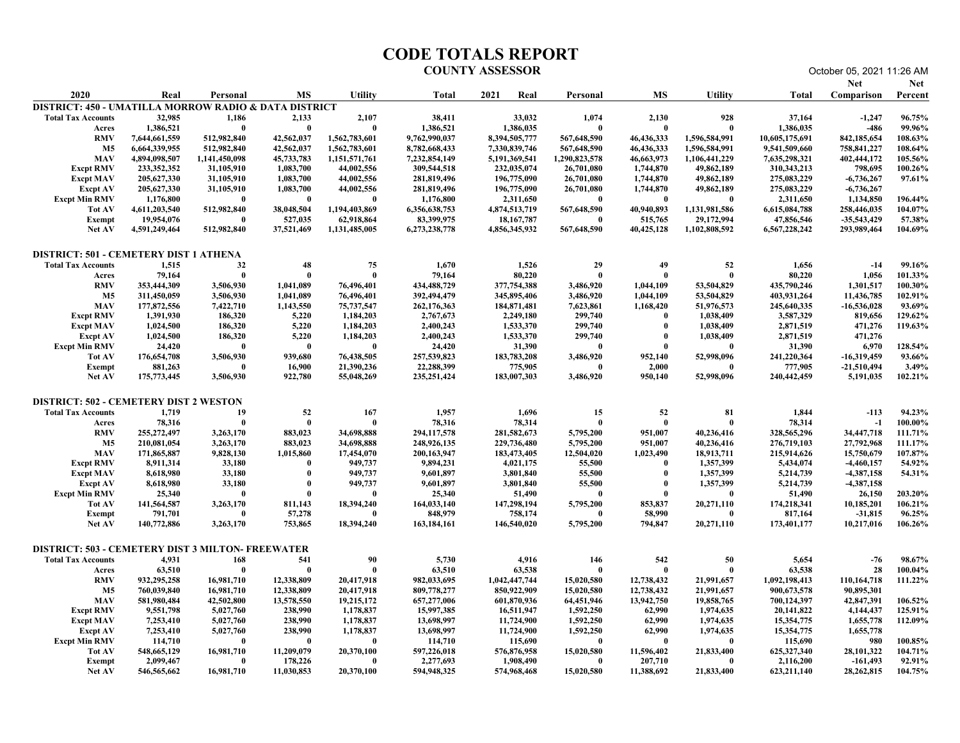|                                                                                                                                                                                                                                                                    |                                                                                                                                                                                    |                                                                                                                                                     |                                                                                                                                      |                                                                                                                                                           | <b>CODE TOTALS REPORT</b>                                                                                                                                                        | <b>COUNTY ASSESSOR</b>                                                                                                                                                             |                                                                                                                                     |                                                                                                                                               |                                                                                                                                                  |                                                                                                                                                                                     | October 05, 2021 11:26 AM                                                                                                                                            |                                                                                                                     |
|--------------------------------------------------------------------------------------------------------------------------------------------------------------------------------------------------------------------------------------------------------------------|------------------------------------------------------------------------------------------------------------------------------------------------------------------------------------|-----------------------------------------------------------------------------------------------------------------------------------------------------|--------------------------------------------------------------------------------------------------------------------------------------|-----------------------------------------------------------------------------------------------------------------------------------------------------------|----------------------------------------------------------------------------------------------------------------------------------------------------------------------------------|------------------------------------------------------------------------------------------------------------------------------------------------------------------------------------|-------------------------------------------------------------------------------------------------------------------------------------|-----------------------------------------------------------------------------------------------------------------------------------------------|--------------------------------------------------------------------------------------------------------------------------------------------------|-------------------------------------------------------------------------------------------------------------------------------------------------------------------------------------|----------------------------------------------------------------------------------------------------------------------------------------------------------------------|---------------------------------------------------------------------------------------------------------------------|
| 2020<br><b>DISTRICT: 450 - UMATILLA MORROW RADIO &amp; DATA DISTRICT</b>                                                                                                                                                                                           | Real                                                                                                                                                                               | Personal                                                                                                                                            | <b>MS</b>                                                                                                                            | <b>Utility</b>                                                                                                                                            | Total                                                                                                                                                                            | 2021<br>Real                                                                                                                                                                       | Personal                                                                                                                            | <b>MS</b>                                                                                                                                     | <b>Utility</b>                                                                                                                                   | Total                                                                                                                                                                               | <b>Net</b><br><b>Comparison</b> Percent                                                                                                                              | Net                                                                                                                 |
| <b>Total Tax Accounts</b><br>Acres<br><b>RMV</b><br><b>M5</b><br><b>MAV</b><br><b>Excpt RMV</b><br><b>Excpt MAV</b><br><b>Excpt AV</b><br><b>Excpt Min RMV</b><br><b>Tot AV</b><br><b>Exempt</b><br><b>Net AV</b>                                                  | 32,985<br>1,386,521<br>7,644,661,559<br>6,664,339,955<br>4,894,098,507<br>233, 352, 352<br>205,627,330<br>205,627,330<br>1,176,800<br>4,611,203,540<br>19,954,076<br>4,591,249,464 | 1,186<br>- 0<br>512,982,840<br>512,982,840<br>1,141,450,098<br>31,105,910<br>31,105,910<br>31,105,910<br>512,982,840<br>$\mathbf{0}$<br>512,982,840 | 2,133<br>- 0<br>42,562,037<br>42,562,037<br>45,733,783<br>1,083,700<br>1,083,700<br>1,083,700<br>38,048,504<br>527,035<br>37,521,469 | 2,107<br>- 0<br>1,562,783,601<br>1,562,783,601<br>1,151,571,761<br>44,002,556<br>44,002,556<br>44,002,556<br>1,194,403,869<br>62,918,864<br>1,131,485,005 | 38,411<br>1,386,521<br>9,762,990,037<br>8,782,668,433<br>7,232,854,149<br>309,544,518<br>281,819,496<br>281,819,496<br>1,176,800<br>6,356,638,753<br>83,399,975<br>6,273,238,778 | 33,032<br>1,386,035<br>8,394,505,777<br>7,330,839,746<br>5,191,369,541<br>232,035,074<br>196,775,090<br>196,775,090<br>2,311,650<br>4,874,513,719<br>18, 167, 787<br>4,856,345,932 | 1,074<br>- 0<br>567,648,590<br>567,648,590<br>1,290,823,578<br>26,701,080<br>26,701,080<br>26,701,080<br>567,648,590<br>567,648,590 | 2,130<br>$\mathbf{0}$<br>46,436,333<br>46,436,333<br>46,663,973<br>1,744,870<br>1,744,870<br>1,744,870<br>40,940,893<br>515,765<br>40,425,128 | 928<br>1,596,584,991<br>1,596,584,991<br>1,106,441,229<br>49,862,189<br>49,862,189<br>49,862,189<br>1,131,981,586<br>29,172,994<br>1,102,808,592 | 37,164<br>1,386,035<br>10,605,175,691<br>9,541,509,660<br>7,635,298,321<br>310, 343, 213<br>275,083,229<br>275,083,229<br>2,311,650<br>6,615,084,788<br>47,856,546<br>6,567,228,242 | $-1,247$<br>-486<br>842,185,654<br>758,841,227<br>402,444,172<br>798,695<br>$-6,736,267$<br>$-6,736,267$<br>1,134,850<br>258,446,035<br>$-35,543,429$<br>293,989,464 | 96.75%<br>99.96%<br>108.63%<br>108.64%<br>105.56%<br>100.26%<br>97.61%<br>196.44%<br>104.07%<br>57.38%<br>104.69%   |
| <b>DISTRICT: 501 - CEMETERY DIST 1 ATHENA</b><br><b>Total Tax Accounts</b><br>Acres<br><b>RMV</b><br><b>M5</b><br><b>MAV</b><br><b>Excpt RMV</b><br><b>Excpt MAV</b><br><b>Excpt AV</b><br><b>Excpt Min RMV</b><br><b>Tot AV</b><br><b>Exempt</b><br><b>Net AV</b> | 1,515<br>79,164<br>353,444,309<br>311,450,059<br>177,872,556<br>1,391,930<br>1,024,500<br>1,024,500<br>24,420<br>176,654,708<br>881,263<br>175,773,445                             | 32<br>- 0<br>3,506,930<br>3,506,930<br>7,422,710<br>186,320<br>186,320<br>186,320<br>- 0<br>3,506,930<br>- 0<br>3,506,930                           | 48<br>- 0<br>1,041,089<br>1,041,089<br>1,143,550<br>5,220<br>5,220<br>5,220<br>- 0<br>939,680<br>16,900<br>922,780                   | 75<br>$\mathbf{0}$<br>76,496,401<br>76,496,401<br>75,737,547<br>1,184,203<br>1,184,203<br>1,184,203<br>- 0<br>76,438,505<br>21,390,236<br>55,048,269      | 1,670<br>79,164<br>434,488,729<br>392,494,479<br>262,176,363<br>2,767,673<br>2,400,243<br>2,400,243<br>24,420<br>257,539,823<br>22,288,399<br>235, 251, 424                      | 1,526<br>80,220<br>377,754,388<br>345,895,406<br>184,871,481<br>2,249,180<br>1,533,370<br>1,533,370<br>31,390<br>183,783,208<br>775,905<br>183,007,303                             | 29<br>$\mathbf{0}$<br>3,486,920<br>3,486,920<br>7,623,861<br>299,740<br>299,740<br>299,740<br>3,486,920<br>3,486,920                | 49<br>1,044,109<br>1,044,109<br>1,168,420<br>$\mathbf{0}$<br>-0<br>$\mathbf{0}$<br>952,140<br>2,000<br>950,140                                | 52<br>53,504,829<br>53,504,829<br>51,976,573<br>1,038,409<br>1,038,409<br>1,038,409<br>52,998,096<br>52,998,096                                  | 1,656<br>80,220<br>435,790,246<br>403,931,264<br>245,640,335<br>3,587,329<br>2,871,519<br>2,871,519<br>31,390<br>241,220,364<br>777,905<br>240,442,459                              | $-14$<br>1,056<br>1,301,517<br>11,436,785<br>-16,536,028<br>819,656<br>471,276<br>471,276<br>6,970<br>$-16,319,459$<br>$-21,510,494$<br>5,191,035                    | 99.16%<br>101.33%<br>100.30%<br>102.91%<br>93.69%<br>129.62%<br>119.63%<br>128.54%<br>93.66%<br>$3.49\%$<br>102.21% |
| <b>DISTRICT: 502 - CEMETERY DIST 2 WESTON</b><br><b>Total Tax Accounts</b><br>Acres<br><b>RMV</b><br><b>M5</b><br><b>MAV</b><br><b>Excpt RMV</b><br><b>Excpt MAV</b><br><b>Excpt AV</b><br><b>Excpt Min RMV</b><br>Tot AV<br>Exempt<br><b>Net AV</b>               | 1,719<br>78,316<br>255, 272, 497<br>210,081,054<br>171,865,887<br>8,911,314<br>8,618,980<br>8,618,980<br>25,340<br>141,564,587<br>791,701<br>140,772,886                           | -19<br>- 0<br>3,263,170<br>3,263,170<br>9,828,130<br>33,180<br>33,180<br>33,180<br>3,263,170<br>- 0<br>3,263,170                                    | 52<br>$\mathbf{0}$<br>883,023<br>883,023<br>1,015,860<br>- 0<br>$\mathbf 0$<br>-0<br>$\mathbf{0}$<br>811,143<br>57,278<br>753,865    | 167<br>$\mathbf{0}$<br>34,698,888<br>34,698,888<br>17,454,070<br>949,737<br>949,737<br>949,737<br>18,394,240<br>- 0<br>18,394,240                         | 1,957<br>78,316<br>294, 117, 578<br>248,926,135<br>200, 163, 947<br>9,894,231<br>9,601,897<br>9,601,897<br>25,340<br>164,033,140<br>848,979<br>163, 184, 161                     | 1,696<br>78,314<br>281,582,673<br>229,736,480<br>183,473,405<br>4,021,175<br>3,801,840<br>3,801,840<br>51,490<br>147,298,194<br>758,174<br>146,540,020                             | 15<br>$\bf{0}$<br>5,795,200<br>5,795,200<br>12,504,020<br>55,500<br>55,500<br>55,500<br>5,795,200<br>- 0<br>5,795,200               | 52<br>$\mathbf{0}$<br>951,007<br>951,007<br>1,023,490<br>$\mathbf{0}$<br>$\mathbf 0$<br>853,837<br>58,990<br>794,847                          | 81<br>40,236,416<br>40,236,416<br>18,913,711<br>1,357,399<br>1,357,399<br>1,357,399<br>20,271,110<br>- 0<br>20,271,110                           | 1,844<br>78,314<br>328,565,296<br>276,719,103<br>215,914,626<br>5,434,074<br>5,214,739<br>5,214,739<br>51,490<br>174,218,341<br>817,164<br>173,401,177                              | $-113$<br>$-1$<br>34,447,718<br>27,792,968<br>15,750,679<br>$-4,460,157$<br>$-4,387,158$<br>$-4,387,158$<br>26,150<br>10,185,201<br>$-31,815$<br>10,217,016          | 94.23%<br>100.00%<br>111.71%<br>111.17%<br>107.87%<br>54.92%<br>54.31%<br>203.20%<br>106.21%<br>96.25%<br>106.26%   |
| <b>DISTRICT: 503 - CEMETERY DIST 3 MILTON- FREEWATER</b><br><b>Total Tax Accounts</b><br>Acres<br><b>RMV</b><br>M5<br><b>MAV</b><br><b>Excpt RMV</b><br><b>Excpt MAV</b><br><b>Excpt AV</b><br><b>Excpt Min RMV</b><br>Tot AV<br>Exempt<br><b>Net AV</b>           | 4,931<br>63,510<br>932,295,258<br>760,039,840<br>581,980,484<br>9,551,798<br>7,253,410<br>7,253,410<br>114,710<br>548,665,129<br>2,099,467<br>546,565,662                          | 168<br>- 0<br>16,981,710<br>16,981,710<br>42,502,800<br>5,027,760<br>5,027,760<br>5,027,760<br>- 0<br>16,981,710<br>- 0<br>16,981,710               | 541<br>- 0<br>12,338,809<br>12,338,809<br>13,578,550<br>238,990<br>238,990<br>238,990<br>- 0<br>11,209,079<br>178,226<br>11,030,853  | 90<br>$\mathbf{0}$<br>20,417,918<br>20,417,918<br>19,215,172<br>1,178,837<br>1,178,837<br>1,178,837<br>20,370,100<br>20,370,100                           | 5,730<br>63,510<br>982,033,695<br>809,778,277<br>657,277,006<br>15,997,385<br>13,698,997<br>13,698,997<br>114,710<br>597,226,018<br>2,277,693<br>594,948,325                     | 4,916<br>63,538<br>1,042,447,744<br>850,922,909<br>601,870,936<br>16,511,947<br>11,724,900<br>11,724,900<br>115,690<br>576,876,958<br>1,908,490<br>574,968,468                     | 146<br>$\mathbf{0}$<br>15,020,580<br>15,020,580<br>64,451,946<br>1,592,250<br>1,592,250<br>1,592,250<br>15,020,580<br>15,020,580    | 542<br>- 0<br>12,738,432<br>12,738,432<br>13,942,750<br>62,990<br>62,990<br>62,990<br>11,596,402<br>207,710<br>11,388,692                     | 50<br>21,991,657<br>21,991,657<br>19,858,765<br>1,974,635<br>1,974,635<br>1,974,635<br>21,833,400<br>21,833,400                                  | 5,654<br>63,538<br>1,092,198,413<br>900,673,578<br>700,124,397<br>20, 141, 822<br>15,354,775<br>15,354,775<br>115,690<br>625,327,340<br>2,116,200<br>623,211,140                    | $-76$<br>28<br>110,164,718<br>90,895,301<br>42,847,391<br>4,144,437<br>1,655,778<br>1,655,778<br>980<br>28, 101, 322<br>$-161,493$<br>28, 262, 815                   | 98.67%<br>100.04%<br>111.22%<br>106.52%<br>125.91%<br>112.09%<br>100.85%<br>104.71%<br>92.91%<br>104.75%            |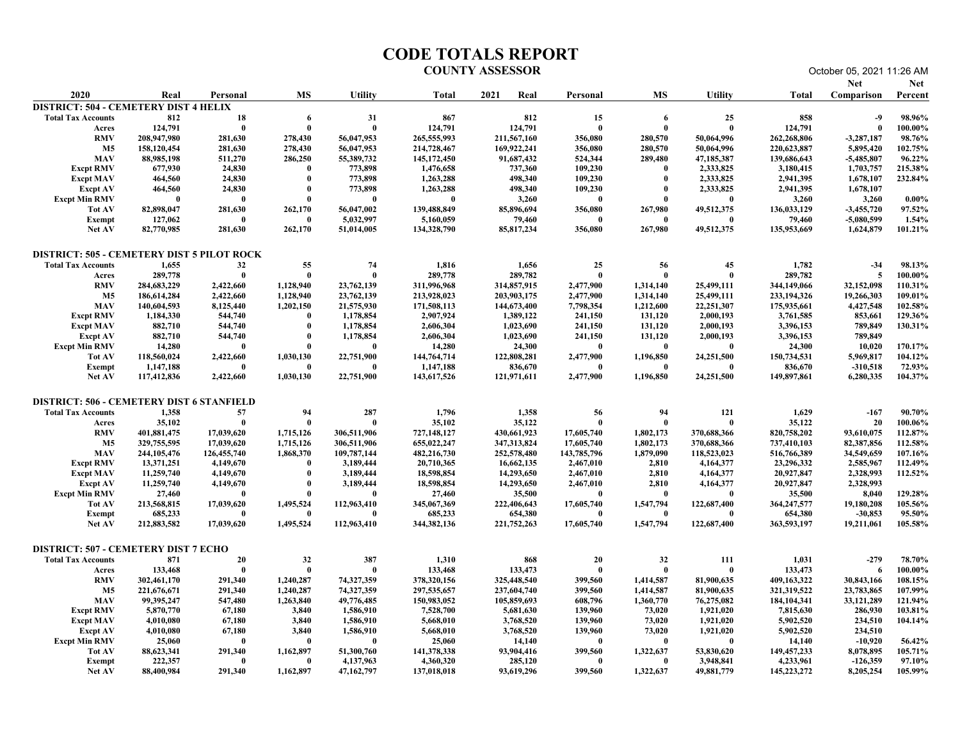| <b>Net</b><br><b>Net</b><br>2020<br>MS<br>MS<br><b>Utility</b><br>Real<br>Personal<br><b>Utility</b><br>2021<br>Real<br>Personal<br>Total<br>Total<br><b>Comparison</b> Percent<br><b>DISTRICT: 504 - CEMETERY DIST 4 HELIX</b><br>812<br>867<br>812<br>98.96%<br><b>Total Tax Accounts</b><br>18<br>31<br>15<br>25<br>858<br>$-9$<br>- 6<br>- 6<br>$\overline{0}$<br>124,791<br>124,791<br>100.00%<br>124,791<br>$\mathbf{0}$<br>- 0<br>$\mathbf{0}$<br>- 0<br>124,791<br>- 0<br>Acres<br>278,430<br>56,047,953<br><b>RMV</b><br>208,947,980<br>281,630<br>265,555,993<br>211,567,160<br>356,080<br>280,570<br>50,064,996<br>262,268,806<br>$-3,287,187$<br>98.76%<br><b>M5</b><br>158,120,454<br>281,630<br>278,430<br>56,047,953<br>214,728,467<br>169,922,241<br>356,080<br>280,570<br>50,064,996<br>220,623,887<br>5,895,420<br>102.75%<br><b>MAV</b><br>286,250<br>96.22%<br>88,985,198<br>511,270<br>55,389,732<br>145, 172, 450<br>91,687,432<br>524,344<br>289,480<br>47,185,387<br>139,686,643<br>$-5,485,807$<br><b>Excpt RMV</b><br>677,930<br>24,830<br>773,898<br>737,360<br>109,230<br>2,333,825<br>3,180,415<br>1,703,757<br>215.38%<br>- 0<br>1,476,658<br>1,263,288<br>498.340<br><b>Excpt MAV</b><br>464,560<br>24,830<br>- 0<br>773,898<br>109,230<br>2,333,825<br>2,941,395<br>1,678,107<br>232.84%<br><b>Excpt AV</b><br>464,560<br>24,830<br>- 0<br>773,898<br>1,263,288<br>498,340<br>109,230<br>$\mathbf{0}$<br>2,333,825<br>2,941,395<br>1,678,107<br>$0.00\%$<br><b>Excpt Min RMV</b><br>3,260<br>3,260<br>3,260<br>- 0<br>- 6<br>262,170<br>356,080<br>267,980<br>82,898,047<br>281,630<br>56,047,002<br>139,488,849<br>85,896,694<br>49,512,375<br>136,033,129<br>$-3,455,720$<br>97.52%<br>Tot AV<br>127,062<br>5,032,997<br>5,160,059<br>79,460<br>79,460<br>$-5,080,599$<br>1.54%<br>$\mathbf{0}$<br>- 0<br>Exempt<br>- 0<br>82,770,985<br>281,630<br>262,170<br>85,817,234<br>356,080<br>267,980<br>49,512,375<br>101.21%<br>51,014,005<br>134,328,790<br>135,953,669<br>1,624,879<br><b>Net AV</b><br><b>DISTRICT: 505 - CEMETERY DIST 5 PILOT ROCK</b><br>55<br>1,656<br>25<br>56<br>45<br>1,782<br>$-34$<br>98.13%<br><b>Total Tax Accounts</b><br>1,655<br>32<br>74<br>1,816<br>- 0<br>- 0<br>289,778<br>289,782<br>289,782<br>100.00%<br>$\mathbf{0}$<br>$\mathbf{0}$<br>289,778<br>- 0<br>$\mathbf{0}$<br>- 5<br>Acres<br><b>RMV</b><br>284,683,229<br>2,422,660<br>1,128,940<br>23,762,139<br>311,996,968<br>314,857,915<br>2,477,900<br>1,314,140<br>25,499,111<br>344,149,066<br>32,152,098<br>110.31%<br><b>M5</b><br>186,614,284<br>2,422,660<br>1,128,940<br>23,762,139<br>213,928,023<br>203,903,175<br>2,477,900<br>25,499,111<br>233,194,326<br>19,266,303<br>109.01%<br>1,314,140<br>21,575,930<br>102.58%<br><b>MAV</b><br>140,604,593<br>8,125,440<br>1,202,150<br>171,508,113<br>144,673,400<br>7,798,354<br>1,212,600<br>22,251,307<br>175,935,661<br>4,427,548<br>1,184,330<br>544,740<br>1,178,854<br>2,907,924<br>1,389,122<br>241,150<br>131,120<br>3,761,585<br>853,661<br>129.36%<br><b>Excpt RMV</b><br>- 0<br>2,000,193<br>131,120<br>Excpt MAV<br>882,710<br>544,740<br>1,178,854<br>2,606,304<br>1,023,690<br>241,150<br>2,000,193<br>3,396,153<br>789,849<br>130.31%<br>882,710<br>1,178,854<br>Excpt AV<br>544,740<br>2,606,304<br>1,023,690<br>241,150<br>131,120<br>2,000,193<br>3,396,153<br>789,849<br><b>Excpt Min RMV</b><br>14,280<br>14,280<br>24,300<br>24,300<br>10,020<br>170.17%<br>- 0<br>- 0<br>- 0<br>- 0<br>1,196,850<br><b>Tot AV</b><br>118,560,024<br>2,422,660<br>1,030,130<br>22,751,900<br>144,764,714<br>122,808,281<br>2,477,900<br>24,251,500<br>150,734,531<br>5,969,817<br>104.12%<br>836,670<br>$-310,518$<br>72.93%<br>Exempt<br>1,147,188<br>1,147,188<br>- 0<br>836,670<br>- 0<br>- 0<br>- 0<br>- 0<br>22,751,900<br>2,477,900<br>1,196,850<br>24,251,500<br>104.37%<br>117,412,836<br>2,422,660<br>1,030,130<br>143, 617, 526<br>121,971,611<br>149,897,861<br>6,280,335<br><b>Net AV</b><br><b>DISTRICT: 506 - CEMETERY DIST 6 STANFIELD</b><br>1,358<br>1,796<br>121<br>90.70%<br><b>Total Tax Accounts</b><br>57<br>94<br>287<br>1,358<br>56<br>94<br>1,629<br>-167<br>35,122<br>- 0<br>35,122<br>35,102<br>- 0<br>35,102<br>$\mathbf{0}$<br>20<br>100.06%<br>$\mathbf{0}$<br>$\mathbf{0}$<br>- 0<br>Acres<br>RMV<br>401,881,475<br>17,039,620<br>1,715,126<br>306,511,906<br>727,148,127<br>430,661,923<br>17,605,740<br>1,802,173<br>370,688,366<br>820,758,202<br>93,610,075<br>112.87%<br><b>M5</b><br>329,755,595<br>306,511,906<br>655,022,247<br>17,605,740<br>1,802,173<br>370,688,366<br>82,387,856<br>112.58%<br>17,039,620<br>1,715,126<br>347, 313, 824<br>737,410,103<br><b>MAV</b><br>252,578,480<br>126,455,740<br>1,868,370<br>109,787,144<br>482,216,730<br>143,785,796<br>1,879,090<br>118,523,023<br>516,766,389<br>34,549,659<br>107.16%<br>244, 105, 476<br><b>Excpt RMV</b><br>13,371,251<br>4,149,670<br>3,189,444<br>20,710,365<br>16,662,135<br>2,467,010<br>2,810<br>4,164,377<br>23,296,332<br>2,585,967<br>112.49%<br>- 0<br>4,164,377<br>112.52%<br><b>Excpt MAV</b><br>11,259,740<br>3,189,444<br>18,598,854<br>14,293,650<br>2,467,010<br>2,810<br>2,328,993<br>4,149,670<br>- 0<br>20,927,847<br><b>Excpt AV</b><br>3,189,444<br>18,598,854<br>14,293,650<br>2,467,010<br>4,164,377<br>20,927,847<br>2,328,993<br>11,259,740<br>4,149,670<br>- 0<br>2,810<br>35,500<br>35,500<br>8,040<br>129.28%<br><b>Excpt Min RMV</b><br>27,460<br>27,460<br>- 0<br>- 0<br>- 0<br>1,547,794<br>105.56%<br><b>Tot AV</b><br>213,568,815<br>17,039,620<br>1,495,524<br>112,963,410<br>345,067,369<br>222,406,643<br>17,605,740<br>122,687,400<br>364,247,577<br>19,180,208<br>685,233<br>685,233<br>654,380<br>$-30,853$<br>95.50%<br>654,380<br>Exempt<br>- 0<br>- 0<br>-0<br>- 0<br>- 0<br>- 0<br>1,495,524<br>112,963,410<br>221,752,263<br>17,605,740<br>1,547,794<br>122,687,400<br>363,593,197<br>105.58%<br>Net AV<br>212,883,582<br>17,039,620<br>344, 382, 136<br>19,211,061<br><b>DISTRICT: 507 - CEMETERY DIST 7 ECHO</b><br>871<br><b>20</b><br>32<br>387<br>1,310<br>20<br>32<br>111<br>1,031<br>$-279$<br>78.70%<br><b>Total Tax Accounts</b><br>868<br>$\overline{0}$<br>133,468<br>133,468<br>133,473<br>$\overline{\mathbf{0}}$<br>133,473<br>100.00%<br>$\mathbf{0}$<br>$\mathbf{0}$<br>- 0<br>- 0<br>Acres<br>6<br><b>RMV</b><br>302,461,170<br>291,340<br>1,240,287<br>74,327,359<br>378,320,156<br>325,448,540<br>399,560<br>1,414,587<br>81,900,635<br>409,163,322<br>30,843,166<br>108.15%<br><b>M5</b><br>1,240,287<br>74,327,359<br>297,535,657<br>237,604,740<br>399,560<br>23,783,865<br>107.99%<br>221,676,671<br>291,340<br>1,414,587<br>81,900,635<br>321, 319, 522<br>MAV<br>99,395,247<br>547,480<br>1,263,840<br>49,776,485<br>150,983,052<br>105,859,693<br>608,796<br>1,360,770<br>76,275,082<br>184, 104, 341<br>33, 121, 289<br>121.94%<br>286,930<br>103.81%<br><b>Excpt RMV</b><br>5,870,770<br>67,180<br>3,840<br>1,586,910<br>7,528,700<br>5,681,630<br>139,960<br>73,020<br>1,921,020<br>7,815,630<br>5,902,520<br><b>Excpt MAV</b><br>4,010,080<br>67,180<br>3,840<br>1,586,910<br>5,668,010<br>3,768,520<br>139,960<br>73,020<br>1,921,020<br>234,510<br>104.14%<br><b>Excpt AV</b><br>4,010,080<br>67,180<br>3,840<br>1,586,910<br>5,668,010<br>3,768,520<br>139,960<br>73,020<br>1,921,020<br>5,902,520<br>234,510<br>56.42%<br><b>Excpt Min RMV</b><br>25,060<br>25,060<br>14,140<br>$-10,920$<br>- 0<br>- 0<br>14,140<br>$\mathbf{0}$<br>$\mathbf{0}$<br>- 0<br>- 0<br>105.71%<br>Tot AV<br>88,623,341<br>291,340<br>1,162,897<br>51,300,760<br>141,378,338<br>93,904,416<br>399,560<br>1,322,637<br>53,830,620<br>149, 457, 233<br>8,078,895 |  |  |  | <b>CODE TOTALS REPORT</b><br><b>COUNTY ASSESSOR</b> |  |  | October 05, 2021 11:26 AM |  |
|---------------------------------------------------------------------------------------------------------------------------------------------------------------------------------------------------------------------------------------------------------------------------------------------------------------------------------------------------------------------------------------------------------------------------------------------------------------------------------------------------------------------------------------------------------------------------------------------------------------------------------------------------------------------------------------------------------------------------------------------------------------------------------------------------------------------------------------------------------------------------------------------------------------------------------------------------------------------------------------------------------------------------------------------------------------------------------------------------------------------------------------------------------------------------------------------------------------------------------------------------------------------------------------------------------------------------------------------------------------------------------------------------------------------------------------------------------------------------------------------------------------------------------------------------------------------------------------------------------------------------------------------------------------------------------------------------------------------------------------------------------------------------------------------------------------------------------------------------------------------------------------------------------------------------------------------------------------------------------------------------------------------------------------------------------------------------------------------------------------------------------------------------------------------------------------------------------------------------------------------------------------------------------------------------------------------------------------------------------------------------------------------------------------------------------------------------------------------------------------------------------------------------------------------------------------------------------------------------------------------------------------------------------------------------------------------------------------------------------------------------------------------------------------------------------------------------------------------------------------------------------------------------------------------------------------------------------------------------------------------------------------------------------------------------------------------------------------------------------------------------------------------------------------------------------------------------------------------------------------------------------------------------------------------------------------------------------------------------------------------------------------------------------------------------------------------------------------------------------------------------------------------------------------------------------------------------------------------------------------------------------------------------------------------------------------------------------------------------------------------------------------------------------------------------------------------------------------------------------------------------------------------------------------------------------------------------------------------------------------------------------------------------------------------------------------------------------------------------------------------------------------------------------------------------------------------------------------------------------------------------------------------------------------------------------------------------------------------------------------------------------------------------------------------------------------------------------------------------------------------------------------------------------------------------------------------------------------------------------------------------------------------------------------------------------------------------------------------------------------------------------------------------------------------------------------------------------------------------------------------------------------------------------------------------------------------------------------------------------------------------------------------------------------------------------------------------------------------------------------------------------------------------------------------------------------------------------------------------------------------------------------------------------------------------------------------------------------------------------------------------------------------------------------------------------------------------------------------------------------------------------------------------------------------------------------------------------------------------------------------------------------------------------------------------------------------------------------------------------------------------------------------------------------------------------------------------------------------------------------------------------------------------------------------------------------------------------------------------------------------------------------------------------------------------------------------------------------------------------------------------------------------------------------------------------------------------------------------------------------------------------------------------------------------------------------------------------------------------------------------------------------------------------------------------------------------------------------------------------------------------------------------------------------------------------------------------------------------------------------------------------------------------------------------------------------------------------------------------------------------------------------------------------------------------------------------------------------------------------------------------------------------------------------------------------------------------------------------------------------------------------------------------------------------------------------------------------------------------------------------------------------------------------------------------------------------------------------------------------------------------------------------------------------------------------------------------------------------------------------------------------------------------------------------------------------------------------------------------------------------------------------------------------------------------------------------------------------------------------------------------------------------------------------------------------------------------------------------|--|--|--|-----------------------------------------------------|--|--|---------------------------|--|
|                                                                                                                                                                                                                                                                                                                                                                                                                                                                                                                                                                                                                                                                                                                                                                                                                                                                                                                                                                                                                                                                                                                                                                                                                                                                                                                                                                                                                                                                                                                                                                                                                                                                                                                                                                                                                                                                                                                                                                                                                                                                                                                                                                                                                                                                                                                                                                                                                                                                                                                                                                                                                                                                                                                                                                                                                                                                                                                                                                                                                                                                                                                                                                                                                                                                                                                                                                                                                                                                                                                                                                                                                                                                                                                                                                                                                                                                                                                                                                                                                                                                                                                                                                                                                                                                                                                                                                                                                                                                                                                                                                                                                                                                                                                                                                                                                                                                                                                                                                                                                                                                                                                                                                                                                                                                                                                                                                                                                                                                                                                                                                                                                                                                                                                                                                                                                                                                                                                                                                                                                                                                                                                                                                                                                                                                                                                                                                                                                                                                                                                                                                                                                                                                                                                                                                                                                                                                                                                                                                                                                                                                                                                                                                                                                                                                                                                                                                                                                                                                                                                                                                                                                                                                                                                     |  |  |  |                                                     |  |  |                           |  |
|                                                                                                                                                                                                                                                                                                                                                                                                                                                                                                                                                                                                                                                                                                                                                                                                                                                                                                                                                                                                                                                                                                                                                                                                                                                                                                                                                                                                                                                                                                                                                                                                                                                                                                                                                                                                                                                                                                                                                                                                                                                                                                                                                                                                                                                                                                                                                                                                                                                                                                                                                                                                                                                                                                                                                                                                                                                                                                                                                                                                                                                                                                                                                                                                                                                                                                                                                                                                                                                                                                                                                                                                                                                                                                                                                                                                                                                                                                                                                                                                                                                                                                                                                                                                                                                                                                                                                                                                                                                                                                                                                                                                                                                                                                                                                                                                                                                                                                                                                                                                                                                                                                                                                                                                                                                                                                                                                                                                                                                                                                                                                                                                                                                                                                                                                                                                                                                                                                                                                                                                                                                                                                                                                                                                                                                                                                                                                                                                                                                                                                                                                                                                                                                                                                                                                                                                                                                                                                                                                                                                                                                                                                                                                                                                                                                                                                                                                                                                                                                                                                                                                                                                                                                                                                                     |  |  |  |                                                     |  |  |                           |  |
|                                                                                                                                                                                                                                                                                                                                                                                                                                                                                                                                                                                                                                                                                                                                                                                                                                                                                                                                                                                                                                                                                                                                                                                                                                                                                                                                                                                                                                                                                                                                                                                                                                                                                                                                                                                                                                                                                                                                                                                                                                                                                                                                                                                                                                                                                                                                                                                                                                                                                                                                                                                                                                                                                                                                                                                                                                                                                                                                                                                                                                                                                                                                                                                                                                                                                                                                                                                                                                                                                                                                                                                                                                                                                                                                                                                                                                                                                                                                                                                                                                                                                                                                                                                                                                                                                                                                                                                                                                                                                                                                                                                                                                                                                                                                                                                                                                                                                                                                                                                                                                                                                                                                                                                                                                                                                                                                                                                                                                                                                                                                                                                                                                                                                                                                                                                                                                                                                                                                                                                                                                                                                                                                                                                                                                                                                                                                                                                                                                                                                                                                                                                                                                                                                                                                                                                                                                                                                                                                                                                                                                                                                                                                                                                                                                                                                                                                                                                                                                                                                                                                                                                                                                                                                                                     |  |  |  |                                                     |  |  |                           |  |
|                                                                                                                                                                                                                                                                                                                                                                                                                                                                                                                                                                                                                                                                                                                                                                                                                                                                                                                                                                                                                                                                                                                                                                                                                                                                                                                                                                                                                                                                                                                                                                                                                                                                                                                                                                                                                                                                                                                                                                                                                                                                                                                                                                                                                                                                                                                                                                                                                                                                                                                                                                                                                                                                                                                                                                                                                                                                                                                                                                                                                                                                                                                                                                                                                                                                                                                                                                                                                                                                                                                                                                                                                                                                                                                                                                                                                                                                                                                                                                                                                                                                                                                                                                                                                                                                                                                                                                                                                                                                                                                                                                                                                                                                                                                                                                                                                                                                                                                                                                                                                                                                                                                                                                                                                                                                                                                                                                                                                                                                                                                                                                                                                                                                                                                                                                                                                                                                                                                                                                                                                                                                                                                                                                                                                                                                                                                                                                                                                                                                                                                                                                                                                                                                                                                                                                                                                                                                                                                                                                                                                                                                                                                                                                                                                                                                                                                                                                                                                                                                                                                                                                                                                                                                                                                     |  |  |  |                                                     |  |  |                           |  |
|                                                                                                                                                                                                                                                                                                                                                                                                                                                                                                                                                                                                                                                                                                                                                                                                                                                                                                                                                                                                                                                                                                                                                                                                                                                                                                                                                                                                                                                                                                                                                                                                                                                                                                                                                                                                                                                                                                                                                                                                                                                                                                                                                                                                                                                                                                                                                                                                                                                                                                                                                                                                                                                                                                                                                                                                                                                                                                                                                                                                                                                                                                                                                                                                                                                                                                                                                                                                                                                                                                                                                                                                                                                                                                                                                                                                                                                                                                                                                                                                                                                                                                                                                                                                                                                                                                                                                                                                                                                                                                                                                                                                                                                                                                                                                                                                                                                                                                                                                                                                                                                                                                                                                                                                                                                                                                                                                                                                                                                                                                                                                                                                                                                                                                                                                                                                                                                                                                                                                                                                                                                                                                                                                                                                                                                                                                                                                                                                                                                                                                                                                                                                                                                                                                                                                                                                                                                                                                                                                                                                                                                                                                                                                                                                                                                                                                                                                                                                                                                                                                                                                                                                                                                                                                                     |  |  |  |                                                     |  |  |                           |  |
|                                                                                                                                                                                                                                                                                                                                                                                                                                                                                                                                                                                                                                                                                                                                                                                                                                                                                                                                                                                                                                                                                                                                                                                                                                                                                                                                                                                                                                                                                                                                                                                                                                                                                                                                                                                                                                                                                                                                                                                                                                                                                                                                                                                                                                                                                                                                                                                                                                                                                                                                                                                                                                                                                                                                                                                                                                                                                                                                                                                                                                                                                                                                                                                                                                                                                                                                                                                                                                                                                                                                                                                                                                                                                                                                                                                                                                                                                                                                                                                                                                                                                                                                                                                                                                                                                                                                                                                                                                                                                                                                                                                                                                                                                                                                                                                                                                                                                                                                                                                                                                                                                                                                                                                                                                                                                                                                                                                                                                                                                                                                                                                                                                                                                                                                                                                                                                                                                                                                                                                                                                                                                                                                                                                                                                                                                                                                                                                                                                                                                                                                                                                                                                                                                                                                                                                                                                                                                                                                                                                                                                                                                                                                                                                                                                                                                                                                                                                                                                                                                                                                                                                                                                                                                                                     |  |  |  |                                                     |  |  |                           |  |
|                                                                                                                                                                                                                                                                                                                                                                                                                                                                                                                                                                                                                                                                                                                                                                                                                                                                                                                                                                                                                                                                                                                                                                                                                                                                                                                                                                                                                                                                                                                                                                                                                                                                                                                                                                                                                                                                                                                                                                                                                                                                                                                                                                                                                                                                                                                                                                                                                                                                                                                                                                                                                                                                                                                                                                                                                                                                                                                                                                                                                                                                                                                                                                                                                                                                                                                                                                                                                                                                                                                                                                                                                                                                                                                                                                                                                                                                                                                                                                                                                                                                                                                                                                                                                                                                                                                                                                                                                                                                                                                                                                                                                                                                                                                                                                                                                                                                                                                                                                                                                                                                                                                                                                                                                                                                                                                                                                                                                                                                                                                                                                                                                                                                                                                                                                                                                                                                                                                                                                                                                                                                                                                                                                                                                                                                                                                                                                                                                                                                                                                                                                                                                                                                                                                                                                                                                                                                                                                                                                                                                                                                                                                                                                                                                                                                                                                                                                                                                                                                                                                                                                                                                                                                                                                     |  |  |  |                                                     |  |  |                           |  |
|                                                                                                                                                                                                                                                                                                                                                                                                                                                                                                                                                                                                                                                                                                                                                                                                                                                                                                                                                                                                                                                                                                                                                                                                                                                                                                                                                                                                                                                                                                                                                                                                                                                                                                                                                                                                                                                                                                                                                                                                                                                                                                                                                                                                                                                                                                                                                                                                                                                                                                                                                                                                                                                                                                                                                                                                                                                                                                                                                                                                                                                                                                                                                                                                                                                                                                                                                                                                                                                                                                                                                                                                                                                                                                                                                                                                                                                                                                                                                                                                                                                                                                                                                                                                                                                                                                                                                                                                                                                                                                                                                                                                                                                                                                                                                                                                                                                                                                                                                                                                                                                                                                                                                                                                                                                                                                                                                                                                                                                                                                                                                                                                                                                                                                                                                                                                                                                                                                                                                                                                                                                                                                                                                                                                                                                                                                                                                                                                                                                                                                                                                                                                                                                                                                                                                                                                                                                                                                                                                                                                                                                                                                                                                                                                                                                                                                                                                                                                                                                                                                                                                                                                                                                                                                                     |  |  |  |                                                     |  |  |                           |  |
|                                                                                                                                                                                                                                                                                                                                                                                                                                                                                                                                                                                                                                                                                                                                                                                                                                                                                                                                                                                                                                                                                                                                                                                                                                                                                                                                                                                                                                                                                                                                                                                                                                                                                                                                                                                                                                                                                                                                                                                                                                                                                                                                                                                                                                                                                                                                                                                                                                                                                                                                                                                                                                                                                                                                                                                                                                                                                                                                                                                                                                                                                                                                                                                                                                                                                                                                                                                                                                                                                                                                                                                                                                                                                                                                                                                                                                                                                                                                                                                                                                                                                                                                                                                                                                                                                                                                                                                                                                                                                                                                                                                                                                                                                                                                                                                                                                                                                                                                                                                                                                                                                                                                                                                                                                                                                                                                                                                                                                                                                                                                                                                                                                                                                                                                                                                                                                                                                                                                                                                                                                                                                                                                                                                                                                                                                                                                                                                                                                                                                                                                                                                                                                                                                                                                                                                                                                                                                                                                                                                                                                                                                                                                                                                                                                                                                                                                                                                                                                                                                                                                                                                                                                                                                                                     |  |  |  |                                                     |  |  |                           |  |
|                                                                                                                                                                                                                                                                                                                                                                                                                                                                                                                                                                                                                                                                                                                                                                                                                                                                                                                                                                                                                                                                                                                                                                                                                                                                                                                                                                                                                                                                                                                                                                                                                                                                                                                                                                                                                                                                                                                                                                                                                                                                                                                                                                                                                                                                                                                                                                                                                                                                                                                                                                                                                                                                                                                                                                                                                                                                                                                                                                                                                                                                                                                                                                                                                                                                                                                                                                                                                                                                                                                                                                                                                                                                                                                                                                                                                                                                                                                                                                                                                                                                                                                                                                                                                                                                                                                                                                                                                                                                                                                                                                                                                                                                                                                                                                                                                                                                                                                                                                                                                                                                                                                                                                                                                                                                                                                                                                                                                                                                                                                                                                                                                                                                                                                                                                                                                                                                                                                                                                                                                                                                                                                                                                                                                                                                                                                                                                                                                                                                                                                                                                                                                                                                                                                                                                                                                                                                                                                                                                                                                                                                                                                                                                                                                                                                                                                                                                                                                                                                                                                                                                                                                                                                                                                     |  |  |  |                                                     |  |  |                           |  |
|                                                                                                                                                                                                                                                                                                                                                                                                                                                                                                                                                                                                                                                                                                                                                                                                                                                                                                                                                                                                                                                                                                                                                                                                                                                                                                                                                                                                                                                                                                                                                                                                                                                                                                                                                                                                                                                                                                                                                                                                                                                                                                                                                                                                                                                                                                                                                                                                                                                                                                                                                                                                                                                                                                                                                                                                                                                                                                                                                                                                                                                                                                                                                                                                                                                                                                                                                                                                                                                                                                                                                                                                                                                                                                                                                                                                                                                                                                                                                                                                                                                                                                                                                                                                                                                                                                                                                                                                                                                                                                                                                                                                                                                                                                                                                                                                                                                                                                                                                                                                                                                                                                                                                                                                                                                                                                                                                                                                                                                                                                                                                                                                                                                                                                                                                                                                                                                                                                                                                                                                                                                                                                                                                                                                                                                                                                                                                                                                                                                                                                                                                                                                                                                                                                                                                                                                                                                                                                                                                                                                                                                                                                                                                                                                                                                                                                                                                                                                                                                                                                                                                                                                                                                                                                                     |  |  |  |                                                     |  |  |                           |  |
|                                                                                                                                                                                                                                                                                                                                                                                                                                                                                                                                                                                                                                                                                                                                                                                                                                                                                                                                                                                                                                                                                                                                                                                                                                                                                                                                                                                                                                                                                                                                                                                                                                                                                                                                                                                                                                                                                                                                                                                                                                                                                                                                                                                                                                                                                                                                                                                                                                                                                                                                                                                                                                                                                                                                                                                                                                                                                                                                                                                                                                                                                                                                                                                                                                                                                                                                                                                                                                                                                                                                                                                                                                                                                                                                                                                                                                                                                                                                                                                                                                                                                                                                                                                                                                                                                                                                                                                                                                                                                                                                                                                                                                                                                                                                                                                                                                                                                                                                                                                                                                                                                                                                                                                                                                                                                                                                                                                                                                                                                                                                                                                                                                                                                                                                                                                                                                                                                                                                                                                                                                                                                                                                                                                                                                                                                                                                                                                                                                                                                                                                                                                                                                                                                                                                                                                                                                                                                                                                                                                                                                                                                                                                                                                                                                                                                                                                                                                                                                                                                                                                                                                                                                                                                                                     |  |  |  |                                                     |  |  |                           |  |
|                                                                                                                                                                                                                                                                                                                                                                                                                                                                                                                                                                                                                                                                                                                                                                                                                                                                                                                                                                                                                                                                                                                                                                                                                                                                                                                                                                                                                                                                                                                                                                                                                                                                                                                                                                                                                                                                                                                                                                                                                                                                                                                                                                                                                                                                                                                                                                                                                                                                                                                                                                                                                                                                                                                                                                                                                                                                                                                                                                                                                                                                                                                                                                                                                                                                                                                                                                                                                                                                                                                                                                                                                                                                                                                                                                                                                                                                                                                                                                                                                                                                                                                                                                                                                                                                                                                                                                                                                                                                                                                                                                                                                                                                                                                                                                                                                                                                                                                                                                                                                                                                                                                                                                                                                                                                                                                                                                                                                                                                                                                                                                                                                                                                                                                                                                                                                                                                                                                                                                                                                                                                                                                                                                                                                                                                                                                                                                                                                                                                                                                                                                                                                                                                                                                                                                                                                                                                                                                                                                                                                                                                                                                                                                                                                                                                                                                                                                                                                                                                                                                                                                                                                                                                                                                     |  |  |  |                                                     |  |  |                           |  |
|                                                                                                                                                                                                                                                                                                                                                                                                                                                                                                                                                                                                                                                                                                                                                                                                                                                                                                                                                                                                                                                                                                                                                                                                                                                                                                                                                                                                                                                                                                                                                                                                                                                                                                                                                                                                                                                                                                                                                                                                                                                                                                                                                                                                                                                                                                                                                                                                                                                                                                                                                                                                                                                                                                                                                                                                                                                                                                                                                                                                                                                                                                                                                                                                                                                                                                                                                                                                                                                                                                                                                                                                                                                                                                                                                                                                                                                                                                                                                                                                                                                                                                                                                                                                                                                                                                                                                                                                                                                                                                                                                                                                                                                                                                                                                                                                                                                                                                                                                                                                                                                                                                                                                                                                                                                                                                                                                                                                                                                                                                                                                                                                                                                                                                                                                                                                                                                                                                                                                                                                                                                                                                                                                                                                                                                                                                                                                                                                                                                                                                                                                                                                                                                                                                                                                                                                                                                                                                                                                                                                                                                                                                                                                                                                                                                                                                                                                                                                                                                                                                                                                                                                                                                                                                                     |  |  |  |                                                     |  |  |                           |  |
|                                                                                                                                                                                                                                                                                                                                                                                                                                                                                                                                                                                                                                                                                                                                                                                                                                                                                                                                                                                                                                                                                                                                                                                                                                                                                                                                                                                                                                                                                                                                                                                                                                                                                                                                                                                                                                                                                                                                                                                                                                                                                                                                                                                                                                                                                                                                                                                                                                                                                                                                                                                                                                                                                                                                                                                                                                                                                                                                                                                                                                                                                                                                                                                                                                                                                                                                                                                                                                                                                                                                                                                                                                                                                                                                                                                                                                                                                                                                                                                                                                                                                                                                                                                                                                                                                                                                                                                                                                                                                                                                                                                                                                                                                                                                                                                                                                                                                                                                                                                                                                                                                                                                                                                                                                                                                                                                                                                                                                                                                                                                                                                                                                                                                                                                                                                                                                                                                                                                                                                                                                                                                                                                                                                                                                                                                                                                                                                                                                                                                                                                                                                                                                                                                                                                                                                                                                                                                                                                                                                                                                                                                                                                                                                                                                                                                                                                                                                                                                                                                                                                                                                                                                                                                                                     |  |  |  |                                                     |  |  |                           |  |
|                                                                                                                                                                                                                                                                                                                                                                                                                                                                                                                                                                                                                                                                                                                                                                                                                                                                                                                                                                                                                                                                                                                                                                                                                                                                                                                                                                                                                                                                                                                                                                                                                                                                                                                                                                                                                                                                                                                                                                                                                                                                                                                                                                                                                                                                                                                                                                                                                                                                                                                                                                                                                                                                                                                                                                                                                                                                                                                                                                                                                                                                                                                                                                                                                                                                                                                                                                                                                                                                                                                                                                                                                                                                                                                                                                                                                                                                                                                                                                                                                                                                                                                                                                                                                                                                                                                                                                                                                                                                                                                                                                                                                                                                                                                                                                                                                                                                                                                                                                                                                                                                                                                                                                                                                                                                                                                                                                                                                                                                                                                                                                                                                                                                                                                                                                                                                                                                                                                                                                                                                                                                                                                                                                                                                                                                                                                                                                                                                                                                                                                                                                                                                                                                                                                                                                                                                                                                                                                                                                                                                                                                                                                                                                                                                                                                                                                                                                                                                                                                                                                                                                                                                                                                                                                     |  |  |  |                                                     |  |  |                           |  |
|                                                                                                                                                                                                                                                                                                                                                                                                                                                                                                                                                                                                                                                                                                                                                                                                                                                                                                                                                                                                                                                                                                                                                                                                                                                                                                                                                                                                                                                                                                                                                                                                                                                                                                                                                                                                                                                                                                                                                                                                                                                                                                                                                                                                                                                                                                                                                                                                                                                                                                                                                                                                                                                                                                                                                                                                                                                                                                                                                                                                                                                                                                                                                                                                                                                                                                                                                                                                                                                                                                                                                                                                                                                                                                                                                                                                                                                                                                                                                                                                                                                                                                                                                                                                                                                                                                                                                                                                                                                                                                                                                                                                                                                                                                                                                                                                                                                                                                                                                                                                                                                                                                                                                                                                                                                                                                                                                                                                                                                                                                                                                                                                                                                                                                                                                                                                                                                                                                                                                                                                                                                                                                                                                                                                                                                                                                                                                                                                                                                                                                                                                                                                                                                                                                                                                                                                                                                                                                                                                                                                                                                                                                                                                                                                                                                                                                                                                                                                                                                                                                                                                                                                                                                                                                                     |  |  |  |                                                     |  |  |                           |  |
|                                                                                                                                                                                                                                                                                                                                                                                                                                                                                                                                                                                                                                                                                                                                                                                                                                                                                                                                                                                                                                                                                                                                                                                                                                                                                                                                                                                                                                                                                                                                                                                                                                                                                                                                                                                                                                                                                                                                                                                                                                                                                                                                                                                                                                                                                                                                                                                                                                                                                                                                                                                                                                                                                                                                                                                                                                                                                                                                                                                                                                                                                                                                                                                                                                                                                                                                                                                                                                                                                                                                                                                                                                                                                                                                                                                                                                                                                                                                                                                                                                                                                                                                                                                                                                                                                                                                                                                                                                                                                                                                                                                                                                                                                                                                                                                                                                                                                                                                                                                                                                                                                                                                                                                                                                                                                                                                                                                                                                                                                                                                                                                                                                                                                                                                                                                                                                                                                                                                                                                                                                                                                                                                                                                                                                                                                                                                                                                                                                                                                                                                                                                                                                                                                                                                                                                                                                                                                                                                                                                                                                                                                                                                                                                                                                                                                                                                                                                                                                                                                                                                                                                                                                                                                                                     |  |  |  |                                                     |  |  |                           |  |
|                                                                                                                                                                                                                                                                                                                                                                                                                                                                                                                                                                                                                                                                                                                                                                                                                                                                                                                                                                                                                                                                                                                                                                                                                                                                                                                                                                                                                                                                                                                                                                                                                                                                                                                                                                                                                                                                                                                                                                                                                                                                                                                                                                                                                                                                                                                                                                                                                                                                                                                                                                                                                                                                                                                                                                                                                                                                                                                                                                                                                                                                                                                                                                                                                                                                                                                                                                                                                                                                                                                                                                                                                                                                                                                                                                                                                                                                                                                                                                                                                                                                                                                                                                                                                                                                                                                                                                                                                                                                                                                                                                                                                                                                                                                                                                                                                                                                                                                                                                                                                                                                                                                                                                                                                                                                                                                                                                                                                                                                                                                                                                                                                                                                                                                                                                                                                                                                                                                                                                                                                                                                                                                                                                                                                                                                                                                                                                                                                                                                                                                                                                                                                                                                                                                                                                                                                                                                                                                                                                                                                                                                                                                                                                                                                                                                                                                                                                                                                                                                                                                                                                                                                                                                                                                     |  |  |  |                                                     |  |  |                           |  |
|                                                                                                                                                                                                                                                                                                                                                                                                                                                                                                                                                                                                                                                                                                                                                                                                                                                                                                                                                                                                                                                                                                                                                                                                                                                                                                                                                                                                                                                                                                                                                                                                                                                                                                                                                                                                                                                                                                                                                                                                                                                                                                                                                                                                                                                                                                                                                                                                                                                                                                                                                                                                                                                                                                                                                                                                                                                                                                                                                                                                                                                                                                                                                                                                                                                                                                                                                                                                                                                                                                                                                                                                                                                                                                                                                                                                                                                                                                                                                                                                                                                                                                                                                                                                                                                                                                                                                                                                                                                                                                                                                                                                                                                                                                                                                                                                                                                                                                                                                                                                                                                                                                                                                                                                                                                                                                                                                                                                                                                                                                                                                                                                                                                                                                                                                                                                                                                                                                                                                                                                                                                                                                                                                                                                                                                                                                                                                                                                                                                                                                                                                                                                                                                                                                                                                                                                                                                                                                                                                                                                                                                                                                                                                                                                                                                                                                                                                                                                                                                                                                                                                                                                                                                                                                                     |  |  |  |                                                     |  |  |                           |  |
|                                                                                                                                                                                                                                                                                                                                                                                                                                                                                                                                                                                                                                                                                                                                                                                                                                                                                                                                                                                                                                                                                                                                                                                                                                                                                                                                                                                                                                                                                                                                                                                                                                                                                                                                                                                                                                                                                                                                                                                                                                                                                                                                                                                                                                                                                                                                                                                                                                                                                                                                                                                                                                                                                                                                                                                                                                                                                                                                                                                                                                                                                                                                                                                                                                                                                                                                                                                                                                                                                                                                                                                                                                                                                                                                                                                                                                                                                                                                                                                                                                                                                                                                                                                                                                                                                                                                                                                                                                                                                                                                                                                                                                                                                                                                                                                                                                                                                                                                                                                                                                                                                                                                                                                                                                                                                                                                                                                                                                                                                                                                                                                                                                                                                                                                                                                                                                                                                                                                                                                                                                                                                                                                                                                                                                                                                                                                                                                                                                                                                                                                                                                                                                                                                                                                                                                                                                                                                                                                                                                                                                                                                                                                                                                                                                                                                                                                                                                                                                                                                                                                                                                                                                                                                                                     |  |  |  |                                                     |  |  |                           |  |
|                                                                                                                                                                                                                                                                                                                                                                                                                                                                                                                                                                                                                                                                                                                                                                                                                                                                                                                                                                                                                                                                                                                                                                                                                                                                                                                                                                                                                                                                                                                                                                                                                                                                                                                                                                                                                                                                                                                                                                                                                                                                                                                                                                                                                                                                                                                                                                                                                                                                                                                                                                                                                                                                                                                                                                                                                                                                                                                                                                                                                                                                                                                                                                                                                                                                                                                                                                                                                                                                                                                                                                                                                                                                                                                                                                                                                                                                                                                                                                                                                                                                                                                                                                                                                                                                                                                                                                                                                                                                                                                                                                                                                                                                                                                                                                                                                                                                                                                                                                                                                                                                                                                                                                                                                                                                                                                                                                                                                                                                                                                                                                                                                                                                                                                                                                                                                                                                                                                                                                                                                                                                                                                                                                                                                                                                                                                                                                                                                                                                                                                                                                                                                                                                                                                                                                                                                                                                                                                                                                                                                                                                                                                                                                                                                                                                                                                                                                                                                                                                                                                                                                                                                                                                                                                     |  |  |  |                                                     |  |  |                           |  |
|                                                                                                                                                                                                                                                                                                                                                                                                                                                                                                                                                                                                                                                                                                                                                                                                                                                                                                                                                                                                                                                                                                                                                                                                                                                                                                                                                                                                                                                                                                                                                                                                                                                                                                                                                                                                                                                                                                                                                                                                                                                                                                                                                                                                                                                                                                                                                                                                                                                                                                                                                                                                                                                                                                                                                                                                                                                                                                                                                                                                                                                                                                                                                                                                                                                                                                                                                                                                                                                                                                                                                                                                                                                                                                                                                                                                                                                                                                                                                                                                                                                                                                                                                                                                                                                                                                                                                                                                                                                                                                                                                                                                                                                                                                                                                                                                                                                                                                                                                                                                                                                                                                                                                                                                                                                                                                                                                                                                                                                                                                                                                                                                                                                                                                                                                                                                                                                                                                                                                                                                                                                                                                                                                                                                                                                                                                                                                                                                                                                                                                                                                                                                                                                                                                                                                                                                                                                                                                                                                                                                                                                                                                                                                                                                                                                                                                                                                                                                                                                                                                                                                                                                                                                                                                                     |  |  |  |                                                     |  |  |                           |  |
|                                                                                                                                                                                                                                                                                                                                                                                                                                                                                                                                                                                                                                                                                                                                                                                                                                                                                                                                                                                                                                                                                                                                                                                                                                                                                                                                                                                                                                                                                                                                                                                                                                                                                                                                                                                                                                                                                                                                                                                                                                                                                                                                                                                                                                                                                                                                                                                                                                                                                                                                                                                                                                                                                                                                                                                                                                                                                                                                                                                                                                                                                                                                                                                                                                                                                                                                                                                                                                                                                                                                                                                                                                                                                                                                                                                                                                                                                                                                                                                                                                                                                                                                                                                                                                                                                                                                                                                                                                                                                                                                                                                                                                                                                                                                                                                                                                                                                                                                                                                                                                                                                                                                                                                                                                                                                                                                                                                                                                                                                                                                                                                                                                                                                                                                                                                                                                                                                                                                                                                                                                                                                                                                                                                                                                                                                                                                                                                                                                                                                                                                                                                                                                                                                                                                                                                                                                                                                                                                                                                                                                                                                                                                                                                                                                                                                                                                                                                                                                                                                                                                                                                                                                                                                                                     |  |  |  |                                                     |  |  |                           |  |
|                                                                                                                                                                                                                                                                                                                                                                                                                                                                                                                                                                                                                                                                                                                                                                                                                                                                                                                                                                                                                                                                                                                                                                                                                                                                                                                                                                                                                                                                                                                                                                                                                                                                                                                                                                                                                                                                                                                                                                                                                                                                                                                                                                                                                                                                                                                                                                                                                                                                                                                                                                                                                                                                                                                                                                                                                                                                                                                                                                                                                                                                                                                                                                                                                                                                                                                                                                                                                                                                                                                                                                                                                                                                                                                                                                                                                                                                                                                                                                                                                                                                                                                                                                                                                                                                                                                                                                                                                                                                                                                                                                                                                                                                                                                                                                                                                                                                                                                                                                                                                                                                                                                                                                                                                                                                                                                                                                                                                                                                                                                                                                                                                                                                                                                                                                                                                                                                                                                                                                                                                                                                                                                                                                                                                                                                                                                                                                                                                                                                                                                                                                                                                                                                                                                                                                                                                                                                                                                                                                                                                                                                                                                                                                                                                                                                                                                                                                                                                                                                                                                                                                                                                                                                                                                     |  |  |  |                                                     |  |  |                           |  |
|                                                                                                                                                                                                                                                                                                                                                                                                                                                                                                                                                                                                                                                                                                                                                                                                                                                                                                                                                                                                                                                                                                                                                                                                                                                                                                                                                                                                                                                                                                                                                                                                                                                                                                                                                                                                                                                                                                                                                                                                                                                                                                                                                                                                                                                                                                                                                                                                                                                                                                                                                                                                                                                                                                                                                                                                                                                                                                                                                                                                                                                                                                                                                                                                                                                                                                                                                                                                                                                                                                                                                                                                                                                                                                                                                                                                                                                                                                                                                                                                                                                                                                                                                                                                                                                                                                                                                                                                                                                                                                                                                                                                                                                                                                                                                                                                                                                                                                                                                                                                                                                                                                                                                                                                                                                                                                                                                                                                                                                                                                                                                                                                                                                                                                                                                                                                                                                                                                                                                                                                                                                                                                                                                                                                                                                                                                                                                                                                                                                                                                                                                                                                                                                                                                                                                                                                                                                                                                                                                                                                                                                                                                                                                                                                                                                                                                                                                                                                                                                                                                                                                                                                                                                                                                                     |  |  |  |                                                     |  |  |                           |  |
|                                                                                                                                                                                                                                                                                                                                                                                                                                                                                                                                                                                                                                                                                                                                                                                                                                                                                                                                                                                                                                                                                                                                                                                                                                                                                                                                                                                                                                                                                                                                                                                                                                                                                                                                                                                                                                                                                                                                                                                                                                                                                                                                                                                                                                                                                                                                                                                                                                                                                                                                                                                                                                                                                                                                                                                                                                                                                                                                                                                                                                                                                                                                                                                                                                                                                                                                                                                                                                                                                                                                                                                                                                                                                                                                                                                                                                                                                                                                                                                                                                                                                                                                                                                                                                                                                                                                                                                                                                                                                                                                                                                                                                                                                                                                                                                                                                                                                                                                                                                                                                                                                                                                                                                                                                                                                                                                                                                                                                                                                                                                                                                                                                                                                                                                                                                                                                                                                                                                                                                                                                                                                                                                                                                                                                                                                                                                                                                                                                                                                                                                                                                                                                                                                                                                                                                                                                                                                                                                                                                                                                                                                                                                                                                                                                                                                                                                                                                                                                                                                                                                                                                                                                                                                                                     |  |  |  |                                                     |  |  |                           |  |
|                                                                                                                                                                                                                                                                                                                                                                                                                                                                                                                                                                                                                                                                                                                                                                                                                                                                                                                                                                                                                                                                                                                                                                                                                                                                                                                                                                                                                                                                                                                                                                                                                                                                                                                                                                                                                                                                                                                                                                                                                                                                                                                                                                                                                                                                                                                                                                                                                                                                                                                                                                                                                                                                                                                                                                                                                                                                                                                                                                                                                                                                                                                                                                                                                                                                                                                                                                                                                                                                                                                                                                                                                                                                                                                                                                                                                                                                                                                                                                                                                                                                                                                                                                                                                                                                                                                                                                                                                                                                                                                                                                                                                                                                                                                                                                                                                                                                                                                                                                                                                                                                                                                                                                                                                                                                                                                                                                                                                                                                                                                                                                                                                                                                                                                                                                                                                                                                                                                                                                                                                                                                                                                                                                                                                                                                                                                                                                                                                                                                                                                                                                                                                                                                                                                                                                                                                                                                                                                                                                                                                                                                                                                                                                                                                                                                                                                                                                                                                                                                                                                                                                                                                                                                                                                     |  |  |  |                                                     |  |  |                           |  |
|                                                                                                                                                                                                                                                                                                                                                                                                                                                                                                                                                                                                                                                                                                                                                                                                                                                                                                                                                                                                                                                                                                                                                                                                                                                                                                                                                                                                                                                                                                                                                                                                                                                                                                                                                                                                                                                                                                                                                                                                                                                                                                                                                                                                                                                                                                                                                                                                                                                                                                                                                                                                                                                                                                                                                                                                                                                                                                                                                                                                                                                                                                                                                                                                                                                                                                                                                                                                                                                                                                                                                                                                                                                                                                                                                                                                                                                                                                                                                                                                                                                                                                                                                                                                                                                                                                                                                                                                                                                                                                                                                                                                                                                                                                                                                                                                                                                                                                                                                                                                                                                                                                                                                                                                                                                                                                                                                                                                                                                                                                                                                                                                                                                                                                                                                                                                                                                                                                                                                                                                                                                                                                                                                                                                                                                                                                                                                                                                                                                                                                                                                                                                                                                                                                                                                                                                                                                                                                                                                                                                                                                                                                                                                                                                                                                                                                                                                                                                                                                                                                                                                                                                                                                                                                                     |  |  |  |                                                     |  |  |                           |  |
|                                                                                                                                                                                                                                                                                                                                                                                                                                                                                                                                                                                                                                                                                                                                                                                                                                                                                                                                                                                                                                                                                                                                                                                                                                                                                                                                                                                                                                                                                                                                                                                                                                                                                                                                                                                                                                                                                                                                                                                                                                                                                                                                                                                                                                                                                                                                                                                                                                                                                                                                                                                                                                                                                                                                                                                                                                                                                                                                                                                                                                                                                                                                                                                                                                                                                                                                                                                                                                                                                                                                                                                                                                                                                                                                                                                                                                                                                                                                                                                                                                                                                                                                                                                                                                                                                                                                                                                                                                                                                                                                                                                                                                                                                                                                                                                                                                                                                                                                                                                                                                                                                                                                                                                                                                                                                                                                                                                                                                                                                                                                                                                                                                                                                                                                                                                                                                                                                                                                                                                                                                                                                                                                                                                                                                                                                                                                                                                                                                                                                                                                                                                                                                                                                                                                                                                                                                                                                                                                                                                                                                                                                                                                                                                                                                                                                                                                                                                                                                                                                                                                                                                                                                                                                                                     |  |  |  |                                                     |  |  |                           |  |
|                                                                                                                                                                                                                                                                                                                                                                                                                                                                                                                                                                                                                                                                                                                                                                                                                                                                                                                                                                                                                                                                                                                                                                                                                                                                                                                                                                                                                                                                                                                                                                                                                                                                                                                                                                                                                                                                                                                                                                                                                                                                                                                                                                                                                                                                                                                                                                                                                                                                                                                                                                                                                                                                                                                                                                                                                                                                                                                                                                                                                                                                                                                                                                                                                                                                                                                                                                                                                                                                                                                                                                                                                                                                                                                                                                                                                                                                                                                                                                                                                                                                                                                                                                                                                                                                                                                                                                                                                                                                                                                                                                                                                                                                                                                                                                                                                                                                                                                                                                                                                                                                                                                                                                                                                                                                                                                                                                                                                                                                                                                                                                                                                                                                                                                                                                                                                                                                                                                                                                                                                                                                                                                                                                                                                                                                                                                                                                                                                                                                                                                                                                                                                                                                                                                                                                                                                                                                                                                                                                                                                                                                                                                                                                                                                                                                                                                                                                                                                                                                                                                                                                                                                                                                                                                     |  |  |  |                                                     |  |  |                           |  |
|                                                                                                                                                                                                                                                                                                                                                                                                                                                                                                                                                                                                                                                                                                                                                                                                                                                                                                                                                                                                                                                                                                                                                                                                                                                                                                                                                                                                                                                                                                                                                                                                                                                                                                                                                                                                                                                                                                                                                                                                                                                                                                                                                                                                                                                                                                                                                                                                                                                                                                                                                                                                                                                                                                                                                                                                                                                                                                                                                                                                                                                                                                                                                                                                                                                                                                                                                                                                                                                                                                                                                                                                                                                                                                                                                                                                                                                                                                                                                                                                                                                                                                                                                                                                                                                                                                                                                                                                                                                                                                                                                                                                                                                                                                                                                                                                                                                                                                                                                                                                                                                                                                                                                                                                                                                                                                                                                                                                                                                                                                                                                                                                                                                                                                                                                                                                                                                                                                                                                                                                                                                                                                                                                                                                                                                                                                                                                                                                                                                                                                                                                                                                                                                                                                                                                                                                                                                                                                                                                                                                                                                                                                                                                                                                                                                                                                                                                                                                                                                                                                                                                                                                                                                                                                                     |  |  |  |                                                     |  |  |                           |  |
|                                                                                                                                                                                                                                                                                                                                                                                                                                                                                                                                                                                                                                                                                                                                                                                                                                                                                                                                                                                                                                                                                                                                                                                                                                                                                                                                                                                                                                                                                                                                                                                                                                                                                                                                                                                                                                                                                                                                                                                                                                                                                                                                                                                                                                                                                                                                                                                                                                                                                                                                                                                                                                                                                                                                                                                                                                                                                                                                                                                                                                                                                                                                                                                                                                                                                                                                                                                                                                                                                                                                                                                                                                                                                                                                                                                                                                                                                                                                                                                                                                                                                                                                                                                                                                                                                                                                                                                                                                                                                                                                                                                                                                                                                                                                                                                                                                                                                                                                                                                                                                                                                                                                                                                                                                                                                                                                                                                                                                                                                                                                                                                                                                                                                                                                                                                                                                                                                                                                                                                                                                                                                                                                                                                                                                                                                                                                                                                                                                                                                                                                                                                                                                                                                                                                                                                                                                                                                                                                                                                                                                                                                                                                                                                                                                                                                                                                                                                                                                                                                                                                                                                                                                                                                                                     |  |  |  |                                                     |  |  |                           |  |
| 222,357<br>4,137,963<br>4,360,320<br>3,948,841<br>4,233,961<br>$-126,359$<br>97.10%<br>Exempt<br>- 0<br>285,120<br>- 0<br>- 0<br>- 0                                                                                                                                                                                                                                                                                                                                                                                                                                                                                                                                                                                                                                                                                                                                                                                                                                                                                                                                                                                                                                                                                                                                                                                                                                                                                                                                                                                                                                                                                                                                                                                                                                                                                                                                                                                                                                                                                                                                                                                                                                                                                                                                                                                                                                                                                                                                                                                                                                                                                                                                                                                                                                                                                                                                                                                                                                                                                                                                                                                                                                                                                                                                                                                                                                                                                                                                                                                                                                                                                                                                                                                                                                                                                                                                                                                                                                                                                                                                                                                                                                                                                                                                                                                                                                                                                                                                                                                                                                                                                                                                                                                                                                                                                                                                                                                                                                                                                                                                                                                                                                                                                                                                                                                                                                                                                                                                                                                                                                                                                                                                                                                                                                                                                                                                                                                                                                                                                                                                                                                                                                                                                                                                                                                                                                                                                                                                                                                                                                                                                                                                                                                                                                                                                                                                                                                                                                                                                                                                                                                                                                                                                                                                                                                                                                                                                                                                                                                                                                                                                                                                                                                |  |  |  |                                                     |  |  |                           |  |
| 291,340<br>1,162,897<br>399,560<br>1,322,637<br>105.99%<br>Net AV<br>88,400,984<br>47, 162, 797<br>137,018,018<br>93,619,296<br>49,881,779<br>145,223,272<br>8,205,254                                                                                                                                                                                                                                                                                                                                                                                                                                                                                                                                                                                                                                                                                                                                                                                                                                                                                                                                                                                                                                                                                                                                                                                                                                                                                                                                                                                                                                                                                                                                                                                                                                                                                                                                                                                                                                                                                                                                                                                                                                                                                                                                                                                                                                                                                                                                                                                                                                                                                                                                                                                                                                                                                                                                                                                                                                                                                                                                                                                                                                                                                                                                                                                                                                                                                                                                                                                                                                                                                                                                                                                                                                                                                                                                                                                                                                                                                                                                                                                                                                                                                                                                                                                                                                                                                                                                                                                                                                                                                                                                                                                                                                                                                                                                                                                                                                                                                                                                                                                                                                                                                                                                                                                                                                                                                                                                                                                                                                                                                                                                                                                                                                                                                                                                                                                                                                                                                                                                                                                                                                                                                                                                                                                                                                                                                                                                                                                                                                                                                                                                                                                                                                                                                                                                                                                                                                                                                                                                                                                                                                                                                                                                                                                                                                                                                                                                                                                                                                                                                                                                              |  |  |  |                                                     |  |  |                           |  |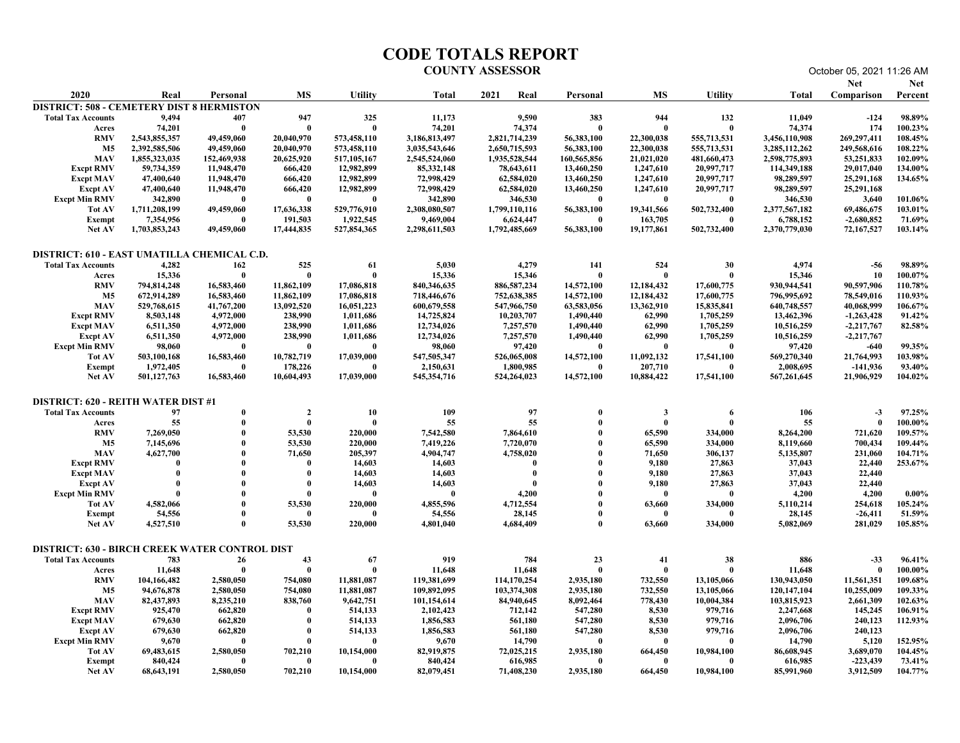| 2020<br><b>MS</b><br>2021<br><b>MS</b><br><b>Utility</b><br>Real<br><b>Utility</b><br>Total<br>Personal<br>Total<br>Real<br>Personal<br><b>Comparison</b> Percent<br><b>DISTRICT: 508 - CEMETERY DIST 8 HERMISTON</b><br>9,590<br>383<br>944<br>132<br>98.89%<br><b>Total Tax Accounts</b><br>9,494<br>407<br>947<br>325<br>11,173<br>11,049<br>$-124$<br>74,374<br>74,374<br>74,201<br>74,201<br>174<br>100.23%<br>- 0<br>- 0<br>$\mathbf{0}$<br>- 0<br>$\mathbf{0}$<br>- 0<br>Acres<br>2,543,855,357<br>20,040,970<br>269,297,411<br><b>RMV</b><br>49,459,060<br>573,458,110<br>3,186,813,497<br>2,821,714,239<br>56,383,100<br>22,300,038<br>555,713,531<br>3,456,110,908<br>108.45%<br>2,392,585,506<br>49,459,060<br>20,040,970<br>573,458,110<br>3,035,543,646<br>2,650,715,593<br>56,383,100<br>22,300,038<br>555,713,531<br>3,285,112,262<br>249,568,616<br>108.22%<br>M5<br><b>MAV</b><br>1,935,528,544<br>160,565,856<br>102.09%<br>1,855,323,035<br>152,469,938<br>20,625,920<br>517, 105, 167<br>2,545,524,060<br>21,021,020<br>481,660,473<br>2,598,775,893<br>53,251,833<br><b>Excpt RMV</b><br>59,734,359<br>12,982,899<br>85, 332, 148<br>78,643,611<br>13,460,250<br>1,247,610<br>20,997,717<br>114,349,188<br>29,017,040<br>134.00%<br>11,948,470<br>666,420<br>13,460,250<br><b>Excpt MAV</b><br>12,982,899<br>72,998,429<br>62,584,020<br>1,247,610<br>20,997,717<br>98,289,597<br>25,291,168<br>134.65%<br>47,400,640<br>11,948,470<br>666,420<br>11,948,470<br>666,420<br>12,982,899<br>72,998,429<br>62,584,020<br>13,460,250<br>1,247,610<br>20,997,717<br>98,289,597<br>25,291,168<br><b>Excpt AV</b><br>47,400,640<br>346,530<br><b>Excpt Min RMV</b><br>342,890<br>342,890<br>346,530<br>3,640<br>101.06%<br>-0<br>1,711,208,199<br>49,459,060<br>17,636,338<br>529,776,910<br>2,308,080,507<br>1,799,110,116<br>56,383,100<br>19,341,566<br>502,732,400<br>2,377,567,182<br>69,486,675<br>103.01%<br><b>Tot AV</b><br>7,354,956<br>191,503<br>1,922,545<br>6,624,447<br>163,705<br>6,788,152<br>$-2,680,852$<br>71.69%<br>9,469,004<br><b>Exempt</b><br>1,703,853,243<br>17,444,835<br>527,854,365<br>56,383,100<br>19,177,861<br>502,732,400<br>49,459,060<br>2,298,611,503<br>1,792,485,669<br>2,370,779,030<br>72,167,527<br>103.14%<br><b>Net AV</b><br>DISTRICT: 610 - EAST UMATILLA CHEMICAL C.D.<br>4,282<br>525<br>5,030<br>4,279<br>524<br>30<br><b>Total Tax Accounts</b><br>162<br>-61<br>141<br>4,974<br>-56<br>98.89%<br>15,336<br>15,336<br>15,346<br>15,346<br>10<br>- 0<br>- 0<br>$\mathbf{0}$<br>$\mathbf{0}$<br>$\mathbf{0}$<br>100.07%<br>Acres<br><b>RMV</b><br>794,814,248<br>16,583,460<br>11,862,109<br>17,086,818<br>840,346,635<br>886,587,234<br>14,572,100<br>12,184,432<br>17,600,775<br>930,944,541<br>90,597,906<br>110.78%<br><b>M5</b><br>16,583,460<br>11,862,109<br>17,086,818<br>752,638,385<br>14,572,100<br>12,184,432<br>17,600,775<br>796,995,692<br>110.93%<br>672,914,289<br>718,446,676<br>78,549,016<br>63,583,056<br>13,362,910<br>15,835,841<br><b>MAV</b><br>529,768,615<br>41,767,200<br>13,092,520<br>16,051,223<br>600,679,558<br>547,966,750<br>640,748,557<br>40,068,999<br>106.67%<br>8,503,148<br>4,972,000<br>238,990<br>10,203,707<br>1,490,440<br>62,990<br>1,705,259<br>13,462,396<br>$-1,263,428$<br>91.42%<br><b>Excpt RMV</b><br>1,011,686<br>14,725,824<br><b>Excpt MAV</b><br>6,511,350<br>4,972,000<br>238,990<br>1,011,686<br>12,734,026<br>7,257,570<br>1,490,440<br>62,990<br>1,705,259<br>10,516,259<br>$-2,217,767$<br>82.58%<br>6,511,350<br>4,972,000<br>1,011,686<br>7,257,570<br>62,990<br>1,705,259<br>238,990<br>12,734,026<br>1,490,440<br>10,516,259<br>$-2,217,767$<br><b>Excpt AV</b><br>98,060<br>97,420<br>99.35%<br><b>Excpt Min RMV</b><br>98,060<br>97,420<br>-640<br>- 0<br>- 0<br>$\mathbf{0}$<br>16,583,460<br>10,782,719<br>14,572,100<br>103.98%<br>Tot AV<br>503,100,168<br>17,039,000<br>547,505,347<br>526,065,008<br>11,092,132<br>17,541,100<br>569,270,340<br>21,764,993<br>1,972,405<br>178,226<br>2,150,631<br>1,800,985<br>207,710<br>2,008,695<br>-141,936<br>93.40%<br><b>Exempt</b><br>- 0<br>- 0<br>501,127,763<br>16,583,460<br>17,039,000<br>545,354,716<br>14,572,100<br>10,884,422<br>17,541,100<br>21,906,929<br>104.02%<br>10,604,493<br>524,264,023<br>567,261,645<br><b>Net AV</b><br><b>DISTRICT: 620 - REITH WATER DIST #1</b><br>97<br>$-3$<br>97.25%<br><b>Total Tax Accounts</b><br>97<br>$\overline{\mathbf{c}}$<br>10<br>109<br>106<br>$\mathbf{3}$<br>-6<br>55<br>55<br>55<br>55<br>100.00%<br>$\mathbf{0}$<br>$\mathbf{0}$<br>$\mathbf{0}$<br>Acres<br>53,530<br><b>RMV</b><br>7,269,050<br>220,000<br>7,542,580<br>7,864,610<br>65,590<br>334,000<br>8,264,200<br>721,620<br>109.57%<br><b>M5</b><br>53,530<br>65,590<br>7,145,696<br>220,000<br>7,720,070<br>334,000<br>700,434<br>109.44%<br>7,419,226<br>8,119,660<br><b>MAV</b><br>4,627,700<br>71,650<br>4,758,020<br>71,650<br>205,397<br>4,904,747<br>306,137<br>5,135,807<br>231,060<br>104.71%<br><b>Excpt RMV</b><br>253.67%<br>14,603<br>14,603<br>9,180<br>27,863<br>37,043<br>22,440<br>- 0<br><b>Excpt MAV</b><br>14,603<br>9,180<br>27,863<br>22,440<br>14,603<br>37,043<br>- 0<br>$\mathbf 0$<br><b>Excpt AV</b><br>14,603<br>14,603<br>9,180<br>27,863<br>37,043<br>22,440<br>- 0<br>-0<br>4,200<br>4,200<br>$0.00\%$<br><b>Excpt Min RMV</b><br>4,200<br>$\mathbf 0$<br>$\mathbf{0}$<br>- 0<br>$\mathbf{0}$<br>53,530<br>220,000<br>4,855,596<br>4,712,554<br>63,660<br>334,000<br>105.24%<br>Tot AV<br>4,582,066<br>5,110,214<br>254,618<br>54,556<br>28,145<br>51.59%<br>54,556<br>28,145<br>$-26,411$<br><b>Exempt</b><br>$\bf{0}$<br>$\mathbf{0}$<br>- 0<br>$\mathbf{0}$<br>53,530<br>220,000<br>63,660<br>334,000<br>105.85%<br>Net AV<br>4,527,510<br>$\theta$<br>4,801,040<br>4,684,409<br>5,082,069<br>281,029<br>DISTRICT: 630 - BIRCH CREEK WATER CONTROL DIST<br><b>Total Tax Accounts</b><br>783<br>43<br>67<br>919<br>23<br>38<br>886<br>$-33$<br>96.41%<br>26<br>784<br>-41<br>$\overline{\mathbf{0}}$<br>11,648<br>$\mathbf{0}$<br>11,648<br>11,648<br>11,648<br>100.00%<br>- 0<br>$\bf{0}$<br>- 0<br>Acres<br>754,080<br>114,170,254<br><b>RMV</b><br>104,166,482<br>2,580,050<br>11,881,087<br>119,381,699<br>2,935,180<br>732,550<br>13,105,066<br>130,943,050<br>11,561,351<br>109.68%<br><b>M5</b><br>10,255,009<br>94,676,878<br>2,580,050<br>754,080<br>11,881,087<br>109,892,095<br>103,374,308<br>2,935,180<br>732,550<br>13,105,066<br>109.33%<br>120, 147, 104<br><b>MAV</b><br>102.63%<br>82,437,893<br>8,235,210<br>838,760<br>9,642,751<br>101,154,614<br>84,940,645<br>8,092,464<br>778,430<br>10,004,384<br>103,815,923<br>2,661,309<br><b>Excpt RMV</b><br>925,470<br>662,820<br>8,530<br>979,716<br>145,245<br>106.91%<br>514,133<br>2,102,423<br>712,142<br>547,280<br>2,247,668<br>- 0<br>1,856,583<br>561,180<br>8,530<br>979,716<br>2,096,706<br>112.93%<br><b>Excpt MAV</b><br>679,630<br>662,820<br>514,133<br>547,280<br>240,123<br>$\mathbf 0$<br><b>Excpt AV</b><br>679,630<br>662,820<br>514,133<br>1,856,583<br>561,180<br>547,280<br>8,530<br>979,716<br>2,096,706<br>240,123<br>- 0<br><b>Excpt Min RMV</b><br>9,670<br>152.95%<br>9,670<br>14,790<br>14,790<br>5,120<br>$\mathbf{0}$<br>- 0<br>$\mathbf{0}$<br>104.45%<br>Tot AV<br>69,483,615<br>2,580,050<br>702,210<br>10,154,000<br>82,919,875<br>72,025,215<br>2,935,180<br>664,450<br>10,984,100<br>86,608,945<br>3,689,070<br>840,424<br>840,424<br>616,985<br>616,985<br>$-223,439$<br>73.41%<br>Exempt<br>$\bf{0}$<br>$\mathbf{0}$<br>68,643,191<br>2,580,050<br>702,210<br>71,408,230<br>2,935,180<br>664,450<br>10,984,100<br>85,991,960<br>104.77%<br>Net AV<br>10,154,000<br>82,079,451<br>3,912,509 |  |  |  | <b>CODE TOTALS REPORT</b><br><b>COUNTY ASSESSOR</b> |  |  | October 05, 2021 11:26 AM |     |
|---------------------------------------------------------------------------------------------------------------------------------------------------------------------------------------------------------------------------------------------------------------------------------------------------------------------------------------------------------------------------------------------------------------------------------------------------------------------------------------------------------------------------------------------------------------------------------------------------------------------------------------------------------------------------------------------------------------------------------------------------------------------------------------------------------------------------------------------------------------------------------------------------------------------------------------------------------------------------------------------------------------------------------------------------------------------------------------------------------------------------------------------------------------------------------------------------------------------------------------------------------------------------------------------------------------------------------------------------------------------------------------------------------------------------------------------------------------------------------------------------------------------------------------------------------------------------------------------------------------------------------------------------------------------------------------------------------------------------------------------------------------------------------------------------------------------------------------------------------------------------------------------------------------------------------------------------------------------------------------------------------------------------------------------------------------------------------------------------------------------------------------------------------------------------------------------------------------------------------------------------------------------------------------------------------------------------------------------------------------------------------------------------------------------------------------------------------------------------------------------------------------------------------------------------------------------------------------------------------------------------------------------------------------------------------------------------------------------------------------------------------------------------------------------------------------------------------------------------------------------------------------------------------------------------------------------------------------------------------------------------------------------------------------------------------------------------------------------------------------------------------------------------------------------------------------------------------------------------------------------------------------------------------------------------------------------------------------------------------------------------------------------------------------------------------------------------------------------------------------------------------------------------------------------------------------------------------------------------------------------------------------------------------------------------------------------------------------------------------------------------------------------------------------------------------------------------------------------------------------------------------------------------------------------------------------------------------------------------------------------------------------------------------------------------------------------------------------------------------------------------------------------------------------------------------------------------------------------------------------------------------------------------------------------------------------------------------------------------------------------------------------------------------------------------------------------------------------------------------------------------------------------------------------------------------------------------------------------------------------------------------------------------------------------------------------------------------------------------------------------------------------------------------------------------------------------------------------------------------------------------------------------------------------------------------------------------------------------------------------------------------------------------------------------------------------------------------------------------------------------------------------------------------------------------------------------------------------------------------------------------------------------------------------------------------------------------------------------------------------------------------------------------------------------------------------------------------------------------------------------------------------------------------------------------------------------------------------------------------------------------------------------------------------------------------------------------------------------------------------------------------------------------------------------------------------------------------------------------------------------------------------------------------------------------------------------------------------------------------------------------------------------------------------------------------------------------------------------------------------------------------------------------------------------------------------------------------------------------------------------------------------------------------------------------------------------------------------------------------------------------------------------------------------------------------------------------------------------------------------------------------------------------------------------------------------------------------------------------------------------------------------------------------------------------------------------------------------------------------------------------------------------------------------------------------------------------------------------------------------------------------------------------------------------------------------------------------------------------------------------------------------------------------------------------------------------------------------------------------------------------------------------------------------------------------------------------------------------------------------------------------------------------------------------------------------------------------------------------------------------------------------------------------------------------------------------------------------------------------------------------------------------------------------------------------------------------------------------------------------------------------------------------------------------------------------------------------------------------------------|--|--|--|-----------------------------------------------------|--|--|---------------------------|-----|
|                                                                                                                                                                                                                                                                                                                                                                                                                                                                                                                                                                                                                                                                                                                                                                                                                                                                                                                                                                                                                                                                                                                                                                                                                                                                                                                                                                                                                                                                                                                                                                                                                                                                                                                                                                                                                                                                                                                                                                                                                                                                                                                                                                                                                                                                                                                                                                                                                                                                                                                                                                                                                                                                                                                                                                                                                                                                                                                                                                                                                                                                                                                                                                                                                                                                                                                                                                                                                                                                                                                                                                                                                                                                                                                                                                                                                                                                                                                                                                                                                                                                                                                                                                                                                                                                                                                                                                                                                                                                                                                                                                                                                                                                                                                                                                                                                                                                                                                                                                                                                                                                                                                                                                                                                                                                                                                                                                                                                                                                                                                                                                                                                                                                                                                                                                                                                                                                                                                                                                                                                                                                                                                                                                                                                                                                                                                                                                                                                                                                                                                                                                                                                                                                                                                                                                                                                                                                                                                                                                                                                                                                                                                                                                                                                                                                                                                                                                                                                                                                                                                                                                                                                                                                                                                                       |  |  |  |                                                     |  |  | <b>Net</b>                | Net |
|                                                                                                                                                                                                                                                                                                                                                                                                                                                                                                                                                                                                                                                                                                                                                                                                                                                                                                                                                                                                                                                                                                                                                                                                                                                                                                                                                                                                                                                                                                                                                                                                                                                                                                                                                                                                                                                                                                                                                                                                                                                                                                                                                                                                                                                                                                                                                                                                                                                                                                                                                                                                                                                                                                                                                                                                                                                                                                                                                                                                                                                                                                                                                                                                                                                                                                                                                                                                                                                                                                                                                                                                                                                                                                                                                                                                                                                                                                                                                                                                                                                                                                                                                                                                                                                                                                                                                                                                                                                                                                                                                                                                                                                                                                                                                                                                                                                                                                                                                                                                                                                                                                                                                                                                                                                                                                                                                                                                                                                                                                                                                                                                                                                                                                                                                                                                                                                                                                                                                                                                                                                                                                                                                                                                                                                                                                                                                                                                                                                                                                                                                                                                                                                                                                                                                                                                                                                                                                                                                                                                                                                                                                                                                                                                                                                                                                                                                                                                                                                                                                                                                                                                                                                                                                                                       |  |  |  |                                                     |  |  |                           |     |
|                                                                                                                                                                                                                                                                                                                                                                                                                                                                                                                                                                                                                                                                                                                                                                                                                                                                                                                                                                                                                                                                                                                                                                                                                                                                                                                                                                                                                                                                                                                                                                                                                                                                                                                                                                                                                                                                                                                                                                                                                                                                                                                                                                                                                                                                                                                                                                                                                                                                                                                                                                                                                                                                                                                                                                                                                                                                                                                                                                                                                                                                                                                                                                                                                                                                                                                                                                                                                                                                                                                                                                                                                                                                                                                                                                                                                                                                                                                                                                                                                                                                                                                                                                                                                                                                                                                                                                                                                                                                                                                                                                                                                                                                                                                                                                                                                                                                                                                                                                                                                                                                                                                                                                                                                                                                                                                                                                                                                                                                                                                                                                                                                                                                                                                                                                                                                                                                                                                                                                                                                                                                                                                                                                                                                                                                                                                                                                                                                                                                                                                                                                                                                                                                                                                                                                                                                                                                                                                                                                                                                                                                                                                                                                                                                                                                                                                                                                                                                                                                                                                                                                                                                                                                                                                                       |  |  |  |                                                     |  |  |                           |     |
|                                                                                                                                                                                                                                                                                                                                                                                                                                                                                                                                                                                                                                                                                                                                                                                                                                                                                                                                                                                                                                                                                                                                                                                                                                                                                                                                                                                                                                                                                                                                                                                                                                                                                                                                                                                                                                                                                                                                                                                                                                                                                                                                                                                                                                                                                                                                                                                                                                                                                                                                                                                                                                                                                                                                                                                                                                                                                                                                                                                                                                                                                                                                                                                                                                                                                                                                                                                                                                                                                                                                                                                                                                                                                                                                                                                                                                                                                                                                                                                                                                                                                                                                                                                                                                                                                                                                                                                                                                                                                                                                                                                                                                                                                                                                                                                                                                                                                                                                                                                                                                                                                                                                                                                                                                                                                                                                                                                                                                                                                                                                                                                                                                                                                                                                                                                                                                                                                                                                                                                                                                                                                                                                                                                                                                                                                                                                                                                                                                                                                                                                                                                                                                                                                                                                                                                                                                                                                                                                                                                                                                                                                                                                                                                                                                                                                                                                                                                                                                                                                                                                                                                                                                                                                                                                       |  |  |  |                                                     |  |  |                           |     |
|                                                                                                                                                                                                                                                                                                                                                                                                                                                                                                                                                                                                                                                                                                                                                                                                                                                                                                                                                                                                                                                                                                                                                                                                                                                                                                                                                                                                                                                                                                                                                                                                                                                                                                                                                                                                                                                                                                                                                                                                                                                                                                                                                                                                                                                                                                                                                                                                                                                                                                                                                                                                                                                                                                                                                                                                                                                                                                                                                                                                                                                                                                                                                                                                                                                                                                                                                                                                                                                                                                                                                                                                                                                                                                                                                                                                                                                                                                                                                                                                                                                                                                                                                                                                                                                                                                                                                                                                                                                                                                                                                                                                                                                                                                                                                                                                                                                                                                                                                                                                                                                                                                                                                                                                                                                                                                                                                                                                                                                                                                                                                                                                                                                                                                                                                                                                                                                                                                                                                                                                                                                                                                                                                                                                                                                                                                                                                                                                                                                                                                                                                                                                                                                                                                                                                                                                                                                                                                                                                                                                                                                                                                                                                                                                                                                                                                                                                                                                                                                                                                                                                                                                                                                                                                                                       |  |  |  |                                                     |  |  |                           |     |
|                                                                                                                                                                                                                                                                                                                                                                                                                                                                                                                                                                                                                                                                                                                                                                                                                                                                                                                                                                                                                                                                                                                                                                                                                                                                                                                                                                                                                                                                                                                                                                                                                                                                                                                                                                                                                                                                                                                                                                                                                                                                                                                                                                                                                                                                                                                                                                                                                                                                                                                                                                                                                                                                                                                                                                                                                                                                                                                                                                                                                                                                                                                                                                                                                                                                                                                                                                                                                                                                                                                                                                                                                                                                                                                                                                                                                                                                                                                                                                                                                                                                                                                                                                                                                                                                                                                                                                                                                                                                                                                                                                                                                                                                                                                                                                                                                                                                                                                                                                                                                                                                                                                                                                                                                                                                                                                                                                                                                                                                                                                                                                                                                                                                                                                                                                                                                                                                                                                                                                                                                                                                                                                                                                                                                                                                                                                                                                                                                                                                                                                                                                                                                                                                                                                                                                                                                                                                                                                                                                                                                                                                                                                                                                                                                                                                                                                                                                                                                                                                                                                                                                                                                                                                                                                                       |  |  |  |                                                     |  |  |                           |     |
|                                                                                                                                                                                                                                                                                                                                                                                                                                                                                                                                                                                                                                                                                                                                                                                                                                                                                                                                                                                                                                                                                                                                                                                                                                                                                                                                                                                                                                                                                                                                                                                                                                                                                                                                                                                                                                                                                                                                                                                                                                                                                                                                                                                                                                                                                                                                                                                                                                                                                                                                                                                                                                                                                                                                                                                                                                                                                                                                                                                                                                                                                                                                                                                                                                                                                                                                                                                                                                                                                                                                                                                                                                                                                                                                                                                                                                                                                                                                                                                                                                                                                                                                                                                                                                                                                                                                                                                                                                                                                                                                                                                                                                                                                                                                                                                                                                                                                                                                                                                                                                                                                                                                                                                                                                                                                                                                                                                                                                                                                                                                                                                                                                                                                                                                                                                                                                                                                                                                                                                                                                                                                                                                                                                                                                                                                                                                                                                                                                                                                                                                                                                                                                                                                                                                                                                                                                                                                                                                                                                                                                                                                                                                                                                                                                                                                                                                                                                                                                                                                                                                                                                                                                                                                                                                       |  |  |  |                                                     |  |  |                           |     |
|                                                                                                                                                                                                                                                                                                                                                                                                                                                                                                                                                                                                                                                                                                                                                                                                                                                                                                                                                                                                                                                                                                                                                                                                                                                                                                                                                                                                                                                                                                                                                                                                                                                                                                                                                                                                                                                                                                                                                                                                                                                                                                                                                                                                                                                                                                                                                                                                                                                                                                                                                                                                                                                                                                                                                                                                                                                                                                                                                                                                                                                                                                                                                                                                                                                                                                                                                                                                                                                                                                                                                                                                                                                                                                                                                                                                                                                                                                                                                                                                                                                                                                                                                                                                                                                                                                                                                                                                                                                                                                                                                                                                                                                                                                                                                                                                                                                                                                                                                                                                                                                                                                                                                                                                                                                                                                                                                                                                                                                                                                                                                                                                                                                                                                                                                                                                                                                                                                                                                                                                                                                                                                                                                                                                                                                                                                                                                                                                                                                                                                                                                                                                                                                                                                                                                                                                                                                                                                                                                                                                                                                                                                                                                                                                                                                                                                                                                                                                                                                                                                                                                                                                                                                                                                                                       |  |  |  |                                                     |  |  |                           |     |
|                                                                                                                                                                                                                                                                                                                                                                                                                                                                                                                                                                                                                                                                                                                                                                                                                                                                                                                                                                                                                                                                                                                                                                                                                                                                                                                                                                                                                                                                                                                                                                                                                                                                                                                                                                                                                                                                                                                                                                                                                                                                                                                                                                                                                                                                                                                                                                                                                                                                                                                                                                                                                                                                                                                                                                                                                                                                                                                                                                                                                                                                                                                                                                                                                                                                                                                                                                                                                                                                                                                                                                                                                                                                                                                                                                                                                                                                                                                                                                                                                                                                                                                                                                                                                                                                                                                                                                                                                                                                                                                                                                                                                                                                                                                                                                                                                                                                                                                                                                                                                                                                                                                                                                                                                                                                                                                                                                                                                                                                                                                                                                                                                                                                                                                                                                                                                                                                                                                                                                                                                                                                                                                                                                                                                                                                                                                                                                                                                                                                                                                                                                                                                                                                                                                                                                                                                                                                                                                                                                                                                                                                                                                                                                                                                                                                                                                                                                                                                                                                                                                                                                                                                                                                                                                                       |  |  |  |                                                     |  |  |                           |     |
|                                                                                                                                                                                                                                                                                                                                                                                                                                                                                                                                                                                                                                                                                                                                                                                                                                                                                                                                                                                                                                                                                                                                                                                                                                                                                                                                                                                                                                                                                                                                                                                                                                                                                                                                                                                                                                                                                                                                                                                                                                                                                                                                                                                                                                                                                                                                                                                                                                                                                                                                                                                                                                                                                                                                                                                                                                                                                                                                                                                                                                                                                                                                                                                                                                                                                                                                                                                                                                                                                                                                                                                                                                                                                                                                                                                                                                                                                                                                                                                                                                                                                                                                                                                                                                                                                                                                                                                                                                                                                                                                                                                                                                                                                                                                                                                                                                                                                                                                                                                                                                                                                                                                                                                                                                                                                                                                                                                                                                                                                                                                                                                                                                                                                                                                                                                                                                                                                                                                                                                                                                                                                                                                                                                                                                                                                                                                                                                                                                                                                                                                                                                                                                                                                                                                                                                                                                                                                                                                                                                                                                                                                                                                                                                                                                                                                                                                                                                                                                                                                                                                                                                                                                                                                                                                       |  |  |  |                                                     |  |  |                           |     |
|                                                                                                                                                                                                                                                                                                                                                                                                                                                                                                                                                                                                                                                                                                                                                                                                                                                                                                                                                                                                                                                                                                                                                                                                                                                                                                                                                                                                                                                                                                                                                                                                                                                                                                                                                                                                                                                                                                                                                                                                                                                                                                                                                                                                                                                                                                                                                                                                                                                                                                                                                                                                                                                                                                                                                                                                                                                                                                                                                                                                                                                                                                                                                                                                                                                                                                                                                                                                                                                                                                                                                                                                                                                                                                                                                                                                                                                                                                                                                                                                                                                                                                                                                                                                                                                                                                                                                                                                                                                                                                                                                                                                                                                                                                                                                                                                                                                                                                                                                                                                                                                                                                                                                                                                                                                                                                                                                                                                                                                                                                                                                                                                                                                                                                                                                                                                                                                                                                                                                                                                                                                                                                                                                                                                                                                                                                                                                                                                                                                                                                                                                                                                                                                                                                                                                                                                                                                                                                                                                                                                                                                                                                                                                                                                                                                                                                                                                                                                                                                                                                                                                                                                                                                                                                                                       |  |  |  |                                                     |  |  |                           |     |
|                                                                                                                                                                                                                                                                                                                                                                                                                                                                                                                                                                                                                                                                                                                                                                                                                                                                                                                                                                                                                                                                                                                                                                                                                                                                                                                                                                                                                                                                                                                                                                                                                                                                                                                                                                                                                                                                                                                                                                                                                                                                                                                                                                                                                                                                                                                                                                                                                                                                                                                                                                                                                                                                                                                                                                                                                                                                                                                                                                                                                                                                                                                                                                                                                                                                                                                                                                                                                                                                                                                                                                                                                                                                                                                                                                                                                                                                                                                                                                                                                                                                                                                                                                                                                                                                                                                                                                                                                                                                                                                                                                                                                                                                                                                                                                                                                                                                                                                                                                                                                                                                                                                                                                                                                                                                                                                                                                                                                                                                                                                                                                                                                                                                                                                                                                                                                                                                                                                                                                                                                                                                                                                                                                                                                                                                                                                                                                                                                                                                                                                                                                                                                                                                                                                                                                                                                                                                                                                                                                                                                                                                                                                                                                                                                                                                                                                                                                                                                                                                                                                                                                                                                                                                                                                                       |  |  |  |                                                     |  |  |                           |     |
|                                                                                                                                                                                                                                                                                                                                                                                                                                                                                                                                                                                                                                                                                                                                                                                                                                                                                                                                                                                                                                                                                                                                                                                                                                                                                                                                                                                                                                                                                                                                                                                                                                                                                                                                                                                                                                                                                                                                                                                                                                                                                                                                                                                                                                                                                                                                                                                                                                                                                                                                                                                                                                                                                                                                                                                                                                                                                                                                                                                                                                                                                                                                                                                                                                                                                                                                                                                                                                                                                                                                                                                                                                                                                                                                                                                                                                                                                                                                                                                                                                                                                                                                                                                                                                                                                                                                                                                                                                                                                                                                                                                                                                                                                                                                                                                                                                                                                                                                                                                                                                                                                                                                                                                                                                                                                                                                                                                                                                                                                                                                                                                                                                                                                                                                                                                                                                                                                                                                                                                                                                                                                                                                                                                                                                                                                                                                                                                                                                                                                                                                                                                                                                                                                                                                                                                                                                                                                                                                                                                                                                                                                                                                                                                                                                                                                                                                                                                                                                                                                                                                                                                                                                                                                                                                       |  |  |  |                                                     |  |  |                           |     |
|                                                                                                                                                                                                                                                                                                                                                                                                                                                                                                                                                                                                                                                                                                                                                                                                                                                                                                                                                                                                                                                                                                                                                                                                                                                                                                                                                                                                                                                                                                                                                                                                                                                                                                                                                                                                                                                                                                                                                                                                                                                                                                                                                                                                                                                                                                                                                                                                                                                                                                                                                                                                                                                                                                                                                                                                                                                                                                                                                                                                                                                                                                                                                                                                                                                                                                                                                                                                                                                                                                                                                                                                                                                                                                                                                                                                                                                                                                                                                                                                                                                                                                                                                                                                                                                                                                                                                                                                                                                                                                                                                                                                                                                                                                                                                                                                                                                                                                                                                                                                                                                                                                                                                                                                                                                                                                                                                                                                                                                                                                                                                                                                                                                                                                                                                                                                                                                                                                                                                                                                                                                                                                                                                                                                                                                                                                                                                                                                                                                                                                                                                                                                                                                                                                                                                                                                                                                                                                                                                                                                                                                                                                                                                                                                                                                                                                                                                                                                                                                                                                                                                                                                                                                                                                                                       |  |  |  |                                                     |  |  |                           |     |
|                                                                                                                                                                                                                                                                                                                                                                                                                                                                                                                                                                                                                                                                                                                                                                                                                                                                                                                                                                                                                                                                                                                                                                                                                                                                                                                                                                                                                                                                                                                                                                                                                                                                                                                                                                                                                                                                                                                                                                                                                                                                                                                                                                                                                                                                                                                                                                                                                                                                                                                                                                                                                                                                                                                                                                                                                                                                                                                                                                                                                                                                                                                                                                                                                                                                                                                                                                                                                                                                                                                                                                                                                                                                                                                                                                                                                                                                                                                                                                                                                                                                                                                                                                                                                                                                                                                                                                                                                                                                                                                                                                                                                                                                                                                                                                                                                                                                                                                                                                                                                                                                                                                                                                                                                                                                                                                                                                                                                                                                                                                                                                                                                                                                                                                                                                                                                                                                                                                                                                                                                                                                                                                                                                                                                                                                                                                                                                                                                                                                                                                                                                                                                                                                                                                                                                                                                                                                                                                                                                                                                                                                                                                                                                                                                                                                                                                                                                                                                                                                                                                                                                                                                                                                                                                                       |  |  |  |                                                     |  |  |                           |     |
|                                                                                                                                                                                                                                                                                                                                                                                                                                                                                                                                                                                                                                                                                                                                                                                                                                                                                                                                                                                                                                                                                                                                                                                                                                                                                                                                                                                                                                                                                                                                                                                                                                                                                                                                                                                                                                                                                                                                                                                                                                                                                                                                                                                                                                                                                                                                                                                                                                                                                                                                                                                                                                                                                                                                                                                                                                                                                                                                                                                                                                                                                                                                                                                                                                                                                                                                                                                                                                                                                                                                                                                                                                                                                                                                                                                                                                                                                                                                                                                                                                                                                                                                                                                                                                                                                                                                                                                                                                                                                                                                                                                                                                                                                                                                                                                                                                                                                                                                                                                                                                                                                                                                                                                                                                                                                                                                                                                                                                                                                                                                                                                                                                                                                                                                                                                                                                                                                                                                                                                                                                                                                                                                                                                                                                                                                                                                                                                                                                                                                                                                                                                                                                                                                                                                                                                                                                                                                                                                                                                                                                                                                                                                                                                                                                                                                                                                                                                                                                                                                                                                                                                                                                                                                                                                       |  |  |  |                                                     |  |  |                           |     |
|                                                                                                                                                                                                                                                                                                                                                                                                                                                                                                                                                                                                                                                                                                                                                                                                                                                                                                                                                                                                                                                                                                                                                                                                                                                                                                                                                                                                                                                                                                                                                                                                                                                                                                                                                                                                                                                                                                                                                                                                                                                                                                                                                                                                                                                                                                                                                                                                                                                                                                                                                                                                                                                                                                                                                                                                                                                                                                                                                                                                                                                                                                                                                                                                                                                                                                                                                                                                                                                                                                                                                                                                                                                                                                                                                                                                                                                                                                                                                                                                                                                                                                                                                                                                                                                                                                                                                                                                                                                                                                                                                                                                                                                                                                                                                                                                                                                                                                                                                                                                                                                                                                                                                                                                                                                                                                                                                                                                                                                                                                                                                                                                                                                                                                                                                                                                                                                                                                                                                                                                                                                                                                                                                                                                                                                                                                                                                                                                                                                                                                                                                                                                                                                                                                                                                                                                                                                                                                                                                                                                                                                                                                                                                                                                                                                                                                                                                                                                                                                                                                                                                                                                                                                                                                                                       |  |  |  |                                                     |  |  |                           |     |
|                                                                                                                                                                                                                                                                                                                                                                                                                                                                                                                                                                                                                                                                                                                                                                                                                                                                                                                                                                                                                                                                                                                                                                                                                                                                                                                                                                                                                                                                                                                                                                                                                                                                                                                                                                                                                                                                                                                                                                                                                                                                                                                                                                                                                                                                                                                                                                                                                                                                                                                                                                                                                                                                                                                                                                                                                                                                                                                                                                                                                                                                                                                                                                                                                                                                                                                                                                                                                                                                                                                                                                                                                                                                                                                                                                                                                                                                                                                                                                                                                                                                                                                                                                                                                                                                                                                                                                                                                                                                                                                                                                                                                                                                                                                                                                                                                                                                                                                                                                                                                                                                                                                                                                                                                                                                                                                                                                                                                                                                                                                                                                                                                                                                                                                                                                                                                                                                                                                                                                                                                                                                                                                                                                                                                                                                                                                                                                                                                                                                                                                                                                                                                                                                                                                                                                                                                                                                                                                                                                                                                                                                                                                                                                                                                                                                                                                                                                                                                                                                                                                                                                                                                                                                                                                                       |  |  |  |                                                     |  |  |                           |     |
|                                                                                                                                                                                                                                                                                                                                                                                                                                                                                                                                                                                                                                                                                                                                                                                                                                                                                                                                                                                                                                                                                                                                                                                                                                                                                                                                                                                                                                                                                                                                                                                                                                                                                                                                                                                                                                                                                                                                                                                                                                                                                                                                                                                                                                                                                                                                                                                                                                                                                                                                                                                                                                                                                                                                                                                                                                                                                                                                                                                                                                                                                                                                                                                                                                                                                                                                                                                                                                                                                                                                                                                                                                                                                                                                                                                                                                                                                                                                                                                                                                                                                                                                                                                                                                                                                                                                                                                                                                                                                                                                                                                                                                                                                                                                                                                                                                                                                                                                                                                                                                                                                                                                                                                                                                                                                                                                                                                                                                                                                                                                                                                                                                                                                                                                                                                                                                                                                                                                                                                                                                                                                                                                                                                                                                                                                                                                                                                                                                                                                                                                                                                                                                                                                                                                                                                                                                                                                                                                                                                                                                                                                                                                                                                                                                                                                                                                                                                                                                                                                                                                                                                                                                                                                                                                       |  |  |  |                                                     |  |  |                           |     |
|                                                                                                                                                                                                                                                                                                                                                                                                                                                                                                                                                                                                                                                                                                                                                                                                                                                                                                                                                                                                                                                                                                                                                                                                                                                                                                                                                                                                                                                                                                                                                                                                                                                                                                                                                                                                                                                                                                                                                                                                                                                                                                                                                                                                                                                                                                                                                                                                                                                                                                                                                                                                                                                                                                                                                                                                                                                                                                                                                                                                                                                                                                                                                                                                                                                                                                                                                                                                                                                                                                                                                                                                                                                                                                                                                                                                                                                                                                                                                                                                                                                                                                                                                                                                                                                                                                                                                                                                                                                                                                                                                                                                                                                                                                                                                                                                                                                                                                                                                                                                                                                                                                                                                                                                                                                                                                                                                                                                                                                                                                                                                                                                                                                                                                                                                                                                                                                                                                                                                                                                                                                                                                                                                                                                                                                                                                                                                                                                                                                                                                                                                                                                                                                                                                                                                                                                                                                                                                                                                                                                                                                                                                                                                                                                                                                                                                                                                                                                                                                                                                                                                                                                                                                                                                                                       |  |  |  |                                                     |  |  |                           |     |
|                                                                                                                                                                                                                                                                                                                                                                                                                                                                                                                                                                                                                                                                                                                                                                                                                                                                                                                                                                                                                                                                                                                                                                                                                                                                                                                                                                                                                                                                                                                                                                                                                                                                                                                                                                                                                                                                                                                                                                                                                                                                                                                                                                                                                                                                                                                                                                                                                                                                                                                                                                                                                                                                                                                                                                                                                                                                                                                                                                                                                                                                                                                                                                                                                                                                                                                                                                                                                                                                                                                                                                                                                                                                                                                                                                                                                                                                                                                                                                                                                                                                                                                                                                                                                                                                                                                                                                                                                                                                                                                                                                                                                                                                                                                                                                                                                                                                                                                                                                                                                                                                                                                                                                                                                                                                                                                                                                                                                                                                                                                                                                                                                                                                                                                                                                                                                                                                                                                                                                                                                                                                                                                                                                                                                                                                                                                                                                                                                                                                                                                                                                                                                                                                                                                                                                                                                                                                                                                                                                                                                                                                                                                                                                                                                                                                                                                                                                                                                                                                                                                                                                                                                                                                                                                                       |  |  |  |                                                     |  |  |                           |     |
|                                                                                                                                                                                                                                                                                                                                                                                                                                                                                                                                                                                                                                                                                                                                                                                                                                                                                                                                                                                                                                                                                                                                                                                                                                                                                                                                                                                                                                                                                                                                                                                                                                                                                                                                                                                                                                                                                                                                                                                                                                                                                                                                                                                                                                                                                                                                                                                                                                                                                                                                                                                                                                                                                                                                                                                                                                                                                                                                                                                                                                                                                                                                                                                                                                                                                                                                                                                                                                                                                                                                                                                                                                                                                                                                                                                                                                                                                                                                                                                                                                                                                                                                                                                                                                                                                                                                                                                                                                                                                                                                                                                                                                                                                                                                                                                                                                                                                                                                                                                                                                                                                                                                                                                                                                                                                                                                                                                                                                                                                                                                                                                                                                                                                                                                                                                                                                                                                                                                                                                                                                                                                                                                                                                                                                                                                                                                                                                                                                                                                                                                                                                                                                                                                                                                                                                                                                                                                                                                                                                                                                                                                                                                                                                                                                                                                                                                                                                                                                                                                                                                                                                                                                                                                                                                       |  |  |  |                                                     |  |  |                           |     |
|                                                                                                                                                                                                                                                                                                                                                                                                                                                                                                                                                                                                                                                                                                                                                                                                                                                                                                                                                                                                                                                                                                                                                                                                                                                                                                                                                                                                                                                                                                                                                                                                                                                                                                                                                                                                                                                                                                                                                                                                                                                                                                                                                                                                                                                                                                                                                                                                                                                                                                                                                                                                                                                                                                                                                                                                                                                                                                                                                                                                                                                                                                                                                                                                                                                                                                                                                                                                                                                                                                                                                                                                                                                                                                                                                                                                                                                                                                                                                                                                                                                                                                                                                                                                                                                                                                                                                                                                                                                                                                                                                                                                                                                                                                                                                                                                                                                                                                                                                                                                                                                                                                                                                                                                                                                                                                                                                                                                                                                                                                                                                                                                                                                                                                                                                                                                                                                                                                                                                                                                                                                                                                                                                                                                                                                                                                                                                                                                                                                                                                                                                                                                                                                                                                                                                                                                                                                                                                                                                                                                                                                                                                                                                                                                                                                                                                                                                                                                                                                                                                                                                                                                                                                                                                                                       |  |  |  |                                                     |  |  |                           |     |
|                                                                                                                                                                                                                                                                                                                                                                                                                                                                                                                                                                                                                                                                                                                                                                                                                                                                                                                                                                                                                                                                                                                                                                                                                                                                                                                                                                                                                                                                                                                                                                                                                                                                                                                                                                                                                                                                                                                                                                                                                                                                                                                                                                                                                                                                                                                                                                                                                                                                                                                                                                                                                                                                                                                                                                                                                                                                                                                                                                                                                                                                                                                                                                                                                                                                                                                                                                                                                                                                                                                                                                                                                                                                                                                                                                                                                                                                                                                                                                                                                                                                                                                                                                                                                                                                                                                                                                                                                                                                                                                                                                                                                                                                                                                                                                                                                                                                                                                                                                                                                                                                                                                                                                                                                                                                                                                                                                                                                                                                                                                                                                                                                                                                                                                                                                                                                                                                                                                                                                                                                                                                                                                                                                                                                                                                                                                                                                                                                                                                                                                                                                                                                                                                                                                                                                                                                                                                                                                                                                                                                                                                                                                                                                                                                                                                                                                                                                                                                                                                                                                                                                                                                                                                                                                                       |  |  |  |                                                     |  |  |                           |     |
|                                                                                                                                                                                                                                                                                                                                                                                                                                                                                                                                                                                                                                                                                                                                                                                                                                                                                                                                                                                                                                                                                                                                                                                                                                                                                                                                                                                                                                                                                                                                                                                                                                                                                                                                                                                                                                                                                                                                                                                                                                                                                                                                                                                                                                                                                                                                                                                                                                                                                                                                                                                                                                                                                                                                                                                                                                                                                                                                                                                                                                                                                                                                                                                                                                                                                                                                                                                                                                                                                                                                                                                                                                                                                                                                                                                                                                                                                                                                                                                                                                                                                                                                                                                                                                                                                                                                                                                                                                                                                                                                                                                                                                                                                                                                                                                                                                                                                                                                                                                                                                                                                                                                                                                                                                                                                                                                                                                                                                                                                                                                                                                                                                                                                                                                                                                                                                                                                                                                                                                                                                                                                                                                                                                                                                                                                                                                                                                                                                                                                                                                                                                                                                                                                                                                                                                                                                                                                                                                                                                                                                                                                                                                                                                                                                                                                                                                                                                                                                                                                                                                                                                                                                                                                                                                       |  |  |  |                                                     |  |  |                           |     |
|                                                                                                                                                                                                                                                                                                                                                                                                                                                                                                                                                                                                                                                                                                                                                                                                                                                                                                                                                                                                                                                                                                                                                                                                                                                                                                                                                                                                                                                                                                                                                                                                                                                                                                                                                                                                                                                                                                                                                                                                                                                                                                                                                                                                                                                                                                                                                                                                                                                                                                                                                                                                                                                                                                                                                                                                                                                                                                                                                                                                                                                                                                                                                                                                                                                                                                                                                                                                                                                                                                                                                                                                                                                                                                                                                                                                                                                                                                                                                                                                                                                                                                                                                                                                                                                                                                                                                                                                                                                                                                                                                                                                                                                                                                                                                                                                                                                                                                                                                                                                                                                                                                                                                                                                                                                                                                                                                                                                                                                                                                                                                                                                                                                                                                                                                                                                                                                                                                                                                                                                                                                                                                                                                                                                                                                                                                                                                                                                                                                                                                                                                                                                                                                                                                                                                                                                                                                                                                                                                                                                                                                                                                                                                                                                                                                                                                                                                                                                                                                                                                                                                                                                                                                                                                                                       |  |  |  |                                                     |  |  |                           |     |
|                                                                                                                                                                                                                                                                                                                                                                                                                                                                                                                                                                                                                                                                                                                                                                                                                                                                                                                                                                                                                                                                                                                                                                                                                                                                                                                                                                                                                                                                                                                                                                                                                                                                                                                                                                                                                                                                                                                                                                                                                                                                                                                                                                                                                                                                                                                                                                                                                                                                                                                                                                                                                                                                                                                                                                                                                                                                                                                                                                                                                                                                                                                                                                                                                                                                                                                                                                                                                                                                                                                                                                                                                                                                                                                                                                                                                                                                                                                                                                                                                                                                                                                                                                                                                                                                                                                                                                                                                                                                                                                                                                                                                                                                                                                                                                                                                                                                                                                                                                                                                                                                                                                                                                                                                                                                                                                                                                                                                                                                                                                                                                                                                                                                                                                                                                                                                                                                                                                                                                                                                                                                                                                                                                                                                                                                                                                                                                                                                                                                                                                                                                                                                                                                                                                                                                                                                                                                                                                                                                                                                                                                                                                                                                                                                                                                                                                                                                                                                                                                                                                                                                                                                                                                                                                                       |  |  |  |                                                     |  |  |                           |     |
|                                                                                                                                                                                                                                                                                                                                                                                                                                                                                                                                                                                                                                                                                                                                                                                                                                                                                                                                                                                                                                                                                                                                                                                                                                                                                                                                                                                                                                                                                                                                                                                                                                                                                                                                                                                                                                                                                                                                                                                                                                                                                                                                                                                                                                                                                                                                                                                                                                                                                                                                                                                                                                                                                                                                                                                                                                                                                                                                                                                                                                                                                                                                                                                                                                                                                                                                                                                                                                                                                                                                                                                                                                                                                                                                                                                                                                                                                                                                                                                                                                                                                                                                                                                                                                                                                                                                                                                                                                                                                                                                                                                                                                                                                                                                                                                                                                                                                                                                                                                                                                                                                                                                                                                                                                                                                                                                                                                                                                                                                                                                                                                                                                                                                                                                                                                                                                                                                                                                                                                                                                                                                                                                                                                                                                                                                                                                                                                                                                                                                                                                                                                                                                                                                                                                                                                                                                                                                                                                                                                                                                                                                                                                                                                                                                                                                                                                                                                                                                                                                                                                                                                                                                                                                                                                       |  |  |  |                                                     |  |  |                           |     |
|                                                                                                                                                                                                                                                                                                                                                                                                                                                                                                                                                                                                                                                                                                                                                                                                                                                                                                                                                                                                                                                                                                                                                                                                                                                                                                                                                                                                                                                                                                                                                                                                                                                                                                                                                                                                                                                                                                                                                                                                                                                                                                                                                                                                                                                                                                                                                                                                                                                                                                                                                                                                                                                                                                                                                                                                                                                                                                                                                                                                                                                                                                                                                                                                                                                                                                                                                                                                                                                                                                                                                                                                                                                                                                                                                                                                                                                                                                                                                                                                                                                                                                                                                                                                                                                                                                                                                                                                                                                                                                                                                                                                                                                                                                                                                                                                                                                                                                                                                                                                                                                                                                                                                                                                                                                                                                                                                                                                                                                                                                                                                                                                                                                                                                                                                                                                                                                                                                                                                                                                                                                                                                                                                                                                                                                                                                                                                                                                                                                                                                                                                                                                                                                                                                                                                                                                                                                                                                                                                                                                                                                                                                                                                                                                                                                                                                                                                                                                                                                                                                                                                                                                                                                                                                                                       |  |  |  |                                                     |  |  |                           |     |
|                                                                                                                                                                                                                                                                                                                                                                                                                                                                                                                                                                                                                                                                                                                                                                                                                                                                                                                                                                                                                                                                                                                                                                                                                                                                                                                                                                                                                                                                                                                                                                                                                                                                                                                                                                                                                                                                                                                                                                                                                                                                                                                                                                                                                                                                                                                                                                                                                                                                                                                                                                                                                                                                                                                                                                                                                                                                                                                                                                                                                                                                                                                                                                                                                                                                                                                                                                                                                                                                                                                                                                                                                                                                                                                                                                                                                                                                                                                                                                                                                                                                                                                                                                                                                                                                                                                                                                                                                                                                                                                                                                                                                                                                                                                                                                                                                                                                                                                                                                                                                                                                                                                                                                                                                                                                                                                                                                                                                                                                                                                                                                                                                                                                                                                                                                                                                                                                                                                                                                                                                                                                                                                                                                                                                                                                                                                                                                                                                                                                                                                                                                                                                                                                                                                                                                                                                                                                                                                                                                                                                                                                                                                                                                                                                                                                                                                                                                                                                                                                                                                                                                                                                                                                                                                                       |  |  |  |                                                     |  |  |                           |     |
|                                                                                                                                                                                                                                                                                                                                                                                                                                                                                                                                                                                                                                                                                                                                                                                                                                                                                                                                                                                                                                                                                                                                                                                                                                                                                                                                                                                                                                                                                                                                                                                                                                                                                                                                                                                                                                                                                                                                                                                                                                                                                                                                                                                                                                                                                                                                                                                                                                                                                                                                                                                                                                                                                                                                                                                                                                                                                                                                                                                                                                                                                                                                                                                                                                                                                                                                                                                                                                                                                                                                                                                                                                                                                                                                                                                                                                                                                                                                                                                                                                                                                                                                                                                                                                                                                                                                                                                                                                                                                                                                                                                                                                                                                                                                                                                                                                                                                                                                                                                                                                                                                                                                                                                                                                                                                                                                                                                                                                                                                                                                                                                                                                                                                                                                                                                                                                                                                                                                                                                                                                                                                                                                                                                                                                                                                                                                                                                                                                                                                                                                                                                                                                                                                                                                                                                                                                                                                                                                                                                                                                                                                                                                                                                                                                                                                                                                                                                                                                                                                                                                                                                                                                                                                                                                       |  |  |  |                                                     |  |  |                           |     |
|                                                                                                                                                                                                                                                                                                                                                                                                                                                                                                                                                                                                                                                                                                                                                                                                                                                                                                                                                                                                                                                                                                                                                                                                                                                                                                                                                                                                                                                                                                                                                                                                                                                                                                                                                                                                                                                                                                                                                                                                                                                                                                                                                                                                                                                                                                                                                                                                                                                                                                                                                                                                                                                                                                                                                                                                                                                                                                                                                                                                                                                                                                                                                                                                                                                                                                                                                                                                                                                                                                                                                                                                                                                                                                                                                                                                                                                                                                                                                                                                                                                                                                                                                                                                                                                                                                                                                                                                                                                                                                                                                                                                                                                                                                                                                                                                                                                                                                                                                                                                                                                                                                                                                                                                                                                                                                                                                                                                                                                                                                                                                                                                                                                                                                                                                                                                                                                                                                                                                                                                                                                                                                                                                                                                                                                                                                                                                                                                                                                                                                                                                                                                                                                                                                                                                                                                                                                                                                                                                                                                                                                                                                                                                                                                                                                                                                                                                                                                                                                                                                                                                                                                                                                                                                                                       |  |  |  |                                                     |  |  |                           |     |
|                                                                                                                                                                                                                                                                                                                                                                                                                                                                                                                                                                                                                                                                                                                                                                                                                                                                                                                                                                                                                                                                                                                                                                                                                                                                                                                                                                                                                                                                                                                                                                                                                                                                                                                                                                                                                                                                                                                                                                                                                                                                                                                                                                                                                                                                                                                                                                                                                                                                                                                                                                                                                                                                                                                                                                                                                                                                                                                                                                                                                                                                                                                                                                                                                                                                                                                                                                                                                                                                                                                                                                                                                                                                                                                                                                                                                                                                                                                                                                                                                                                                                                                                                                                                                                                                                                                                                                                                                                                                                                                                                                                                                                                                                                                                                                                                                                                                                                                                                                                                                                                                                                                                                                                                                                                                                                                                                                                                                                                                                                                                                                                                                                                                                                                                                                                                                                                                                                                                                                                                                                                                                                                                                                                                                                                                                                                                                                                                                                                                                                                                                                                                                                                                                                                                                                                                                                                                                                                                                                                                                                                                                                                                                                                                                                                                                                                                                                                                                                                                                                                                                                                                                                                                                                                                       |  |  |  |                                                     |  |  |                           |     |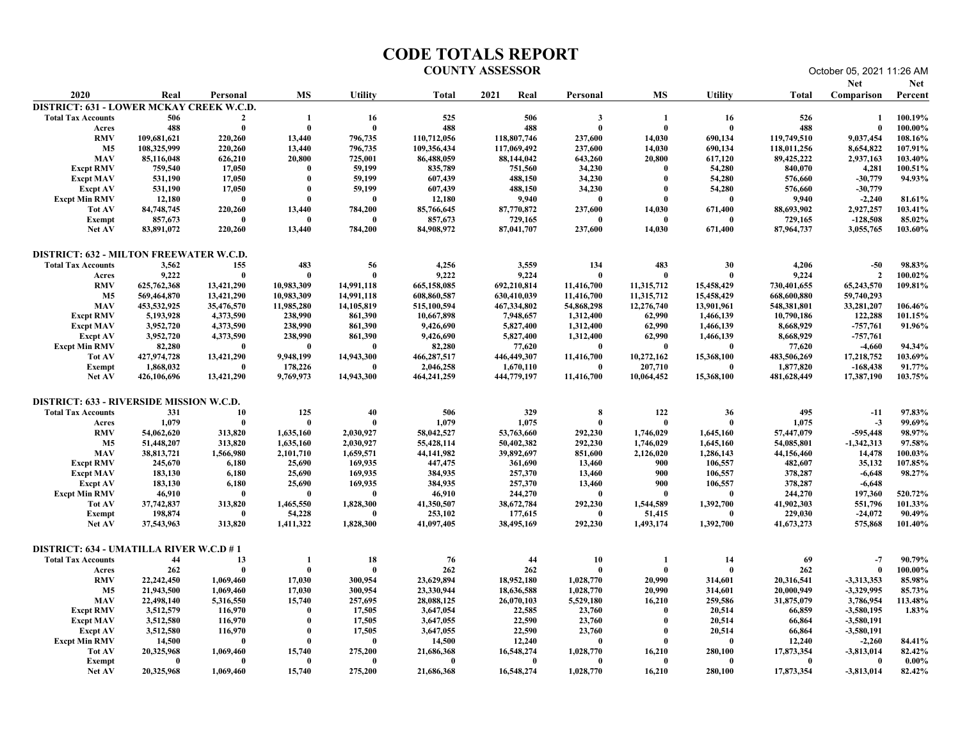### COUNTY ASSESSOR October 05, 2021 11:26 AM

|                                                                             |                            |                          |                                   |                          |                            | <b>CODE TOTALS REPORT</b><br><b>COUNTY ASSESSOR</b> |                          |                              |                           |                            | October 05, 2021 11:26 AM               |                    |
|-----------------------------------------------------------------------------|----------------------------|--------------------------|-----------------------------------|--------------------------|----------------------------|-----------------------------------------------------|--------------------------|------------------------------|---------------------------|----------------------------|-----------------------------------------|--------------------|
| 2020                                                                        | Real                       | Personal                 | MS                                | <b>Utility</b>           | Total                      | 2021<br>Real                                        | Personal                 | MS                           | <b>Utility</b>            | Total                      | <b>Net</b><br><b>Comparison</b> Percent | <b>Net</b>         |
| DISTRICT: 631 - LOWER MCKAY CREEK W.C.D.<br><b>Total Tax Accounts</b>       | 506                        | $\overline{2}$           | - 1                               | 16                       | 525                        | 506                                                 | $\mathbf{3}$             | <sup>1</sup>                 | 16                        | 526                        |                                         | 100.19%            |
| Acres<br><b>RMV</b>                                                         | 488<br>109,681,621         | - 0<br>220,260           | $\mathbf{0}$<br>13,440            | $\mathbf{0}$<br>796,735  | 488<br>110,712,056         | 488<br>118,807,746                                  | $\theta$<br>237,600      | - 0<br>14,030                | $\mathbf{0}$<br>690,134   | 488<br>119,749,510         | $\mathbf{0}$<br>9,037,454               | 100.00%<br>108.16% |
| <b>M5</b><br><b>MAV</b>                                                     | 108,325,999<br>85,116,048  | 220,260<br>626,210       | 13,440<br>20.800                  | 796,735<br>725,001       | 109,356,434<br>86,488,059  | 117,069,492<br>88,144,042                           | 237,600<br>643,260       | 14,030<br>20,800             | 690,134<br>617,120        | 118,011,256<br>89,425,222  | 8,654,822<br>2,937,163                  | 107.91%<br>103.40% |
| <b>Excpt RMV</b>                                                            | 759,540                    | 17,050                   | - 0                               | 59,199                   | 835,789                    | 751,560                                             | 34,230                   |                              | 54,280                    | 840,070                    | 4,281                                   | 100.51%            |
| <b>Excpt MAV</b><br><b>Excpt AV</b>                                         | 531,190<br>531,190         | 17,050<br>17,050         | - 0<br>- 0                        | 59,199<br>59,199         | 607,439<br>607,439         | 488,150<br>488,150                                  | 34,230<br>34,230         | $\mathbf{0}$<br>$\mathbf{0}$ | 54,280<br>54,280          | 576,660<br>576,660         | $-30,779$<br>$-30,779$                  | 94.93%             |
| <b>Excpt Min RMV</b><br>Tot AV                                              | 12,180<br>84,748,745       | 220,260                  | $\mathbf{0}$<br>13,440            | -0<br>784,200            | 12,180<br>85,766,645       | 9,940<br>87,770,872                                 | - 0<br>237,600           | 14,030                       | - 0<br>671,400            | 9,940<br>88,693,902        | $-2,240$<br>2,927,257                   | 81.61%<br>103.41%  |
| Exempt                                                                      | 857,673                    |                          | - 0                               | $\mathbf{0}$             | 857,673                    | 729,165                                             | - 0                      |                              | -0                        | 729,165                    | $-128,508$                              | 85.02%             |
| Net AV                                                                      | 83,891,072                 | 220,260                  | 13,440                            | 784,200                  | 84,908,972                 | 87,041,707                                          | 237,600                  | 14,030                       | 671,400                   | 87,964,737                 | 3,055,765                               | 103.60%            |
| <b>DISTRICT: 632 - MILTON FREEWATER W.C.D.</b><br><b>Total Tax Accounts</b> | 3,562                      | 155                      | 483                               | 56                       | 4,256                      | 3,559                                               | 134                      | 483                          | 30                        | 4,206                      | $-50$                                   | 98.83%             |
| Acres                                                                       | 9,222                      | - 0                      | - 0                               | $\mathbf{0}$             | 9,222                      | 9,224                                               | $\mathbf{0}$             | $\mathbf{0}$                 | $\mathbf{0}$              | 9,224                      | $\overline{2}$                          | 100.02%            |
| <b>RMV</b><br><b>M5</b>                                                     | 625,762,368<br>569,464,870 | 13,421,290<br>13,421,290 | 10,983,309<br>10,983,309          | 14,991,118<br>14,991,118 | 665,158,085<br>608,860,587 | 692,210,814<br>630,410,039                          | 11,416,700<br>11,416,700 | 11,315,712<br>11,315,712     | 15,458,429<br>15,458,429  | 730,401,655<br>668,600,880 | 65,243,570<br>59,740,293                | 109.81%            |
| <b>MAV</b><br><b>Excpt RMV</b>                                              | 453,532,925<br>5,193,928   | 35,476,570<br>4,373,590  | 11,985,280<br>238,990             | 14,105,819<br>861,390    | 515,100,594<br>10,667,898  | 467,334,802<br>7,948,657                            | 54,868,298<br>1,312,400  | 12,276,740<br>62,990         | 13,901,961<br>1,466,139   | 548,381,801<br>10,790,186  | 33,281,207<br>122,288                   | 106.46%<br>101.15% |
| <b>Excpt MAV</b>                                                            | 3,952,720                  | 4,373,590                | 238,990                           | 861,390                  | 9,426,690                  | 5,827,400                                           | 1,312,400                | 62,990                       | 1,466,139                 | 8,668,929                  | -757,761                                | 91.96%             |
| <b>Excpt AV</b><br><b>Excpt Min RMV</b>                                     | 3,952,720<br>82,280        | 4,373,590                | 238,990<br>- 0                    | 861,390<br>$\mathbf{0}$  | 9,426,690<br>82,280        | 5,827,400<br>77,620                                 | 1,312,400<br>- 0         | 62,990<br>$\mathbf{0}$       | 1,466,139<br>$\mathbf{0}$ | 8,668,929<br>77,620        | $-757,761$<br>$-4,660$                  | 94.34%             |
| Tot AV<br>Exempt                                                            | 427,974,728<br>1,868,032   | 13,421,290<br>- 0        | 9,948,199<br>178,226              | 14,943,300<br>$\bf{0}$   | 466,287,517<br>2,046,258   | 446,449,307<br>1,670,110                            | 11,416,700<br>- 0        | 10,272,162<br>207,710        | 15,368,100<br>-0          | 483,506,269<br>1,877,820   | 17,218,752<br>$-168,438$                | 103.69%<br>91.77%  |
| Net AV                                                                      | 426,106,696                | 13,421,290               | 9,769,973                         | 14,943,300               | 464,241,259                | 444,779,197                                         | 11,416,700               | 10,064,452                   | 15,368,100                | 481,628,449                | 17,387,190                              | 103.75%            |
| <b>DISTRICT: 633 - RIVERSIDE MISSION W.C.D.</b>                             |                            |                          |                                   |                          |                            |                                                     |                          |                              |                           |                            |                                         |                    |
| <b>Total Tax Accounts</b><br>Acres                                          | 331<br>1,079               | 10<br>- 0                | 125<br>$\bf{0}$                   | 40<br>$\mathbf{0}$       | 506<br>1,079               | 329<br>1,075                                        | 8<br>$\theta$            | 122<br>$\mathbf{0}$          | 36<br>$\mathbf{0}$        | 495<br>1,075               | $-11$<br>$-3$                           | 97.83%<br>99.69%   |
| <b>RMV</b><br><b>M5</b>                                                     | 54,062,620<br>51,448,207   | 313,820<br>313,820       | 1,635,160<br>1,635,160            | 2,030,927<br>2,030,927   | 58,042,527<br>55,428,114   | 53,763,660<br>50,402,382                            | 292,230<br>292,230       | 1,746,029<br>1,746,029       | 1,645,160<br>1,645,160    | 57,447,079<br>54,085,801   | $-595,448$<br>$-1,342,313$              | 98.97%<br>97.58%   |
| <b>MAV</b>                                                                  | 38,813,721                 | 1,566,980                | 2,101,710                         | 1,659,571                | 44, 141, 982               | 39,892,697                                          | 851,600                  | 2,126,020                    | 1,286,143                 | 44,156,460                 | 14,478                                  | 100.03%            |
| <b>Excpt RMV</b><br><b>Excpt MAV</b>                                        | 245,670<br>183,130         | 6,180<br>6,180           | 25,690<br>25,690                  | 169,935<br>169,935       | 447,475<br>384,935         | 361,690<br>257,370                                  | 13,460<br>13,460         | 900<br>900                   | 106,557<br>106,557        | 482,607<br>378,287         | 35,132<br>$-6,648$                      | 107.85%<br>98.27%  |
| <b>Excpt AV</b><br><b>Excpt Min RMV</b>                                     | 183,130<br>46,910          | 6,180<br>- 0             | 25,690<br>$\overline{\mathbf{0}}$ | 169,935<br>$\mathbf{0}$  | 384,935<br>46,910          | 257,370<br>244,270                                  | 13,460<br>$\bf{0}$       | 900<br>$\mathbf{0}$          | 106,557<br>- 0            | 378,287<br>244,270         | $-6,648$<br>197,360                     | 520.72%            |
| Tot AV                                                                      | 37,742,837<br>198,874      | 313,820<br>- 0           | 1,465,550<br>54,228               | 1,828,300<br>- 0         | 41,350,507<br>253,102      | 38,672,784<br>177,615                               | 292,230<br>$\bf{0}$      | 1,544,589<br>51,415          | 1,392,700<br>$\bf{0}$     | 41,902,303<br>229,030      | 551,796<br>$-24,072$                    | 101.33%<br>90.49%  |
| Exempt<br>Net AV                                                            | 37,543,963                 | 313,820                  | 1,411,322                         | 1,828,300                | 41,097,405                 | 38,495,169                                          | 292,230                  | 1,493,174                    | 1,392,700                 | 41,673,273                 | 575,868                                 | 101.40%            |
| <b>DISTRICT: 634 - UMATILLA RIVER W.C.D #1</b>                              |                            |                          |                                   |                          |                            |                                                     |                          |                              |                           |                            |                                         |                    |
| <b>Total Tax Accounts</b>                                                   | 44<br>262                  | 13                       | - 1<br>$\overline{\mathbf{0}}$    | 18<br>$\mathbf{0}$       | 76<br>262                  | 44<br>262                                           | 10<br>$\mathbf{0}$       | - 1<br>$\mathbf{0}$          | 14<br>- 0                 | 69<br>262                  | $-7$<br>$\mathbf{0}$                    | 90.79%<br>100.00%  |
| Acres<br><b>RMV</b>                                                         | 22,242,450                 | 1,069,460                | 17,030                            | 300,954                  | 23,629,894                 | 18,952,180                                          | 1,028,770                | 20,990                       | 314,601                   | 20,316,541                 | $-3,313,353$                            | 85.98%             |
| <b>M5</b><br>MAV                                                            | 21,943,500<br>22,498,140   | 1,069,460<br>5,316,550   | 17,030<br>15,740                  | 300,954<br>257,695       | 23,330,944<br>28,088,125   | 18,636,588<br>26,070,103                            | 1,028,770<br>5,529,180   | 20,990<br>16,210             | 314,601<br>259,586        | 20,000,949<br>31,875,079   | -3,329,995<br>3,786,954                 | 85.73%<br>113.48%  |
| <b>Excpt RMV</b><br><b>Excpt MAV</b>                                        | 3,512,579<br>3,512,580     | 116,970<br>116,970       | - 0<br>$\overline{\mathbf{0}}$    | 17,505<br>17,505         | 3,647,054<br>3,647,055     | 22,585<br>22,590                                    | 23,760<br>23,760         | -0<br>$\mathbf{0}$           | 20,514<br>20,514          | 66,859<br>66,864           | $-3,580,195$<br>$-3,580,191$            | 1.83%              |
| <b>Excpt AV</b>                                                             | 3,512,580                  | 116,970                  | $\overline{\mathbf{0}}$           | 17,505                   | 3,647,055                  | 22,590                                              | 23,760                   | $\mathbf{0}$                 | 20,514                    | 66,864                     | $-3,580,191$                            |                    |
| <b>Excpt Min RMV</b><br>Tot AV                                              | 14,500<br>20,325,968       | 1,069,460                | - 0<br>15,740                     | $\mathbf{0}$<br>275,200  | 14,500<br>21,686,368       | 12,240<br>16,548,274                                | - 0<br>1,028,770         | $\Omega$<br>16,210           | $\bf{0}$<br>280,100       | 12,240<br>17,873,354       | $-2,260$<br>$-3,813,014$                | 84.41%<br>82.42%   |
| <b>Exempt</b><br>Net AV                                                     | - 0<br>20,325,968          | 1,069,460                | - 0<br>15,740                     | $\mathbf{0}$<br>275,200  | - 0<br>21,686,368          | - 0<br>16,548,274                                   | - 0<br>1,028,770         | -0<br>16,210                 | $\bf{0}$<br>280,100       | - 0<br>17,873,354          | - 0<br>$-3,813,014$                     | $0.00\%$<br>82.42% |
|                                                                             |                            |                          |                                   |                          |                            |                                                     |                          |                              |                           |                            |                                         |                    |
|                                                                             |                            |                          |                                   |                          |                            |                                                     |                          |                              |                           |                            |                                         |                    |
|                                                                             |                            |                          |                                   |                          |                            |                                                     |                          |                              |                           |                            |                                         |                    |
|                                                                             |                            |                          |                                   |                          |                            |                                                     |                          |                              |                           |                            |                                         |                    |
|                                                                             |                            |                          |                                   |                          |                            |                                                     |                          |                              |                           |                            |                                         |                    |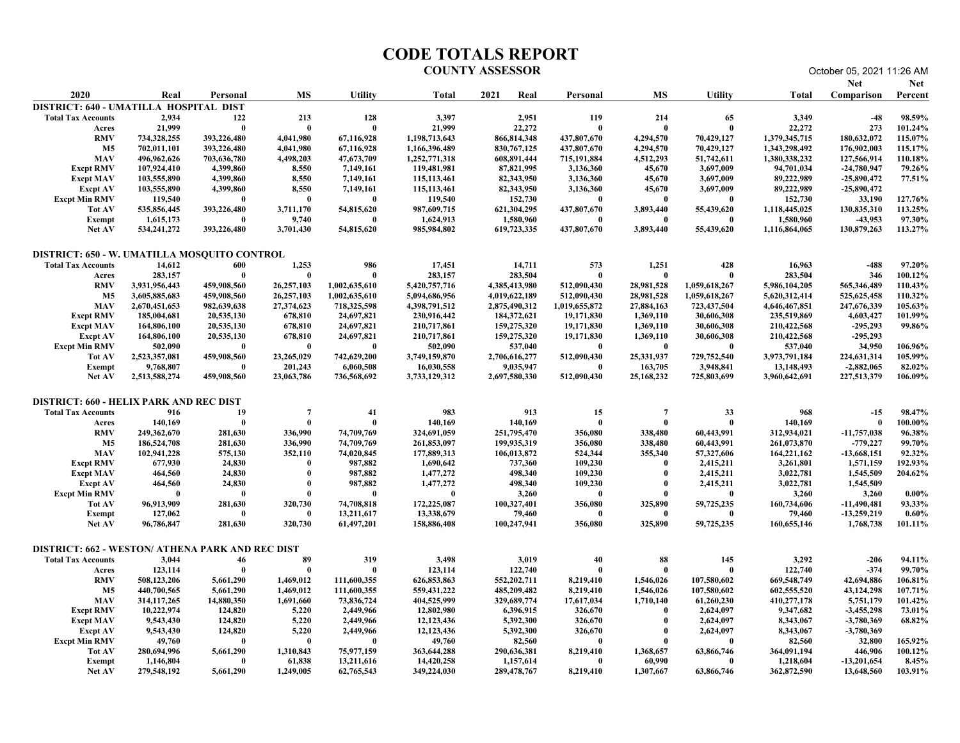|                                                                           |                                |                            |                          |                              | <b>CODE TOTALS REPORT</b>      | <b>COUNTY ASSESSOR</b>         |                              |                              |                              |                                | October 05, 2021 11:26 AM               |                    |
|---------------------------------------------------------------------------|--------------------------------|----------------------------|--------------------------|------------------------------|--------------------------------|--------------------------------|------------------------------|------------------------------|------------------------------|--------------------------------|-----------------------------------------|--------------------|
| 2020                                                                      | Real                           | Personal                   | <b>MS</b>                | <b>Utility</b>               | Total                          | 2021<br>Real                   | Personal                     | <b>MS</b>                    | <b>Utility</b>               | Total                          | <b>Net</b><br><b>Comparison</b> Percent | Net                |
| DISTRICT: 640 - UMATILLA HOSPITAL DIST<br><b>Total Tax Accounts</b>       | 2,934                          | 122                        | 213                      | 128                          | 3,397                          | 2,951                          | 119                          | 214                          | 65                           | 3,349                          | $-48$                                   | 98.59%             |
| Acres<br><b>RMV</b>                                                       | 21,999<br>734,328,255          | - 0<br>393,226,480         | - 0<br>4,041,980         | - 0<br>67,116,928            | 21,999<br>1,198,713,643        | 22,272<br>866,814,348          | - 0<br>437,807,670           | $\mathbf{0}$<br>4,294,570    | 70,429,127                   | 22,272<br>1,379,345,715        | 273<br>180,632,072                      | 101.24%<br>115.07% |
| M5<br><b>MAV</b>                                                          | 702,011,101<br>496,962,626     | 393,226,480<br>703,636,780 | 4,041,980<br>4,498,203   | 67,116,928<br>47,673,709     | 1,166,396,489<br>1,252,771,318 | 830, 767, 125<br>608,891,444   | 437,807,670<br>715,191,884   | 4,294,570<br>4,512,293       | 70,429,127<br>51,742,611     | 1,343,298,492<br>1,380,338,232 | 176,902,003<br>127,566,914              | 115.17%<br>110.18% |
| <b>Excpt RMV</b>                                                          | 107,924,410                    | 4,399,860                  | 8,550                    | 7,149,161                    | 119,481,981                    | 87,821,995                     | 3,136,360                    | 45,670                       | 3,697,009                    | 94,701,034                     | $-24,780,947$                           | 79.26%             |
| <b>Excpt MAV</b><br><b>Excpt AV</b>                                       | 103,555,890<br>103,555,890     | 4,399,860<br>4,399,860     | 8,550<br>8,550           | 7,149,161<br>7,149,161       | 115, 113, 461<br>115, 113, 461 | 82,343,950<br>82,343,950       | 3,136,360<br>3,136,360       | 45,670<br>45,670             | 3,697,009<br>3,697,009       | 89,222,989<br>89,222,989       | $-25,890,472$<br>$-25,890,472$          | 77.51%             |
| <b>Excpt Min RMV</b><br>Tot AV                                            | 119,540<br>535,856,445         | 393,226,480                | -0<br>3,711,170          | 54,815,620                   | 119,540<br>987,609,715         | 152,730<br>621,304,295         | 437,807,670                  | 3,893,440                    | 55,439,620                   | 152,730<br>1,118,445,025       | 33,190<br>130,835,310                   | 127.76%<br>113.25% |
| <b>Exempt</b><br><b>Net AV</b>                                            | 1,615,173<br>534, 241, 272     | 393,226,480                | 9,740<br>3,701,430       | - 0<br>54,815,620            | 1,624,913<br>985,984,802       | 1,580,960<br>619,723,335       | 437,807,670                  | 3,893,440                    | 55,439,620                   | 1,580,960<br>1,116,864,065     | $-43,953$<br>130,879,263                | 97.30%<br>113.27%  |
|                                                                           |                                |                            |                          |                              |                                |                                |                              |                              |                              |                                |                                         |                    |
| DISTRICT: 650 - W. UMATILLA MOSQUITO CONTROL<br><b>Total Tax Accounts</b> | 14,612                         | 600                        | 1,253                    | 986                          | 17,451                         | 14,711                         | 573                          | 1,251                        | 428                          | 16,963                         | $-488$                                  | 97.20%             |
| Acres<br><b>RMV</b>                                                       | 283,157<br>3.931.956.443       | - 0<br>459,908,560         | - 0<br>26,257,103        | 1,002,635,610                | 283,157<br>5,420,757,716       | 283,504<br>4,385,413,980       | $\mathbf{0}$<br>512,090,430  | $\mathbf{0}$<br>28,981,528   | 1,059,618,267                | 283,504<br>5,986,104,205       | 346<br>565,346,489                      | 100.12%<br>110.43% |
| <b>M5</b><br><b>MAV</b>                                                   | 3,605,885,683<br>2,670,451,653 | 459,908,560<br>982,639,638 | 26,257,103<br>27,374,623 | 1,002,635,610<br>718,325,598 | 5,094,686,956<br>4,398,791,512 | 4,019,622,189<br>2,875,490,312 | 512,090,430<br>1,019,655,872 | 28,981,528<br>27,884,163     | 1,059,618,267<br>723,437,504 | 5,620,312,414<br>4,646,467,851 | 525,625,458<br>247,676,339              | 110.32%<br>105.63% |
| <b>Excpt RMV</b>                                                          | 185,004,681                    | 20,535,130                 | 678,810                  | 24,697,821                   | 230,916,442                    | 184,372,621                    | 19,171,830                   | 1,369,110                    | 30,606,308                   | 235,519,869                    | 4,603,427                               | 101.99%            |
| <b>Excpt MAV</b><br><b>Excpt AV</b>                                       | 164,806,100<br>164,806,100     | 20,535,130<br>20,535,130   | 678,810<br>678,810       | 24,697,821<br>24,697,821     | 210,717,861<br>210,717,861     | 159,275,320<br>159,275,320     | 19,171,830<br>19,171,830     | 1,369,110<br>1,369,110       | 30,606,308<br>30,606,308     | 210,422,568<br>210,422,568     | -295,293<br>$-295,293$                  | 99.86%             |
| <b>Excpt Min RMV</b><br><b>Tot AV</b>                                     | 502,090<br>2,523,357,081       | 459,908,560                | - 0<br>23,265,029        | 742,629,200                  | 502,090<br>3,749,159,870       | 537,040<br>2,706,616,277       | - 0<br>512,090,430           | $\mathbf{0}$<br>25,331,937   | 729,752,540                  | 537,040<br>3,973,791,184       | 34,950<br>224,631,314                   | 106.96%<br>105.99% |
| Exempt<br>Net AV                                                          | 9,768,807<br>2,513,588,274     | - 0<br>459,908,560         | 201,243<br>23,063,786    | 6,060,508<br>736,568,692     | 16,030,558<br>3,733,129,312    | 9,035,947<br>2,697,580,330     | 512,090,430                  | 163,705<br>25,168,232        | 3,948,841<br>725,803,699     | 13,148,493<br>3,960,642,691    | $-2,882,065$<br>227,513,379             | 82.02%<br>106.09%  |
| <b>DISTRICT: 660 - HELIX PARK AND REC DIST</b>                            |                                |                            |                          |                              |                                |                                |                              |                              |                              |                                |                                         |                    |
| <b>Total Tax Accounts</b>                                                 | 916                            | 19                         | $\overline{7}$           | 41                           | 983                            | 913                            | 15                           | 7                            | 33                           | 968                            | $-15$                                   | 98.47%             |
| Acres<br><b>RMV</b>                                                       | 140,169<br>249,362,670         | - 0<br>281,630             | $\mathbf{0}$<br>336,990  | $\mathbf{0}$<br>74,709,769   | 140,169<br>324,691,059         | 140,169<br>251,795,470         | $\bf{0}$<br>356,080          | $\mathbf{0}$<br>338,480      | 60,443,991                   | 140,169<br>312,934,021         | $-11,757,038$                           | 100.00%<br>96.38%  |
| <b>M5</b><br><b>MAV</b>                                                   | 186,524,708<br>102,941,228     | 281,630<br>575,130         | 336,990<br>352,110       | 74,709,769<br>74,020,845     | 261,853,097<br>177,889,313     | 199,935,319<br>106,013,872     | 356,080<br>524,344           | 338,480<br>355,340           | 60,443,991<br>57,327,606     | 261,073,870<br>164,221,162     | -779,227<br>$-13,668,151$               | 99.70%<br>92.32%   |
| <b>Excpt RMV</b><br><b>Excpt MAV</b>                                      | 677,930<br>464,560             | 24,830<br>24,830           | - 0<br>-0                | 987,882<br>987,882           | 1,690,642<br>1,477,272         | 737,360<br>498,340             | 109,230<br>109,230           | $\mathbf{0}$<br>$\mathbf{0}$ | 2,415,211<br>2,415,211       | 3,261,801<br>3,022,781         | 1,571,159<br>1,545,509                  | 192.93%<br>204.62% |
| <b>Excpt AV</b><br><b>Excpt Min RMV</b>                                   | 464,560                        | 24,830<br>- 0              | -0<br>$\mathbf 0$        | 987,882<br>- 0               | 1,477,272                      | 498,340<br>3,260               | 109,230<br>$\mathbf{0}$      | $\mathbf{0}$                 | 2,415,211                    | 3,022,781<br>3,260             | 1,545,509<br>3,260                      | $0.00\%$           |
| Tot AV<br>Exempt                                                          | 96,913,909<br>127,062          | 281,630<br>- 0             | 320,730<br>$\bf{0}$      | 74,708,818<br>13,211,617     | 172,225,087<br>13,338,679      | 100,327,401<br>79,460          | 356,080<br>$\mathbf{0}$      | 325,890<br>$\mathbf{0}$      | 59,725,235<br>$\mathbf{0}$   | 160,734,606<br>79,460          | $-11,490,481$<br>$-13,259,219$          | 93.33%<br>$0.60\%$ |
| <b>Net AV</b>                                                             | 96,786,847                     | 281,630                    | 320,730                  | 61,497,201                   | 158,886,408                    | 100,247,941                    | 356,080                      | 325,890                      | 59,725,235                   | 160,655,146                    | 1,768,738                               | 101.11%            |
| <b>DISTRICT: 662 - WESTON/ ATHENA PARK AND REC DIST</b>                   |                                |                            |                          |                              |                                |                                |                              |                              |                              |                                |                                         |                    |
| <b>Total Tax Accounts</b><br>Acres                                        | 3,044<br>123,114               | 46<br>- 0                  | 89<br>- 0                | 319<br>$\mathbf{0}$          | 3,498<br>123,114               | 3,019<br>122,740               | 40<br>$\mathbf{0}$           | 88<br>$\mathbf{0}$           | 145<br>- 0                   | 3,292<br>122,740               | $-206$<br>$-374$                        | 94.11%<br>99.70%   |
| <b>RMV</b><br><b>M5</b>                                                   | 508,123,206<br>440,700,565     | 5,661,290<br>5,661,290     | 1,469,012<br>1,469,012   | 111,600,355<br>111,600,355   | 626,853,863<br>559, 431, 222   | 552,202,711<br>485,209,482     | 8,219,410<br>8,219,410       | 1,546,026<br>1,546,026       | 107,580,602<br>107,580,602   | 669,548,749<br>602,555,520     | 42,694,886<br>43,124,298                | 106.81%<br>107.71% |
| <b>MAV</b>                                                                | 314, 117, 265                  | 14,880,350                 | 1,691,660                | 73,836,724                   | 404,525,999                    | 329,689,774                    | 17,617,034                   | 1,710,140                    | 61,260,230                   | 410,277,178                    | 5,751,179                               | 101.42%            |
| <b>Excpt RMV</b><br><b>Excpt MAV</b>                                      | 10,222,974<br>9,543,430        | 124,820<br>124,820         | 5,220<br>5,220           | 2,449,966<br>2,449,966       | 12,802,980<br>12,123,436       | 6,396,915<br>5,392,300         | 326,670<br>326,670           | $\mathbf 0$                  | 2,624,097<br>2,624,097       | 9,347,682<br>8,343,067         | $-3,455,298$<br>$-3,780,369$            | 73.01%<br>68.82%   |
| <b>Excpt AV</b><br><b>Excpt Min RMV</b>                                   | 9,543,430<br>49,760            | 124,820<br>- 0             | 5,220<br>$\mathbf{0}$    | 2,449,966<br>- 0             | 12,123,436<br>49,760           | 5,392,300<br>82,560            | 326,670                      | $\mathbf{0}$                 | 2,624,097                    | 8,343,067<br>82,560            | $-3,780,369$<br>32,800                  | 165.92%            |
| Tot AV<br>Exempt                                                          | 280,694,996<br>1,146,804       | 5,661,290<br>- 0           | 1,310,843<br>61,838      | 75,977,159<br>13,211,616     | 363,644,288<br>14,420,258      | 290,636,381<br>1,157,614       | 8,219,410                    | 1,368,657<br>60,990          | 63,866,746                   | 364,091,194<br>1,218,604       | 446,906<br>$-13,201,654$                | 100.12%<br>8.45%   |
| <b>Net AV</b>                                                             | 279,548,192                    | 5,661,290                  | 1,249,005                | 62,765,543                   | 349,224,030                    | 289,478,767                    | 8,219,410                    | 1,307,667                    | 63,866,746                   | 362,872,590                    | 13,648,560                              | 103.91%            |
|                                                                           |                                |                            |                          |                              |                                |                                |                              |                              |                              |                                |                                         |                    |
|                                                                           |                                |                            |                          |                              |                                |                                |                              |                              |                              |                                |                                         |                    |
|                                                                           |                                |                            |                          |                              |                                |                                |                              |                              |                              |                                |                                         |                    |
|                                                                           |                                |                            |                          |                              |                                |                                |                              |                              |                              |                                |                                         |                    |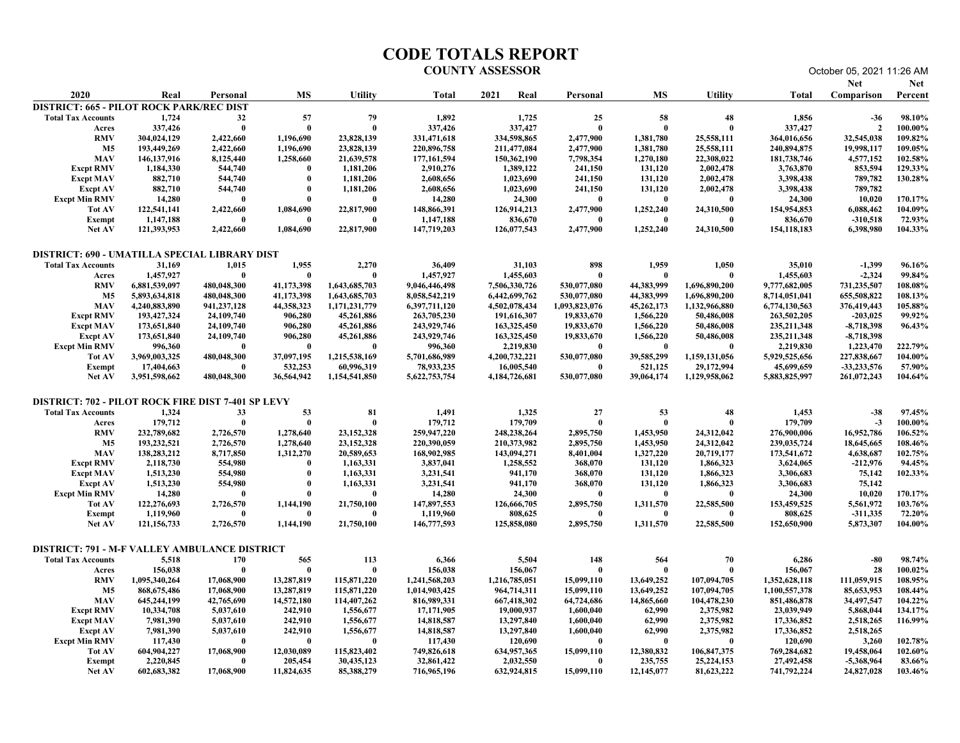|                                                                                        |                              |                            |                        |                              |                                | <b>CODE TOTALS REPORT</b><br><b>COUNTY ASSESSOR</b> |                             |                          |                             |                                | October 05, 2021 11:26 AM               |                    |
|----------------------------------------------------------------------------------------|------------------------------|----------------------------|------------------------|------------------------------|--------------------------------|-----------------------------------------------------|-----------------------------|--------------------------|-----------------------------|--------------------------------|-----------------------------------------|--------------------|
| 2020                                                                                   | Real                         | Personal                   | <b>MS</b>              | <b>Utility</b>               | Total                          | 2021<br>Real                                        | Personal                    | MS                       | <b>Utility</b>              | Total                          | <b>Net</b><br><b>Comparison</b> Percent | <b>Net</b>         |
| <b>DISTRICT: 665 - PILOT ROCK PARK/REC DIST</b><br><b>Total Tax Accounts</b>           | 1,724                        | 32                         | 57                     | 79                           | 1,892                          | 1,725                                               | 25                          | 58                       | 48                          | 1,856                          | $-36$                                   | 98.10%             |
| Acres<br><b>RMV</b>                                                                    | 337,426<br>304,024,129       | - 0<br>2,422,660           | - 0<br>1,196,690       | $\mathbf{0}$<br>23,828,139   | 337,426<br>331,471,618         | 337,427<br>334,598,865                              | - 0<br>2,477,900            | - 0<br>1,381,780         | - 0<br>25,558,111           | 337,427<br>364,016,656         | $\overline{2}$<br>32,545,038            | 100.00%<br>109.82% |
| <b>M5</b>                                                                              | 193,449,269                  | 2,422,660                  | 1,196,690              | 23,828,139                   | 220,896,758                    | 211,477,084                                         | 2,477,900                   | 1,381,780                | 25,558,111                  | 240,894,875                    | 19,998,117                              | 109.05%            |
| <b>MAV</b><br><b>Excpt RMV</b>                                                         | 146, 137, 916<br>1,184,330   | 8,125,440<br>544,740       | 1,258,660              | 21,639,578<br>1,181,206      | 177, 161, 594<br>2,910,276     | 150,362,190<br>1,389,122                            | 7,798,354<br>241,150        | 1,270,180<br>131,120     | 22,308,022<br>2,002,478     | 181,738,746<br>3,763,870       | 4,577,152<br>853,594                    | 102.58%<br>129.33% |
| <b>Excpt MAV</b><br><b>Excpt AV</b>                                                    | 882,710<br>882,710           | 544,740<br>544,740         | $\mathbf{0}$<br>- 0    | 1,181,206<br>1,181,206       | 2,608,656<br>2,608,656         | 1,023,690<br>1,023,690                              | 241,150<br>241,150          | 131,120<br>131,120       | 2,002,478<br>2,002,478      | 3,398,438<br>3,398,438         | 789,782<br>789,782                      | 130.28%            |
| <b>Excpt Min RMV</b><br>Tot AV                                                         | 14,280<br>122,541,141        | 2,422,660                  | 1,084,690              | 22,817,900                   | 14,280<br>148,866,391          | 24,300<br>126,914,213                               | 2,477,900                   | 1,252,240                | 24,310,500                  | 24,300<br>154,954,853          | 10,020<br>6,088,462                     | 170.17%<br>104.09% |
| <b>Exempt</b><br><b>Net AV</b>                                                         | 1,147,188<br>121,393,953     | 2,422,660                  | 1.084.690              | - 0<br>22,817,900            | 1,147,188<br>147,719,203       | 836,670<br>126,077,543                              | 2,477,900                   | 1,252,240                | -0<br>24,310,500            | 836,670<br>154, 118, 183       | $-310,518$<br>6,398,980                 | 72.93%<br>104.33%  |
|                                                                                        |                              |                            |                        |                              |                                |                                                     |                             |                          |                             |                                |                                         |                    |
| DISTRICT: 690 - UMATILLA SPECIAL LIBRARY DIST<br><b>Total Tax Accounts</b>             | 31,169                       | 1,015                      | 1,955                  | 2,270                        | 36,409                         | 31,103                                              | 898                         | 1,959                    | 1,050                       | 35,010                         | $-1,399$                                | 96.16%             |
| Acres<br><b>RMV</b>                                                                    | 1,457,927<br>6,881,539,097   | - 0<br>480,048,300         | - 0<br>41,173,398      | 1,643,685,703                | 1,457,927                      | 1,455,603                                           | - 0<br>530,077,080          |                          | - 0<br>1,696,890,200        | 1,455,603                      | $-2,324$<br>731,235,507                 | 99.84%<br>108.08%  |
| M5                                                                                     | 5,893,634,818                | 480,048,300                | 41,173,398             | 1,643,685,703                | 9,046,446,498<br>8,058,542,219 | 7,506,330,726<br>6,442,699,762                      | 530,077,080                 | 44,383,999<br>44,383,999 | 1,696,890,200               | 9,777,682,005<br>8,714,051,041 | 655,508,822                             | 108.13%            |
| <b>MAV</b><br><b>Excpt RMV</b>                                                         | 4,240,883,890<br>193,427,324 | 941,237,128<br>24,109,740  | 44,358,323<br>906,280  | 1,171,231,779<br>45,261,886  | 6,397,711,120<br>263,705,230   | 4,502,078,434<br>191,616,307                        | 1,093,823,076<br>19,833,670 | 45,262,173<br>1,566,220  | 1,132,966,880<br>50,486,008 | 6,774,130,563<br>263,502,205   | 376,419,443<br>$-203,025$               | 105.88%<br>99.92%  |
| Excpt MAV<br><b>Excpt AV</b>                                                           | 173,651,840<br>173,651,840   | 24,109,740<br>24,109,740   | 906,280<br>906,280     | 45,261,886<br>45,261,886     | 243,929,746<br>243,929,746     | 163,325,450<br>163,325,450                          | 19,833,670<br>19,833,670    | 1,566,220<br>1,566,220   | 50,486,008<br>50,486,008    | 235,211,348<br>235,211,348     | -8,718,398<br>$-8,718,398$              | 96.43%             |
| <b>Excpt Min RMV</b><br>Tot AV                                                         | 996,360<br>3,969,003,325     | 480,048,300                | - 0<br>37,097,195      | 1,215,538,169                | 996,360<br>5,701,686,989       | 2,219,830<br>4,200,732,221                          | - 0<br>530,077,080          | - 0<br>39,585,299        | - 0<br>1,159,131,056        | 2,219,830<br>5,929,525,656     | 1,223,470<br>227,838,667                | 222.79%<br>104.00% |
| Exempt                                                                                 | 17,404,663                   |                            | 532,253                | 60,996,319                   | 78,933,235<br>5,622,753,754    | 16,005,540                                          | 530,077,080                 | 521,125                  | 29,172,994                  | 45,699,659                     | $-33,233,576$                           | 57.90%             |
| Net AV                                                                                 | 3,951,598,662                | 480,048,300                | 36,564,942             | 1,154,541,850                |                                | 4,184,726,681                                       |                             | 39,064,174               | 1,129,958,062               | 5,883,825,997                  | 261,072,243                             | 104.64%            |
| <b>DISTRICT: 702 - PILOT ROCK FIRE DIST 7-401 SP LEVY</b><br><b>Total Tax Accounts</b> | 1,324                        | 33                         | 53                     | 81                           | 1,491                          | 1,325                                               | 27                          | 53                       | 48                          | 1,453                          | $-38$                                   | 97.45%             |
| Acres                                                                                  | 179,712                      | $\mathbf{0}$               | - 0                    | $\mathbf{0}$                 | 179,712                        | 179,709                                             | - 0                         | -0                       | - 0                         | 179,709                        | $-3$                                    | 100.00%            |
| RMV<br><b>M5</b>                                                                       | 232,789,682<br>193,232,521   | 2,726,570<br>2,726,570     | 1,278,640<br>1,278,640 | 23, 152, 328<br>23, 152, 328 | 259,947,220<br>220,390,059     | 248,238,264<br>210,373,982                          | 2,895,750<br>2,895,750      | 1,453,950<br>1,453,950   | 24,312,042<br>24,312,042    | 276,900,006<br>239,035,724     | 16,952,786<br>18,645,665                | 106.52%<br>108.46% |
| <b>MAV</b><br><b>Excpt RMV</b>                                                         | 138,283,212<br>2,118,730     | 8,717,850<br>554,980       | 1,312,270<br>- 0       | 20,589,653<br>1,163,331      | 168,902,985<br>3,837,041       | 143,094,271<br>1,258,552                            | 8,401,004<br>368,070        | 1,327,220<br>131,120     | 20,719,177<br>1,866,323     | 173,541,672<br>3,624,065       | 4,638,687<br>$-212,976$                 | 102.75%<br>94.45%  |
| <b>Excpt MAV</b><br><b>Excpt AV</b>                                                    | 1,513,230<br>1,513,230       | 554,980<br>554,980         | - 0<br>- 0             | 1,163,331<br>1,163,331       | 3,231,541<br>3,231,541         | 941,170<br>941,170                                  | 368,070<br>368,070          | 131,120<br>131,120       | 1,866,323<br>1,866,323      | 3,306,683<br>3,306,683         | 75,142<br>75,142                        | 102.33%            |
| <b>Excpt Min RMV</b><br><b>Tot AV</b>                                                  | 14,280<br>122,276,693        | 2,726,570                  | 1,144,190              | - 0<br>21,750,100            | 14,280<br>147,897,553          | 24,300<br>126,666,705                               | 2,895,750                   | 1,311,570                | - 0<br>22,585,500           | 24,300<br>153,459,525          | 10,020<br>5,561,972                     | 170.17%<br>103.76% |
| Exempt                                                                                 | 1,119,960                    | - 0<br>2,726,570           | - 0<br>1,144,190       | - 0<br>21,750,100            | 1,119,960<br>146,777,593       | 808,625<br>125,858,080                              | - 0<br>2,895,750            | - 0<br>1,311,570         | - 0<br>22,585,500           | 808,625<br>152,650,900         | $-311,335$                              | 72.20%<br>104.00%  |
| <b>Net AV</b>                                                                          | 121,156,733                  |                            |                        |                              |                                |                                                     |                             |                          |                             |                                | 5,873,307                               |                    |
| <b>DISTRICT: 791 - M-F VALLEY AMBULANCE DISTRICT</b><br><b>Total Tax Accounts</b>      | 5,518                        | 170                        | 565                    | 113                          | 6,366                          | 5,504                                               | 148                         | 564                      | 70                          | 6,286                          | -80                                     | 98.74%             |
| Acres<br><b>RMV</b>                                                                    | 156,038<br>1,095,340,264     | 17,068,900                 | - 0<br>13,287,819      | - 0<br>115,871,220           | 156,038<br>1,241,568,203       | 156,067<br>1,216,785,051                            | - 0<br>15,099,110           | - 0<br>13,649,252        | - 0<br>107,094,705          | 156,067<br>1,352,628,118       | 28<br>111,059,915                       | 100.02%<br>108.95% |
| <b>M5</b>                                                                              | 868,675,486                  | 17,068,900                 | 13,287,819             | 115,871,220                  | 1,014,903,425                  | 964,714,311                                         | 15,099,110                  | 13,649,252               | 107,094,705                 | 1,100,557,378                  | 85,653,953                              | 108.44%            |
| MAV<br><b>Excpt RMV</b>                                                                | 645,244,199<br>10,334,708    | 42,765,690<br>5,037,610    | 14,572,180<br>242,910  | 114,407,262<br>1,556,677     | 816,989,331<br>17,171,905      | 667,418,302<br>19,000,937                           | 64,724,686<br>1,600,040     | 14,865,660<br>62,990     | 104,478,230<br>2,375,982    | 851,486,878<br>23,039,949      | 34,497,547<br>5,868,044                 | 104.22%<br>134.17% |
| <b>Excpt MAV</b><br><b>Excpt AV</b>                                                    | 7,981,390<br>7,981,390       | 5,037,610<br>5,037,610     | 242,910<br>242,910     | 1,556,677<br>1,556,677       | 14,818,587<br>14,818,587       | 13,297,840<br>13,297,840                            | 1,600,040<br>1,600,040      | 62,990<br>62,990         | 2,375,982<br>2,375,982      | 17,336,852<br>17,336,852       | 2,518,265<br>2,518,265                  | 116.99%            |
| <b>Excpt Min RMV</b><br>Tot AV                                                         | 117,430<br>604,904,227       | $\mathbf{0}$<br>17,068,900 | - 0<br>12,030,089      | - 0<br>115,823,402           | 117,430<br>749,826,618         | 120,690<br>634,957,365                              | 15,099,110                  | - 0<br>12,380,832        | -0<br>106,847,375           | 120,690<br>769,284,682         | 3,260<br>19,458,064                     | 102.78%<br>102.60% |
| Exempt                                                                                 | 2,220,845                    | - 0                        | 205,454                | 30,435,123                   | 32,861,422                     | 2,032,550                                           |                             | 235,755                  | 25, 224, 153                | 27,492,458                     | -5,368,964                              | 83.66%             |
| <b>Net AV</b>                                                                          | 602,683,382                  | 17,068,900                 | 11,824,635             | 85,388,279                   | 716,965,196                    | 632,924,815                                         | 15,099,110                  | 12,145,077               | 81,623,222                  | 741,792,224                    | 24,827,028                              | 103.46%            |
|                                                                                        |                              |                            |                        |                              |                                |                                                     |                             |                          |                             |                                |                                         |                    |
|                                                                                        |                              |                            |                        |                              |                                |                                                     |                             |                          |                             |                                |                                         |                    |
|                                                                                        |                              |                            |                        |                              |                                |                                                     |                             |                          |                             |                                |                                         |                    |
|                                                                                        |                              |                            |                        |                              |                                |                                                     |                             |                          |                             |                                |                                         |                    |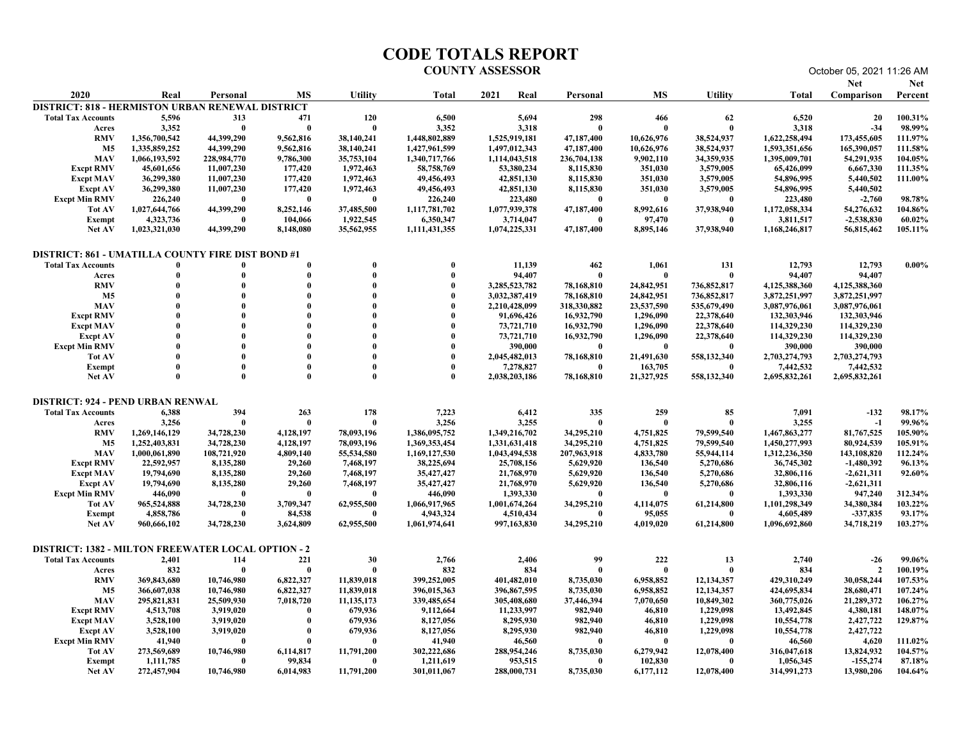|                                                                                                                                                                                                                                                                       |                                                                                                                                                                       |                                                                                                                                        |                                                                                                                                     |                                                                                                                                      |                                                                                                                                                                       | <b>CODE TOTALS REPORT</b><br><b>COUNTY ASSESSOR</b>                                                                                                                     |                                                                                                                                 |                                                                                                                                               |                                                                                                                                        |                                                                                                                                                                            | October 05, 2021 11:26 AM                                                                                                                                                  |                                                                                                                     |
|-----------------------------------------------------------------------------------------------------------------------------------------------------------------------------------------------------------------------------------------------------------------------|-----------------------------------------------------------------------------------------------------------------------------------------------------------------------|----------------------------------------------------------------------------------------------------------------------------------------|-------------------------------------------------------------------------------------------------------------------------------------|--------------------------------------------------------------------------------------------------------------------------------------|-----------------------------------------------------------------------------------------------------------------------------------------------------------------------|-------------------------------------------------------------------------------------------------------------------------------------------------------------------------|---------------------------------------------------------------------------------------------------------------------------------|-----------------------------------------------------------------------------------------------------------------------------------------------|----------------------------------------------------------------------------------------------------------------------------------------|----------------------------------------------------------------------------------------------------------------------------------------------------------------------------|----------------------------------------------------------------------------------------------------------------------------------------------------------------------------|---------------------------------------------------------------------------------------------------------------------|
| 2020                                                                                                                                                                                                                                                                  | Real                                                                                                                                                                  | Personal                                                                                                                               | <b>MS</b>                                                                                                                           | <b>Utility</b>                                                                                                                       | Total                                                                                                                                                                 | 2021<br>Real                                                                                                                                                            | Personal                                                                                                                        | <b>MS</b>                                                                                                                                     | <b>Utility</b>                                                                                                                         | Total                                                                                                                                                                      | <b>Net</b><br><b>Comparison</b> Percent                                                                                                                                    | Net                                                                                                                 |
| <b>DISTRICT: 818 - HERMISTON URBAN RENEWAL DISTRICT</b><br><b>Total Tax Accounts</b><br>Acres<br><b>RMV</b><br>M5<br><b>MAV</b><br><b>Excpt RMV</b><br><b>Excpt MAV</b><br><b>Excpt AV</b><br><b>Excpt Min RMV</b><br><b>Tot AV</b><br><b>Exempt</b><br><b>Net AV</b> | 5,596<br>3,352<br>1,356,700,542<br>1,335,859,252<br>1,066,193,592<br>45,601,656<br>36,299,380<br>36,299,380<br>226,240<br>1,027,644,766<br>4,323,736<br>1,023,321,030 | 313<br>- 0<br>44,399,290<br>44,399,290<br>228,984,770<br>11,007,230<br>11,007,230<br>11,007,230<br>-0<br>44,399,290<br>44,399,290      | 471<br>- 0<br>9,562,816<br>9,562,816<br>9,786,300<br>177,420<br>177,420<br>177,420<br>- 0<br>8,252,146<br>104,066<br>8,148,080      | 120<br>- 0<br>38,140,241<br>38,140,241<br>35,753,104<br>1,972,463<br>1,972,463<br>1,972,463<br>37,485,500<br>1,922,545<br>35,562,955 | 6,500<br>3,352<br>1,448,802,889<br>1,427,961,599<br>1,340,717,766<br>58,758,769<br>49,456,493<br>49,456,493<br>226,240<br>1,117,781,702<br>6,350,347<br>1,111,431,355 | 5,694<br>3,318<br>1,525,919,181<br>1,497,012,343<br>1,114,043,518<br>53,380,234<br>42,851,130<br>42,851,130<br>223,480<br>1,077,939,378<br>3,714,047<br>1,074,225,331   | 298<br>- 0<br>47,187,400<br>47,187,400<br>236,704,138<br>8,115,830<br>8,115,830<br>8,115,830<br>47,187,400<br>47,187,400        | 466<br>-0<br>10,626,976<br>10,626,976<br>9,902,110<br>351,030<br>351,030<br>351,030<br>8,992,616<br>97,470<br>8,895,146                       | 62<br>- 0<br>38,524,937<br>38,524,937<br>34,359,935<br>3,579,005<br>3,579,005<br>3,579,005<br>37,938,940<br>- 0<br>37,938,940          | 6,520<br>3,318<br>1,622,258,494<br>1,593,351,656<br>1,395,009,701<br>65,426,099<br>54,896,995<br>54,896,995<br>223,480<br>1,172,058,334<br>3,811,517<br>1,168,246,817      | 20<br>$-34$<br>173,455,605<br>165,390,057<br>54,291,935<br>6,667,330<br>5,440,502<br>5,440,502<br>$-2,760$<br>54,276,632<br>$-2,538,830$<br>56,815,462                     | 100.31%<br>98.99%<br>111.97%<br>111.58%<br>104.05%<br>111.35%<br>111.00%<br>98.78%<br>104.86%<br>60.02%<br>105.11%  |
| DISTRICT: 861 - UMATILLA COUNTY FIRE DIST BOND #1<br><b>Total Tax Accounts</b><br>Acres<br><b>RMV</b><br>M5<br><b>MAV</b><br><b>Excpt RMV</b><br>Excpt MAV<br><b>Excpt AV</b><br><b>Excpt Min RMV</b><br>Tot AV<br>Exempt<br>Net AV                                   | $\mathbf{0}$<br>- 0<br>$\mathbf{0}$<br>$\theta$<br>$\mathbf{0}$                                                                                                       | $\theta$                                                                                                                               | $\theta$                                                                                                                            |                                                                                                                                      | $\bf{0}$<br>- 0<br>$\mathbf{0}$<br>$\mathbf{0}$<br>- 0<br>$\bf{0}$<br>$\theta$<br>$\theta$                                                                            | 11,139<br>94,407<br>3,285,523,782<br>3,032,387,419<br>2,210,428,099<br>91,696,426<br>73,721,710<br>73,721,710<br>390,000<br>2,045,482,013<br>7,278,827<br>2,038,203,186 | 462<br>- 0<br>78,168,810<br>78,168,810<br>318,330,882<br>16,932,790<br>16,932,790<br>16,932,790<br>78,168,810<br>78,168,810     | 1,061<br>24,842,951<br>24,842,951<br>23,537,590<br>1,296,090<br>1,296,090<br>1,296,090<br>$\mathbf{0}$<br>21,491,630<br>163,705<br>21,327,925 | 131<br>736,852,817<br>736,852,817<br>535,679,490<br>22,378,640<br>22,378,640<br>22,378,640<br>- 0<br>558,132,340<br>- 0<br>558,132,340 | 12,793<br>94,407<br>4,125,388,360<br>3,872,251,997<br>3,087,976,061<br>132,303,946<br>114,329,230<br>114,329,230<br>390,000<br>2,703,274,793<br>7,442,532<br>2,695,832,261 | 12,793<br>94,407<br>4,125,388,360<br>3,872,251,997<br>3,087,976,061<br>132,303,946<br>114,329,230<br>114,329,230<br>390,000<br>2,703,274,793<br>7,442,532<br>2,695,832,261 | $0.00\%$                                                                                                            |
| <b>DISTRICT: 924 - PEND URBAN RENWAL</b><br><b>Total Tax Accounts</b><br>Acres<br><b>RMV</b><br><b>M5</b><br><b>MAV</b><br><b>Excpt RMV</b><br><b>Excpt MAV</b><br><b>Excpt AV</b><br><b>Excpt Min RMV</b><br>Tot AV<br><b>Exempt</b><br>Net AV                       | 6,388<br>3,256<br>1,269,146,129<br>1,252,403,831<br>1,000,061,890<br>22,592,957<br>19,794,690<br>19,794,690<br>446,090<br>965,524,888<br>4,858,786<br>960,666,102     | 394<br>34,728,230<br>34,728,230<br>108,721,920<br>8,135,280<br>8,135,280<br>8,135,280<br>-0<br>34,728,230<br>-0<br>34,728,230          | 263<br>- 0<br>4,128,197<br>4,128,197<br>4,809,140<br>29,260<br>29,260<br>29,260<br>$\mathbf{0}$<br>3,709,347<br>84,538<br>3,624,809 | 178<br>78,093,196<br>78,093,196<br>55,534,580<br>7,468,197<br>7,468,197<br>7,468,197<br>62,955,500<br>- 0<br>62,955,500              | 7,223<br>3,256<br>1,386,095,752<br>1,369,353,454<br>1,169,127,530<br>38,225,694<br>35,427,427<br>35,427,427<br>446,090<br>1,066,917,965<br>4,943,324<br>1,061,974,641 | 6,412<br>3,255<br>1,349,216,702<br>1,331,631,418<br>1,043,494,538<br>25,708,156<br>21,768,970<br>21,768,970<br>1,393,330<br>1,001,674,264<br>4,510,434<br>997,163,830   | 335<br>- 0<br>34,295,210<br>34,295,210<br>207,963,918<br>5,629,920<br>5,629,920<br>5,629,920<br>34,295,210<br>- 0<br>34,295,210 | 259<br>- 0<br>4,751,825<br>4,751,825<br>4,833,780<br>136,540<br>136,540<br>136,540<br>4,114,075<br>95,055<br>4,019,020                        | 85<br>- 0<br>79,599,540<br>79,599,540<br>55,944,114<br>5,270,686<br>5,270,686<br>5,270,686<br>61,214,800<br>- 0<br>61,214,800          | 7,091<br>3,255<br>1,467,863,277<br>1,450,277,993<br>1,312,236,350<br>36,745,302<br>32,806,116<br>32,806,116<br>1,393,330<br>1,101,298,349<br>4,605,489<br>1,096,692,860    | $-132$<br>$-1$<br>81,767,525<br>80,924,539<br>143,108,820<br>$-1,480,392$<br>$-2,621,311$<br>$-2,621,311$<br>947,240<br>34,380,384<br>$-337,835$<br>34,718,219             | 98.17%<br>99.96%<br>105.90%<br>105.91%<br>112.24%<br>96.13%<br>92.60%<br>312.34%<br>103.22%<br>93.17%<br>103.27%    |
| <b>DISTRICT: 1382 - MILTON FREEWATER LOCAL OPTION - 2</b><br><b>Total Tax Accounts</b><br>Acres<br><b>RMV</b><br><b>M5</b><br><b>MAV</b><br><b>Excpt RMV</b><br><b>Excpt MAV</b><br>Excpt AV<br><b>Excpt Min RMV</b><br>Tot AV<br>Exempt<br>Net AV                    | 2,401<br>832<br>369,843,680<br>366,607,038<br>295,821,831<br>4,513,708<br>3,528,100<br>3,528,100<br>41,940<br>273,569,689<br>1,111,785<br>272,457,904                 | 114<br>$\mathbf{0}$<br>10,746,980<br>10,746,980<br>25,509,930<br>3,919,020<br>3,919,020<br>3,919,020<br>10,746,980<br>-0<br>10,746,980 | 221<br>$\mathbf{0}$<br>6,822,327<br>6,822,327<br>7,018,720<br>- 0<br>-0<br>6,114,817<br>99,834<br>6,014,983                         | 30<br>- 0<br>11,839,018<br>11,839,018<br>11, 135, 173<br>679,936<br>679,936<br>679,936<br>11,791,200<br>11,791,200                   | 2,766<br>832<br>399,252,005<br>396,015,363<br>339,485,654<br>9,112,664<br>8,127,056<br>8,127,056<br>41,940<br>302,222,686<br>1,211,619<br>301,011,067                 | 2,406<br>834<br>401,482,010<br>396,867,595<br>305,408,680<br>11,233,997<br>8,295,930<br>8,295,930<br>46,560<br>288,954,246<br>953,515<br>288,000,731                    | 99<br>$\mathbf{0}$<br>8,735,030<br>8,735,030<br>37,446,394<br>982,940<br>982,940<br>982,940<br>8,735,030<br>8,735,030           | 222<br>- 0<br>6,958,852<br>6,958,852<br>7,070,650<br>46,810<br>46,810<br>46,810<br>- 0<br>6,279,942<br>102,830<br>6,177,112                   | 13<br>12,134,357<br>12, 134, 357<br>10,849,302<br>1,229,098<br>1,229,098<br>1,229,098<br>12,078,400<br>- 0<br>12,078,400               | 2,740<br>834<br>429,310,249<br>424,695,834<br>360,775,026<br>13,492,845<br>10,554,778<br>10,554,778<br>46,560<br>316,047,618<br>1,056,345<br>314,991,273                   | $-26$<br>$\overline{2}$<br>30,058,244<br>28,680,471<br>21,289,372<br>4,380,181<br>2,427,722<br>2,427,722<br>4,620<br>13,824,932<br>-155,274<br>13,980,206                  | 99.06%<br>100.19%<br>107.53%<br>107.24%<br>106.27%<br>148.07%<br>129.87%<br>111.02%<br>104.57%<br>87.18%<br>104.64% |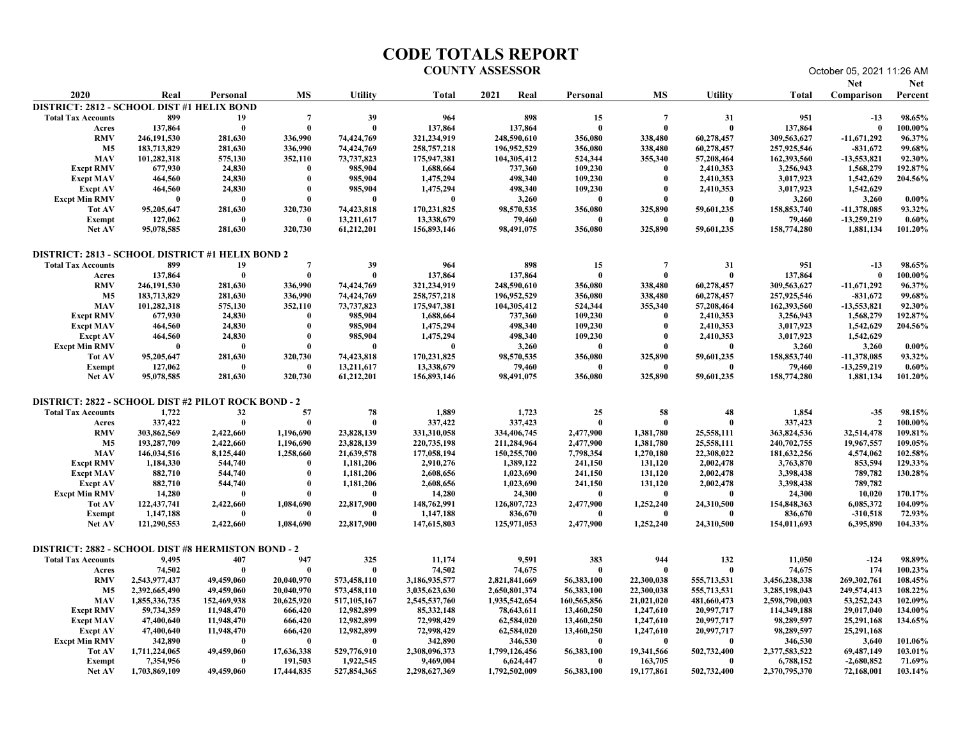|                                                                                |                                |                           |                                  |                              |                                | <b>CODE TOTALS REPORT</b><br><b>COUNTY ASSESSOR</b> |                               |                          |                               |                                | October 05, 2021 11:26 AM               |                    |
|--------------------------------------------------------------------------------|--------------------------------|---------------------------|----------------------------------|------------------------------|--------------------------------|-----------------------------------------------------|-------------------------------|--------------------------|-------------------------------|--------------------------------|-----------------------------------------|--------------------|
| 2020                                                                           | Real                           | Personal                  | <b>MS</b>                        | <b>Utility</b>               | Total                          | 2021<br>Real                                        | Personal                      | MS                       | <b>Utility</b>                | Total                          | <b>Net</b><br><b>Comparison</b> Percent | <b>Net</b>         |
| <b>DISTRICT: 2812 - SCHOOL DIST #1 HELIX BOND</b><br><b>Total Tax Accounts</b> | 899                            | 19                        | $\overline{7}$                   | 39                           | 964                            | 898                                                 | 15                            | $\overline{7}$           | 31                            | 951                            | $-13$                                   | 98.65%             |
| Acres<br><b>RMV</b>                                                            | 137,864<br>246,191,530         | $\mathbf{0}$<br>281,630   | $\overline{0}$<br>336,990        | $\mathbf{0}$<br>74,424,769   | 137,864<br>321,234,919         | 137,864<br>248,590,610                              | - 0<br>356,080                | - 0<br>338,480           | - 0<br>60,278,457             | 137,864<br>309,563,627         | - 0<br>$-11,671,292$                    | 100.00%<br>96.37%  |
| <b>M5</b>                                                                      | 183,713,829                    | 281,630                   | 336,990                          | 74,424,769                   | 258, 757, 218                  | 196,952,529                                         | 356,080                       | 338,480                  | 60,278,457                    | 257,925,546                    | $-831,672$                              | 99.68%             |
| <b>MAV</b><br><b>Excpt RMV</b>                                                 | 101,282,318<br>677,930         | 575,130<br>24,830         | 352,110<br>- 0                   | 73,737,823<br>985,904        | 175,947,381<br>1,688,664       | 104,305,412<br>737,360                              | 524,344<br>109,230            | 355,340                  | 57,208,464<br>2,410,353       | 162,393,560<br>3,256,943       | $-13,553,821$<br>1,568,279              | 92.30%<br>192.87%  |
| <b>Excpt MAV</b><br><b>Excpt AV</b>                                            | 464,560<br>464,560             | 24,830<br>24,830          | - 0<br>- 0                       | 985,904<br>985,904           | 1,475,294<br>1,475,294         | 498.340<br>498,340                                  | 109,230<br>109,230            | $\mathbf{0}$             | 2,410,353<br>2,410,353        | 3,017,923<br>3,017,923         | 1,542,629<br>1,542,629                  | 204.56%            |
| <b>Excpt Min RMV</b>                                                           | 95,205,647                     | 281,630                   | 320,730                          | - 0                          | 170,231,825                    | 3,260<br>98,570,535                                 | - 0<br>356,080                | 325,890                  | - 0<br>59,601,235             | 3,260<br>158,853,740           | 3,260                                   | $0.00\%$<br>93.32% |
| Tot AV<br>Exempt                                                               | 127,062                        |                           | - 0                              | 74,423,818<br>13,211,617     | 13,338,679                     | 79,460                                              | - 0                           |                          | - 0                           | 79,460                         | $-11,378,085$<br>$-13,259,219$          | $0.60\%$           |
| <b>Net AV</b>                                                                  | 95,078,585                     | 281,630                   | 320,730                          | 61,212,201                   | 156,893,146                    | 98,491,075                                          | 356,080                       | 325,890                  | 59,601,235                    | 158,774,280                    | 1,881,134                               | 101.20%            |
| <b>DISTRICT: 2813 - SCHOOL DISTRICT #1 HELIX BOND 2</b>                        |                                |                           |                                  |                              |                                |                                                     |                               |                          |                               |                                |                                         |                    |
| <b>Total Tax Accounts</b><br>Acres                                             | 899<br>137,864                 | 19<br>$\mathbf{0}$        | $\overline{7}$<br>$\overline{0}$ | 39<br>$\mathbf{0}$           | 964<br>137,864                 | 898<br>137,864                                      | 15<br>$\bf{0}$                | $\overline{7}$<br>-0     | 31<br>- 0                     | 951<br>137,864                 | $-13$<br>$\mathbf{0}$                   | 98.65%<br>100.00%  |
| <b>RMV</b><br>M5                                                               | 246,191,530<br>183,713,829     | 281,630<br>281,630        | 336,990<br>336,990               | 74,424,769<br>74,424,769     | 321,234,919<br>258, 757, 218   | 248,590,610<br>196,952,529                          | 356,080<br>356,080            | 338,480<br>338,480       | 60,278,457<br>60,278,457      | 309,563,627<br>257,925,546     | $-11,671,292$<br>$-831,672$             | 96.37%<br>99.68%   |
| <b>MAV</b>                                                                     | 101,282,318<br>677,930         | 575,130<br>24,830         | 352,110<br>- 0                   | 73,737,823<br>985,904        | 175,947,381<br>1,688,664       | 104,305,412<br>737,360                              | 524,344<br>109,230            | 355,340<br>$\mathbf{0}$  | 57,208,464<br>2,410,353       | 162,393,560<br>3,256,943       | $-13,553,821$<br>1,568,279              | 92.30%<br>192.87%  |
| <b>Excpt RMV</b><br>Excpt MAV                                                  | 464,560                        | 24,830                    |                                  | 985,904                      | 1,475,294                      | 498,340                                             | 109,230                       | -0                       | 2,410,353                     | 3,017,923                      | 1,542,629                               | 204.56%            |
| <b>Excpt AV</b><br><b>Excpt Min RMV</b>                                        | 464,560<br>- 0                 | 24,830                    |                                  | 985,904<br>- 0               | 1,475,294<br>$\mathbf{0}$      | 498,340<br>3,260                                    | 109,230<br>- 0                |                          | 2,410,353<br>- 0              | 3,017,923<br>3,260             | 1,542,629<br>3,260                      | $0.00\%$           |
| Tot AV<br>Exempt                                                               | 95,205,647<br>127,062          | 281,630<br>$\mathbf{0}$   | 320,730<br>- 0                   | 74,423,818<br>13,211,617     | 170,231,825<br>13,338,679      | 98,570,535<br>79,460                                | 356,080<br>- 0                | 325,890                  | 59,601,235<br>- 0             | 158,853,740<br>79,460          | $-11,378,085$<br>$-13,259,219$          | 93.32%<br>$0.60\%$ |
| <b>Net AV</b>                                                                  | 95,078,585                     | 281,630                   | 320,730                          | 61,212,201                   | 156,893,146                    | 98,491,075                                          | 356,080                       | 325,890                  | 59,601,235                    | 158,774,280                    | 1,881,134                               | 101.20%            |
| DISTRICT: 2822 - SCHOOL DIST #2 PILOT ROCK BOND - 2                            |                                |                           |                                  |                              |                                |                                                     |                               |                          |                               |                                |                                         |                    |
| <b>Total Tax Accounts</b><br>Acres                                             | 1,722<br>337,422               | 32<br>$\mathbf{0}$        | 57<br>- 0                        | 78<br>$\mathbf{0}$           | 1,889<br>337,422               | 1,723<br>337,423                                    | 25<br>$\overline{\mathbf{0}}$ | 58<br>- 0                | 48<br>- 0                     | 1,854<br>337,423               | $-35$<br>$\overline{2}$                 | 98.15%<br>100.00%  |
| <b>RMV</b>                                                                     | 303,862,569                    | 2,422,660                 | 1,196,690                        | 23,828,139                   | 331,310,058                    | 334,406,745                                         | 2,477,900                     | 1,381,780                | 25,558,111                    | 363,824,536                    | 32,514,478                              | 109.81%            |
| <b>M5</b><br><b>MAV</b>                                                        | 193,287,709<br>146,034,516     | 2,422,660<br>8,125,440    | 1,196,690<br>1,258,660           | 23,828,139<br>21,639,578     | 220,735,198<br>177,058,194     | 211,284,964<br>150,255,700                          | 2,477,900<br>7,798,354        | 1,381,780<br>1,270,180   | 25,558,111<br>22,308,022      | 240,702,755<br>181,632,256     | 19,967,557<br>4,574,062                 | 109.05%<br>102.58% |
| <b>Excpt RMV</b><br><b>Excpt MAV</b>                                           | 1,184,330<br>882,710           | 544,740<br>544,740        | - 0<br>- 0                       | 1,181,206<br>1,181,206       | 2,910,276<br>2,608,656         | 1,389,122<br>1,023,690                              | 241,150<br>241,150            | 131,120<br>131,120       | 2,002,478<br>2,002,478        | 3,763,870<br>3,398,438         | 853,594<br>789,782                      | 129.33%<br>130.28% |
| Excpt AV                                                                       | 882,710                        | 544,740                   | - 0                              | 1,181,206<br>- 0             | 2,608,656                      | 1,023,690                                           | 241,150<br>- 0                | 131,120<br>- 0           | 2,002,478<br>-6               | 3,398,438                      | 789,782                                 |                    |
| <b>Excpt Min RMV</b><br>Tot AV                                                 | 14,280<br>122, 437, 741        | 2,422,660                 | 1,084,690                        | 22,817,900                   | 14,280<br>148,762,991          | 24,300<br>126,807,723                               | 2,477,900                     | 1,252,240                | 24,310,500                    | 24,300<br>154,848,363          | 10,020<br>6,085,372                     | 170.17%<br>104.09% |
| Exempt<br><b>Net AV</b>                                                        | 1,147,188<br>121,290,553       | - 0<br>2,422,660          | - 0<br>1,084,690                 | - 0<br>22,817,900            | 1,147,188<br>147,615,803       | 836,670<br>125,971,053                              | - 0<br>2,477,900              | -0<br>1,252,240          | - 0<br>24,310,500             | 836,670<br>154,011,693         | $-310,518$<br>6,395,890                 | 72.93%<br>104.33%  |
| <b>DISTRICT: 2882 - SCHOOL DIST #8 HERMISTON BOND - 2</b>                      |                                |                           |                                  |                              |                                |                                                     |                               |                          |                               |                                |                                         |                    |
| <b>Total Tax Accounts</b>                                                      | 9,495                          | 407                       | 947                              | 325                          | 11,174                         | 9,591                                               | 383                           | 944                      | 132                           | 11,050                         | $-124$                                  | 98.89%             |
| Acres<br><b>RMV</b>                                                            | 74,502<br>2,543,977,437        | 49,459,060                | - 0<br>20,040,970                | $\mathbf{0}$<br>573,458,110  | 74,502<br>3,186,935,577        | 74,675<br>2,821,841,669                             | - 0<br>56,383,100             | - 0<br>22,300,038        | $\overline{0}$<br>555,713,531 | 74,675<br>3,456,238,338        | 174<br>269,302,761                      | 100.23%<br>108.45% |
| <b>M5</b><br>MAV                                                               | 2,392,665,490<br>1,855,336,735 | 49,459,060<br>152,469,938 | 20,040,970<br>20,625,920         | 573,458,110<br>517, 105, 167 | 3,035,623,630<br>2,545,537,760 | 2,650,801,374<br>1,935,542,654                      | 56,383,100<br>160,565,856     | 22,300,038<br>21,021,020 | 555,713,531<br>481,660,473    | 3,285,198,043<br>2,598,790,003 | 249,574,413<br>53, 252, 243             | 108.22%<br>102.09% |
| <b>Excpt RMV</b>                                                               | 59,734,359                     | 11,948,470                | 666,420                          | 12,982,899                   | 85, 332, 148                   | 78,643,611                                          | 13,460,250                    | 1,247,610                | 20,997,717                    | 114,349,188                    | 29,017,040                              | 134.00%            |
| <b>Excpt MAV</b><br><b>Excpt AV</b>                                            | 47,400,640<br>47,400,640       | 11,948,470<br>11,948,470  | 666,420<br>666,420               | 12,982,899<br>12,982,899     | 72,998,429<br>72,998,429       | 62,584,020<br>62,584,020                            | 13,460,250<br>13,460,250      | 1,247,610<br>1,247,610   | 20,997,717<br>20,997,717      | 98,289,597<br>98,289,597       | 25,291,168<br>25,291,168                | 134.65%            |
| <b>Excpt Min RMV</b><br>Tot AV                                                 | 342,890<br>1,711,224,065       | 49,459,060                | - 0<br>17,636,338                | - 0<br>529,776,910           | 342,890<br>2,308,096,373       | 346,530<br>1,799,126,456                            | - 0<br>56,383,100             | - 0<br>19,341,566        | -0<br>502,732,400             | 346,530<br>2,377,583,522       | 3,640<br>69,487,149                     | 101.06%<br>103.01% |
| Exempt                                                                         | 7,354,956                      | - 0                       | 191,503                          | 1,922,545                    | 9,469,004                      | 6,624,447                                           |                               | 163,705                  | - 0                           | 6,788,152                      | $-2,680,852$                            | 71.69%             |
| <b>Net AV</b>                                                                  | 1,703,869,109                  | 49,459,060                | 17,444,835                       | 527,854,365                  | 2,298,627,369                  | 1,792,502,009                                       | 56,383,100                    | 19,177,861               | 502,732,400                   | 2,370,795,370                  | 72,168,001                              | 103.14%            |
|                                                                                |                                |                           |                                  |                              |                                |                                                     |                               |                          |                               |                                |                                         |                    |
|                                                                                |                                |                           |                                  |                              |                                |                                                     |                               |                          |                               |                                |                                         |                    |
|                                                                                |                                |                           |                                  |                              |                                |                                                     |                               |                          |                               |                                |                                         |                    |
|                                                                                |                                |                           |                                  |                              |                                |                                                     |                               |                          |                               |                                |                                         |                    |